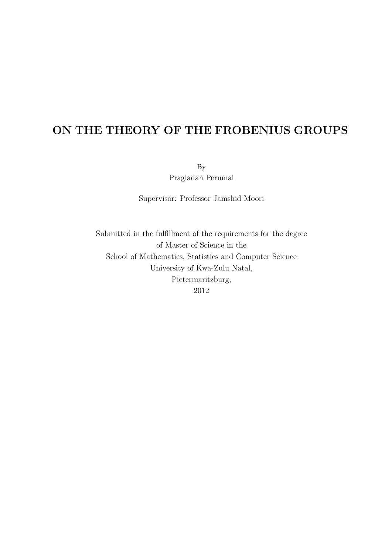## ON THE THEORY OF THE FROBENIUS GROUPS

By

Pragladan Perumal

Supervisor: Professor Jamshid Moori

Submitted in the fulfillment of the requirements for the degree of Master of Science in the School of Mathematics, Statistics and Computer Science University of Kwa-Zulu Natal, Pietermaritzburg, 2012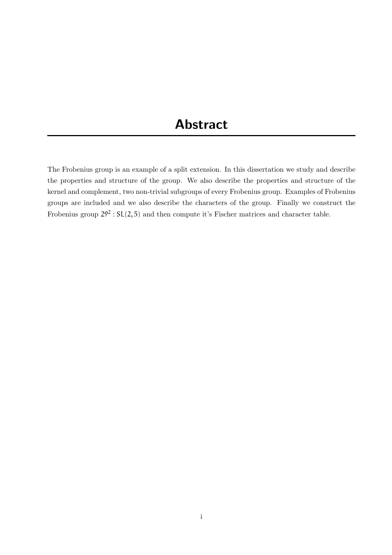## Abstract

The Frobenius group is an example of a split extension. In this dissertation we study and describe the properties and structure of the group. We also describe the properties and structure of the kernel and complement, two non-trivial subgroups of every Frobenius group. Examples of Frobenius groups are included and we also describe the characters of the group. Finally we construct the Frobenius group  $29^2$ :  $SL(2, 5)$  and then compute it's Fischer matrices and character table.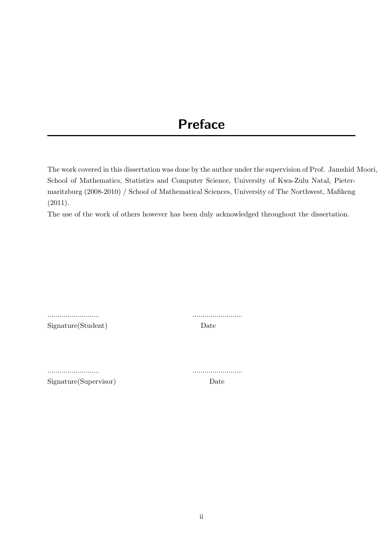# Preface

The work covered in this dissertation was done by the author under the supervision of Prof. Jamshid Moori, School of Mathematics, Statistics and Computer Science, University of Kwa-Zulu Natal, Pietermaritzburg (2008-2010) / School of Mathematical Sciences, University of The Northwest, Mafikeng (2011).

The use of the work of others however has been duly acknowledged throughout the dissertation.

Signature(Student) Date

.......................... .........................

.......................... .........................

Signature(Supervisor) Date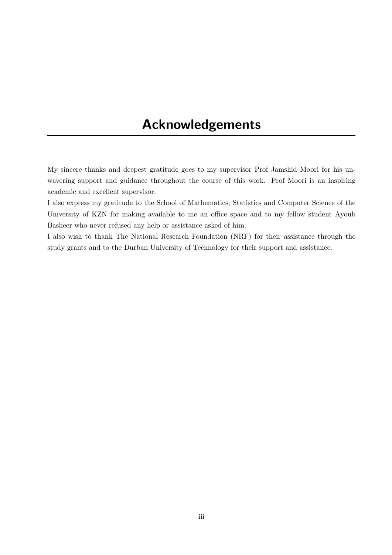## Acknowledgements

My sincere thanks and deepest gratitude goes to my supervisor Prof Jamshid Moori for his unwavering support and guidance throughout the course of this work. Prof Moori is an inspiring academic and excellent supervisor.

I also express my gratitude to the School of Mathematics, Statistics and Computer Science of the University of KZN for making available to me an office space and to my fellow student Ayoub Basheer who never refused any help or assistance asked of him.

I also wish to thank The National Research Foundation (NRF) for their assistance through the study grants and to the Durban University of Technology for their support and assistance.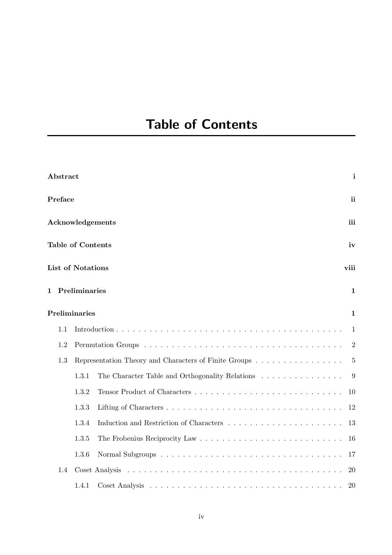# Table of Contents

|               | Abstract                      |                                                       |                                                 | i              |
|---------------|-------------------------------|-------------------------------------------------------|-------------------------------------------------|----------------|
|               | Preface                       |                                                       |                                                 | ii             |
|               |                               |                                                       | <b>Acknowledgements</b>                         | iii            |
|               |                               | <b>Table of Contents</b>                              |                                                 | iv             |
|               |                               | <b>List of Notations</b>                              |                                                 | viii           |
| 1.            | Preliminaries<br>$\mathbf{1}$ |                                                       |                                                 |                |
| Preliminaries |                               |                                                       |                                                 | $\mathbf{1}$   |
|               | 1.1                           |                                                       |                                                 | 1              |
|               | 1.2                           |                                                       |                                                 | $\overline{2}$ |
|               | 1.3                           | Representation Theory and Characters of Finite Groups |                                                 | $\overline{5}$ |
|               |                               | 1.3.1                                                 | The Character Table and Orthogonality Relations | 9              |
|               |                               | 1.3.2                                                 |                                                 | 10             |
|               |                               | 1.3.3                                                 |                                                 | 12             |
|               |                               | 1.3.4                                                 |                                                 | 13             |
|               |                               | 1.3.5                                                 |                                                 | 16             |
|               |                               | 1.3.6                                                 |                                                 | 17             |
|               | 1.4                           |                                                       |                                                 | 20             |
|               |                               | 1.4.1                                                 |                                                 | 20             |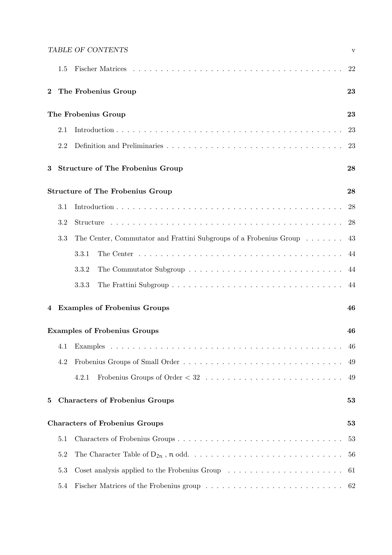|                                               |                     | TABLE OF CONTENTS                                                                                         | $\mathbf{V}$ |
|-----------------------------------------------|---------------------|-----------------------------------------------------------------------------------------------------------|--------------|
|                                               | 1.5                 |                                                                                                           | 22           |
| $\bf{2}$                                      |                     | The Frobenius Group                                                                                       | 23           |
|                                               | The Frobenius Group |                                                                                                           |              |
|                                               | 2.1                 |                                                                                                           | 23           |
|                                               | 2.2                 |                                                                                                           | 23           |
| 3                                             |                     | <b>Structure of The Frobenius Group</b>                                                                   | 28           |
| <b>Structure of The Frobenius Group</b><br>28 |                     |                                                                                                           |              |
|                                               | 3.1                 |                                                                                                           | 28           |
|                                               | 3.2                 |                                                                                                           | 28           |
|                                               | 3.3                 | The Center, Commutator and Frattini Subgroups of a Frobenius Group $\dots \dots$                          | 43           |
|                                               |                     | The Center $\ldots \ldots \ldots \ldots \ldots \ldots \ldots \ldots \ldots \ldots \ldots \ldots$<br>3.3.1 | 44           |
|                                               |                     | 3.3.2                                                                                                     | 44           |
|                                               |                     | 3.3.3                                                                                                     | 44           |
| 4                                             |                     | <b>Examples of Frobenius Groups</b>                                                                       | 46           |
| <b>Examples of Frobenius Groups</b>           |                     |                                                                                                           | 46           |
|                                               | 4.1                 |                                                                                                           | 46           |
|                                               | 4.2                 |                                                                                                           | 49           |
|                                               |                     | 4.2.1                                                                                                     | 49           |
| 5                                             |                     | <b>Characters of Frobenius Groups</b>                                                                     | 53           |
|                                               |                     | <b>Characters of Frobenius Groups</b>                                                                     | 53           |
|                                               | 5.1                 | Characters of Frobenius Groups                                                                            | 53           |
|                                               | 5.2                 |                                                                                                           | 56           |
|                                               | 5.3                 |                                                                                                           | 61           |
|                                               | 5.4                 |                                                                                                           | 62           |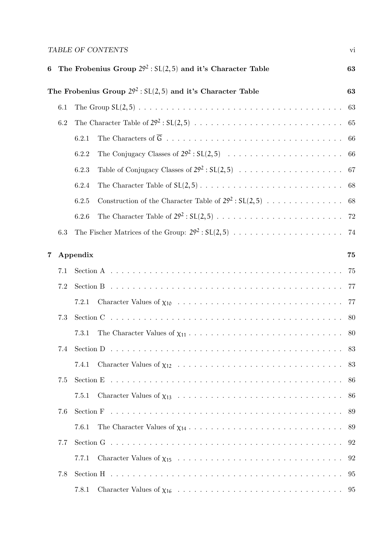### TABLE OF CONTENTS  $\hbox{\tiny\it vi}$

| 6                                                                     |     | The Frobenius Group $29^2$ : $SL(2,5)$ and it's Character Table                                               | 63 |
|-----------------------------------------------------------------------|-----|---------------------------------------------------------------------------------------------------------------|----|
| The Frobenius Group $29^2$ : $SL(2,5)$ and it's Character Table<br>63 |     |                                                                                                               |    |
|                                                                       | 6.1 |                                                                                                               | 63 |
|                                                                       | 6.2 |                                                                                                               | 65 |
|                                                                       |     | 6.2.1                                                                                                         |    |
|                                                                       |     | 6.2.2                                                                                                         |    |
|                                                                       |     | 6.2.3                                                                                                         |    |
|                                                                       |     | 6.2.4                                                                                                         |    |
|                                                                       |     | Construction of the Character Table of $29^2 : SL(2,5) \dots \dots \dots \dots \dots \dots \dots$ 68<br>6.2.5 |    |
|                                                                       |     | 6.2.6                                                                                                         |    |
|                                                                       | 6.3 | The Fischer Matrices of the Group: $29^2 : SL(2,5) \ldots \ldots \ldots \ldots \ldots \ldots \ldots$ 74       |    |
| 7                                                                     |     | Appendix<br>75                                                                                                |    |
|                                                                       | 7.1 |                                                                                                               | 75 |
|                                                                       | 7.2 |                                                                                                               | 77 |
|                                                                       |     | 7.2.1                                                                                                         |    |
|                                                                       | 7.3 |                                                                                                               | 80 |
|                                                                       |     | 7.3.1                                                                                                         |    |
|                                                                       |     |                                                                                                               | 83 |
|                                                                       |     | 7.4.1                                                                                                         |    |
|                                                                       | 7.5 |                                                                                                               |    |
|                                                                       |     | 7.5.1                                                                                                         |    |
|                                                                       | 7.6 |                                                                                                               |    |
|                                                                       |     | 7.6.1                                                                                                         |    |
|                                                                       | 7.7 |                                                                                                               |    |
|                                                                       |     | 7.7.1                                                                                                         |    |
|                                                                       | 7.8 |                                                                                                               |    |
|                                                                       |     | 7.8.1                                                                                                         |    |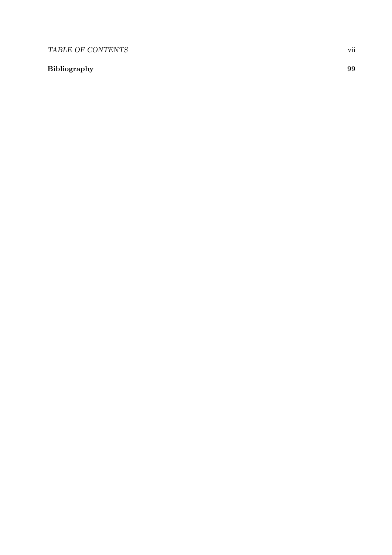### TABLE OF CONTENTS vii

### Bibliography 99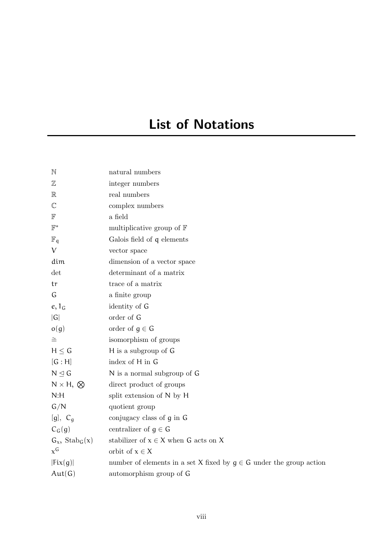# List of Notations

| $\mathbb N$              | natural numbers                                                         |
|--------------------------|-------------------------------------------------------------------------|
| $\mathbb Z$              | integer numbers                                                         |
| $\mathbb R$              | real numbers                                                            |
| $\mathbb{C}$             | complex numbers                                                         |
| $\mathbb F$              | a field                                                                 |
| $\mathbb{F}^*$           | multiplicative group of $\mathbb F$                                     |
| $\mathbb{F}_q$           | Galois field of q elements                                              |
| $\vee$                   | vector space                                                            |
| dim                      | dimension of a vector space                                             |
| det                      | determinant of a matrix                                                 |
| tr                       | trace of a matrix                                                       |
| G                        | a finite group                                                          |
| $e, 1_G$                 | identity of G                                                           |
| G                        | order of G                                                              |
| o(g)                     | order of $g \in G$                                                      |
| $\cong$                  | isomorphism of groups                                                   |
| $H \leq G$               | H is a subgroup of G                                                    |
| [G:H]                    | index of H in G                                                         |
| $N \trianglelefteq G$    | N is a normal subgroup of G                                             |
| $N \times H$ , $\otimes$ | direct product of groups                                                |
| N:H                      | split extension of N by H                                               |
| G/N                      | quotient group                                                          |
| [g], $C_g$               | conjugacy class of g in G                                               |
| $C_G(g)$                 | centralizer of $g \in G$                                                |
| $G_x$ , $Stab_G(x)$      | stabilizer of $x \in X$ when G acts on X                                |
| $x^G$                    | orbit of $x \in X$                                                      |
| Fix(g)                   | number of elements in a set X fixed by $g \in G$ under the group action |
| Aut(G)                   | automorphism group of G                                                 |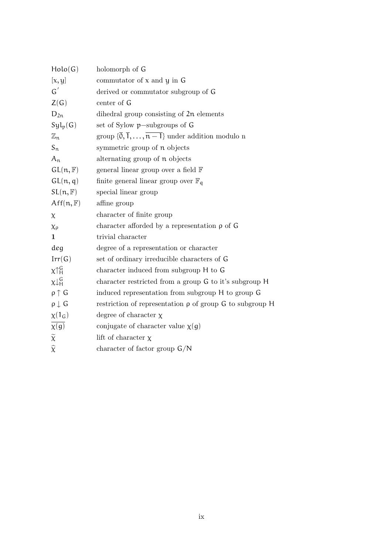| Holo(G)              | holomorph of G                                                                          |
|----------------------|-----------------------------------------------------------------------------------------|
| [x, y]               | commutator of $x$ and $y$ in $G$                                                        |
| $G^{'}$              | derived or commutator subgroup of G                                                     |
| Z(G)                 | center of G                                                                             |
| $D_{2n}$             | dihedral group consisting of $2n$ elements                                              |
| $Syl_p(G)$           | set of Sylow $p$ -subgroups of $G$                                                      |
| $\mathbb{Z}_{n}$     | group $\{\overline{0}, \overline{1}, \ldots, \overline{n-1}\}\$ under addition modulo n |
| $S_n$                | symmetric group of n objects                                                            |
| $A_n$                | alternating group of n objects                                                          |
| GL(n, F)             | general linear group over a field F                                                     |
| GL(n, q)             | finite general linear group over $\mathbb{F}_q$                                         |
| SL(n, F)             | special linear group                                                                    |
| $Aff(n, \mathbb{F})$ | affine group                                                                            |
| $\chi$               | character of finite group                                                               |
| $\chi_{\rho}$        | character afforded by a representation $\rho$ of $G$                                    |
| 1                    | trivial character                                                                       |
| deg                  | degree of a representation or character                                                 |
| Irr(G)               | set of ordinary irreducible characters of G                                             |
| $\chi \uparrow_H^G$  | character induced from subgroup H to G                                                  |
| $x \downarrow^G_H$   | character restricted from a group G to it's subgroup H                                  |
| $\rho \uparrow G$    | induced representation from subgroup H to group G                                       |
| $\rho \downarrow G$  | restriction of representation $\rho$ of group G to subgroup H                           |
| $\chi(1_G)$          | degree of character $\chi$                                                              |
| $\overline{\chi(g)}$ | conjugate of character value $\chi(g)$                                                  |
| $\widetilde{\chi}$   | lift of character $\chi$                                                                |
| $\widehat{\chi}$     | character of factor group $G/N$                                                         |
|                      |                                                                                         |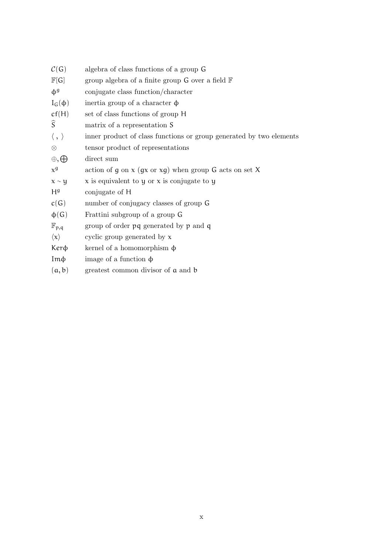| $\mathcal{C}(G)$          | algebra of class functions of a group G                             |
|---------------------------|---------------------------------------------------------------------|
| $\mathbb{F}[G]$           | group algebra of a finite group $G$ over a field $F$                |
| $\Phi^9$                  | conjugate class function/character                                  |
| $I_G(\phi)$               | inertia group of a character $\phi$                                 |
| cf(H)                     | set of class functions of group H                                   |
| $\widehat{S}$             | matrix of a representation S                                        |
| $\langle \, , \, \rangle$ | inner product of class functions or group generated by two elements |
| $\otimes$                 | tensor product of representations                                   |
| $\oplus$ , $\oplus$       | direct sum                                                          |
| $x^9$                     | action of g on $x$ (gx or $xg$ ) when group G acts on set X         |
| $x \sim y$                | $x$ is equivalent to y or $x$ is conjugate to y                     |
| H <sup>g</sup>            | conjugate of H                                                      |
| c(G)                      | number of conjugacy classes of group G                              |
| $\phi(G)$                 | Frattini subgroup of a group G                                      |
| $\mathbb{F}_{p,q}$        | group of order $pq$ generated by $p$ and $q$                        |
| $\langle x \rangle$       | cyclic group generated by $x$                                       |
| Kerф                      | kernel of a homomorphism $\phi$                                     |
| $Im\phi$                  | image of a function $\phi$                                          |
| (a, b)                    | greatest common divisor of a and b                                  |
|                           |                                                                     |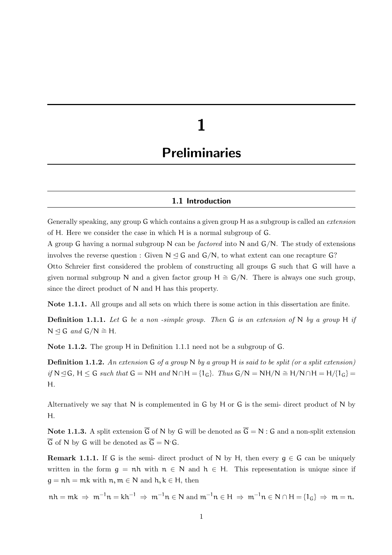# 1

## **Preliminaries**

#### 1.1 Introduction

Generally speaking, any group G which contains a given group H as a subgroup is called an extension of H. Here we consider the case in which H is a normal subgroup of G.

A group G having a normal subgroup N can be factored into N and G/N. The study of extensions involves the reverse question : Given  $N \leq G$  and  $G/N$ , to what extent can one recapture G? Otto Schreier first considered the problem of constructing all groups G such that G will have a given normal subgroup N and a given factor group H  $\cong$  G/N. There is always one such group, since the direct product of N and H has this property.

Note 1.1.1. All groups and all sets on which there is some action in this dissertation are finite.

**Definition 1.1.1.** Let G be a non-simple group. Then G is an extension of N by a group H if N  $\trianglelefteq$  G and G/N  $\cong$  H.

Note 1.1.2. The group H in Definition 1.1.1 need not be a subgroup of G.

**Definition 1.1.2.** An extension G of a group N by a group H is said to be split (or a split extension) if N ⊴ G, H ≤ G such that G = NH and N∩H = {1<sub>G</sub>}. Thus G/N = NH/N  $\cong$  H/N∩H = H/{1<sub>G</sub>} = H.

Alternatively we say that  $N$  is complemented in  $G$  by  $H$  or  $G$  is the semi- direct product of  $N$  by H.

Note 1.1.3. A split extension  $\overline{G}$  of N by G will be denoted as  $\overline{G} = N : G$  and a non-split extension  $\overline{G}$  of N by G will be denoted as  $\overline{G} = N \cdot G$ .

**Remark 1.1.1.** If G is the semi- direct product of N by H, then every  $g \in G$  can be uniquely written in the form  $g = nh$  with  $n \in N$  and  $h \in H$ . This representation is unique since if  $g = nh = mk$  with  $n, m \in N$  and  $h, k \in H$ , then

 $nh = mk \Rightarrow m^{-1}n = kh^{-1} \Rightarrow m^{-1}n \in N$  and  $m^{-1}n \in H \Rightarrow m^{-1}n \in N \cap H = \{1_G\} \Rightarrow m = n$ .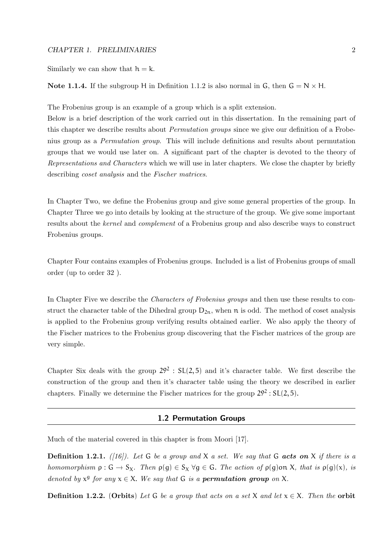#### CHAPTER 1. PRELIMINARIES 2

Similarly we can show that  $h = k$ .

#### Note 1.1.4. If the subgroup H in Definition 1.1.2 is also normal in G, then  $G = N \times H$ .

The Frobenius group is an example of a group which is a split extension.

Below is a brief description of the work carried out in this dissertation. In the remaining part of this chapter we describe results about Permutation groups since we give our definition of a Frobenius group as a Permutation group. This will include definitions and results about permutation groups that we would use later on. A significant part of the chapter is devoted to the theory of Representations and Characters which we will use in later chapters. We close the chapter by briefly describing coset analysis and the Fischer matrices.

In Chapter Two, we define the Frobenius group and give some general properties of the group. In Chapter Three we go into details by looking at the structure of the group. We give some important results about the kernel and complement of a Frobenius group and also describe ways to construct Frobenius groups.

Chapter Four contains examples of Frobenius groups. Included is a list of Frobenius groups of small order (up to order 32 ).

In Chapter Five we describe the *Characters of Frobenius groups* and then use these results to construct the character table of the Dihedral group  $D_{2n}$ , when  $n$  is odd. The method of coset analysis is applied to the Frobenius group verifying results obtained earlier. We also apply the theory of the Fischer matrices to the Frobenius group discovering that the Fischer matrices of the group are very simple.

Chapter Six deals with the group  $29^2$ :  $SL(2,5)$  and it's character table. We first describe the construction of the group and then it's character table using the theory we described in earlier chapters. Finally we determine the Fischer matrices for the group  $29^2 : SL(2,5)$ .

#### 1.2 Permutation Groups

Much of the material covered in this chapter is from Moori [17].

**Definition 1.2.1.** ([16]). Let G be a group and X a set. We say that G acts on X if there is a homomorphism  $\rho : G \to S_X$ . Then  $\rho(q) \in S_X \forall q \in G$ . The action of  $\rho(q)$ on X, that is  $\rho(q)(x)$ , is denoted by  $x^g$  for any  $x \in X$ . We say that G is a **permutation group** on X.

**Definition 1.2.2.** (Orbits) Let G be a group that acts on a set X and let  $x \in X$ . Then the orbit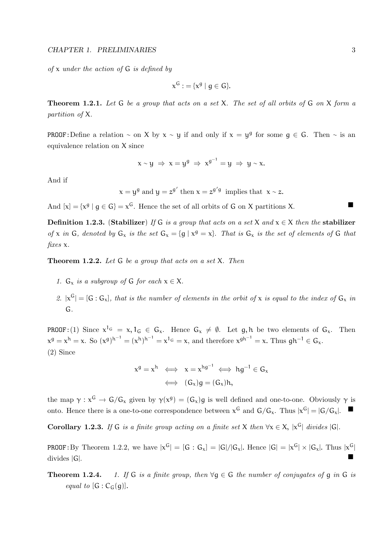of  $x$  under the action of  $G$  is defined by

$$
x^G := \{x^g \mid g \in G\}.
$$

**Theorem 1.2.1.** Let  $G$  be a group that acts on a set  $X$ . The set of all orbits of  $G$  on  $X$  form a partition of X.

**PROOF:**Define a relation ~ on X by  $x \sim y$  if and only if  $x = y^g$  for some  $g \in G$ . Then ~ is an equivalence relation on X since

$$
x \sim y \Rightarrow x = y^g \Rightarrow x^{g^{-1}} = y \Rightarrow y \sim x.
$$

And if

$$
x = y^g
$$
 and  $y = z^{g'}$  then  $x = z^{g'g}$  implies that  $x \sim z$ .

And  $[x] = \{x^g | g \in G\} = x^G$ . Hence the set of all orbits of G on X partitions X.

Definition 1.2.3. (Stabilizer) If G is a group that acts on a set X and  $x \in X$  then the stabilizer of x in G, denoted by  $G_x$  is the set  $G_x = \{g \mid x^g = x\}$ . That is  $G_x$  is the set of elements of G that fixes x.

**Theorem 1.2.2.** Let  $G$  be a group that acts on a set  $X$ . Then

- 1.  $G_x$  is a subgroup of G for each  $x \in X$ .
- 2.  $|x^G| = [G:G_x]$ , that is the number of elements in the orbit of x is equal to the index of  $G_x$  in G.

**PROOF**: (1) Since  $x^{1_G} = x, 1_G \in G_x$ . Hence  $G_x \neq \emptyset$ . Let g, h be two elements of  $G_x$ . Then  $x^g = x^h = x.$  So  $(x^g)^{h^{-1}} = (x^h)^{h^{-1}} = x^1$   $\in \infty$ , and therefore  $x^{gh^{-1}} = x.$  Thus  $gh^{-1} \in G_x$ . (2) Since

$$
x^g = x^h \iff x = x^{hg^{-1}} \iff hg^{-1} \in G_x
$$
  

$$
\iff (G_x)g = (G_x)h,
$$

the map  $\gamma : x^G \to G/G_x$  given by  $\gamma(x^g) = (G_x)g$  is well defined and one-to-one. Obviously  $\gamma$  is onto. Hence there is a one-to-one correspondence between  $x^G$  and  $G/G_x$ . Thus  $|x^G| = |G/G_x|$ .

Corollary 1.2.3. If G is a finite group acting on a finite set X then  $\forall x \in X$ ,  $|x^G|$  divides  $|G|$ .

**PROOF**: By Theorem 1.2.2, we have  $|x^G| = [G : G_x] = |G|/|G_x|$ . Hence  $|G| = |x^G| \times |G_x|$ . Thus  $|x^G|$ divides <sup>|</sup>G|.

**Theorem 1.2.4.** 1. If G is a finite group, then  $\forall q \in G$  the number of conjugates of q in G is equal to  $[G: C_G(g)]$ .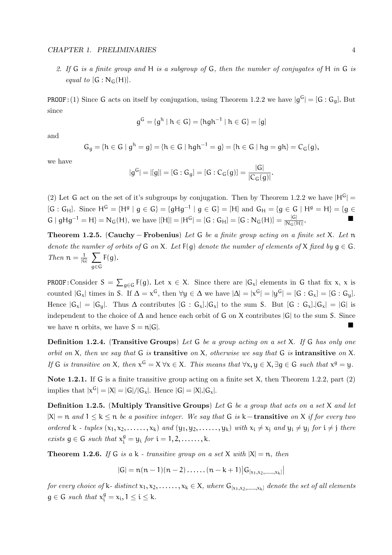#### CHAPTER 1. PRELIMINARIES 4

2. If G is a finite group and H is a subgroup of G, then the number of conjugates of H in G is equal to  $[G : N_G(H)]$ .

**PROOF:** (1) Since G acts on itself by conjugation, using Theorem 1.2.2 we have  $|g^G| = [G : G_g]$ . But since

$$
g^G = \{ g^h \mid h \in G \} = \{ h g h^{-1} \mid h \in G \} = [g]
$$

and

$$
G_g=\{h\in G\mid g^h=g\}=\{h\in G\mid hgh^{-1}=g\}=\{h\in G\mid hg=gh\}=C_G(g),
$$

we have

$$
|g^G| = |[g]| = [G : G_g] = [G : C_G(g)] = \frac{|G|}{|C_G(g)|}.
$$

(2) Let G act on the set of it's subgroups by conjugation. Then by Theorem 1.2.2 we have  $|H^G|$  =  $[G: G_H]$ . Since  $H^G = {H^g | g \in G} = {gHg^{-1} | g \in G} = [H]$  and  $G_H = {g \in G | H^g = H} = {g \in G}$  $G | gHg^{-1} = H$ } = N<sub>G</sub>(H), we have  $|[H]| = |H^G| = [G : G_H] = [G : N_G(H)] = \frac{|G|}{|N_G(H)|}$ .

Theorem 1.2.5. (Cauchy – Frobenius) Let G be a finite group acting on a finite set X. Let n denote the number of orbits of G on X. Let  $F(g)$  denote the number of elements of X fixed by  $g \in G$ . *Then*  $n = \frac{1}{16}$  $\frac{1}{|G|}$   $\sum$ g∈G  $F(g)$ .

**PROOF:** Consider  $S = \sum_{g \in G} F(g)$ . Let  $x \in X$ . Since there are  $|G_x|$  elements in G that fix x, x is counted  $|G_x|$  times in S. If  $\Delta = x^G$ , then  $\forall y \in \Delta$  we have  $|\Delta| = |x^G| = |y^G| = [G : G_x] = [G : G_y]$ . Hence  $|G_x| = |G_y|$ . Thus  $\Delta$  contributes  $[G : G_x] \cdot |G_x|$  to the sum S. But  $[G : G_x] \cdot |G_x| = |G|$  is independent to the choice of ∆ and hence each orbit of G on X contributes |G| to the sum S. Since we have  $n$  orbits, we have  $S = n|G|$ .

**Definition 1.2.4.** (Transitive Groups) Let G be a group acting on a set X. If G has only one orbit on X, then we say that  $G$  is transitive on X, otherwise we say that  $G$  is intransitive on X. If G is transitive on X, then  $x^G = X \forall x \in X$ . This means that  $\forall x, y \in X$ ,  $\exists g \in G$  such that  $x^g = y$ .

Note 1.2.1. If G is a finite transitive group acting on a finite set X, then Theorem 1.2.2, part  $(2)$ implies that  $|x^G| = |X| = |G|/|G_x|$ . Hence  $|G| = |X|$ . $|G_x|$ .

Definition 1.2.5. (Multiply Transitive Groups) Let G be a group that acts on a set X and let  $|X| = n$  and  $1 \le k \le n$  be a positive integer. We say that G is k – transitive on X if for every two ordered k - tuples  $(x_1, x_2, \ldots, x_k)$  and  $(y_1, y_2, \ldots, y_k)$  with  $x_i \neq x_j$  and  $y_i \neq y_j$  for  $i \neq j$  there exists  $g \in G$  such that  $x_i^g = y_i$  for  $i = 1, 2, \ldots, k$ .

**Theorem 1.2.6.** If G is a k - transitive group on a set X with  $|X| = n$ , then

$$
|G| = n(n-1)(n-2)\ldots(n-k+1)|G_{[x_1,x_2,\ldots,x_k]}|
$$

for every choice of k- distinct  $x_1, x_2, \ldots, x_k \in X$ , where  $G_{[x_1, x_2, \ldots, x_k]}$  denote the set of all elements  $g \in G$  such that  $x_i^g = x_i, 1 \le i \le k$ .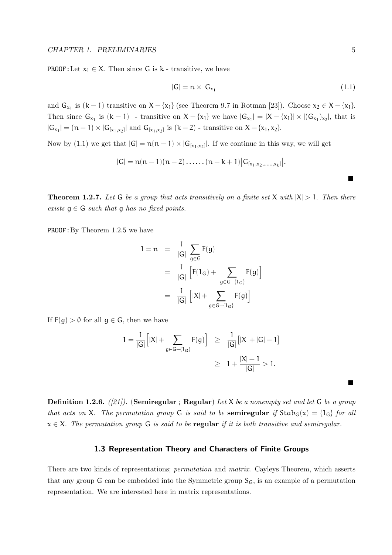**PROOF:**Let  $x_1 \in X$ . Then since G is k - transitive, we have

$$
|G| = n \times |G_{\chi_1}| \tag{1.1}
$$

and  $G_{x_1}$  is  $(k-1)$  transitive on  $X - \{x_1\}$  (see Theorem 9.7 in Rotman [23]). Choose  $x_2 \in X - \{x_1\}$ . Then since  $G_{x_1}$  is  $(k-1)$  - transitive on  $X - \{x_1\}$  we have  $|G_{x_1}| = |X - \{x_1\}| \times |(G_{x_1})_{x_2}|$ , that is  $|G_{x_1}| = (n-1) \times |G_{[x_1,x_2]}|$  and  $G_{[x_1,x_2]}$  is  $(k-2)$  - transitive on  $X - \{x_1, x_2\}$ .

Now by (1.1) we get that  $|G| = n(n-1) \times |G_{[x_1,x_2]}|$ . If we continue in this way, we will get

$$
|G| = n(n-1)(n-2)\ldots(n-k+1)|G_{[x_1,x_2,\ldots,x_k]}|.
$$

**Theorem 1.2.7.** Let G be a group that acts transitively on a finite set X with  $|X| > 1$ . Then there exists  $g \in G$  such that g has no fixed points.

PROOF:By Theorem 1.2.5 we have

$$
1 = n = \frac{1}{|G|} \sum_{g \in G} F(g)
$$
  
= 
$$
\frac{1}{|G|} \left[ F(1_G) + \sum_{g \in G - \{1_G\}} F(g) \right]
$$
  
= 
$$
\frac{1}{|G|} \left[ |X| + \sum_{g \in G - \{1_G\}} F(g) \right]
$$

If  $F(g) > 0$  for all  $g \in G$ , then we have

$$
1 = \frac{1}{|G|} \Big[ |X| + \sum_{g \in G - \{1_G\}} F(g) \Big] \ge \frac{1}{|G|} \Big[ |X| + |G| - 1 \Big]
$$
  
 
$$
\ge 1 + \frac{|X| - 1}{|G|} > 1.
$$

**Definition 1.2.6.** ([21]). (Semiregular; Regular) Let X be a nonempty set and let G be a group that acts on X. The permutation group G is said to be semiregular if  $Stab_G(x) = \{1_G\}$  for all  $x \in X$ . The permutation group G is said to be regular if it is both transitive and semiregular.

#### 1.3 Representation Theory and Characters of Finite Groups

There are two kinds of representations; *permutation* and *matrix*. Cayleys Theorem, which asserts that any group G can be embedded into the Symmetric group  $S_G$ , is an example of a permutation representation. We are interested here in matrix representations.

 $\blacksquare$ 

 $\blacksquare$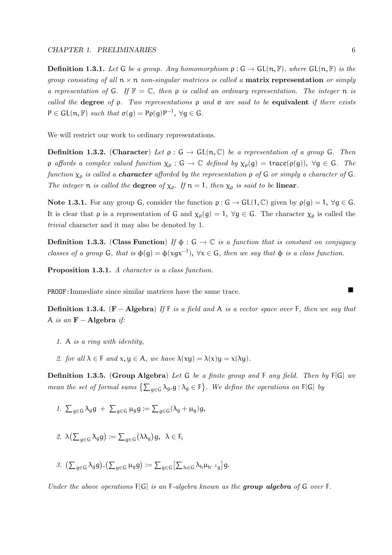**Definition 1.3.1.** Let G be a group. Any homomorphism  $\rho : G \to GL(n, \mathbb{F})$ , where  $GL(n, \mathbb{F})$  is the group consisting of all  $n \times n$  non-singular matrices is called a **matrix representation** or simply a representation of G. If  $\mathbb{F} = \mathbb{C}$ , then  $\rho$  is called an ordinary representation. The integer  $\mathfrak{n}$  is called the degree of  $\rho$ . Two representations  $\rho$  and  $\sigma$  are said to be equivalent if there exists  $P \in GL(n, \mathbb{F})$  such that  $\sigma(g) = P \rho(g) P^{-1}$ ,  $\forall g \in G$ .

We will restrict our work to ordinary representations.

**Definition 1.3.2.** (Character) Let  $\rho : G \to GL(n, \mathbb{C})$  be a representation of a group G. Then  $ρ$  affords a complex valued function  $χρ : G → C$  defined by  $χρ(g) = trace(p(g)), ∀g ∈ G$ . The function  $\chi_{\rho}$  is called a **character** afforded by the representation  $\rho$  of G or simply a character of G. The integer  $\pi$  is called the **degree** of  $\chi_{\rho}$ . If  $\pi = 1$ , then  $\chi_{\rho}$  is said to be **linear**.

Note 1.3.1. For any group G, consider the function  $\rho : G \to GL(1,\mathbb{C})$  given by  $\rho(g) = 1$ ,  $\forall g \in G$ . It is clear that  $\rho$  is a representation of G and  $\chi_{\rho}(g) = 1$ ,  $\forall g \in G$ . The character  $\chi_{\rho}$  is called the trivial character and it may also be denoted by 1.

**Definition 1.3.3.** (Class Function) If  $\phi$ :  $G \rightarrow \mathbb{C}$  is a function that is constant on conjugacy classes of a group G, that is  $\phi(g) = \phi(xgx^{-1})$ ,  $\forall x \in G$ , then we say that  $\phi$  is a class function.

Proposition 1.3.1. A character is a class function.

PROOF:Immediate since similar matrices have the same trace.

**Definition 1.3.4.** (F – Algebra) If F is a field and A is a vector space over F, then we say that A is an  $\mathbf{F} - \mathbf{Algebra}$  if:

- 1. A is a ring with identity,
- 2. for all  $\lambda \in F$  and  $x, y \in A$ , we have  $\lambda (xy) = \lambda (x)y = x(\lambda y)$ .

Definition 1.3.5. (Group Algebra) Let G be a finite group and F any field. Then by F[G] we mean the set of formal sums  $\{\sum_{g \in G} \lambda_g.g : \lambda_g \in F\}$ . We define the operations on F[G] by

1.  $\sum_{g \in G} \lambda_g g + \sum_{g \in G} \mu_g g := \sum_{g \in G} (\lambda_g + \mu_g) g$ 

$$
\text{2. } \lambda\big(\textstyle\sum_{g\in G}\lambda_g g\big):=\textstyle\sum_{g\in G}\big(\lambda\lambda_g\big)g, \ \ \lambda\in F,
$$

3.  $\left(\sum_{g\in G} \lambda_g g\right) \cdot \left(\sum_{g\in G} \mu_g g\right) := \sum_{g\in G} \left[\sum_{h\in G} \lambda_h \mu_{h^{-1}g}\right] g.$ 

Under the above operations  $F[G]$  is an F-algebra known as the group algebra of G over F.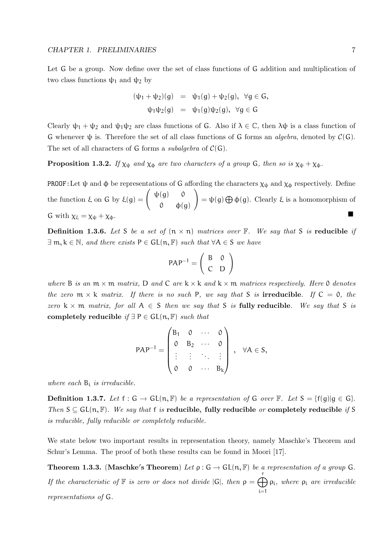Let G be a group. Now define over the set of class functions of G addition and multiplication of two class functions  $ψ_1$  and  $ψ_2$  by

$$
(\psi_1 + \psi_2)(g) = \psi_1(g) + \psi_2(g), \ \forall g \in G,
$$
  

$$
\psi_1 \psi_2(g) = \psi_1(g)\psi_2(g), \ \forall g \in G
$$

Clearly  $\psi_1 + \psi_2$  and  $\psi_1 \psi_2$  are class functions of G. Also if  $\lambda \in \mathbb{C}$ , then  $\lambda \psi$  is a class function of G whenever  $\psi$  is. Therefore the set of all class functions of G forms an *algebra*, denoted by  $\mathcal{C}(G)$ . The set of all characters of G forms a *subalgebra* of  $C(G)$ .

**Proposition 1.3.2.** If  $\chi_{\psi}$  and  $\chi_{\phi}$  are two characters of a group G, then so is  $\chi_{\psi} + \chi_{\phi}$ .

PROOF:Let  $\psi$  and  $\phi$  be representations of G affording the characters  $\chi_{\psi}$  and  $\chi_{\phi}$  respectively. Define the function  $\xi$  on G by  $\xi(g) = \begin{pmatrix} \psi(g) & 0 \\ 0 & \psi(g) \end{pmatrix}$  $0$   $\varphi$ (g)  $\setminus$  $= \psi(g) \bigoplus \phi(g)$ . Clearly  $\xi$  is a homomorphism of G with  $\chi_{\xi} = \chi_{\psi} + \chi_{\phi}$ .

**Definition 1.3.6.** Let S be a set of  $(n \times n)$  matrices over  $\mathbb{F}$ . We say that S is reducible if  $\exists m, k \in \mathbb{N}$ , and there exists  $P \in GL(n, \mathbb{F})$  such that  $\forall A \in S$  we have

$$
PAP^{-1} = \left(\begin{array}{cc} B & 0 \\ C & D \end{array}\right)
$$

where B is an  $m \times m$  matrix, D and C are  $k \times k$  and  $k \times m$  matrices respectively. Here 0 denotes the zero  $m \times k$  matrix. If there is no such P, we say that S is **irreducible**. If  $C = 0$ , the zero  $k \times m$  matrix, for all  $A \in S$  then we say that S is fully reducible. We say that S is completely reducible if  $\exists P \in GL(n, \mathbb{F})$  such that

$$
PAP^{-1} = \begin{pmatrix} B_1 & 0 & \cdots & 0 \\ 0 & B_2 & \cdots & 0 \\ \vdots & \vdots & \ddots & \vdots \\ 0 & 0 & \cdots & B_k \end{pmatrix}, \forall A \in S,
$$

where each  $B_i$  is irreducible.

**Definition 1.3.7.** Let  $f : G \to GL(n, \mathbb{F})$  be a representation of G over  $\mathbb{F}$ . Let  $S = \{f(g) | g \in G\}$ . Then  $S \subseteq GL(n, \mathbb{F})$ . We say that f is reducible, fully reducible or completely reducible if S is reducible, fully reducible or completely reducible.

We state below two important results in representation theory, namely Maschke's Theorem and Schur's Lemma. The proof of both these results can be found in Moori [17].

**Theorem 1.3.3.** (Maschke's Theorem) Let  $\rho$ :  $G \to GL(n, \mathbb{F})$  be a representation of a group G. If the characteristic of  $\mathbb F$  is zero or does not divide  $|G|$ , then  $\rho = \bigoplus_{i=1}^r$ i=1 ρi , where ρ<sup>i</sup> are irreducible representations of G.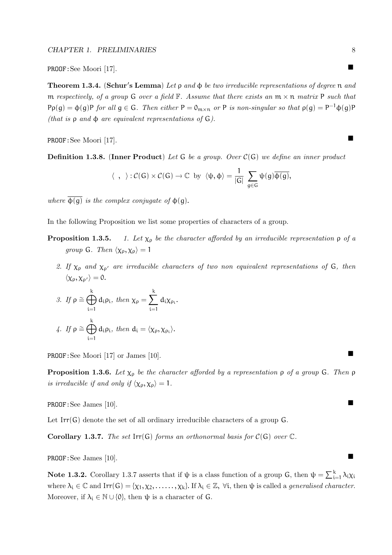PROOF: See Moori [17].

**Theorem 1.3.4.** (Schur's Lemma) Let  $\rho$  and  $\phi$  be two irreducible representations of degree n and m respectively, of a group G over a field  $\mathbb F$ . Assume that there exists an  $m \times n$  matrix P such that  $P \rho(g) = \phi(g) P$  for all  $g \in G$ . Then either  $P = 0_{m \times n}$  or P is non-singular so that  $\rho(g) = P^{-1} \phi(g) P$ (that is  $\rho$  and  $\phi$  are equivalent representations of G).

PROOF:See Moori [17].

**Definition 1.3.8.** (Inner Product) Let G be a group. Over  $C(G)$  we define an inner product

$$
\langle \ , \ \rangle : \mathcal{C}(G) \times \mathcal{C}(G) \to \mathbb{C} \ \text{by} \ \langle \psi, \varphi \rangle = \frac{1}{|G|} \ \sum_{g \in G} \psi(g) \overline{\varphi(g)},
$$

where  $\overline{\Phi(g)}$  is the complex conjugate of  $\Phi(g)$ .

In the following Proposition we list some properties of characters of a group.

- **Proposition 1.3.5.** 1. Let  $\chi_{\rho}$  be the character afforded by an irreducible representation  $\rho$  of a group G. Then  $\langle \chi_{\rho}, \chi_{\rho} \rangle = 1$ 
	- 2. If  $\chi_{\rho}$  and  $\chi_{\rho'}$  are irreducible characters of two non equivalent representations of G, then  $\langle \chi_{\rho}, \chi_{\rho'} \rangle = 0.$

3. If 
$$
\rho \cong \bigoplus_{i=1}^{k} d_i \rho_i
$$
, then  $\chi_{\rho} = \sum_{i=1}^{k} d_i \chi_{\rho_i}$ .

\n4. If  $\rho \cong \bigoplus_{i=1}^{k} d_i \rho_i$ , then  $d_i = \langle \chi_{\rho}, \chi_{\rho_i} \rangle$ .

PROOF: See Moori [17] or James [10].

**Proposition 1.3.6.** Let  $\chi_{\rho}$  be the character afforded by a representation  $\rho$  of a group G. Then  $\rho$ is irreducible if and only if  $\langle \chi_{\rho}, \chi_{\rho} \rangle = 1$ .

PROOF:See James [10].

Let Irr(G) denote the set of all ordinary irreducible characters of a group G.

**Corollary 1.3.7.** The set Irr(G) forms an orthonormal basis for  $C(G)$  over  $C$ .

PROOF: See James [10].

**Note 1.3.2.** Corollary 1.3.7 asserts that if  $\psi$  is a class function of a group G, then  $\psi = \sum_{i=1}^{k} \lambda_i \chi_i$ where  $\lambda_i \in \mathbb{C}$  and  $\text{Irr}(\mathsf{G}) = {\chi_1, \chi_2, \ldots, \chi_k}$ . If  $\lambda_i \in \mathbb{Z}$ ,  $\forall i$ , then  $\psi$  is called a *generalised character*. Moreover, if  $\lambda_i \in \mathbb{N} \cup \{0\}$ , then  $\psi$  is a character of G.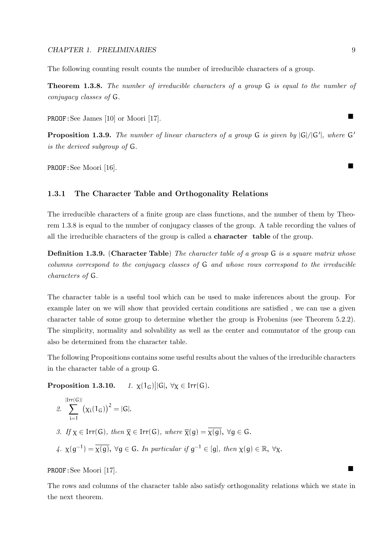The following counting result counts the number of irreducible characters of a group.

Theorem 1.3.8. The number of irreducible characters of a group G is equal to the number of conjugacy classes of G.

PROOF: See James [10] or Moori [17].

**Proposition 1.3.9.** The number of linear characters of a group  $G$  is given by  $|G|/|G'|$ , where  $G'$ is the derived subgroup of G.

PROOF:See Moori [16].

#### 1.3.1 The Character Table and Orthogonality Relations

The irreducible characters of a finite group are class functions, and the number of them by Theorem 1.3.8 is equal to the number of conjugacy classes of the group. A table recording the values of all the irreducible characters of the group is called a character table of the group.

**Definition 1.3.9.** (Character Table) The character table of a group G is a square matrix whose columns correspond to the conjugacy classes of G and whose rows correspond to the irreducible characters of G.

The character table is a useful tool which can be used to make inferences about the group. For example later on we will show that provided certain conditions are satisfied , we can use a given character table of some group to determine whether the group is Frobenius (see Theorem 5.2.2). The simplicity, normality and solvability as well as the center and commutator of the group can also be determined from the character table.

The following Propositions contains some useful results about the values of the irreducible characters in the character table of a group G.

Proposition 1.3.10.  $\vert\vert G\vert, \ \forall \chi \in \text{Irr}(G).$ 

\n- \n
$$
2. \sum_{i=1}^{|Irr(G)|} \left( \chi_i(1_G) \right)^2 = |G|.
$$
\n
\n- \n $3. If \chi \in Irr(G), then \overline{\chi} \in Irr(G), where \overline{\chi}(g) = \overline{\chi(g)}, \forall g \in G.$ \n
\n- \n $\chi(g^{-1}) = \overline{\chi(g)}, \forall g \in G.$ \n*In particular if*  $g^{-1} \in [g], then \chi(g) \in \mathbb{R}, \forall \chi.$ \n
\n

PROOF:See Moori [17].

The rows and columns of the character table also satisfy orthogonality relations which we state in the next theorem.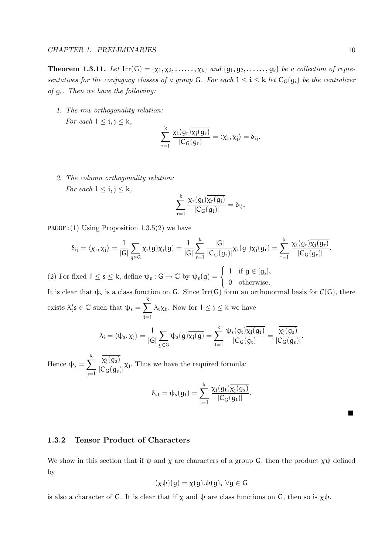**Theorem 1.3.11.** Let  $\text{Irr}(G) = \{ \chi_1, \chi_2, \ldots, \chi_k \}$  and  $\{g_1, g_2, \ldots, g_k \}$  be a collection of representatives for the conjugacy classes of a group G. For each  $1 \le i \le k$  let  $C_G(g_i)$  be the centralizer of g<sup>i</sup> . Then we have the following:

1. The row orthogonality relation: For each  $1 \leq i, j \leq k$ ,

$$
\sum_{r=1}^k \frac{\chi_i(g_r)\overline{\chi_j(g_r)}}{|C_G(g_r)|}=\langle \chi_i, \chi_j\rangle=\delta_{ij}.
$$

2. The column orthogonality relation: For each  $1 \leq i, j \leq k$ ,

$$
\sum_{r=1}^k \frac{\chi_r(g_i)\overline{\chi_r(g_j)}}{|C_G(g_i)|} = \delta_{ij}.
$$

**PROOF:** (1) Using Proposition 1.3.5(2) we have

$$
\delta_{ij}=\langle \chi_i, \chi_j\rangle = \frac{1}{|G|}\sum_{g\in G}\chi_i(g)\overline{\chi_j(g)}=\frac{1}{|G|}\sum_{r=1}^k\frac{|G|}{|C_G(g_r)|}\chi_i(g_r)\overline{\chi_j(g_r)}=\sum_{r=1}^k\frac{\chi_i(g_r)\overline{\chi_j(g_r)}}{|C_G(g_r)|}.
$$

(2) For fixed  $1 \leq s \leq k$ , define  $\psi_s : G \to \mathbb{C}$  by  $\psi_s(g) = \begin{cases} 1 & \text{if } g \in [g_s], \\ 0 & \text{otherwise.} \end{cases}$ 0 otherwise.

It is clear that  $\psi_s$  is a class function on G. Since Irr(G) form an orthonormal basis for  $\mathcal{C}(G)$ , there exists  $\lambda'_t s \in \mathbb{C}$  such that  $\psi_s = \sum^k$  $\lambda_t \chi_t$ . Now for  $1 \leq j \leq k$  we have

$$
\lambda_j=\langle \psi_s,\chi_j\rangle=\frac{1}{|G|}\sum_{g\in G}\psi_s(g)\overline{\chi_j(g)}=\sum_{t=1}^k\frac{\psi_s(g_t)\overline{\chi_j(g_t)}}{|C_G(g_t)|}=\frac{\overline{\chi_j(g_s)}}{|C_G(g_s)|}.
$$

Hence  $\psi_s = \sum^{k}$ j=1  $\chi_{\rm j}({\mathfrak g}_{\rm s})$  $\frac{\lambda_1(s_3)}{|\mathcal{C}_G(g_s)|}\chi_j$ . Thus we have the required formula:

 $t=1$ 

$$
\delta_{st}=\psi_s(g_t)=\sum_{j=1}^k\frac{\chi_j(g_t)\overline{\chi_j(g_s)}}{|C_G(g_t)|}.
$$

П

#### 1.3.2 Tensor Product of Characters

We show in this section that if  $\psi$  and  $\chi$  are characters of a group G, then the product  $\chi\psi$  defined by

$$
(\chi\psi)(g) = \chi(g).\psi(g), \ \forall g \in G
$$

is also a character of G. It is clear that if  $\chi$  and  $\psi$  are class functions on G, then so is  $\chi\psi$ .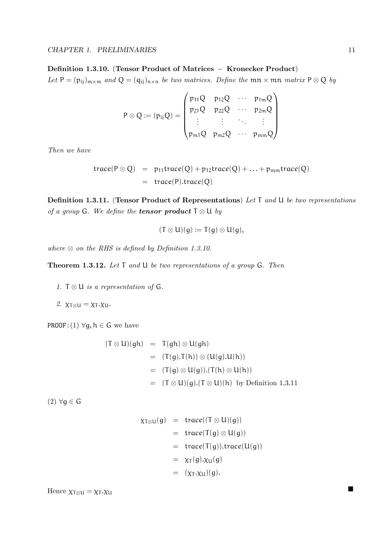#### Definition 1.3.10. (Tensor Product of Matrices − Kronecker Product)

Let  $P = (p_{ij})_{m \times m}$  and  $Q = (q_{ij})_{n \times n}$  be two matrices. Define the  $mn \times mn$  matrix  $P \otimes Q$  by

$$
P\otimes Q:=(p_{ij}Q)=\begin{pmatrix} p_{11}Q & p_{12}Q & \cdots & p_{1m}Q \\ p_{21}Q & p_{22}Q & \cdots & p_{2m}Q \\ \vdots & \vdots & \ddots & \vdots \\ p_{m1}Q & p_{m2}Q & \cdots & p_{mm}Q \end{pmatrix}
$$

Then we have

$$
trace(P \otimes Q) = p_{11}trace(Q) + p_{12}trace(Q) + ... + p_{mm}trace(Q)
$$
  
= trace(P).trace(Q)

Definition 1.3.11. (Tensor Product of Representations) Let T and U be two representations of a group G. We define the **tensor product**  $T \otimes U$  by

$$
(\mathsf{T}\otimes \mathsf{U})(g):=\mathsf{T}(g)\otimes \mathsf{U}(g),
$$

where  $\otimes$  on the RHS is defined by Definition 1.3.10.

**Theorem 1.3.12.** Let  $T$  and  $U$  be two representations of a group  $G$ . Then

- 1.  $T \otimes U$  is a representation of G.
- 2.  $\chi_{\text{T}\otimes\text{U}} = \chi_{\text{T}} \cdot \chi_{\text{U}}$ .

PROOF: (1)  $\forall g, h \in G$  we have

$$
(T \otimes U)(gh) = T(gh) \otimes U(gh)
$$
  
= (T(g).T(h)) \otimes (U(g).U(h))  
= (T(g) \otimes U(g)).(T(h) \otimes U(h))  
= (T \otimes U)(g).(T \otimes U)(h) by Definition 1.3.11

(2) ∀g ∈ G

$$
\chi_{T \otimes U}(g) = \text{trace}((T \otimes U)(g))
$$
  
=\text{trace}(T(g) \otimes U(g))  
=\text{trace}(T(g)).\text{trace}(U(g))  
=\chi\_T(g).\chi\_U(g)  
= (\chi\_T.\chi\_U)(g).

Hence  $\chi_{T\otimes U} = \chi_T . \chi_U$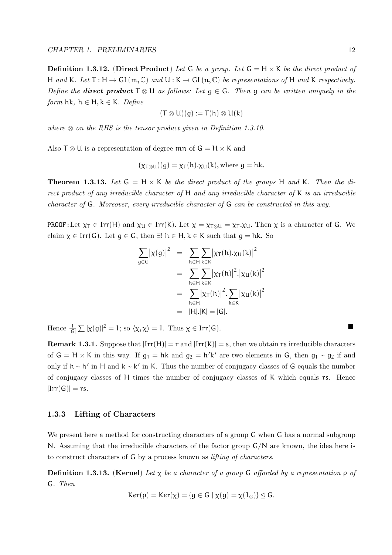**Definition 1.3.12.** (Direct Product) Let G be a group. Let  $G = H \times K$  be the direct product of H and K. Let  $T : H \to GL(m, \mathbb{C})$  and  $U : K \to GL(n, \mathbb{C})$  be representations of H and K respectively. Define the **direct product**  $T \otimes U$  as follows: Let  $q \in G$ . Then q can be written uniquely in the form hk,  $h \in H, k \in K$ . Define

$$
(T\otimes U)(g):=T(h)\otimes U(k)
$$

where  $\otimes$  on the RHS is the tensor product given in Definition 1.3.10.

Also  $T \otimes U$  is a representation of degree  $mn$  of  $G = H \times K$  and

$$
(\chi_{T\otimes U})(g) = \chi_T(h) . \chi_U(k)
$$
, where  $g = hk$ .

**Theorem 1.3.13.** Let  $G = H \times K$  be the direct product of the groups H and K. Then the direct product of any irreducible character of  $H$  and any irreducible character of  $K$  is an irreducible character of G. Moreover, every irreducible character of G can be constructed in this way.

PROOF:Let  $\chi_T \in \text{Irr}(H)$  and  $\chi_U \in \text{Irr}(K)$ . Let  $\chi = \chi_{T \otimes U} = \chi_T \cdot \chi_U$ . Then  $\chi$  is a character of G. We claim  $\chi \in \text{Irr}(G)$ . Let  $q \in G$ , then  $\exists ! h \in H, k \in K$  such that  $q = hk$ . So

$$
\sum_{g \in G} | \chi(g) |^2 = \sum_{h \in H} \sum_{k \in K} | \chi_T(h). \chi_U(k) |^2
$$
  
= 
$$
\sum_{h \in H} \sum_{k \in K} | \chi_T(h) |^2 . | \chi_U(k) |^2
$$
  
= 
$$
\sum_{h \in H} | \chi_T(h) |^2 . \sum_{k \in K} | \chi_U(k) |^2
$$
  
= |H|.|K| = |G|.

Hence  $\frac{1}{|G|} \sum |\chi(g)|^2 = 1$ ; so  $\langle \chi, \chi \rangle = 1$ . Thus  $\chi \in \text{Irr}(G)$ .

**Remark 1.3.1.** Suppose that  $|\text{Irr}(H)| = r$  and  $|\text{Irr}(K)| = s$ , then we obtain rs irreducible characters of  $G = H \times K$  in this way. If  $g_1 = hk$  and  $g_2 = h'k'$  are two elements in G, then  $g_1 \sim g_2$  if and only if  $h \sim h'$  in H and  $k \sim k'$  in K. Thus the number of conjugacy classes of G equals the number of conjugacy classes of H times the number of conjugacy classes of K which equals rs. Hence  $|Irr(G)| = rs.$ 

#### 1.3.3 Lifting of Characters

We present here a method for constructing characters of a group  $G$  when  $G$  has a normal subgroup N. Assuming that the irreducible characters of the factor group  $G/N$  are known, the idea here is to construct characters of G by a process known as lifting of characters.

**Definition 1.3.13.** (Kernel) Let  $\chi$  be a character of a group G afforded by a representation  $\rho$  of G. Then

$$
Ker(\rho) = Ker(\chi) = \{g \in G \mid \chi(g) = \chi(1_G)\} \trianglelefteq G.
$$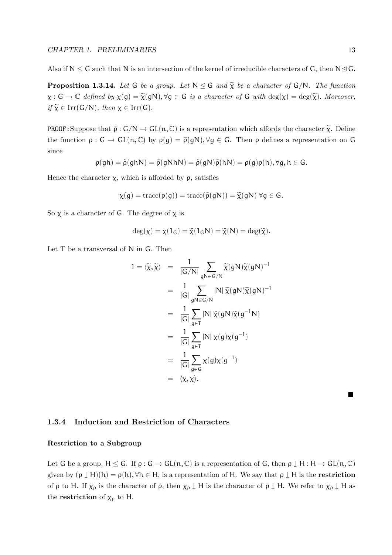Also if  $N \leq G$  such that N is an intersection of the kernel of irreducible characters of G, then  $N \trianglelefteq G$ .

**Proposition 1.3.14.** Let G be a group. Let  $N \leq G$  and  $\tilde{\chi}$  be a character of  $G/N$ . The function  $\chi: G \to \mathbb{C}$  defined by  $\chi(g) = \widetilde{\chi}(gN), \forall g \in G$  is a character of G with  $\deg(\chi) = \deg(\widetilde{\chi})$ . Moreover,  $if \ \widetilde{\chi} \in \text{Irr}(\mathsf{G/N})$ , then  $\chi \in \text{Irr}(\mathsf{G})$ .

**PROOF:** Suppose that  $\tilde{\rho}: G/N \to GL(n, \mathbb{C})$  is a representation which affords the character  $\tilde{\chi}$ . Define the function  $\rho : G \to GL(n, \mathbb{C})$  by  $\rho(g) = \tilde{\rho}(gN), \forall g \in G$ . Then  $\rho$  defines a representation on G since

$$
\rho(gh) = \tilde{\rho}(ghN) = \tilde{\rho}(gNhN) = \tilde{\rho}(gN)\tilde{\rho}(hN) = \rho(g)\rho(h), \forall g, h \in G.
$$

Hence the character  $\chi$ , which is afforded by  $\rho$ , satisfies

$$
\chi(g) = \operatorname{trace}(\rho(g)) = \operatorname{trace}(\tilde{\rho}(gN)) = \tilde{\chi}(gN) \,\forall g \in G.
$$

So  $\chi$  is a character of G. The degree of  $\chi$  is

$$
\deg(\chi) = \chi(1_G) = \widetilde{\chi}(1_G N) = \widetilde{\chi}(N) = \deg(\widetilde{\chi}).
$$

Let T be a transversal of N in G. Then

$$
1 = \langle \widetilde{\chi}, \widetilde{\chi} \rangle = \frac{1}{|G/N|} \sum_{gN \in G/N} \widetilde{\chi}(gN) \widetilde{\chi}(gN)^{-1}
$$
  
\n
$$
= \frac{1}{|G|} \sum_{gN \in G/N} |N| \widetilde{\chi}(gN) \widetilde{\chi}(gN)^{-1}
$$
  
\n
$$
= \frac{1}{|G|} \sum_{g \in T} |N| \widetilde{\chi}(gN) \widetilde{\chi}(g^{-1}N)
$$
  
\n
$$
= \frac{1}{|G|} \sum_{g \in T} |N| \chi(g) \chi(g^{-1})
$$
  
\n
$$
= \frac{1}{|G|} \sum_{g \in G} \chi(g) \chi(g^{-1})
$$
  
\n
$$
= \langle \chi, \chi \rangle.
$$

#### 1.3.4 Induction and Restriction of Characters

#### Restriction to a Subgroup

Let G be a group,  $H \leq G$ . If  $\rho : G \to GL(n, \mathbb{C})$  is a representation of G, then  $\rho \downarrow H : H \to GL(n, \mathbb{C})$ given by  $(\rho \downarrow H)(h) = \rho(h)$ ,  $\forall h \in H$ , is a representation of H. We say that  $\rho \downarrow H$  is the **restriction** of  $\rho$  to H. If  $\chi_{\rho}$  is the character of  $\rho$ , then  $\chi_{\rho} \downarrow H$  is the character of  $\rho \downarrow H$ . We refer to  $\chi_{\rho} \downarrow H$  as the **restriction** of  $\chi_{\rho}$  to H.

 $\blacksquare$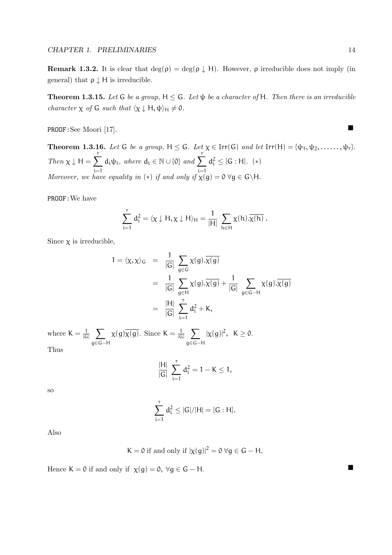**Remark 1.3.2.** It is clear that  $\deg(\rho) = \deg(\rho \downarrow H)$ . However,  $\rho$  irreducible does not imply (in general) that  $\rho \downarrow H$  is irreducible.

**Theorem 1.3.15.** Let G be a group,  $H \le G$ . Let  $\psi$  be a character of H. Then there is an irreducible character  $\chi$  of G such that  $\langle \chi \downarrow H, \psi \rangle_H \neq 0$ .

PROOF:See Moori [17].

**Theorem 1.3.16.** Let G be a group,  $H \leq G$ . Let  $\chi \in \text{Irr}(G)$  and let  $\text{Irr}(H) = {\psi_1, \psi_2, \ldots, \psi_r}.$ Then  $\chi \downarrow H =$  $\sum_{r}$ i=1  $d_i\psi_i$ , where  $d_i \in \mathbb{N} \cup \{0\}$  and  $\sum$ i=1  $d_i^2 \leq [G : H]$ . (\*) Moreover, we have equality in (\*) if and only if  $\chi(g) = 0 \,\forall g \in G \backslash H$ .

PROOF:We have

$$
\sum_{i=1}^r d_i^2 = \langle \chi \downarrow H, \chi \downarrow H \rangle_H = \frac{1}{|H|} \sum_{h \in H} \chi(h). \overline{\chi(h)} \ .
$$

Since  $\chi$  is irreducible,

$$
1 = \langle \chi, \chi \rangle_G = \frac{1}{|G|} \sum_{g \in G} \chi(g) . \overline{\chi(g)}
$$
  
= 
$$
\frac{1}{|G|} \sum_{g \in H} \chi(g) . \overline{\chi(g)} + \frac{1}{|G|} \sum_{g \in G-H} \chi(g) . \overline{\chi(g)}
$$
  
= 
$$
\frac{|H|}{|G|} \sum_{i=1}^r d_i^2 + K,
$$

where  $K = \frac{1}{16}$  $\frac{1}{|G|}$   $\sum$ g∈G−H  $\chi(g)\overline{\chi(g)}$ . Since  $K=\frac{1}{16}$  $\frac{1}{|G|}$   $\sum$ g∈G−H  $|\chi(g)|^2$ ,  $K \geq 0$ .

Thus

$$
\frac{|H|}{|G|}\ \sum_{i=1}^r\,d_i^2=1-K\leq 1,
$$

so

$$
\sum_{i=1}^r d_i^2 \le |G|/|H| = [G : H].
$$

Also

$$
K = 0
$$
 if and only if  $|\chi(g)|^2 = 0 \,\forall g \in G - H$ .

Hence  $K = 0$  if and only if  $\chi(g) = 0$ ,  $\forall g \in G - H$ .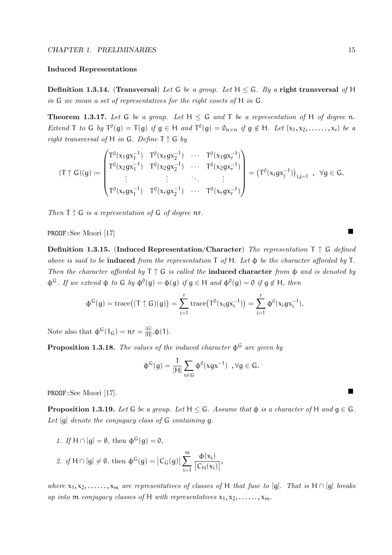#### Induced Representations

**Definition 1.3.14.** (Transversal) Let G be a group. Let  $H \le G$ . By a right transversal of H in G we mean a set of representatives for the right cosets of H in G.

**Theorem 1.3.17.** Let G be a group. Let  $H \leq G$  and T be a representation of H of degree n. Extend T to G by  $T^0(g) = T(g)$  if  $g \in H$  and  $T^0(g) = 0_{n \times n}$  if  $g \notin H$ . Let  $\{x_1, x_2, \ldots, x_r\}$  be a right transversal of H in G. Define  $T \uparrow G$  by

$$
(T\uparrow G)(g):=\begin{pmatrix}T^0(x_1gx_1^{-1})&T^0(x_1gx_2^{-1})&\cdots&T^0(x_1gx_r^{-1})\\T^0(x_2gx_1^{-1})&T^0(x_2gx_2^{-1})&\cdots&T^0(x_2gx_r^{-1})\\ \vdots&\vdots&\ddots&\vdots\\T^0(x_rgx_1^{-1})&T^0(x_rgx_2^{-1})&\cdots&T^0(x_rgx_r^{-1})\end{pmatrix}=(T^0(x_igx_j^{-1}))_{i,j=1}~,~\forall g\in G.
$$

Then  $T \uparrow G$  is a representation of G of degree nr.

PROOF:See Moori [17]

Definition 1.3.15. (Induced Representation/Character) The representation  $T \uparrow G$  defined above is said to be **induced** from the representation  $\mathsf{T}$  of  $\mathsf{H}$ . Let  $\boldsymbol{\phi}$  be the character afforded by  $\mathsf{T}$ . Then the character afforded by  $T \uparrow G$  is called the **induced character** from  $\phi$  and is denoted by  $\Phi^G$ . If we extend  $\Phi$  to G by  $\Phi^0(g) = \Phi(g)$  if  $g \in H$  and  $\Phi^0(g) = 0$  if  $g \notin H$ , then

$$
\varphi^G(g) = \mathrm{trace} \big( (T \uparrow G)(g) \big) = \sum_{i=1}^r \mathrm{trace} \big( T^0(x_i g x_i^{-1}) \big) = \sum_{i=1}^r \varphi^0(x_i g x_i^{-1}).
$$

Note also that  $\phi^{\mathsf{G}}(1_{\mathsf{G}}) = \mathfrak{n} \mathfrak{r} = \frac{|\mathsf{G}|}{|\mathsf{H}|}$  $\frac{|\mathbf{G}|}{|H|}$ .φ(1).

**Proposition 1.3.18.** The values of the induced character  $\phi^G$  are given by

$$
\varphi^G(g)=\frac{1}{|H|}\sum_{x\in G}\varphi^0(xgx^{-1})\ ,\forall g\in G.
$$

PROOF:See Moori [17].

**Proposition 1.3.19.** Let G be a group. Let  $H \leq G$ . Assume that  $\phi$  is a character of H and  $g \in G$ . Let  $[q]$  denote the conjugacy class of  $G$  containing q.

1. If  $H \cap [q] = \emptyset$ , then  $\Phi^{G}(q) = 0$ ,

$$
\text{2. if } H \cap [g] \neq \emptyset \text{, then } \varphi^G(g) = \big| C_G(g) \big| \sum_{i=1}^m \frac{\varphi(x_i)}{\big| C_H(x_i) \big|},
$$

where  $x_1, x_2, \ldots, x_m$  are representatives of classes of H that fuse to [g]. That is H  $\cap$  [g] breaks up into m conjugacy classes of H with representatives  $x_1, x_2, \ldots, x_m$ .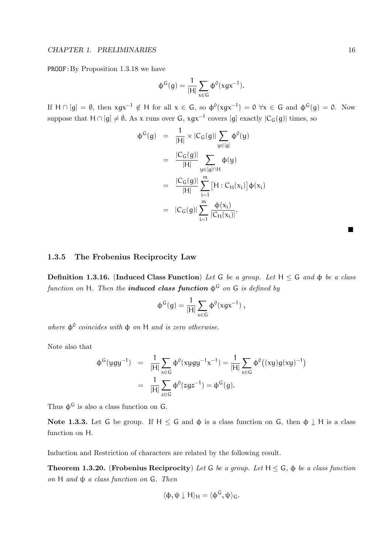PROOF:By Proposition 1.3.18 we have

$$
\varphi^G(g) = \frac{1}{|H|} \sum_{x \in G} \varphi^0(xgx^{-1}).
$$

If  $H \cap [g] = \emptyset$ , then  $xgx^{-1} \notin H$  for all  $x \in G$ , so  $\phi^0(xgx^{-1}) = 0 \,\forall x \in G$  and  $\phi^G(g) = 0$ . Now suppose that H ∩ [g]  $\neq \emptyset$ . As x runs over G, xgx<sup>-1</sup> covers [g] exactly  $|C_G(g)|$  times, so

$$
\begin{array}{rcl}\n\Phi^G(g) & = & \frac{1}{|H|} \times |C_G(g)| \sum_{y \in [g]} \Phi^0(y) \\
& = & \frac{|C_G(g)|}{|H|} \sum_{y \in [g] \cap H} \Phi(y) \\
& = & \frac{|C_G(g)|}{|H|} \sum_{i=1}^m [H : C_H(x_i)] \Phi(x_i) \\
& = & |C_G(g)| \sum_{i=1}^m \frac{\Phi(x_i)}{|C_H(x_i)|}.\n\end{array}
$$

1.3.5 The Frobenius Reciprocity Law

Definition 1.3.16. (Induced Class Function) Let G be a group. Let  $H \leq G$  and  $\phi$  be a class function on H. Then the **induced class function**  $\phi^G$  on G is defined by

$$
\varphi^G(g) = \frac{1}{|H|} \sum_{x \in G} \varphi^0(xgx^{-1}),
$$

where  $\phi^0$  coincides with  $\phi$  on H and is zero otherwise.

Note also that

$$
\begin{array}{lcl} \varphi^G(yg y^{-1}) & = & \displaystyle \frac{1}{|H|} \sum_{x \in G} \varphi^0(xyg y^{-1} x^{-1}) = \frac{1}{|H|} \sum_{x \in G} \varphi^0\big((xy) g(xy)^{-1}\big) \\ \\ & = & \displaystyle \frac{1}{|H|} \sum_{z \in G} \varphi^0(zgz^{-1}) = \varphi^G(g). \end{array}
$$

Thus  $\phi^G$  is also a class function on G.

Note 1.3.3. Let G be group. If  $H \leq G$  and  $\phi$  is a class function on G, then  $\phi \downarrow H$  is a class function on H.

Induction and Restriction of characters are related by the following result.

**Theorem 1.3.20.** (Frobenius Reciprocity) Let G be a group. Let  $H \le G$ ,  $\phi$  be a class function on H and  $\psi$  a class function on G. Then

$$
\langle \varphi, \psi \downarrow H \rangle_H = \langle \varphi^G, \psi \rangle_G.
$$

 $\blacksquare$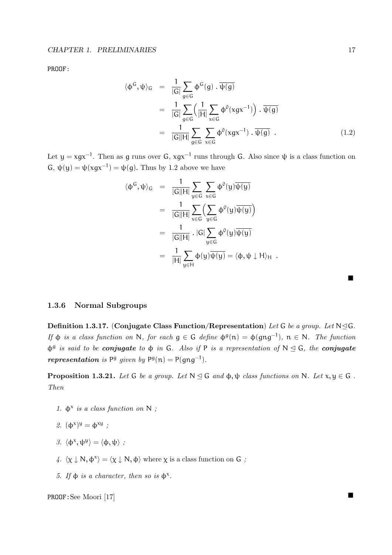PROOF:

$$
\langle \phi^G, \psi \rangle_G = \frac{1}{|G|} \sum_{g \in G} \phi^G(g) \cdot \overline{\psi(g)}
$$
  

$$
= \frac{1}{|G|} \sum_{g \in G} \left( \frac{1}{|H|} \sum_{x \in G} \phi^0(xgx^{-1}) \right) \cdot \overline{\psi(g)}
$$
  

$$
= \frac{1}{|G||H|} \sum_{g \in G} \sum_{x \in G} \phi^0(xgx^{-1}) \cdot \overline{\psi(g)} . \tag{1.2}
$$

Let  $y = xgx^{-1}$ . Then as g runs over G,  $xgx^{-1}$  runs through G. Also since  $\psi$  is a class function on  $G, \psi(y) = \psi(xgx^{-1}) = \psi(g)$ . Thus by 1.2 above we have

$$
\langle \Phi^G, \psi \rangle_G = \frac{1}{|G||H|} \sum_{y \in G} \sum_{x \in G} \Phi^0(y) \overline{\psi(y)}
$$
  

$$
= \frac{1}{|G||H|} \sum_{x \in G} \left( \sum_{y \in G} \Phi^0(y) \overline{\psi(y)} \right)
$$
  

$$
= \frac{1}{|G||H|} \cdot |G| \sum_{y \in G} \Phi^0(y) \overline{\psi(y)}
$$
  

$$
= \frac{1}{|H|} \sum_{y \in H} \Phi(y) \overline{\psi(y)} = \langle \Phi, \Psi \downarrow H \rangle_H.
$$

|  | 1.3.6 Normal Subgroups |
|--|------------------------|
|  |                        |

Definition 1.3.17. (Conjugate Class Function/Representation) Let G be a group. Let  $N \trianglelefteq G$ . If  $\phi$  is a class function on N, for each  $g \in G$  define  $\phi^g(n) = \phi(gng^{-1})$ ,  $n \in N$ . The function  $\phi^g$  is said to be conjugate to  $\phi$  in G. Also if P is a representation of N  $\leq$  G, the conjugate representation is  $P^g$  given by  $P^g(n) = P(gng^{-1})$ .

**Proposition 1.3.21.** Let G be a group. Let  $N \leq G$  and  $\phi, \psi$  class functions on N. Let  $x, y \in G$ . Then

- 1.  $\phi^x$  is a class function on N;
- 2.  $(\phi^x)^y = \phi^{xy}$ ;
- 3.  $\langle \phi^x, \psi^y \rangle = \langle \phi, \psi \rangle$ ;
- 4.  $\langle \chi \downarrow N, \phi^{\chi} \rangle = \langle \chi \downarrow N, \phi \rangle$  where  $\chi$  is a class function on G ;
- 5. If  $\phi$  is a character, then so is  $\phi^x$ .

PROOF:See Moori [17]

п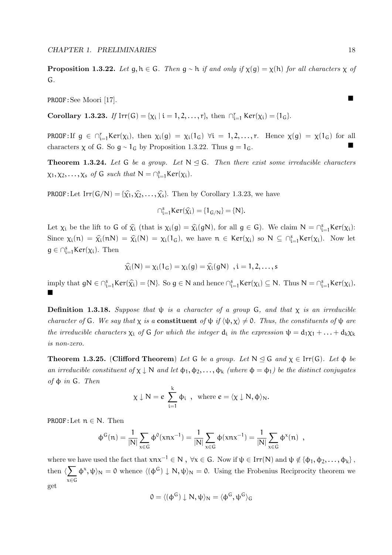**Proposition 1.3.22.** Let  $q, h \in G$ . Then  $q \sim h$  if and only if  $\chi(q) = \chi(h)$  for all characters  $\chi$  of G.

PROOF:See Moori [17].

Corollary 1.3.23. If  $Irr(G) = {\chi_i | i = 1, 2, ..., r},$  then  $\bigcap_{i=1}^{r} Ker(\chi_i) = {1_G}.$ 

PROOF: If  $g \in \bigcap_{i=1}^r \text{Ker}(\chi_i)$ , then  $\chi_i(g) = \chi_i(1_G)$   $\forall i = 1, 2, ..., r$ . Hence  $\chi(g) = \chi(1_G)$  for all characters  $\chi$  of G. So  $g \sim 1_G$  by Proposition 1.3.22. Thus  $g = 1_G$ .

**Theorem 1.3.24.** Let G be a group. Let  $N \leq G$ . Then there exist some irreducible characters  $\chi_1, \chi_2, \ldots, \chi_s$  of G such that  $N = \bigcap_{i=1}^s \text{Ker}(\chi_i)$ .

**PROOF:**Let  $\text{Irr}(G/N) = {\hat{\chi_1}, \hat{\chi_2}, \dots, \hat{\chi_s}}$ . Then by Corollary 1.3.23, we have

$$
\cap_{i=1}^sKer(\widehat{\chi_i}) = \{1_{G/N}\} = \{N\}.
$$

Let  $\chi_i$  be the lift to G of  $\hat{\chi}_i$  (that is  $\chi_i(g) = \hat{\chi}_i(gN)$ , for all  $g \in G$ ). We claim  $N = \bigcap_{i=1}^s \text{Ker}(\chi_i)$ : Since  $\chi_i(n) = \hat{\chi}_i(nN) = \hat{\chi}_i(N) = \chi_i(1_G)$ , we have  $n \in \text{Ker}(\chi_i)$  so  $N \subseteq \bigcap_{i=1}^s \text{Ker}(\chi_i)$ . Now let  $g \in \bigcap_{i=1}^s \text{Ker}(\chi_i)$ . Then

$$
\widehat{\chi_i}(N) = \chi_i(1_G) = \chi_i(g) = \widehat{\chi_i}(gN) \quad, i = 1, 2, \ldots, s
$$

imply that  $gN \in \bigcap_{i=1}^s \text{Ker}(\widehat{\chi_i}) = \{N\}$ . So  $g \in N$  and hence  $\bigcap_{i=1}^s \text{Ker}(\chi_i) \subseteq N$ . Thus  $N = \bigcap_{i=1}^s \text{Ker}(\chi_i)$ . П

**Definition 1.3.18.** Suppose that  $\psi$  is a character of a group G, and that  $\chi$  is an irreducible character of G. We say that  $\chi$  is a **constituent** of  $\psi$  if  $\langle \psi, \chi \rangle \neq 0$ . Thus, the constituents of  $\psi$  are the irreducible characters  $\chi_i$  of G for which the integer  $d_i$  in the expression  $\psi = d_1\chi_1 + ... + d_k\chi_k$ is non-zero.

**Theorem 1.3.25.** (Clifford Theorem) Let G be a group. Let  $N \trianglelefteq G$  and  $\chi \in \text{Irr}(G)$ . Let  $\phi$  be an irreducible constituent of  $\chi \downarrow N$  and let  $\phi_1, \phi_2, \ldots, \phi_k$  (where  $\phi = \phi_1$ ) be the distinct conjugates of  $φ$  in  $G$ . Then

$$
\chi \downarrow N = e \sum_{i=1}^k \varphi_i , \text{ where } e = \langle \chi \downarrow N, \varphi \rangle_N.
$$

PROOF:Let  $n \in N$ . Then

$$
\varphi^G(n) = \frac{1}{|N|} \sum_{x \in G} \varphi^0(xnx^{-1}) = \frac{1}{|N|} \sum_{x \in G} \varphi(xnx^{-1}) = \frac{1}{|N|} \sum_{x \in G} \varphi^x(n) ,
$$

where we have used the fact that  $xnx^{-1} \in N$ ,  $\forall x \in G$ . Now if  $\psi \in \text{Irr}(N)$  and  $\psi \notin {\phi_1, \phi_2, ..., \phi_k}$ , then  $\langle \sum_{n} \phi^x, \psi \rangle_N = 0$  whence  $\langle (\phi^G) \downarrow N, \psi \rangle_N = 0$ . Using the Frobenius Reciprocity theorem we x∈G get

$$
0 = \langle (\phi^G) \downarrow N, \psi \rangle_N = \langle \phi^G, \psi^G \rangle_G
$$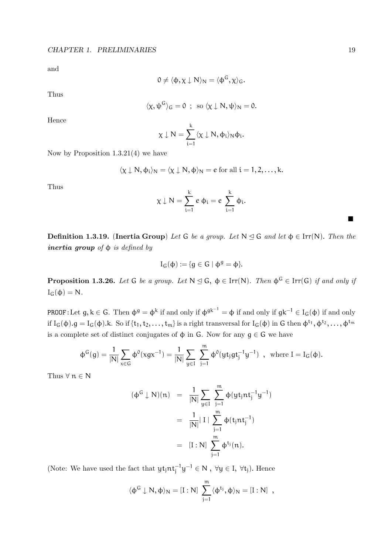and

$$
0\neq \langle \varphi, \chi \downarrow N \rangle_N = \langle \varphi^G, \chi \rangle_G.
$$

Thus

$$
\langle \chi, \psi^G \rangle_G = 0 \ ; \ \mathrm{so} \ \langle \chi \downarrow N, \psi \rangle_N = 0.
$$

Hence

$$
\chi\downarrow N=\sum_{i=1}^k\langle\chi\downarrow N,\varphi_i\rangle_N\varphi_i.
$$

Now by Proposition 1.3.21(4) we have

$$
\langle \chi \downarrow N, \phi_i \rangle_N = \langle \chi \downarrow N, \phi \rangle_N = e \text{ for all } i = 1, 2, \dots, k.
$$

Thus

$$
\chi\downarrow N=\sum_{i=1}^ke\ \varphi_i=e\ \sum_{i=1}^k\varphi_i.
$$

**Definition 1.3.19.** (Inertia Group) Let G be a group. Let  $N \leq G$  and let  $\phi \in \text{Irr}(N)$ . Then the inertia group of  $\phi$  is defined by

$$
I_G(\varphi):=\{g\in G\mid \varphi^g=\varphi\}.
$$

**Proposition 1.3.26.** Let G be a group. Let  $N \triangleleft G$ ,  $\phi \in \text{Irr}(N)$ . Then  $\phi^G \in \text{Irr}(G)$  if and only if  $I_G(\phi) = N$ .

PROOF:Let  $g, k \in G$ . Then  $\phi^g = \phi^k$  if and only if  $\phi^{gk^{-1}} = \phi$  if and only if  $gk^{-1} \in I_G(\phi)$  if and only if  $I_G(\phi)$ .g =  $I_G(\phi)$ .k. So if  $\{t_1, t_2, \ldots, t_m\}$  is a right transversal for  $I_G(\phi)$  in G then  $\phi^{t_1}, \phi^{t_2}, \ldots, \phi^{t_m}$ is a complete set of distinct conjugates of  $\phi$  in G. Now for any  $g \in G$  we have

$$
\varphi^G(g) = \frac{1}{|N|} \sum_{x \in G} \varphi^0(xgx^{-1}) = \frac{1}{|N|} \sum_{y \in I} \sum_{j=1}^m \varphi^0(yt_jgt_j^{-1}y^{-1}) \ , \ \ \text{where} \ I = I_G(\varphi).
$$

Thus  $\forall n \in \mathbb{N}$ 

$$
(\varphi^{G} \downarrow N)(n) = \frac{1}{|N|} \sum_{y \in I} \sum_{j=1}^{m} \varphi(yt_jnt_j^{-1}y^{-1})
$$
  
= 
$$
\frac{1}{|N|} |I| \sum_{j=1}^{m} \varphi(t_jnt_j^{-1})
$$
  
= 
$$
[I:N] \sum_{j=1}^{m} \varphi^{t_j}(n).
$$

(Note: We have used the fact that  $y t_j n t_j^{-1} y^{-1} \in N$ ,  $\forall y \in I$ ,  $\forall t_j$ ). Hence

$$
\langle \varphi^G\downarrow N, \varphi\rangle_N = [I:N]\ \sum_{j=1}^m \langle \varphi^{t_j}, \varphi\rangle_N = [I:N]\ ,
$$

 $\blacksquare$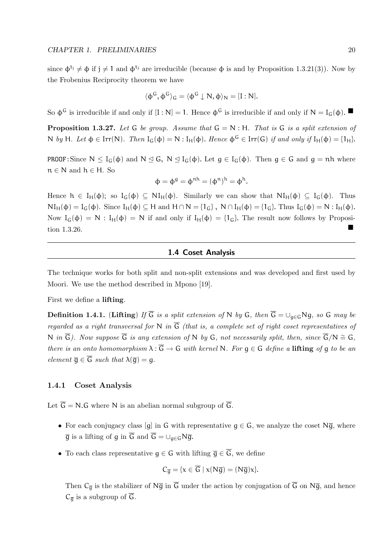since  $\phi^{t_j} \neq \phi$  if  $j \neq 1$  and  $\phi^{t_j}$  are irreducible (because  $\phi$  is and by Proposition 1.3.21(3)). Now by the Frobenius Reciprocity theorem we have

$$
\langle \phi^G, \phi^G \rangle_G = \langle \phi^G \downarrow N, \phi \rangle_N = [I : N].
$$

So  $\phi^G$  is irreducible if and only if  $[I : N] = 1$ . Hence  $\phi^G$  is irreducible if and only if  $N = I_G(\phi)$ .

**Proposition 1.3.27.** Let G be group. Assume that  $G = N$ : H. That is G is a split extension of N by H. Let  $\varphi \in \text{Irr}(N)$ . Then  $I_G(\varphi) = N : I_H(\varphi)$ . Hence  $\varphi^G \in \text{Irr}(G)$  if and only if  $I_H(\varphi) = \{1_H\}$ .

**PROOF:** Since  $N \leq I_G(\phi)$  and  $N \leq G$ ,  $N \leq I_G(\phi)$ . Let  $g \in I_G(\phi)$ . Then  $g \in G$  and  $g = nh$  where  $n \in N$  and  $h \in H$ . So

$$
\varphi = \varphi^g = \varphi^{nh} = (\varphi^n)^h = \varphi^h.
$$

Hence  $h \in I_H(\phi)$ ; so  $I_G(\phi) \subseteq NI_H(\phi)$ . Similarly we can show that  $NI_H(\phi) \subseteq I_G(\phi)$ . Thus  $NI_H(\phi) = I_G(\phi)$ . Since  $I_H(\phi) \subseteq H$  and  $H \cap N = \{1_G\}$ ,  $N \cap I_H(\phi) = \{1_G\}$ . Thus  $I_G(\phi) = N : I_H(\phi)$ . Now  $I_G(\phi) = N : I_H(\phi) = N$  if and only if  $I_H(\phi) = \{1_G\}$ . The result now follows by Proposition 1.3.26.

#### 1.4 Coset Analysis

The technique works for both split and non-split extensions and was developed and first used by Moori. We use the method described in Mpono [19].

First we define a lifting.

Definition 1.4.1. (Lifting) If  $\overline{G}$  is a split extension of N by G, then  $\overline{G} = \bigcup_{g \in G} Ng$ , so G may be regarded as a right transversal for N in  $\overline{G}$  (that is, a complete set of right coset representatives of N in  $\overline{G}$ ). Now suppose  $\overline{G}$  is any extension of N by G, not necessarily split, then, since  $\overline{G}/N \cong G$ , there is an onto homomorphism  $\lambda : \overline{G} \to G$  with kernel N. For  $g \in G$  define a lifting of q to be an element  $\overline{g} \in \overline{G}$  such that  $\lambda(\overline{g}) = g$ .

#### 1.4.1 Coset Analysis

Let  $\overline{G} = N.G$  where N is an abelian normal subgroup of  $\overline{G}$ .

- For each conjugacy class [q] in G with representative  $q \in G$ , we analyze the coset N $\overline{q}$ , where  $\overline{q}$  is a lifting of q in  $\overline{G}$  and  $\overline{G} = \bigcup_{g \in G} N \overline{q}$ .
- To each class representative  $g \in G$  with lifting  $\overline{g} \in \overline{G}$ , we define

$$
C_{\overline{g}} = \{x \in \overline{G} \mid x(N\overline{g}) = (N\overline{g})x\}.
$$

Then  $C_{\overline{q}}$  is the stabilizer of  $N\overline{g}$  in  $\overline{G}$  under the action by conjugation of  $\overline{G}$  on  $N\overline{g}$ , and hence  $C_{\overline{q}}$  is a subgroup of  $\overline{G}$ .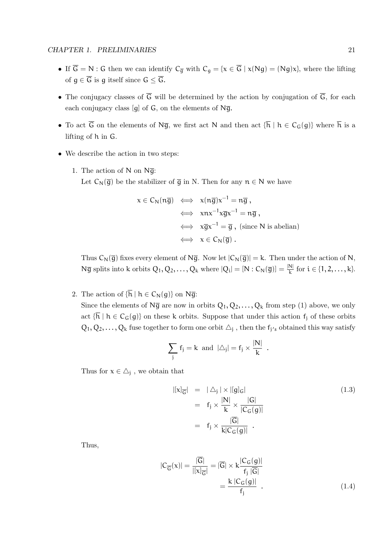- If  $\overline{G} = N$ : G then we can identify  $C_{\overline{g}}$  with  $C_g = \{x \in \overline{G} \mid x(Ng) = (Ng)x\}$ , where the lifting of  $g \in \overline{G}$  is g itself since  $G \leq \overline{G}$ .
- The conjugacy classes of  $\overline{G}$  will be determined by the action by conjugation of  $\overline{G}$ , for each each conjugacy class [q] of  $G$ , on the elements of  $N\overline{g}$ .
- To act  $\overline{G}$  on the elements of N $\overline{g}$ , we first act N and then act  $\{\overline{h} \mid h \in C_G(g)\}$  where  $\overline{h}$  is a lifting of h in G.
- We describe the action in two steps:
	- 1. The action of N on  $N\bar{q}$ : Let  $C_N(\overline{g})$  be the stabilizer of  $\overline{g}$  in N. Then for any  $n \in N$  we have

$$
x \in C_{N}(n\overline{g}) \iff x(n\overline{g})x^{-1} = n\overline{g},
$$
  

$$
\iff xx^{-1}x\overline{g}x^{-1} = n\overline{g},
$$
  

$$
\iff x\overline{g}x^{-1} = \overline{g}, \text{ (since N is abelian)}
$$
  

$$
\iff x \in C_{N}(\overline{g}).
$$

Thus  $C_N(\overline{g})$  fixes every element of N $\overline{g}$ . Now let  $|C_N(\overline{g})| = k$ . Then under the action of N,  $N\overline{g}$  splits into k orbits  $Q_1, Q_2, \ldots, Q_k$  where  $|Q_i| = [N : C_N(\overline{g})] = \frac{|N|}{k}$  for  $i \in \{1, 2, \ldots, k\}$ .

2. The action of  $\{\overline{h} \mid h \in C_N(g)\}$  on N $\overline{g}$ :

Since the elements of  $N\bar{g}$  are now in orbits  $Q_1, Q_2, \ldots, Q_k$  from step (1) above, we only act  $\{\overline{h} \mid h \in C_G(g)\}$  on these k orbits. Suppose that under this action  $f_i$  of these orbits  $Q_1, Q_2, \ldots, Q_k$  fuse together to form one orbit  $\Delta_j$ , then the  $f_{j's}$  obtained this way satisfy

$$
\sum_j f_j = k \text{ and } |\triangle_j| = f_j \times \frac{|N|}{k} .
$$

Thus for  $x \in \Delta_j$ , we obtain that

$$
|[\mathbf{x}]_{\overline{\mathbf{G}}}| = |\Delta_{\mathbf{j}}| \times |[\mathbf{g}]_{\mathbf{G}}|
$$
  
\n
$$
= \mathbf{f}_{\mathbf{j}} \times \frac{|\mathbf{N}|}{\mathbf{k}} \times \frac{|\mathbf{G}|}{|\mathbf{C}_{\mathbf{G}}(\mathbf{g})|}
$$
  
\n
$$
= \mathbf{f}_{\mathbf{j}} \times \frac{|\overline{\mathbf{G}}|}{\mathbf{k}|\mathbf{C}_{\mathbf{G}}(\mathbf{g})|}.
$$
 (1.3)

Thus,

$$
|C_{\overline{G}}(x)| = \frac{|\overline{G}|}{|[x]_{\overline{G}}|} = |\overline{G}| \times k \frac{|C_G(g)|}{f_j |\overline{G}|}
$$

$$
= \frac{k |C_G(g)|}{f_j} . \tag{1.4}
$$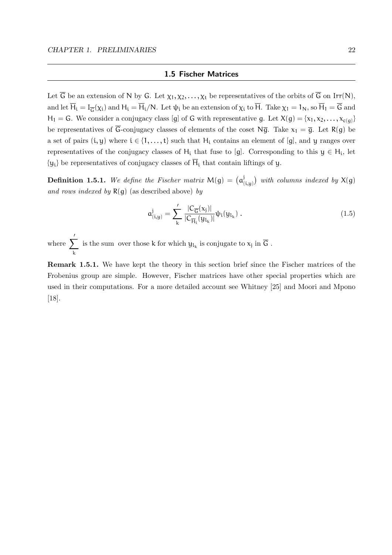#### 1.5 Fischer Matrices

Let  $\overline{G}$  be an extension of N by G. Let  $\chi_1, \chi_2, \ldots, \chi_t$  be representatives of the orbits of  $\overline{G}$  on Irr(N), and let  $H_i = I_{\overline{G}}(\chi_i)$  and  $H_i = H_i/N$ . Let  $\psi_i$  be an extension of  $\chi_i$  to H. Take  $\chi_1 = 1_N$ , so  $H_1 = G$  and  $H_1 = G$ . We consider a conjugacy class [g] of G with representative g. Let  $X(g) = \{x_1, x_2, \ldots, x_{c(g)}\}$ be representatives of  $\overline{G}$ -conjugacy classes of elements of the coset Ng. Take  $x_1 = \overline{g}$ . Let R(g) be a set of pairs  $(i, y)$  where  $i \in \{1, ..., t\}$  such that  $H_i$  contains an element of [g], and y ranges over representatives of the conjugacy classes of  $H_i$  that fuse to [g]. Corresponding to this  $y \in H_i$ , let  $\{y_i\}$  be representatives of conjugacy classes of  $\overline{H}_i$  that contain liftings of y.

**Definition 1.5.1.** We define the Fischer matrix  $M(g) = (a_i^j)$  $\mathcal{L}(\mathbf{i}, \mathbf{y})$  with columns indexed by  $\mathsf{X}(\mathsf{g})$ and rows indexed by  $R(g)$  (as described above) by

$$
a_{(i,y)}^j = \sum_{k}^{\prime} \frac{|C_{\overline{G}}(x_j)|}{|C_{\overline{H}_i}(y_{l_k})|} \psi_i(y_{l_k}).
$$
\n(1.5)

where  $\overline{y}$ k is the sum over those  $k$  for which  $y_{l_k}$  is conjugate to  $x_j$  in  $G$  .

Remark 1.5.1. We have kept the theory in this section brief since the Fischer matrices of the Frobenius group are simple. However, Fischer matrices have other special properties which are used in their computations. For a more detailed account see Whitney [25] and Moori and Mpono [18].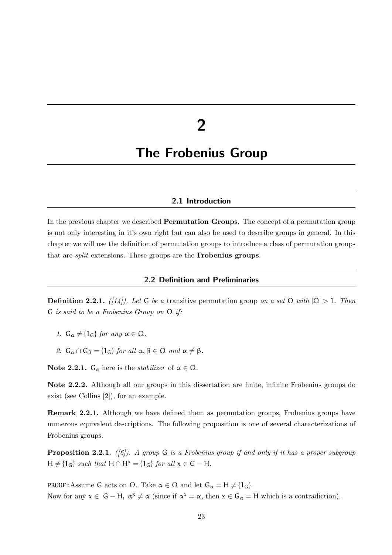# 2

### The Frobenius Group

#### 2.1 Introduction

In the previous chapter we described Permutation Groups. The concept of a permutation group is not only interesting in it's own right but can also be used to describe groups in general. In this chapter we will use the definition of permutation groups to introduce a class of permutation groups that are split extensions. These groups are the Frobenius groups.

#### 2.2 Definition and Preliminaries

**Definition 2.2.1.** ([14]). Let G be a transitive permutation group on a set  $\Omega$  with  $|\Omega| > 1$ . Then G is said to be a Frobenius Group on  $\Omega$  if:

- 1.  $G_{\alpha} \neq \{1_G\}$  for any  $\alpha \in \Omega$ .
- 2.  $G_{\alpha} \cap G_{\beta} = \{1_G\}$  for all  $\alpha, \beta \in \Omega$  and  $\alpha \neq \beta$ .

**Note 2.2.1.**  $G_{\alpha}$  here is the *stabilizer* of  $\alpha \in \Omega$ .

Note 2.2.2. Although all our groups in this dissertation are finite, infinite Frobenius groups do exist (see Collins [2]), for an example.

Remark 2.2.1. Although we have defined them as permutation groups, Frobenius groups have numerous equivalent descriptions. The following proposition is one of several characterizations of Frobenius groups.

**Proposition 2.2.1.** ([6]). A group G is a Frobenius group if and only if it has a proper subgroup  $H \neq \{1_G\}$  such that  $H \cap H^x = \{1_G\}$  for all  $x \in G - H$ .

**PROOF:** Assume G acts on  $\Omega$ . Take  $\alpha \in \Omega$  and let  $G_{\alpha} = H \neq \{1_G\}$ . Now for any  $x \in G - H$ ,  $\alpha^x \neq \alpha$  (since if  $\alpha^x = \alpha$ , then  $x \in G_{\alpha} = H$  which is a contradiction).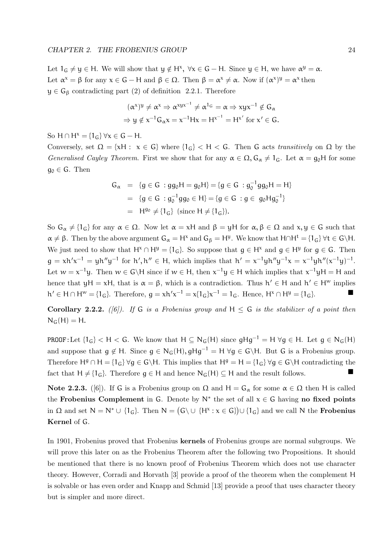Let  $1_G \neq y \in H$ . We will show that  $y \notin H^x$ ,  $\forall x \in G - H$ . Since  $y \in H$ , we have  $\alpha^y = \alpha$ . Let  $\alpha^x = \beta$  for any  $x \in G - H$  and  $\beta \in \Omega$ . Then  $\beta = \alpha^x \neq \alpha$ . Now if  $(\alpha^x)^y = \alpha^x$  then  $y \in G_{\beta}$  contradicting part (2) of definition 2.2.1. Therefore

$$
(\alpha^x)^y \neq \alpha^x \Rightarrow \alpha^{xyx^{-1}} \neq \alpha^{1_G} = \alpha \Rightarrow xyx^{-1} \notin G_\alpha
$$
  
\n
$$
\Rightarrow y \notin x^{-1}G_\alpha x = x^{-1}Hx = H^{x^{-1}} = H^{x'} \text{ for } x' \in G.
$$

So  $H \cap H^x = \{1_G\} \forall x \in G - H$ .

Conversely, set  $\Omega = \{xH : x \in G\}$  where  $\{1_G\} < H < G$ . Then G acts transitively on  $\Omega$  by the Generalised Cayley Theorem. First we show that for any  $\alpha \in \Omega$ ,  $G_{\alpha} \neq 1_G$ . Let  $\alpha = g_0H$  for some  $g_0 \in G$ . Then

$$
G_{\alpha} = \{g \in G : gg_0H = g_0H\} = \{g \in G : g_0^{-1}gg_0H = H\}
$$
  
=  $\{g \in G : g_0^{-1}gg_0 \in H\} = \{g \in G : g \in g_0Hg_0^{-1}\}$   
=  $H^{g_0} \neq \{1_G\}$  (since  $H \neq \{1_G\}$ ).

So  $G_{\alpha} \neq \{1_G\}$  for any  $\alpha \in \Omega$ . Now let  $\alpha = xH$  and  $\beta = yH$  for  $\alpha, \beta \in \Omega$  and  $x, y \in G$  such that  $\alpha \neq \beta$ . Then by the above argument  $G_{\alpha} = H^{\alpha}$  and  $G_{\beta} = H^{\beta}$ . We know that  $H \cap H^t = \{1_G\} \ \forall t \in G \backslash H$ . We just need to show that  $H^x \cap H^y = \{1_G\}$ . So suppose that  $g \in H^x$  and  $g \in H^y$  for  $g \in G$ . Then  $g = xh'x^{-1} = yh''y^{-1}$  for  $h', h'' \in H$ , which implies that  $h' = x^{-1}yh''y^{-1}x = x^{-1}yh''(x^{-1}y)^{-1}$ . Let  $w = x^{-1}y$ . Then  $w \in G \backslash H$  since if  $w \in H$ , then  $x^{-1}y \in H$  which implies that  $x^{-1}yH = H$  and hence that  $yH = xH$ , that is  $\alpha = \beta$ , which is a contradiction. Thus  $h' \in H$  and  $h' \in H^w$  implies  $h' \in H \cap H^w = \{1_G\}.$  Therefore,  $g = xh'x^{-1} = x\{1_G\}x^{-1} = 1_G$ . Hence,  $H^x \cap H^y = \{1_G\}.$ 

**Corollary 2.2.2.** ([6]). If G is a Frobenius group and  $H \leq G$  is the stabilizer of a point then  $N_G(H) = H$ .

PROOF:Let  ${1_G} < H < G$ . We know that  $H \subseteq N_G(H)$  since  $gHg^{-1} = H \ \forall g \in H$ . Let  $g \in N_G(H)$ and suppose that  $g \notin H$ . Since  $g \in N_G(H)$ ,  $gHg^{-1} = H \forall g \in G \backslash H$ . But G is a Frobenius group. Therefore  $H^g \cap H = \{1_G\} \ \forall g \in G \backslash H$ . This implies that  $H^g = H = \{1_G\} \ \forall g \in G \backslash H$  contradicting the fact that  $H \neq \{1_G\}$ . Therefore  $g \in H$  and hence  $N_G(H) \subseteq H$  and the result follows.

Note 2.2.3. ([6]). If G is a Frobenius group on  $\Omega$  and  $H = G_\alpha$  for some  $\alpha \in \Omega$  then H is called the Frobenius Complement in G. Denote by  $N^*$  the set of all  $x \in G$  having no fixed points in  $\Omega$  and set  $N = N^* \cup \{1_G\}$ . Then  $N = (G \setminus \cup \{H^x : x \in G\}) \cup \{1_G\}$  and we call N the **Frobenius** Kernel of G.

In 1901, Frobenius proved that Frobenius kernels of Frobenius groups are normal subgroups. We will prove this later on as the Frobenius Theorem after the following two Propositions. It should be mentioned that there is no known proof of Frobenius Theorem which does not use character theory. However, Corradi and Horvath [3] provide a proof of the theorem when the complement H is solvable or has even order and Knapp and Schmid [13] provide a proof that uses character theory but is simpler and more direct.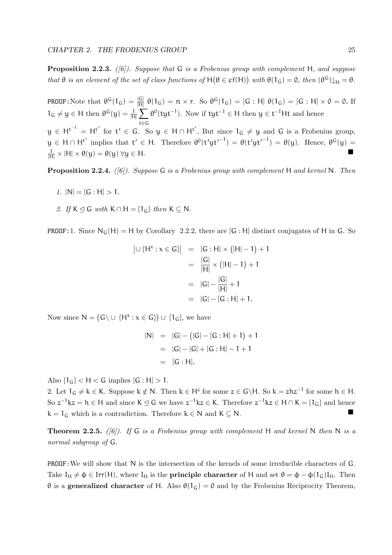**Proposition 2.2.3.** ([6]). Suppose that G is a Frobenius group with complement H, and suppose that  $\theta$  is an element of the set of class functions of  $H(\theta \in cf(H))$  with  $\theta(1_G) = 0$ , then  $(\theta^G) \downarrow_H = \theta$ .

**PROOF**: Note that  $\theta^G(1_G) = \frac{|G|}{|H|} \theta(1_G) = n \times r$ . So  $\theta^G(1_G) = [G : H] \theta(1_G) = [G : H] \times 0 = 0$ . If  $1_G \neq y \in H$  then  $\theta^G(y) = \frac{1}{|H|} \sum \theta^0(tyt^{-1})$ . Now if  $tyt^{-1} \in H$  then  $y \in t^{-1}Ht$  and hence t∈G  $y \in H^{t^{-1}} = H^{t'}$  for  $t' \in G$ . So  $y \in H \cap H^{t'}$ . But since  $1_G \neq y$  and G is a Frobenius group,  $y \in H \cap H^{t'}$  implies that  $t' \in H$ . Therefore  $\theta^0(t'yt'^{-1}) = \theta(t'yt'^{-1}) = \theta(y)$ . Hence,  $\theta^G(y) =$  $\frac{1}{|H|} \times |H| \times \theta(y) = \theta(y) \,\forall y \in H.$ 

**Proposition 2.2.4.** ([6]). Suppose G is a Frobenius group with complement H and kernel N. Then

- 1.  $|N| = [G : H] > 1$ .
- 2. If  $K \trianglelefteq G$  with  $K \cap H = \{1_G\}$  then  $K \subseteq N$ .

**PROOF:1.** Since  $N_G(H) = H$  by Corollary 2.2.2, there are [G : H] distinct conjugates of H in G. So

$$
|U\{H^x : x \in G\}| = [G:H] \times (|H|-1) + 1
$$
  
= 
$$
\frac{|G|}{|H|} \times (|H|-1) + 1
$$
  
= 
$$
|G| - \frac{|G|}{|H|} + 1
$$
  
= 
$$
|G| - [G:H] + 1.
$$

Now since  $N = (G \cup \{H^x : x \in G\}) \cup \{1_G\}$ , we have

$$
|N| = |G| - (|G| - [G : H] + 1) + 1
$$
  
= |G| - |G| + [G : H] - 1 + 1  
= [G : H].

Also  $\{1_G\} < H < G$  implies  $[G : H] > 1$ .

2. Let  $1_G \neq k \in K$ . Suppose  $k \notin N$ . Then  $k \in H^z$  for some  $z \in G \backslash H$ . So  $k = zhz^{-1}$  for some  $h \in H$ . So  $z^{-1}$ kz = h ∈ H and since K  $\leq$  G we have  $z^{-1}$ kz ∈ K. Therefore  $z^{-1}$ kz ∈ H ∩ K = {1<sub>G</sub>} and hence  $k = 1_G$  which is a contradiction. Therefore  $k \in N$  and  $K \subseteq N$ .

**Theorem 2.2.5.** ([6]). If G is a Frobenius group with complement H and kernel N then N is a normal subgroup of G.

PROOF:We will show that N is the intersection of the kernels of some irreducible characters of G. Take  $I_H \neq \phi \in \text{Irr}(H)$ , where  $I_H$  is the **principle character** of H and set  $\theta = \phi - \phi(1_G)I_H$ . Then  $θ$  is a generalized character of H. Also  $θ(1<sub>G</sub>) = θ$  and by the Frobenius Reciprocity Theorem,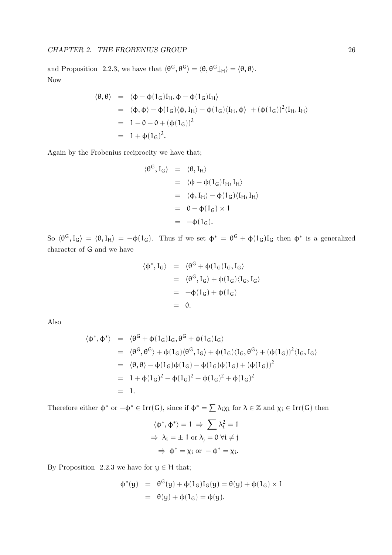and Proposition 2.2.3, we have that  $\langle \theta^G, \theta^G \rangle = \langle \theta, \theta^G \downarrow_H \rangle = \langle \theta, \theta \rangle$ . Now

$$
\langle \theta, \theta \rangle = \langle \phi - \phi(1_G)I_H, \phi - \phi(1_G)I_H \rangle
$$
  
=  $\langle \phi, \phi \rangle - \phi(1_G) \langle \phi, I_H \rangle - \phi(1_G) \langle I_H, \phi \rangle + (\phi(1_G))^2 \langle I_H, I_H \rangle$   
=  $1 - 0 - 0 + (\phi(1_G))^2$   
=  $1 + \phi(1_G)^2$ .

Again by the Frobenius reciprocity we have that;

$$
\langle \theta^{G}, I_{G} \rangle = \langle \theta, I_{H} \rangle
$$
  
\n
$$
= \langle \phi - \phi(1_{G})I_{H}, I_{H} \rangle
$$
  
\n
$$
= \langle \phi, I_{H} \rangle - \phi(1_{G})\langle I_{H}, I_{H} \rangle
$$
  
\n
$$
= 0 - \phi(1_{G}) \times 1
$$
  
\n
$$
= -\phi(1_{G}).
$$

So  $\langle \theta^G, I_G \rangle = \langle \theta, I_H \rangle = -\phi(1_G)$ . Thus if we set  $\phi^* = \theta^G + \phi(1_G)I_G$  then  $\phi^*$  is a generalized character of G and we have

$$
\langle \phi^*, I_G \rangle = \langle \theta^G + \phi(1_G)I_G, I_G \rangle
$$
  
= 
$$
\langle \theta^G, I_G \rangle + \phi(1_G) \langle I_G, I_G \rangle
$$
  
= 
$$
-\phi(1_G) + \phi(1_G)
$$
  
= 0.

Also

$$
\langle \phi^*, \phi^* \rangle = \langle \theta^G + \phi(1_G)I_G, \theta^G + \phi(1_G)I_G \rangle
$$
  
\n
$$
= \langle \theta^G, \theta^G \rangle + \phi(1_G) \langle \theta^G, I_G \rangle + \phi(1_G) \langle I_G, \theta^G \rangle + (\phi(1_G))^2 \langle I_G, I_G \rangle
$$
  
\n
$$
= \langle \theta, \theta \rangle - \phi(1_G) \phi(1_G) - \phi(1_G) \phi(1_G) + (\phi(1_G))^2
$$
  
\n
$$
= 1 + \phi(1_G)^2 - \phi(1_G)^2 - \phi(1_G)^2 + \phi(1_G)^2
$$
  
\n
$$
= 1.
$$

Therefore either  $\phi^*$  or  $-\phi^* \in \text{Irr}(\mathsf{G})$ , since if  $\phi^* = \sum_{i} \lambda_i \chi_i$  for  $\lambda \in \mathbb{Z}$  and  $\chi_i \in \text{Irr}(\mathsf{G})$  then

$$
\langle \phi^*, \phi^* \rangle = 1 \Rightarrow \sum \lambda_i^2 = 1
$$
  
\n
$$
\Rightarrow \lambda_i = \pm 1 \text{ or } \lambda_j = 0 \ \forall i \neq j
$$
  
\n
$$
\Rightarrow \phi^* = \chi_i \text{ or } -\phi^* = \chi_i.
$$

By Proposition 2.2.3 we have for  $y \in H$  that;

$$
\begin{array}{lcl} \varphi^*(y) & = & \theta^G(y) + \varphi(1_G)I_G(y) = \theta(y) + \varphi(1_G) \times 1 \\ \\ & = & \theta(y) + \varphi(1_G) = \varphi(y). \end{array}
$$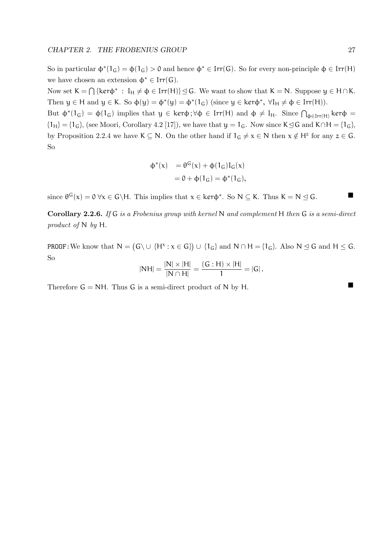So in particular  $\phi^*(1_G) = \phi(1_G) > 0$  and hence  $\phi^* \in \text{Irr}(G)$ . So for every non-principle  $\phi \in \text{Irr}(H)$ we have chosen an extension  $\phi^* \in \text{Irr}(\mathsf{G})$ .

Now set  $K = \bigcap {\kappa \in \mathbb{N}^* : I_H \neq \emptyset \in \text{Irr}(H)} \leq G$ . We want to show that  $K = N$ . Suppose  $y \in H \cap K$ . Then  $y \in H$  and  $y \in K$ . So  $\phi(y) = \phi^*(y) = \phi^*(1_G)$  (since  $y \in \text{ker}\phi^*$ ,  $\forall I_H \neq \phi \in \text{Irr}(H)$ ).

But  $\phi^*(1_G) = \phi(1_G)$  implies that  $y \in \text{ker}\phi$ ;  $\forall \phi \in \text{Irr}(H)$  and  $\phi \neq I_H$ . Since  $\bigcap_{\phi \in \text{Irr}(H)} \text{ker}\phi =$  ${1_H} = {1_G}$ , (see Moori, Corollary 4.2 [17]), we have that  $y = 1_G$ . Now since K $\leq$ G and K∩H = {1<sub>G</sub>}, by Proposition 2.2.4 we have  $K \subseteq N$ . On the other hand if  $1_G \neq x \in N$  then  $x \notin H^z$  for any  $z \in G$ . So

$$
\begin{array}{ll} \varphi^*(x) & = \theta^G(x) + \varphi(1_G)I_G(x) \\ & = 0 + \varphi(1_G) = \varphi^*(1_G), \end{array}
$$

since  $\theta^{G}(x) = 0 \ \forall x \in G \backslash H$ . This implies that  $x \in \text{ker}\phi^*$ . So  $N \subseteq K$ . Thus  $K = N \subseteq G$ .

Corollary 2.2.6. If G is a Frobenius group with kernel N and complement H then G is a semi-direct product of N by H.

PROOF: We know that  $N = (G \cup \{H^x : x \in G\}) \cup \{1_G\}$  and  $N \cap H = \{1_G\}$ . Also  $N \leq G$  and  $H \leq G$ . So

$$
|NH| = \frac{|N| \times |H|}{|N \cap H|} = \frac{(G : H) \times |H|}{1} = |G|.
$$

Therefore  $G = NH$ . Thus G is a semi-direct product of N by H.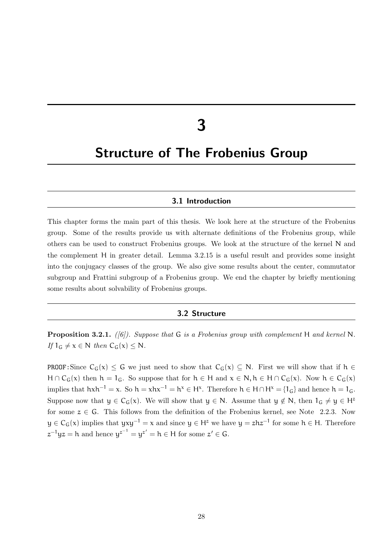# 3

## Structure of The Frobenius Group

#### 3.1 Introduction

This chapter forms the main part of this thesis. We look here at the structure of the Frobenius group. Some of the results provide us with alternate definitions of the Frobenius group, while others can be used to construct Frobenius groups. We look at the structure of the kernel N and the complement H in greater detail. Lemma 3.2.15 is a useful result and provides some insight into the conjugacy classes of the group. We also give some results about the center, commutator subgroup and Frattini subgroup of a Frobenius group. We end the chapter by briefly mentioning some results about solvability of Frobenius groups.

#### 3.2 Structure

**Proposition 3.2.1.** ([6]). Suppose that G is a Frobenius group with complement H and kernel N. If  $1_G \neq x \in N$  then  $C_G(x) \leq N$ .

**PROOF:** Since  $C_G(x) \leq G$  we just need to show that  $C_G(x) \subseteq N$ . First we will show that if  $h \in$  $H \cap C_G(x)$  then  $h = 1_G$ . So suppose that for  $h \in H$  and  $x \in N$ ,  $h \in H \cap C_G(x)$ . Now  $h \in C_G(x)$ implies that  $hxh^{-1} = x$ . So  $h = xhx^{-1} = h^x \in H^x$ . Therefore  $h \in H \cap H^x = \{1_G\}$  and hence  $h = 1_G$ . Suppose now that  $y \in C_G(x)$ . We will show that  $y \in N$ . Assume that  $y \notin N$ , then  $1_G \neq y \in H^z$ for some  $z \in G$ . This follows from the definition of the Frobenius kernel, see Note 2.2.3. Now  $y \in C_G(x)$  implies that  $yxy^{-1} = x$  and since  $y \in H^z$  we have  $y = zhz^{-1}$  for some  $h \in H$ . Therefore  $z^{-1}yz = h$  and hence  $y^{z^{-1}} = y^{z'} = h \in H$  for some  $z' \in G$ .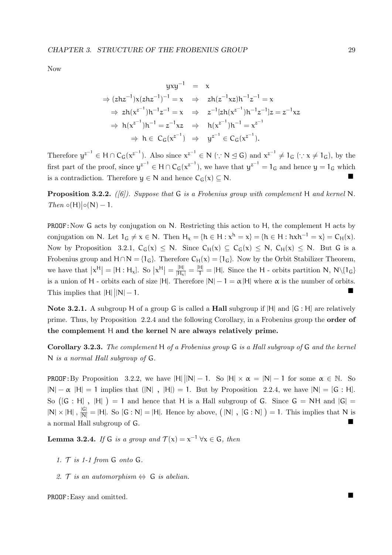Now

$$
yxy^{-1} = x
$$
  
\n
$$
\Rightarrow (zhz^{-1})x(zhz^{-1})^{-1} = x \Rightarrow zh(z^{-1}xz)h^{-1}z^{-1} = x
$$
  
\n
$$
\Rightarrow zh(x^{z^{-1}})h^{-1}z^{-1} = x \Rightarrow z^{-1}[zh(x^{z^{-1}})h^{-1}z^{-1}]z = z^{-1}xz
$$
  
\n
$$
\Rightarrow h(x^{z^{-1}})h^{-1} = z^{-1}xz \Rightarrow h(x^{z^{-1}})h^{-1} = x^{z^{-1}}
$$
  
\n
$$
\Rightarrow h \in C_G(x^{z^{-1}}) \Rightarrow y^{z^{-1}} \in C_G(x^{z^{-1}}).
$$

Therefore  $y^{z^{-1}} \in H \cap C_G(x^{z^{-1}})$ . Also since  $x^{z^{-1}} \in N$  ( $\because N \subseteq G$ ) and  $x^{z^{-1}} \neq 1_G$  ( $\because x \neq 1_G$ ), by the first part of the proof, since  $y^{z^{-1}} \in H \cap C_G(x^{z^{-1}})$ , we have that  $y^{z^{-1}} = 1_G$  and hence  $y = 1_G$  which is a contradiction. Therefore  $y \in N$  and hence  $C_G(x) \subseteq N$ .

**Proposition 3.2.2.** ([6]). Suppose that G is a Frobenius group with complement H and kernel N. Then  $\circ(H)|\circ(N)-1$ .

PROOF:Now G acts by conjugation on N. Restricting this action to H, the complement H acts by conjugation on N. Let  $1_G \neq x \in N$ . Then  $H_x = \{h \in H : x^h = x\} = \{h \in H : h x h^{-1} = x\} = C_H(x)$ . Now by Proposition 3.2.1,  $C_G(x) \le N$ . Since  $C_H(x) \subseteq C_G(x) \le N$ ,  $C_H(x) \le N$ . But G is a Frobenius group and  $H \cap N = \{1_G\}$ . Therefore  $C_H(x) = \{1_G\}$ . Now by the Orbit Stabilizer Theorem, we have that  $x^H = [H : H_x]$ . So  $x^H = \frac{|H|}{|H_x|} = \frac{|H|}{|H_x|} = |H|$ . Since the H - orbits partition N, N\{1<sub>G</sub>} is a union of H - orbits each of size |H|. Therefore  $|N| - 1 = \alpha |H|$  where  $\alpha$  is the number of orbits. This implies that  $|\mathsf{H}|$  $|N| - 1.$ 

Note 3.2.1. A subgroup H of a group G is called a **Hall** subgroup if  $|H|$  and  $|G : H|$  are relatively prime. Thus, by Proposition 2.2.4 and the following Corollary, in a Frobenius group the order of the complement H and the kernel N are always relatively prime.

Corollary 3.2.3. The complement H of a Frobenius group G is a Hall subgroup of G and the kernel N is a normal Hall subgroup of G.

**PROOF**: By Proposition 3.2.2, we have  $|H||N| - 1$ . So  $|H| \times \alpha = |N| - 1$  for some  $\alpha \in \mathbb{N}$ . So  $|N| - \alpha$  |H| = 1 implies that  $(|N|, |H|) = 1$ . But by Proposition 2.2.4, we have  $|N| = [G : H]$ . So  $([G : H]$ ,  $|H|$  = 1 and hence that H is a Hall subgroup of G. Since  $G = NH$  and  $|G|$  =  $|N| \times |H|$ ,  $\frac{|G|}{|N|} = |H|$ . So  $[G : N] = |H|$ . Hence by above,  $(|N|, [G : N]) = 1$ . This implies that N is a normal Hall subgroup of <sup>G</sup>.

**Lemma 3.2.4.** If G is a group and  $\mathcal{T}(x) = x^{-1} \,\forall x \in G$ , then

- 1.  $T$  is 1-1 from  $G$  onto  $G$ .
- 2. T is an automorphism  $\Leftrightarrow$  G is abelian.

PROOF: Easy and omitted.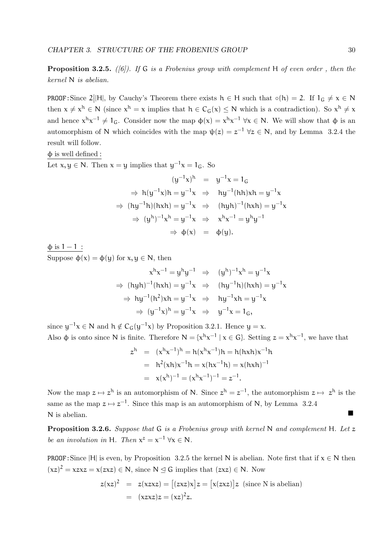**Proposition 3.2.5.** ([6]). If G is a Frobenius group with complement H of even order, then the kernel N is abelian.

**PROOF**: Since  $2||H|$ , by Cauchy's Theorem there exists  $h \in H$  such that  $\circ(h) = 2$ . If  $1_G \neq x \in N$ then  $x \neq x^h \in N$  (since  $x^h = x$  implies that  $h \in C_G(x) \leq N$  which is a contradiction). So  $x^h \neq x$ and hence  $x^{h}x^{-1} \neq 1_G$ . Consider now the map  $\phi(x) = x^{h}x^{-1} \forall x \in N$ . We will show that  $\phi$  is an automorphism of N which coincides with the map  $\psi(z) = z^{-1} \ \forall z \in N$ , and by Lemma 3.2.4 the result will follow.

 $φ$  is well defined :

Let  $x, y \in N$ . Then  $x = y$  implies that  $y^{-1}x = 1_G$ . So

$$
(y^{-1}x)^h = y^{-1}x = 1_G
$$
  
\n
$$
\Rightarrow h(y^{-1}x)h = y^{-1}x \Rightarrow hy^{-1}(hh)xh = y^{-1}x
$$
  
\n
$$
\Rightarrow (hy^{-1}h)(hxh) = y^{-1}x \Rightarrow (hyh)^{-1}(hxh) = y^{-1}x
$$
  
\n
$$
\Rightarrow (y^h)^{-1}x^h = y^{-1}x \Rightarrow x^hx^{-1} = y^hy^{-1}
$$
  
\n
$$
\Rightarrow \phi(x) = \phi(y).
$$

 $\phi$  is 1 – 1 : Suppose  $\phi(x) = \phi(y)$  for  $x, y \in N$ , then

$$
x^{h}x^{-1} = y^{h}y^{-1} \Rightarrow (y^{h})^{-1}x^{h} = y^{-1}x
$$
  
\n
$$
\Rightarrow (hyh)^{-1}(hxh) = y^{-1}x \Rightarrow (hy^{-1}h)(hxh) = y^{-1}x
$$
  
\n
$$
\Rightarrow hy^{-1}(h^{2})xh = y^{-1}x \Rightarrow hy^{-1}xh = y^{-1}x
$$
  
\n
$$
\Rightarrow (y^{-1}x)^{h} = y^{-1}x \Rightarrow y^{-1}x = 1_{G},
$$

since  $y^{-1}x \in N$  and  $h \notin C_G(y^{-1}x)$  by Proposition 3.2.1. Hence  $y = x$ . Also  $\phi$  is onto since N is finite. Therefore  $N = \{x^{h}x^{-1} | x \in G\}$ . Setting  $z = x^{h}x^{-1}$ , we have that

$$
z^{h} = (x^{h}x^{-1})^{h} = h(x^{h}x^{-1})h = h(hxh)x^{-1}h
$$
  
=  $h^{2}(xh)x^{-1}h = x(hx^{-1}h) = x(hxh)^{-1}$   
=  $x(x^{h})^{-1} = (x^{h}x^{-1})^{-1} = z^{-1}$ .

Now the map  $z \mapsto z^h$  is an automorphism of N. Since  $z^h = z^{-1}$ , the automorphism  $z \mapsto z^h$  is the same as the map  $z \mapsto z^{-1}$ . Since this map is an automorphism of N, by Lemma 3.2.4 <sup>N</sup> is abelian.

**Proposition 3.2.6.** Suppose that  $G$  is a Frobenius group with kernel N and complement H. Let z be an involution in H. Then  $x^z = x^{-1} \forall x \in N$ .

PROOF: Since |H| is even, by Proposition 3.2.5 the kernel N is abelian. Note first that if  $x \in N$  then  $(xz)^2 = xzxz = x(zxz) \in N$ , since  $N \leq G$  implies that  $(zxz) \in N$ . Now

$$
z(xz)^{2} = z(xzxz) = [(zxz)x]z = [x(zxz)]z \text{ (since N is abelian)}
$$

$$
= (xzxz)z = (xz)^{2}z.
$$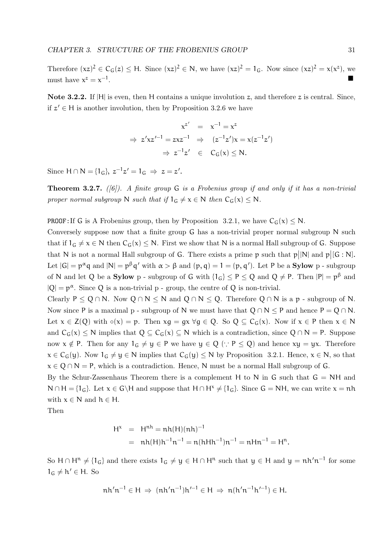Therefore  $(xz)^2 \in C_G(z) \leq H$ . Since  $(xz)^2 \in N$ , we have  $(xz)^2 = 1_G$ . Now since  $(xz)^2 = x(x^2)$ , we must have  $x^z = x^{-1}$ . In the second control of the second control of the second control of the second control of the second control

Note 3.2.2. If  $|H|$  is even, then H contains a unique involution z, and therefore z is central. Since, if  $z' \in H$  is another involution, then by Proposition 3.2.6 we have

$$
x^{z'} = x^{-1} = x^{z}
$$
  
\n
$$
\Rightarrow z'xz'^{-1} = zxz^{-1} \Rightarrow (z^{-1}z')x = x(z^{-1}z')
$$
  
\n
$$
\Rightarrow z^{-1}z' \in C_G(x) \le N.
$$

Since  $H \cap N = \{1_G\}, z^{-1}z' = 1_G \Rightarrow z = z'.$ 

**Theorem 3.2.7.** ([6]). A finite group  $G$  is a Frobenius group if and only if it has a non-trivial proper normal subgroup N such that if  $1_G \neq x \in N$  then  $C_G(x) \leq N$ .

**PROOF:** If G is A Frobenius group, then by Proposition 3.2.1, we have  $C_G(x) \le N$ .

Conversely suppose now that a finite group G has a non-trivial proper normal subgroup N such that if  $1_G \neq x \in N$  then  $C_G(x) \leq N$ . First we show that N is a normal Hall subgroup of G. Suppose that N is not a normal Hall subgroup of G. There exists a prime  $p$  such that  $p||N|$  and  $p|[G:N]$ . Let  $|G| = p^{\alpha}q$  and  $|N| = p^{\beta}q'$  with  $\alpha > \beta$  and  $(p, q) = 1 = (p, q')$ . Let P be a **Sylow** p - subgroup of N and let Q be a **Sylow** p - subgroup of G with  $\{1_G\} \le P \le Q$  and  $Q \ne P$ . Then  $|P| = p^{\beta}$  and  $|Q| = p^{\alpha}$ . Since Q is a non-trivial p - group, the centre of Q is non-trivial.

Clearly P  $\leq Q \cap N$ . Now  $Q \cap N \leq N$  and  $Q \cap N \leq Q$ . Therefore  $Q \cap N$  is a p - subgroup of N. Now since P is a maximal p - subgroup of N we must have that  $Q \cap N \leq P$  and hence  $P = Q \cap N$ . Let  $x \in Z(Q)$  with  $\circ(x) = p$ . Then  $xq = qx \forall q \in Q$ . So  $Q \subset C_G(x)$ . Now if  $x \in P$  then  $x \in N$ and  $C_G(x) \le N$  implies that  $Q \subseteq C_G(x) \subseteq N$  which is a contradiction, since  $Q \cap N = P$ . Suppose now  $x \notin P$ . Then for any  $1_G \neq y \in P$  we have  $y \in Q$  ( $\because P \leq Q$ ) and hence  $xy = yx$ . Therefore  $x \in C_G(y)$ . Now  $1_G \neq y \in N$  implies that  $C_G(y) \leq N$  by Proposition 3.2.1. Hence,  $x \in N$ , so that  $x \in Q \cap N = P$ , which is a contradiction. Hence, N must be a normal Hall subgroup of G.

By the Schur-Zassenhaus Theorem there is a complement H to N in G such that  $G = NH$  and  $N \cap H = \{1_G\}.$  Let  $x \in G\backslash H$  and suppose that  $H \cap H^x \neq \{1_G\}.$  Since  $G = NH$ , we can write  $x = nh$ with  $x \in N$  and  $h \in H$ .

Then

$$
H^{x} = H^{nh} = nh(H)(nh)^{-1}
$$
  
= nh(H)h<sup>-1</sup>n<sup>-1</sup> = n(hHh<sup>-1</sup>)n<sup>-1</sup> = nHn<sup>-1</sup> = H<sup>n</sup>.

So  $H \cap H^n \neq \{1_G\}$  and there exists  $1_G \neq y \in H \cap H^n$  such that  $y \in H$  and  $y = nh'n^{-1}$  for some  $1_G \neq h' \in H$ . So

$$
nh'n^{-1} \in H \implies (nh'n^{-1})h'^{-1} \in H \implies n(h'n^{-1}h'^{-1}) \in H.
$$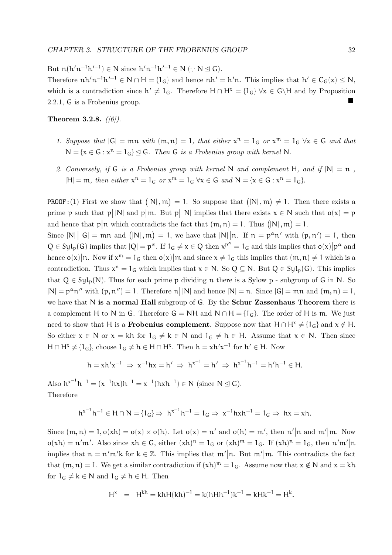But  $n(h'n^{-1}h'^{-1}) \in N$  since  $h'n^{-1}h'^{-1} \in N$   $(\because N \trianglelefteq G)$ . Therefore  $nh'n^{-1}h'^{-1} \in N \cap H = \{1_G\}$  and hence  $nh' = h'n$ . This implies that  $h' \in C_G(x) \leq N$ , which is a contradiction since  $h' \neq 1_G$ . Therefore  $H \cap H^x = \{1_G\} \forall x \in G \backslash H$  and by Proposition 2.2.1, <sup>G</sup> is a Frobenius group.

Theorem 3.2.8.  $(|6|)$ .

- 1. Suppose that  $|G| = mn$  with  $(m, n) = 1$ , that either  $x^n = 1_G$  or  $x^m = 1_G$   $\forall x \in G$  and that  $N = \{x \in G : x^n = 1_G\} \trianglelefteq G$ . Then G is a Frobenius group with kernel N.
- 2. Conversely, if G is a Frobenius group with kernel N and complement H, and if  $|N| = n$ ,  $|H| = m$ , then either  $x^n = 1_G$  or  $x^m = 1_G \forall x \in G$  and  $N = \{x \in G : x^n = 1_G\}$ .

**PROOF**: (1) First we show that  $(|N|, m) = 1$ . So suppose that  $(|N|, m) \neq 1$ . Then there exists a prime p such that  $p||N|$  and  $p||m$ . But  $p||N|$  implies that there exists  $x \in N$  such that  $o(x) = p$ and hence that  $p|n$  which contradicts the fact that  $(m, n) = 1$ . Thus  $(|N|, m) = 1$ . Since  $|N| \, |G| = mn$  and  $(|N|, m) = 1$ , we have that  $|N| \, |n$ . If  $n = p^{\alpha} n'$  with  $(p, n') = 1$ , then  $Q \in Syl_p(G)$  implies that  $|Q| = p^{\alpha}$ . If  $1_G \neq x \in Q$  then  $x^{p^{\alpha}} = 1_G$  and this implies that  $o(x)|p^{\alpha}$  and hence  $o(x)|n$ . Now if  $x^m = 1_G$  then  $o(x)|m$  and since  $x \neq 1_G$  this implies that  $(m, n) \neq 1$  which is a contradiction. Thus  $x^n = 1_G$  which implies that  $x \in N$ . So  $Q \subseteq N$ . But  $Q \in Syl_p(G)$ . This implies that  $Q \in \text{Syl}_n(N)$ . Thus for each prime p dividing n there is a Sylow p - subgroup of G in N. So  $|N| = p^{\alpha} n''$  with  $(p, n'') = 1$ . Therefore  $n |N|$  and hence  $|N| = n$ . Since  $|G| = mn$  and  $(m, n) = 1$ , we have that N is a normal Hall subgroup of G. By the Schur Zassenhaus Theorem there is a complement H to N in G. Therefore G = NH and  $N \cap H = \{1_G\}$ . The order of H is m. We just need to show that H is a **Frobenius complement**. Suppose now that  $H \cap H^x \neq \{1_G\}$  and  $x \notin H$ . So either  $x \in N$  or  $x = kh$  for  $1_G \neq k \in N$  and  $1_G \neq h \in H$ . Assume that  $x \in N$ . Then since  $H \cap H^x \neq \{1_G\}$ , choose  $1_G \neq h \in H \cap H^x$ . Then  $h = xh'x^{-1}$  for  $h' \in H$ . Now

$$
h = xh'x^{-1} \Rightarrow x^{-1}hx = h' \Rightarrow h^{x^{-1}} = h' \Rightarrow h^{x^{-1}}h^{-1} = h'h^{-1} \in H.
$$

Also  $h^{x^{-1}}h^{-1} = (x^{-1}hx)h^{-1} = x^{-1}(hxh^{-1}) \in N$  (since  $N \leq G$ ). Therefore

$$
h^{x^{-1}}h^{-1} \in H \cap N = \{1_G\} \Rightarrow h^{x^{-1}}h^{-1} = 1_G \Rightarrow x^{-1}hxh^{-1} = 1_G \Rightarrow hx = xh.
$$

Since  $(m, n) = 1$ ,  $o(xh) = o(x) \times o(h)$ . Let  $o(x) = n'$  and  $o(h) = m'$ , then  $n'|n$  and  $m'|m$ . Now  $o(xh) = n'm'$ . Also since  $xh \in G$ , either  $(xh)^n = 1_G$  or  $(xh)^m = 1_G$ . If  $(xh)^n = 1_G$ , then  $n'm'|n$ implies that  $n = n'm'k$  for  $k \in \mathbb{Z}$ . This implies that  $m'|n$ . But  $m'|m$ . This contradicts the fact that  $(m, n) = 1$ . We get a similar contradiction if  $(xh)^m = 1_G$ . Assume now that  $x \notin N$  and  $x = kh$ for  $1_G \neq k \in \mathbb{N}$  and  $1_G \neq h \in \mathbb{H}$ . Then

$$
H^x = H^{kh} = khH(kh)^{-1} = k(hHh^{-1})k^{-1} = kHk^{-1} = H^k.
$$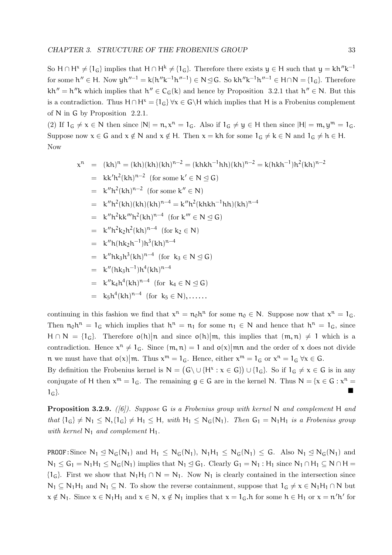So  $H \cap H^x \neq \{1_G\}$  implies that  $H \cap H^k \neq \{1_G\}$ . Therefore there exists  $y \in H$  such that  $y = kh''k^{-1}$ for some  $h'' \in H$ . Now  $yh''^{-1} = k(h''k^{-1}h''^{-1}) \in N \trianglelefteq G$ . So  $kh''k^{-1}h''^{-1} \in H \cap N = \{1_G\}$ . Therefore  $kh'' = h''k$  which implies that  $h'' \in C_G(k)$  and hence by Proposition 3.2.1 that  $h'' \in N$ . But this is a contradiction. Thus  $H \cap H^x = \{1_G\} \forall x \in G \backslash H$  which implies that H is a Frobenius complement of N in G by Proposition 2.2.1.

(2) If  $1_G \neq x \in N$  then since  $|N| = n$ ,  $x^n = 1_G$ . Also if  $1_G \neq y \in H$  then since  $|H| = m$ ,  $y^m = 1_G$ . Suppose now  $x \in G$  and  $x \notin N$  and  $x \notin H$ . Then  $x = kh$  for some  $1_G \neq k \in N$  and  $1_G \neq h \in H$ . Now

$$
x^{n} = (kh)^{n} = (kh)(kh)(kh)^{n-2} = (khkh^{-1}hh)(kh)^{n-2} = k(hkh^{-1})h^{2}(kh)^{n-2}
$$
  
\n
$$
= kk'h^{2}(kh)^{n-2} \text{ (for some } k' \in N \leq G)
$$
  
\n
$$
= k''h^{2}(kh)(kh)(kh)^{n-4} = k''h^{2}(khkh^{-1}hh)(kh)^{n-4}
$$
  
\n
$$
= k''h^{2}kk'''h^{2}(kh)^{n-4} \text{ (for } k''' \in N \leq G)
$$
  
\n
$$
= k''h^{2}k_{2}h^{2}(kh)^{n-4} \text{ (for } k_{2} \in N)
$$
  
\n
$$
= k''h(hk_{2}h^{-1})h^{3}(kh)^{n-4}
$$
  
\n
$$
= k''hk_{3}h^{3}(kh)^{n-4} \text{ (for } k_{3} \in N \leq G)
$$
  
\n
$$
= k''(hk_{3}h^{-1})h^{4}(kh)^{n-4}
$$
  
\n
$$
= k''k_{4}h^{4}(kh)^{n-4} \text{ (for } k_{4} \in N \leq G)
$$
  
\n
$$
= k_{5}h^{4}(kh)^{n-4} \text{ (for } k_{5} \in N), \dots
$$

continuing in this fashion we find that  $x^n = n_0 h^n$  for some  $n_0 \in N$ . Suppose now that  $x^n = 1_G$ . Then  $n_0 h^n = 1_G$  which implies that  $h^n = n_1$  for some  $n_1 \in N$  and hence that  $h^n = 1_G$ , since  $H \cap N = \{1_G\}$ . Therefore  $o(h) | n$  and since  $o(h) | m$ , this implies that  $(m, n) \neq 1$  which is a contradiction. Hence  $x^n \neq 1_G$ . Since  $(m, n) = 1$  and  $o(x)$  mn and the order of x does not divide n we must have that  $o(x)|m$ . Thus  $x^m = 1_G$ . Hence, either  $x^m = 1_G$  or  $x^n = 1_G \forall x \in G$ .

By definition the Frobenius kernel is  $N = (G \cup \{H^x : x \in G\}) \cup \{1_G\}$ . So if  $1_G \neq x \in G$  is in any conjugate of H then  $x^m = 1_G$ . The remaining  $g \in G$  are in the kernel N. Thus  $N = \{x \in G : x^n = 1\}$  $1_G$ .

**Proposition 3.2.9.** ([6]). Suppose G is a Frobenius group with kernel N and complement H and that  ${1_G} \neq N_1 \leq N, {1_G} \neq H_1 \leq H$ , with  $H_1 \leq N_G(N_1)$ . Then  $G_1 = N_1H_1$  is a Frobenius group with kernel  $N_1$  and complement  $H_1$ .

**PROOF:** Since  $N_1 \leq N_G(N_1)$  and  $H_1 \leq N_G(N_1)$ ,  $N_1H_1 \leq N_G(N_1) \leq G$ . Also  $N_1 \leq N_G(N_1)$  and  $N_1 \leq G_1 = N_1H_1 \leq N_G(N_1)$  implies that  $N_1 \leq G_1$ . Clearly  $G_1 = N_1$ :  $H_1$  since  $N_1 \cap H_1 \subseteq N \cap H =$  ${1_G}$ . First we show that  $N_1H_1 \cap N = N_1$ . Now  $N_1$  is clearly contained in the intersection since  $N_1 \subseteq N_1H_1$  and  $N_1 \subseteq N$ . To show the reverse containment, suppose that  $1_G \neq x \in N_1H_1 \cap N$  but  $x \notin N_1$ . Since  $x \in N_1H_1$  and  $x \in N$ ,  $x \notin N_1$  implies that  $x = 1_G$ . A for some  $h \in H_1$  or  $x = n'h'$  for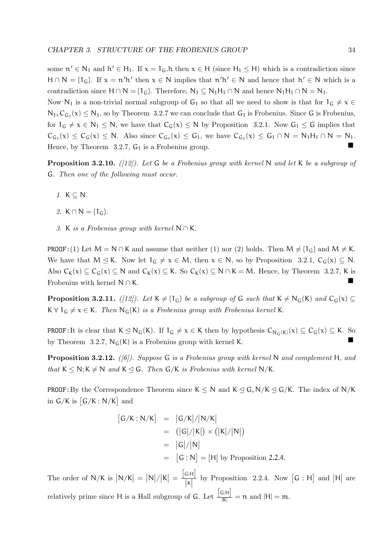some  $n' \in N_1$  and  $h' \in H_1$ . If  $x = 1_G$ . A then  $x \in H$  (since  $H_1 \leq H$ ) which is a contradiction since  $H \cap N = \{1_G\}$ . If  $x = n'h'$  then  $x \in N$  implies that  $n'h' \in N$  and hence that  $h' \in N$  which is a contradiction since  $H \cap N = \{1_G\}$ . Therefore,  $N_1 \subseteq N_1H_1 \cap N$  and hence  $N_1H_1 \cap N = N_1$ .

Now N<sub>1</sub> is a non-trivial normal subgroup of G<sub>1</sub> so that all we need to show is that for  $1_{G} \neq x \in$  $N_1, C_{G_1}(x) \leq N_1$ , so by Theorem 3.2.7 we can conclude that  $G_1$  is Frobenius. Since G is Frobenius, for  $1_G \neq x \in N_1 \leq N$ , we have that  $C_G(x) \leq N$  by Proposition 3.2.1. Now  $G_1 \leq G$  implies that  $C_{G_1}(x) \leq C_G(x) \leq N$ . Also since  $C_{G_1}(x) \leq G_1$ , we have  $C_{G_1}(x) \leq G_1 \cap N = N_1H_1 \cap N = N_1$ . Hence, by Theorem 3.2.7,  $G_1$  is a Frobenius group.

**Proposition 3.2.10.** ([12]). Let G be a Frobenius group with kernel N and let K be a subgroup of G. Then one of the following must occur.

- 1.  $K \subseteq N$ .
- 2. K  $\cap N = \{1_G\}$ .
- 3. K is a Frobenius group with kernel  $N \cap K$ .

**PROOF:**(1) Let  $M = N \cap K$  and assume that neither (1) nor (2) holds. Then  $M \neq \{1_G\}$  and  $M \neq K$ . We have that  $M \leq K$ . Now let  $1_G \neq x \in M$ , then  $x \in N$ , so by Proposition 3.2.1,  $C_G(x) \subseteq N$ . Also  $C_K(x) \subseteq C_G(x) \subseteq N$  and  $C_K(x) \subseteq K$ . So  $C_K(x) \subseteq N \cap K = M$ . Hence, by Theorem 3.2.7, K is Frobenius with kernel  $N \cap K$ .

**Proposition 3.2.11.** ([12]). Let  $K \neq \{1_G\}$  be a subgroup of G such that  $K \neq N_G(K)$  and  $C_G(x) \subseteq$  $K \vee 1_G \neq x \in K$ . Then  $N_G(K)$  is a Frobenius group with Frobenius kernel K.

**PROOF:** It is clear that  $K \leq N_G(K)$ . If  $1_G \neq x \in K$  then by hypothesis  $C_{N_G(K)}(x) \subseteq C_G(x) \subseteq K$ . So by Theorem 3.2.7,  $N_G(K)$  is a Frobenius group with kernel K.

**Proposition 3.2.12.** ([6]). Suppose G is a Frobenius group with kernel N and complement H, and that  $K \leq N$ ;  $K \neq N$  and  $K \leq G$ . Then  $G/K$  is Frobenius with kernel N/K.

**PROOF:** By the Correspondence Theorem since  $K \leq N$  and  $K \leq G, N/K \leq G/K$ . The index of N/K in  $G/K$  is  $[G/K: N/K]$  and

$$
[G/K : N/K] = |G/K|/|N/K|
$$
  
= (|G|/|K|) × (|K|/|N|)  
= |G|/|N|  
= [G : N] = |H| by Proposition 2.2.4.

The order of  $N/K$  is  $|N/K| = |N|/|K| =$  $[G:H]$  $\vert \mathbf{k} \vert$ by Proposition 2.2.4. Now  $[G : H]$  and  $|H|$  are relatively prime since H is a Hall subgroup of G. Let  $\frac{[G:H]}{|K|} = n$  and  $|H| = m$ .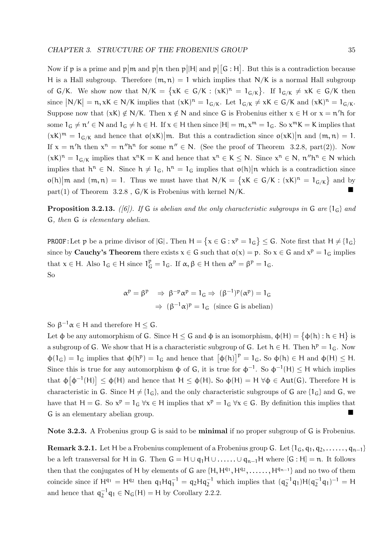Now if p is a prime and  $p\vert m$  and  $p\vert n$  then  $p\vert H\vert$  and  $p\vert$  [G : H]. But this is a contradiction because H is a Hall subgroup. Therefore  $(m, n) = 1$  which implies that N/K is a normal Hall subgroup of  $G/K$ . We show now that  $N/K = \{xK \in G/K : (xK)^n = 1_{G/K}\}$ . If  $1_{G/K} \neq xK \in G/K$  then since  $|N/K| = n, xK \in N/K$  implies that  $(xK)^n = 1_{G/K}$ . Let  $1_{G/K} \neq xK \in G/K$  and  $(xK)^n = 1_{G/K}$ . Suppose now that  $(xK) \notin N/K$ . Then  $x \notin N$  and since G is Frobenius either  $x \in H$  or  $x = n'h$  for some  $1_G \neq n' \in N$  and  $1_G \neq h \in H$ . If  $x \in H$  then since  $|H| = m$ ,  $x^m = 1_G$ . So  $x^m K = K$  implies that  $(xK)^m = 1_{G/K}$  and hence that  $o(xK)|m$ . But this a contradiction since  $o(xK)|n$  and  $(m, n) = 1$ . If  $x = n'h$  then  $x^n = n''h^n$  for some  $n'' \in N$ . (See the proof of Theorem 3.2.8, part(2)). Now  $(xK)^n = 1_{G/K}$  implies that  $x^nK = K$  and hence that  $x^n \in K \le N$ . Since  $x^n \in N$ ,  $n''h^n \in N$  which implies that  $h^n \in N$ . Since  $h \neq 1_G$ ,  $h^n = 1_G$  implies that  $o(h)|n$  which is a contradiction since  $o(h)|m$  and  $(m, n) = 1$ . Thus we must have that  $N/K = \{xK \in G/K : (xK)^n = 1_{G/K}\}\$  and by part(1) of Theorem  $3.2.8$ ,  $G/K$  is Frobenius with kernel N/K.

**Proposition 3.2.13.** ([6]). If G is abelian and the only characteristic subgroups in G are  $\{1_G\}$  and G, then G is elementary abelian.

**PROOF:** Let p be a prime divisor of  $|G|$ . Then  $H = \{x \in G : x^p = 1_G\} \leq G$ . Note first that  $H \neq \{1_G\}$ since by **Cauchy's Theorem** there exists  $x \in G$  such that  $o(x) = p$ . So  $x \in G$  and  $x^p = 1_G$  implies that  $x \in H$ . Also  $1_G \in H$  since  $1_G^p = 1_G$ . If  $\alpha, \beta \in H$  then  $\alpha^p = \beta^p = 1_G$ . So

$$
\alpha^p = \beta^p \Rightarrow \beta^{-p} \alpha^p = 1_G \Rightarrow (\beta^{-1})^p (\alpha^p) = 1_G
$$
  

$$
\Rightarrow (\beta^{-1} \alpha)^p = 1_G \text{ (since } G \text{ is abelian)}
$$

So  $\beta^{-1}\alpha \in H$  and therefore  $H \leq G$ .

Let  $\phi$  be any automorphism of G. Since  $H \leq G$  and  $\phi$  is an isomorphism,  $\phi(H) = {\phi(h) : h \in H}$  is a subgroup of G. We show that H is a characteristic subgroup of G. Let  $h \in H$ . Then  $h^p = 1_G$ . Now  $\phi(1_G) = 1_G$  implies that  $\phi(h^p) = 1_G$  and hence that  $\left[\phi(h)\right]^p = 1_G$ . So  $\phi(h) \in H$  and  $\phi(H) \leq H$ . Since this is true for any automorphism  $\phi$  of G, it is true for  $\phi^{-1}$ . So  $\phi^{-1}(H) \leq H$  which implies that  $\phi[\phi^{-1}(H)] \leq \phi(H)$  and hence that  $H \leq \phi(H)$ . So  $\phi(H) = H \,\forall \phi \in Aut(G)$ . Therefore H is characteristic in G. Since  $H \neq \{1_G\}$ , and the only characteristic subgroups of G are  $\{1_G\}$  and G, we have that  $H = G$ . So  $x^p = 1_G \forall x \in H$  implies that  $x^p = 1_G \forall x \in G$ . By definition this implies that <sup>G</sup> is an elementary abelian group.

Note 3.2.3. A Frobenius group G is said to be minimal if no proper subgroup of G is Frobenius.

**Remark 3.2.1.** Let H be a Frobenius complement of a Frobenius group G. Let  $\{1_G, q_1, q_2, \ldots, q_{n-1}\}$ be a left transversal for H in G. Then  $G = H \cup q_1H \cup \ldots \cup q_{n-1}H$  where  $[G : H] = n$ . It follows then that the conjugates of H by elements of G are  $\{H, H^{q_1}, H^{q_2}, \ldots, H^{q_{n-1}}\}$  and no two of them coincide since if  $H^{q_1} = H^{q_2}$  then  $q_1 H q_1^{-1} = q_2 H q_2^{-1}$  which implies that  $(q_2^{-1} q_1) H (q_2^{-1} q_1)^{-1} = H$ and hence that  $q_2^{-1}q_1 \in N_G(H) = H$  by Corollary 2.2.2.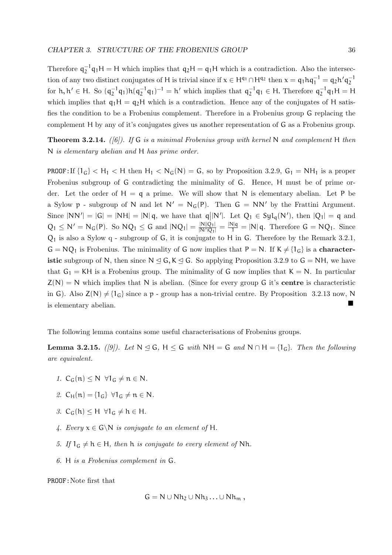Therefore  $q_2^{-1}q_1H = H$  which implies that  $q_2H = q_1H$  which is a contradiction. Also the intersection of any two distinct conjugates of H is trivial since if  $x \in H^{q_1} \cap H^{q_2}$  then  $x = q_1 h q_1^{-1} = q_2 h' q_2^{-1}$ for  $h, h' \in H$ . So  $(q_2^{-1}q_1)h(q_2^{-1}q_1)^{-1} = h'$  which implies that  $q_2^{-1}q_1 \in H$ . Therefore  $q_2^{-1}q_1H = H$ which implies that  $q_1H = q_2H$  which is a contradiction. Hence any of the conjugates of H satisfies the condition to be a Frobenius complement. Therefore in a Frobenius group G replacing the complement H by any of it's conjugates gives us another representation of G as a Frobenius group.

**Theorem 3.2.14.** ([6]). If G is a minimal Frobenius group with kernel N and complement H then N is elementary abelian and H has prime order.

**PROOF:** If  $\{1_G\}$  < H<sub>1</sub> < H then H<sub>1</sub> < N<sub>G</sub>(N) = G, so by Proposition 3.2.9, G<sub>1</sub> = NH<sub>1</sub> is a proper Frobenius subgroup of G contradicting the minimality of G. Hence, H must be of prime order. Let the order of  $H = q$  a prime. We will show that N is elementary abelian. Let P be a Sylow p - subgroup of N and let  $N' = N_G(P)$ . Then  $G = NN'$  by the Frattini Argument. Since  $|NN'| = |G| = |NH| = |N| q$ , we have that  $q||N'|$ . Let  $Q_1 \in Syl_q(N')$ , then  $|Q_1| = q$  and  $Q_1 \leq N' = N_G(P)$ . So  $NQ_1 \leq G$  and  $|NQ_1| = \frac{|N||Q_1|}{|N \cap Q_1|} = \frac{|N|q}{1} = |N|q$ . Therefore  $G = NQ_1$ . Since  $Q_1$  is also a Sylow q - subgroup of G, it is conjugate to H in G. Therefore by the Remark 3.2.1,  $G = NQ_1$  is Frobenius. The minimality of G now implies that  $P = N$ . If  $K \neq \{1_G\}$  is a characteristic subgroup of N, then since  $N \leq G$ ,  $K \leq G$ . So applying Proposition 3.2.9 to  $G = NH$ , we have that  $G_1 = KH$  is a Frobenius group. The minimality of G now implies that  $K = N$ . In particular  $Z(N) = N$  which implies that N is abelian. (Since for every group G it's **centre** is characteristic in G). Also  $Z(N) \neq \{1_G\}$  since a p - group has a non-trivial centre. By Proposition 3.2.13 now, N is elementary abelian.

The following lemma contains some useful characterisations of Frobenius groups.

**Lemma 3.2.15.** ([9]). Let  $N \subseteq G$ ,  $H \subseteq G$  with  $NH = G$  and  $N \cap H = \{1_G\}$ . Then the following are equivalent.

- 1.  $C_G(n) \le N \ \forall 1_G \ne n \in N$ .
- 2.  $C_H(n) = \{1_G\}$   $\forall 1_G \neq n \in N$ .
- 3.  $C_G(h) \leq H \ \forall 1_G \neq h \in H$ .
- 4. Every  $x \in G \backslash N$  is conjugate to an element of H.
- 5. If  $1_G \neq h \in H$ , then h is conjugate to every element of Nh.
- 6. H is a Frobenius complement in G.

PROOF:Note first that

$$
G = N \cup Nh_2 \cup Nh_3 \ldots \cup Nh_m ,
$$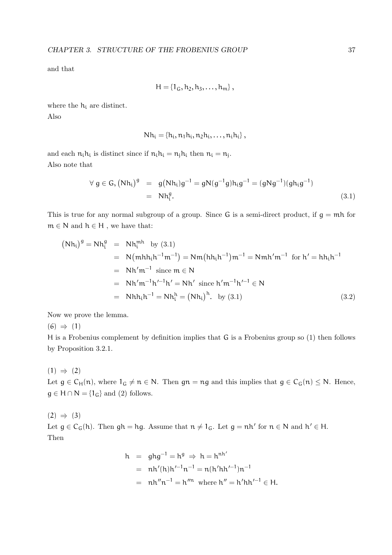and that

$$
H = \{1_G, h_2, h_3, \ldots, h_m\}
$$
,

where the h<sup>i</sup> are distinct. Also

$$
Nh_i = \{h_i, n_1h_i, n_2h_i, \ldots, n_ih_i\},\,
$$

and each  $n_i h_i$  is distinct since if  $n_i h_i = n_j h_i$  then  $n_i = n_j$ . Also note that

$$
\forall g \in G, (Nh_i)^g = g(Nh_i)g^{-1} = gN(g^{-1}g)h_ig^{-1} = (gNg^{-1})(gh_ig^{-1})
$$
  
= Nh<sub>i</sub><sup>g</sup>. (3.1)

This is true for any normal subgroup of a group. Since  $G$  is a semi-direct product, if  $g = mh$  for  $m \in N$  and  $h \in H$ , we have that:

$$
(\text{Nh}_i)^g = \text{Nh}_i^g = \text{Nh}_i^{\text{mh}} \text{ by (3.1)}
$$
  
= \text{N}(\text{mhh}\_i\text{h}^{-1}\text{m}^{-1}) = \text{Nm}(\text{hh}\_i\text{h}^{-1})\text{m}^{-1} = \text{Nmh}'\text{m}^{-1} \text{ for } \text{h}' = \text{hh}\_i\text{h}^{-1}  
= \text{Nh}'\text{m}^{-1} \text{ since } \text{m} \in \text{N}  
= \text{Nhh}\_i\text{h}^{-1}\text{h}' = \text{Nh}' \text{ since } \text{h}'\text{m}^{-1}\text{h}'^{-1} \in \text{N}  
= \text{Nhh}\_i\text{h}^{-1} = \text{Nh}\_i^{\text{h}} = (\text{Nh}\_i)^{\text{h}}. \text{ by (3.1)} \tag{3.2}

Now we prove the lemma.

 $(6) \Rightarrow (1)$ 

H is a Frobenius complement by definition implies that G is a Frobenius group so (1) then follows by Proposition 3.2.1.

 $(1) \Rightarrow (2)$ Let  $g \in C_H(n)$ , where  $1_G \neq n \in N$ . Then  $gn = ng$  and this implies that  $g \in C_G(n) \leq N$ . Hence,  $g \in H \cap N = \{1_G\}$  and (2) follows.

 $(2) \Rightarrow (3)$ Let  $g \in C_G(h)$ . Then  $gh = hg$ . Assume that  $n \neq 1_G$ . Let  $g = nh'$  for  $n \in N$  and  $h' \in H$ . Then

$$
h = ghg^{-1} = h^{g} \Rightarrow h = h^{nh'}
$$
  
= nh'(h)h'^{-1}n^{-1} = n(h'hh'^{-1})n^{-1}  
= nh''n^{-1} = h''^{n} where h'' = h'hh'^{-1} \in H.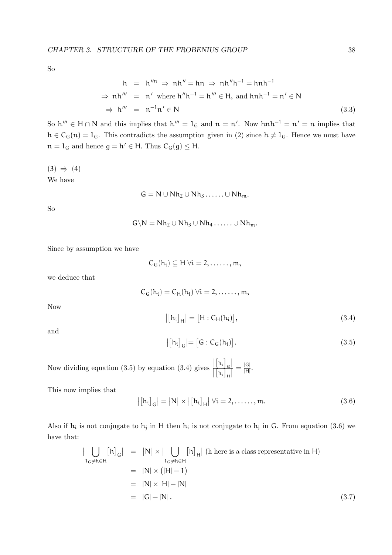So

$$
h = h^{\prime\prime n} \Rightarrow nh^{\prime\prime} = hn \Rightarrow nh^{\prime\prime}h^{-1} = hnh^{-1}
$$
  
\n
$$
\Rightarrow nh^{\prime\prime\prime} = n^{\prime} \text{ where } h^{\prime\prime}h^{-1} = h^{\prime\prime\prime} \in H, \text{ and } hnh^{-1} = n^{\prime} \in N
$$
  
\n
$$
\Rightarrow h^{\prime\prime\prime} = n^{-1}n^{\prime} \in N
$$
  
\n(3.3)

So  $h''' \in H \cap N$  and this implies that  $h''' = 1_G$  and  $n = n'$ . Now  $hnh^{-1} = n' = n$  implies that  $h \in C_G(n) = 1_G$ . This contradicts the assumption given in (2) since  $h \neq 1_G$ . Hence we must have  $n = 1_G$  and hence  $g = h' \in H$ . Thus  $C_G(g) \leq H$ .

 $(3) \Rightarrow (4)$ We have

$$
G=N\cup Nh_2\cup Nh_3\ldots\ldots\cup Nh_m.
$$

So

$$
G\backslash N=Nh_2\cup Nh_3\cup Nh_4\ldots\ldots\cup Nh_m.
$$

Since by assumption we have

$$
C_G(h_i) \subseteq H \; \forall i=2,\ldots\ldots,m,
$$

we deduce that

 $C_G(h_i) = C_H(h_i) \,\forall i = 2, \dots, m,$ 

Now

$$
\left| \left[ h_i \right]_H \right| = \left[ H : C_H(h_i) \right],\tag{3.4}
$$

and

$$
\left| \left[ h_i \right]_G \right| = \left[ G : C_G(h_i) \right]. \tag{3.5}
$$

Now dividing equation (3.5) by equation (3.4) gives  $\left[\left[h_i\right]_{\mathsf{G}}\right]$  $\left\vert \left[ h_{i}\right] _{H}\right\vert$  $=\frac{|G|}{|H|}$ ।ज<br>|<br>|म

This now implies that

$$
\left| \left[ h_{i} \right]_{G} \right| = \left| N \right| \times \left| \left[ h_{i} \right]_{H} \right| \forall i = 2, \dots, m. \tag{3.6}
$$

Also if  $h_i$  is not conjugate to  $h_j$  in H then  $h_i$  is not conjugate to  $h_j$  in G. From equation (3.6) we have that:

$$
\left| \bigcup_{1_G \neq h \in H} [h]_G \right| = |N| \times \left| \bigcup_{1_G \neq h \in H} [h]_H \right| \text{ (h here is a class representative in H)}
$$
\n
$$
= |N| \times (|H| - 1)
$$
\n
$$
= |N| \times |H| - |N|
$$
\n
$$
= |G| - |N|.
$$
\n(3.7)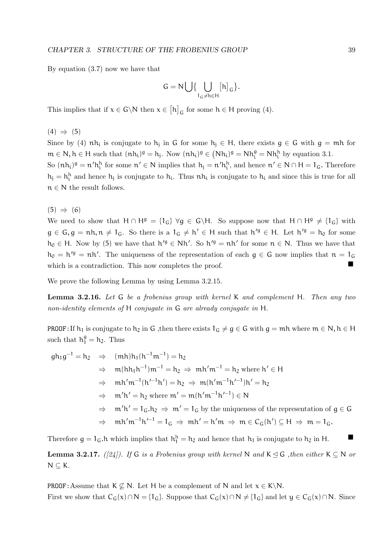By equation (3.7) now we have that

$$
G = N \bigcup \{ \bigcup_{1_G \neq h \in H} [h]_G \}.
$$

This implies that if  $x \in G \backslash N$  then  $x \in [h]_G$  for some  $h \in H$  proving (4).

 $(4) \Rightarrow (5)$ 

Since by (4)  $nh_i$  is conjugate to  $h_j$  in G for some  $h_j \in H$ , there exists  $g \in G$  with  $g = mh$  for  $m \in \mathbb{N}, h \in \mathbb{H}$  such that  $(nh_i)^g = h_j$ . Now  $(nh_i)^g \in (Nh_i)^g = Nh_i^g = Nh_i^h$  by equation 3.1.

So  $(nh_i)^g = n'h_i^h$  for some  $n' \in N$  implies that  $h_j = n'h_i^h$ , and hence  $n' \in N \cap H = 1_G$ . Therefore  $h_j = h_i^h$  and hence  $h_j$  is conjugate to  $h_i$ . Thus  $nh_i$  is conjugate to  $h_i$  and since this is true for all  $n \in N$  the result follows.

 $(5) \Rightarrow (6)$ 

We need to show that  $H \cap H^g = \{1_G\} \ \forall g \in G \backslash H$ . So suppose now that  $H \cap H^g \neq \{1_G\}$  with  $g \in G, g = nh, n \neq 1_G$ . So there is a  $1_G \neq h' \in H$  such that  $h'^g \in H$ . Let  $h'^g = h_0$  for some  $h_0 \in H$ . Now by (5) we have that  $h'^g \in Nh'$ . So  $h'^g = nh'$  for some  $n \in N$ . Thus we have that  $h_0 = h'^g = nh'$ . The uniqueness of the representation of each  $g \in G$  now implies that  $n = 1_G$ which is a contradiction. This now completes the proof.

We prove the following Lemma by using Lemma 3.2.15.

Lemma 3.2.16. Let G be a frobenius group with kernel K and complement H. Then any two non-identity elements of H conjugate in G are already conjugate in H.

**PROOF:** If  $h_1$  is conjugate to  $h_2$  in G, then there exists  $1_G \neq g \in G$  with  $g = mh$  where  $m \in N$ ,  $h \in H$ such that  $h_1^g = h_2$ . Thus

$$
gh_1g^{-1} = h_2 \Rightarrow (mh)h_1(h^{-1}m^{-1}) = h_2
$$
  
\n
$$
\Rightarrow m(hh_1h^{-1})m^{-1} = h_2 \Rightarrow mh'm^{-1} = h_2 \text{ where } h' \in H
$$
  
\n
$$
\Rightarrow mh'm^{-1}(h'^{-1}h') = h_2 \Rightarrow m(h'm^{-1}h'^{-1})h' = h_2
$$
  
\n
$$
\Rightarrow m'h' = h_2 \text{ where } m' = m(h'm^{-1}h'^{-1}) \in N
$$
  
\n
$$
\Rightarrow m'h' = 1_G.h_2 \Rightarrow m' = 1_G \text{ by the uniqueness of the representation of } g \in G
$$
  
\n
$$
\Rightarrow mh'm^{-1}h'^{-1} = 1_G \Rightarrow mh' = h'm \Rightarrow m \in C_G(h') \subseteq H \Rightarrow m = 1_G.
$$

Therefore  $g = 1_G$ .h which implies that  $h_1^h = h_2$  and hence that  $h_1$  is conjugate to  $h_2$  in H.

**Lemma 3.2.17.** ([24]). If G is a Frobenius group with kernel N and K  $\leq$  G , then either K  $\subseteq$  N or  $N \subset K$ .

**PROOF:** Assume that  $K \not\subseteq N$ . Let H be a complement of N and let  $x \in K \backslash N$ . First we show that  $C_G(x) \cap N = \{1_G\}$ . Suppose that  $C_G(x) \cap N \neq \{1_G\}$  and let  $y \in C_G(x) \cap N$ . Since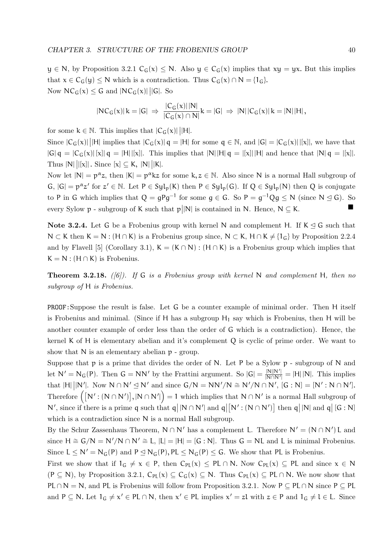$y \in N$ , by Proposition 3.2.1  $C_G(x) \leq N$ . Also  $y \in C_G(x)$  implies that  $xy = yx$ . But this implies that  $x \in C_G(y) \leq N$  which is a contradiction. Thus  $C_G(x) \cap N = \{1_G\}.$ Now  $NC_G(x) \leq G$  and  $|NC_G(x)| ||G|$ . So

$$
|NC_G(x)| k = |G| \ \Rightarrow \ \frac{|C_G(x)| |N|}{|C_G(x) \cap N|} k = |G| \ \Rightarrow \ |N| \, |C_G(x)| \, k = |N| \, |H| \, ,
$$

for some  $k \in \mathbb{N}$ . This implies that  $|C_G(x)| ||H|$ .

Since  $|C_G(x)|$  |H| implies that  $|C_G(x)| \neq |H|$  for some  $q \in \mathbb{N}$ , and  $|G| = |C_G(x)| |[x]|$ , we have that  $|G| q = |C_G(x)| [x]| q = |H| |[x]|.$  This implies that  $|N| |H| q = |[x]| |H|$  and hence that  $|N| q = |[x]|.$ Thus  $|N| ||[x]|$ . Since  $[x] \subseteq K$ ,  $|N| ||K|$ .

Now let  $|N| = p^{\alpha}z$ , then  $|K| = p^{\alpha}kz$  for some  $k, z \in \mathbb{N}$ . Also since N is a normal Hall subgroup of  $G, |G| = p^{\alpha}z'$  for  $z' \in \mathbb{N}$ . Let  $P \in Syl_p(K)$  then  $P \in Syl_p(G)$ . If  $Q \in Syl_p(N)$  then Q is conjugate to P in G which implies that  $Q = gPg^{-1}$  for some  $g \in G$ . So  $P = g^{-1}Qg \le N$  (since  $N \le G$ ). So every Sylow  $p$  - subgroup of K such that  $p||N|$  is contained in N. Hence,  $N \subseteq K$ .

Note 3.2.4. Let G be a Frobenius group with kernel N and complement H. If  $K \leq G$  such that  $N \subset K$  then  $K = N : (H \cap K)$  is a Frobenius group since,  $N \subset K$ ,  $H \cap K \neq \{1_G\}$  by Proposition 2.2.4 and by Flavell [5] (Corollary 3.1),  $K = (K \cap N) : (H \cap K)$  is a Frobenius group which implies that  $K = N$ : (H ∩ K) is Frobenius.

**Theorem 3.2.18.** ([6]). If G is a Frobenius group with kernel N and complement H, then no subgroup of H is Frobenius.

PROOF:Suppose the result is false. Let G be a counter example of minimal order. Then H itself is Frobenius and minimal. (Since if H has a subgroup  $H_1$  say which is Frobenius, then H will be another counter example of order less than the order of G which is a contradiction). Hence, the kernel K of H is elementary abelian and it's complement Q is cyclic of prime order. We want to show that  $N$  is an elementary abelian  $p$  - group.

Suppose that  $p$  is a prime that divides the order of N. Let P be a Sylow  $p$  - subgroup of N and let  $N' = N_G(P)$ . Then  $G = NN'$  by the Frattini argument. So  $|G| = \frac{|N||N'|}{N\cap N'}$  $\frac{|\mathbf{N}||\mathbf{N}^{\top}|}{|\mathbf{N}\cap\mathbf{N}^{\prime}|} = |\mathbf{H}||\mathbf{N}|.$  This implies that  $|H| ||N'||$ . Now  $N \cap N' \subseteq N'$  and since  $G/N = NN'/N \cong N'/N \cap N'$ ,  $[G : N] = [N' : N \cap N']$ . Therefore  $([N' : (N \cap N')]$ ,  $[N \cap N']$  = 1 which implies that  $N \cap N'$  is a normal Hall subgroup of  $N'$ , since if there is a prime q such that  $q \mid N \cap N' \mid$  and  $q \mid [N' : (N \cap N')]$  then  $q \mid N \mid$  and  $q \mid [G : N]$ which is a contradiction since  $N$  is a normal Hall subgroup.

By the Schur Zassenhaus Theorem,  $N \cap N'$  has a complement L. Therefore  $N' = (N \cap N')$  L and since  $H \cong G/N = N'/N \cap N' \cong L$ ,  $|L| = |H| = [G : N]$ . Thus  $G = NL$  and L is minimal Frobenius. Since  $L \leq N' = N_G(P)$  and  $P \leq N_G(P)$ ,  $PL \leq N_G(P) \leq G$ . We show that PL is Frobenius.

First we show that if  $1_G \neq x \in P$ , then  $C_{PL}(x) \leq PL \cap N$ . Now  $C_{PL}(x) \subseteq PL$  and since  $x \in N$  $(P \subseteq N)$ , by Proposition 3.2.1,  $C_{PL}(x) \subseteq C_G(x) \subseteq N$ . Thus  $C_{PL}(x) \subseteq PL \cap N$ . We now show that PL ∩ N = N, and PL is Frobenius will follow from Proposition 3.2.1. Now P  $\subseteq$  PL ∩ N since P  $\subseteq$  PL and  $P \subseteq N$ . Let  $1_G \neq x' \in PL \cap N$ , then  $x' \in PL$  implies  $x' = zl$  with  $z \in P$  and  $1_G \neq l \in L$ . Since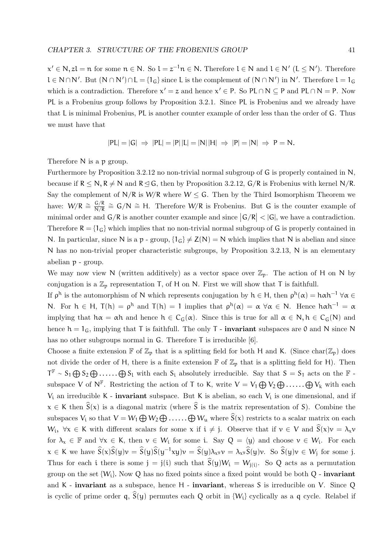$x' \in N$ ,  $zl = n$  for some  $n \in N$ . So  $l = z^{-1}n \in N$ . Therefore  $l \in N$  and  $l \in N'$  ( $l \leq N'$ ). Therefore  $l \in N \cap N'$ . But  $(N \cap N') \cap L = \{1_G\}$  since L is the complement of  $(N \cap N')$  in N'. Therefore  $l = 1_G$ which is a contradiction. Therefore  $x' = z$  and hence  $x' \in P$ . So PL  $\cap N \subseteq P$  and PL  $\cap N = P$ . Now PL is a Frobenius group follows by Proposition 3.2.1. Since PL is Frobenius and we already have that L is minimal Frobenius, PL is another counter example of order less than the order of G. Thus we must have that

$$
|PL| = |G| \Rightarrow |PL| = |P||L| = |N||H| \Rightarrow |P| = |N| \Rightarrow P = N.
$$

Therefore N is a p group.

Furthermore by Proposition 3.2.12 no non-trivial normal subgroup of G is properly contained in N, because if  $R \le N$ ,  $R \ne N$  and  $R \le G$ , then by Proposition 3.2.12,  $G/R$  is Frobenius with kernel N/R. Say the complement of  $N/R$  is  $W/R$  where  $W \leq G$ . Then by the Third Isomorphism Theorem we have:  $W/R \cong \frac{G/R}{N/R} \cong G/N \cong H$ . Therefore  $W/R$  is Frobenius. But G is the counter example of minimal order and  $G/R$  is another counter example and since  $|G/R| < |G|$ , we have a contradiction. Therefore  $R = \{1_G\}$  which implies that no non-trivial normal subgroup of G is properly contained in N. In particular, since N is a p - group,  $\{1_G\} \neq Z(N) = N$  which implies that N is abelian and since N has no non-trivial proper characteristic subgroups, by Proposition 3.2.13, N is an elementary abelian p - group.

We may now view N (written additively) as a vector space over  $\mathbb{Z}_p$ . The action of H on N by conjugation is a  $\mathbb{Z}_p$  representation T, of H on N. First we will show that T is faithfull.

If  $\rho^h$  is the automorphism of N which represents conjugation by  $h \in H$ , then  $\rho^h(\alpha) = h \alpha h^{-1} \ \forall \alpha \in$ N. For  $h \in H$ ,  $T(h) = \rho^h$  and  $T(h) = 1$  implies that  $\rho^h(\alpha) = \alpha \,\forall \alpha \in N$ . Hence  $h \alpha h^{-1} = \alpha$ implying that  $h\alpha = \alpha h$  and hence  $h \in C_G(\alpha)$ . Since this is true for all  $\alpha \in N, h \in C_G(N)$  and hence  $h = 1_G$ , implying that T is faithfull. The only T - **invariant** subspaces are 0 and N since N has no other subgroups normal in G. Therefore T is irreducible [6].

Choose a finite extension  $\mathbb F$  of  $\mathbb Z_p$  that is a splitting field for both H and K. (Since char( $\mathbb Z_p$ ) does not divide the order of H, there is a finite extension  $\mathbb F$  of  $\mathbb Z_p$  that is a splitting field for H). Then  $T^{\mathbb{F}} \sim S_1 \bigoplus S_2 \bigoplus \ldots \ldots \bigoplus S_l$  with each  $S_i$  absolutely irreducible. Say that  $S = S_1$  acts on the  $\mathbb{F}$  subspace V of  $N^{\mathbb{F}}$ . Restricting the action of T to K, write  $V = V_1 \bigoplus V_2 \bigoplus \ldots \ldots \bigoplus V_k$  with each  $V_i$  an irreducible K - **invariant** subspace. But K is abelian, so each  $V_i$  is one dimensional, and if  $x \in K$  then  $\hat{S}(x)$  is a diagonal matrix (where  $\hat{S}$  is the matrix representation of S). Combine the subspaces  $V_i$  so that  $V = W_1 \bigoplus W_2 \bigoplus \ldots \ldots \bigoplus W_u$  where  $S(x)$  restricts to a scalar matrix on each  $W_i, \forall x \in K$  with different scalars for some x if  $i \neq j$ . Observe that if  $v \in V$  and  $S(x)v = \lambda_x v$ for  $\lambda_x \in \mathbb{F}$  and  $\forall x \in K$ , then  $v \in W_i$  for some i. Say  $Q = \langle y \rangle$  and choose  $v \in W_i$ . For each  $x \in K$  we have  $\widehat{S}(x)\widehat{S}(y)\nu = \widehat{S}(y)\widehat{S}(y^{-1}xy)\nu = \widehat{S}(y)\lambda_{x^y}\nu = \lambda_{x^y}\widehat{S}(y)\nu$ . So  $\widehat{S}(y)\nu \in W_j$  for some j. Thus for each i there is some  $j = j(i)$  such that  $S(y)W_i = W_{j(i)}$ . So Q acts as a permutation group on the set  $\{W_i\}$ . Now Q has no fixed points since a fixed point would be both Q - invariant and K - invariant as a subspace, hence H - invariant, whereas S is irreducible on V. Since Q is cyclic of prime order  $q$ ,  $S(y)$  permutes each Q orbit in  $\{W_i\}$  cyclically as a q cycle. Relabel if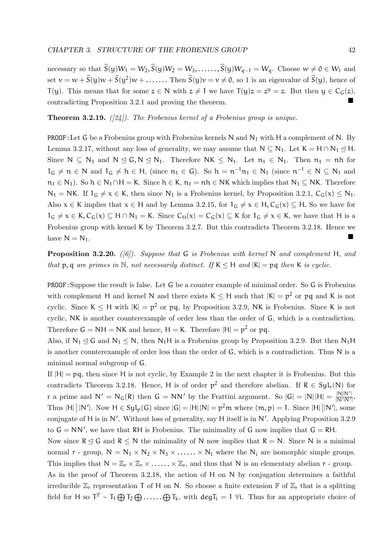necessary so that  $\hat{S}(y)W_1 = W_2$ ,  $\hat{S}(y)W_2 = W_3$ , ....,  $\hat{S}(y)W_{q-1} = W_q$ . Choose  $w \neq 0 \in W_1$  and set  $v = w + \hat{S}(y)w + \hat{S}(y^2)w + \dots$ ....... Then  $\hat{S}(y)v = v \neq 0$ , so 1 is an eigenvalue of  $\hat{S}(y)$ , hence of T(y). This means that for some  $z \in N$  with  $z \neq 1$  we have  $T(y)z = z^y = z$ . But then  $y \in C_G(z)$ , contradicting Proposition 3.2.1 and proving the theorem.

**Theorem 3.2.19.**  $(|24|)$ . The Frobenius kernel of a Frobenius group is unique.

**PROOF:** Let G be a Frobenius group with Frobenius kernels N and  $N_1$  with H a complement of N. By Lemma 3.2.17, without any loss of generality, we may assume that  $N \subseteq N_1$ . Let  $K = H \cap N_1 \trianglelefteq H$ . Since  $N \subseteq N_1$  and  $N \subseteq G, N \subseteq N_1$ . Therefore  $NK \subseteq N_1$ . Let  $n_1 \in N_1$ . Then  $n_1 = nh$  for  $1_G \neq n \in N$  and  $1_G \neq h \in H$ , (since  $n_1 \in G$ ). So  $h = n^{-1}n_1 \in N_1$  (since  $n^{-1} \in N \subseteq N_1$  and  $n_1 \in N_1$ ). So  $h \in N_1 \cap H = K$ . Since  $h \in K$ ,  $n_1 = nh \in NK$  which implies that  $N_1 \subseteq NK$ . Therefore  $N_1 = NK$ . If  $1_G \neq x \in K$ , then since  $N_1$  is a Frobenius kernel, by Proposition 3.2.1,  $C_G(x) \leq N_1$ . Also  $x \in K$  implies that  $x \in H$  and by Lemma 3.2.15, for  $1_G \neq x \in H$ ,  $C_G(x) \subseteq H$ . So we have for  $1_G \neq x \in K$ ,  $C_G(x) \subseteq H \cap N_1 = K$ . Since  $C_H(x) = C_G(x) \subseteq K$  for  $1_G \neq x \in K$ , we have that H is a Frobenius group with kernel K by Theorem 3.2.7. But this contradicts Theorem 3.2.18. Hence we have  $N = N_1$ .

**Proposition 3.2.20.** ([6]). Suppose that G is Frobenius with kernel N and complement H, and that p, q are primes in N, not necessarily distinct. If  $K \leq H$  and  $|K| = pq$  then K is cyclic.

PROOF:Suppose the result is false. Let G be a counter example of minimal order. So G is Frobenius with complement H and kernel N and there exists  $K \leq H$  such that  $|K| = p^2$  or pq and K is not cyclic. Since  $K \leq H$  with  $|K| = p^2$  or pq, by Proposition 3.2.9, NK is Frobenius. Since K is not cyclic, NK is another counterexample of order less than the order of G, which is a contradiction. Therefore  $G = NH = NK$  and hence,  $H = K$ . Therefore  $|H| = p^2$  or pq.

Also, if  $N_1 \leq G$  and  $N_1 \leq N$ , then  $N_1H$  is a Frobenius group by Proposition 3.2.9. But then  $N_1H$ is another counterexample of order less than the order of G, which is a contradiction. Thus N is a minimal normal subgroup of G.

If  $|H| = pq$ , then since H is not cyclic, by Example 2 in the next chapter it is Frobenius. But this contradicts Theorem 3.2.18. Hence, H is of order  $p^2$  and therefore abelian. If  $R \in Syl_r(N)$  for r a prime and  $N' = N_G(R)$  then  $G = NN'$  by the Frattini argument. So  $|G| = |N||H| = \frac{|N||N'|}{|N\cap N'|}$  $\frac{|N||N'|}{|N\cap N'|}$ Thus |H| | |N'|. Now  $H \in Syl_p(G)$  since  $|G| = |H||N| = p^2m$  where  $(m, p) = 1$ . Since  $|H| ||N'|$ , some conjugate of H is in N'. Without loss of generality, say H itself is in N'. Applying Proposition 3.2.9 to  $G = NN'$ , we have that RH is Frobenius. The minimality of G now implies that  $G = RH$ .

Now since  $R \leq G$  and  $R \leq N$  the minimality of N now implies that  $R = N$ . Since N is a minimal normal  $r$  - group,  $N = N_1 \times N_2 \times N_3 \times \ldots \times N_l$  where the  $N_i$  are isomorphic simple groups. This implies that  $N = \mathbb{Z}_r \times \mathbb{Z}_r \times \ldots \times \mathbb{Z}_r$ , and thus that N is an elementary abelian  $r$  - group. As in the proof of Theorem 3.2.18, the action of H on N by conjugation determines a faithful irreducible  $\mathbb{Z}_r$  representation T of H on N. So choose a finite extension  $\mathbb{F}$  of  $\mathbb{Z}_r$  that is a splitting

field for H so  $T^{\mathbb{F}} \sim T_1 \bigoplus T_2 \bigoplus \ldots \ldots \bigoplus T_k$ , with  $deg T_i = 1$   $\forall i$ . Thus for an appropriate choice of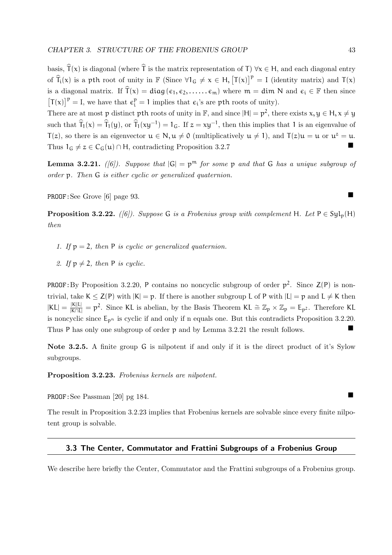basis,  $\widehat{T}(x)$  is diagonal (where  $\widehat{T}$  is the matrix representation of T)  $\forall x \in H$ , and each diagonal entry of  $\widehat{T}_i(x)$  is a pth root of unity in  $\mathbb{F}$  (Since  $\forall 1_G \neq x \in H$ ,  $[T(x)]^p = I$  (identity matrix) and  $T(x)$ is a diagonal matrix. If  $\hat{\mathsf{T}}(\mathsf{x}) = \text{diag}(\epsilon_1, \epsilon_2, \dots, \epsilon_m)$  where  $\mathsf{m} = \text{dim }\mathsf{N}$  and  $\epsilon_i \in \mathbb{F}$  then since  $[T(x)]^p = I$ , we have that  $\varepsilon_i^p = 1$  implies that  $\varepsilon_i$ 's are pth roots of unity).

There are at most p distinct pth roots of unity in  $\mathbb{F}$ , and since  $|H| = p^2$ , there exists  $x, y \in H$ ,  $x \neq y$ such that  $\hat{T}_1(x) = \hat{T}_1(y)$ , or  $\hat{T}_1(xy^{-1}) = 1_G$ . If  $z = xy^{-1}$ , then this implies that 1 is an eigenvalue of  $T(z)$ , so there is an eigenvector  $u \in N$ ,  $u \neq 0$  (multiplicatively  $u \neq 1$ ), and  $T(z)u = u$  or  $u^z = u$ . Thus  $1_G \neq z \in C_G(u) \cap H$ , contradicting Proposition 3.2.7

**Lemma 3.2.21.** ([6]). Suppose that  $|G| = p^m$  for some p and that G has a unique subgroup of order p. Then G is either cyclic or generalized quaternion.

PROOF:See Grove [6] page 93.

**Proposition 3.2.22.** ([6]). Suppose G is a Frobenius group with complement H. Let  $P \in \text{Syl}_n(H)$ then

- 1. If  $p = 2$ , then P is cyclic or generalized quaternion.
- 2. If  $p \neq 2$ , then P is cyclic.

**PROOF:** By Proposition 3.2.20, P contains no noncyclic subgroup of order  $p^2$ . Since  $Z(P)$  is nontrivial, take  $K \leq Z(P)$  with  $|K| = p$ . If there is another subgroup L of P with  $|L| = p$  and  $L \neq K$  then  $|KL| = \frac{|K||L|}{|K \cap L|} = p^2$ . Since KL is abelian, by the Basis Theorem KL  $\cong \mathbb{Z}_p \times \mathbb{Z}_p = \mathsf{E}_{p^2}$ . Therefore KL is noncyclic since  $E_{p^n}$  is cyclic if and only if n equals one. But this contradicts Proposition 3.2.20. Thus P has only one subgroup of order p and by Lemma 3.2.21 the result follows.

Note 3.2.5. A finite group G is nilpotent if and only if it is the direct product of it's Sylow subgroups.

Proposition 3.2.23. Frobenius kernels are nilpotent.

PROOF:See Passman [20] pg 184.

The result in Proposition 3.2.23 implies that Frobenius kernels are solvable since every finite nilpotent group is solvable.

#### 3.3 The Center, Commutator and Frattini Subgroups of a Frobenius Group

We describe here briefly the Center, Commutator and the Frattini subgroups of a Frobenius group.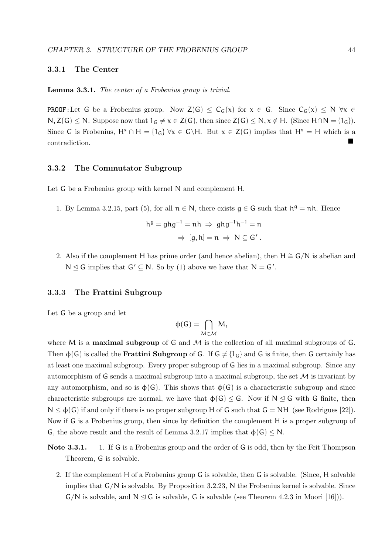#### 3.3.1 The Center

Lemma 3.3.1. The center of a Frobenius group is trivial.

**PROOF:**Let G be a Frobenius group. Now  $Z(G) \leq C_G(x)$  for  $x \in G$ . Since  $C_G(x) \leq N \forall x \in G$  $N, Z(G) \leq N$ . Suppose now that  $1_G \neq x \in Z(G)$ , then since  $Z(G) \leq N, x \notin H$ . (Since  $H \cap N = \{1_G\}$ ). Since G is Frobenius,  $H^x \cap H = \{1_G\} \forall x \in G \backslash H$ . But  $x \in Z(G)$  implies that  $H^x = H$  which is a contradiction.

#### 3.3.2 The Commutator Subgroup

Let G be a Frobenius group with kernel N and complement H.

1. By Lemma 3.2.15, part (5), for all  $n \in N$ , there exists  $g \in G$  such that  $h^g = nh$ . Hence

$$
hg = ghg-1 = nh \Rightarrow ghg-1h-1 = n
$$

$$
\Rightarrow [g, h] = n \Rightarrow N \subseteq G'.
$$

2. Also if the complement H has prime order (and hence abelian), then H  $\cong$  G/N is abelian and  $N \leq G$  implies that  $G' \subseteq N$ . So by (1) above we have that  $N = G'$ .

#### 3.3.3 The Frattini Subgroup

Let G be a group and let

$$
\varphi(G)=\bigcap_{M\in\mathcal{M}}M,
$$

where M is a **maximal subgroup** of G and  $M$  is the collection of all maximal subgroups of G. Then  $\phi(G)$  is called the **Frattini Subgroup** of G. If  $G \neq \{1_G\}$  and G is finite, then G certainly has at least one maximal subgroup. Every proper subgroup of G lies in a maximal subgroup. Since any automorphism of G sends a maximal subgroup into a maximal subgroup, the set  $\mathcal M$  is invariant by any automorphism, and so is  $\phi(G)$ . This shows that  $\phi(G)$  is a characteristic subgroup and since characteristic subgroups are normal, we have that  $\phi(G) \leq G$ . Now if  $N \leq G$  with G finite, then  $N \leq \phi(G)$  if and only if there is no proper subgroup H of G such that  $G = NH$  (see Rodrigues [22]). Now if G is a Frobenius group, then since by definition the complement H is a proper subgroup of G, the above result and the result of Lemma 3.2.17 implies that  $\phi(G) \leq N$ .

- Note 3.3.1. 1. If G is a Frobenius group and the order of G is odd, then by the Feit Thompson Theorem, G is solvable.
	- 2. If the complement H of a Frobenius group G is solvable, then G is solvable. (Since, H solvable implies that G/N is solvable. By Proposition 3.2.23, N the Frobenius kernel is solvable. Since  $G/N$  is solvable, and  $N \triangleleft G$  is solvable, G is solvable (see Theorem 4.2.3 in Moori [16])).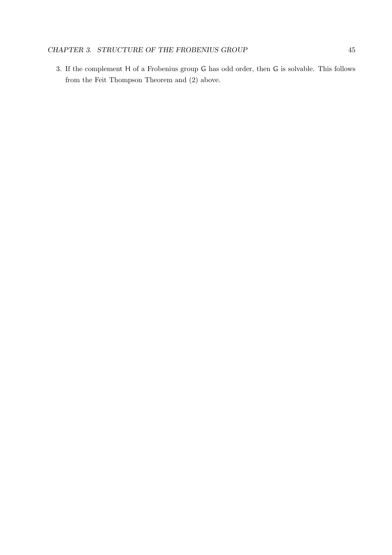3. If the complement H of a Frobenius group G has odd order, then G is solvable. This follows from the Feit Thompson Theorem and (2) above.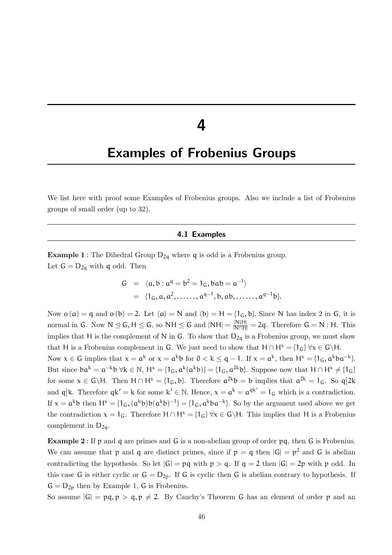### 4

### Examples of Frobenius Groups

We list here with proof some Examples of Frobenius groups. Also we include a list of Frobenius groups of small order (up to 32).

#### 4.1 Examples

**Example 1** : The Dihedral Group  $D_{2q}$  where q is odd is a Frobenius group. Let  $G = D_{2q}$  with q odd. Then

G = 
$$
\langle a, b : a^q = b^2 = 1_G, bab = a^{-1} \rangle
$$
  
=  $\{1_G, a, a^2, \dots, a^{q-1}, b, ab, \dots, a^{q-1}b\}.$ 

Now  $o(a) = q$  and  $o(b) = 2$ . Let  $\langle a \rangle = N$  and  $\langle b \rangle = H = \{1_G, b\}$ . Since N has index 2 in G, it is normal in G. Now  $N \leq G$ ,  $H \leq G$ , so  $NH \leq G$  and  $NH = \frac{|N||H|}{|N \cap H|} = 2q$ . Therefore  $G = N$ : H. This implies that H is the complement of N in G. To show that  $D_{2q}$  is a Frobenius group, we must show that H is a Frobenius complement in G. We just need to show that  $H \cap H^x = \{1_G\} \forall x \in G \backslash H$ .

Now  $x \in G$  implies that  $x = a^k$  or  $x = a^k b$  for  $0 < k \le q - 1$ . If  $x = a^k$ , then  $H^x = \{1_G, a^k ba^{-k}\}$ . But since  $ba^k = a^{-k}b \forall k \in \mathbb{N}, H^x = \{1_G, a^k(a^k b)\} = \{1_G, a^{2k} b\}.$  Suppose now that  $H \cap H^x \neq \{1_G\}$ for some  $x \in G \backslash H$ . Then  $H \cap H^x = \{1_G, b\}$ . Therefore  $a^{2k}b = b$  implies that  $a^{2k} = 1_G$ . So  $q|2k$ and  $q|k$ . Therefore  $qk' = k$  for some  $k' \in \mathbb{N}$ . Hence,  $x = \alpha^k = \alpha^{qk'} = 1_G$  which is a contradiction. If  $x = a^k b$  then  $H^x = \{1_G, (a^k b) b(a^k b)^{-1}\} = \{1_G, a^k ba^{-k}\}$ . So by the argument used above we get the contradiction  $x = 1_G$ . Therefore  $H \cap H^x = \{1_G\} \forall x \in G \backslash H$ . This implies that H is a Frobenius complement in  $D_{2q}$ .

Example 2 : If p and q are primes and G is a non-abelian group of order pq, then G is Frobenius. We can assume that p and q are distinct primes, since if  $p = q$  then  $|G| = p^2$  and G is abelian contradicting the hypothesis. So let  $|G| = pq$  with  $p > q$ . If  $q = 2$  then  $|G| = 2p$  with p odd. In this case G is either cyclic or  $G = D_{2p}$ . If G is cyclic then G is abelian contrary to hypothesis. If  $G = D_{2p}$  then by Example 1, G is Frobenius.

So assume  $|G| = pq, p > q, p \neq 2$ . By Cauchy's Theorem G has an element of order p and an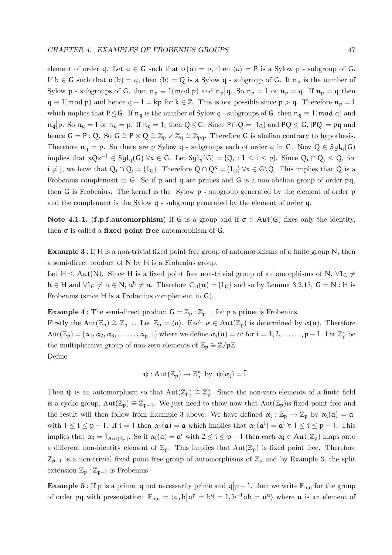element of order q. Let  $a \in G$  such that  $o(a) = p$ , then  $\langle a \rangle = P$  is a Sylow p - subgroup of G. If  $b \in G$  such that  $o(b) = q$ , then  $\langle b \rangle = Q$  is a Sylow q - subgroup of G. If  $n_p$  is the number of Sylow p - subgroups of G, then  $n_p \equiv 1 \pmod{p}$  and  $n_p \mid q$ . So  $n_p = 1$  or  $n_p = q$ . If  $n_p = q$  then  $q \equiv 1 \pmod{p}$  and hence  $q - 1 = kp$  for  $k \in \mathbb{Z}$ . This is not possible since  $p > q$ . Therefore  $n_p = 1$ which implies that P $\leq$ G. If  $n_q$  is the number of Sylow q - subgroups of G, then  $n_q \equiv 1 \pmod{q}$  and  $n_q$ |p. So  $n_q = 1$  or  $n_q = p$ . If  $n_q = 1$ , then  $Q \trianglelefteq G$ . Since  $P \cap Q = \{1_G\}$  and  $PQ \leq G$ ,  $|PQ| = pq$  and hence  $G = P : Q$ . So  $G \cong P \times Q \cong \mathbb{Z}_p \times \mathbb{Z}_q \cong \mathbb{Z}_{pq}$ . Therefore G is abelian contrary to hypothesis. Therefore  $n_q = p$ . So there are p Sylow q - subgroups each of order q in G. Now  $Q \in Syl_q(G)$ implies that  $xQx^{-1} \in Syl_q(G)$   $\forall x \in G$ . Let  $Syl_q(G) = \{Q_i : 1 \leq i \leq p\}$ . Since  $Q_i \cap Q_j \leq Q_i$  for  $i \neq j$ , we have that  $Q_i \cap Q_j = \{1_G\}$ . Therefore  $Q \cap Q^x = \{1_G\} \forall x \in G \backslash Q$ . This implies that Q is a Frobenius complement in G. So if p and q are primes and G is a non-abelian group of order pq, then G is Frobenius. The kernel is the Sylow p - subgroup generated by the element of order p and the complement is the Sylow q - subgroup generated by the element of order q.

Note 4.1.1. (f.p.f.automorphism) If G is a group and if  $\sigma \in Aut(G)$  fixes only the identity, then  $\sigma$  is called a fixed point free automorphism of  $G$ .

Example 3 : If H is a non-trivial fixed point free group of automorphisms of a finite group N, then a semi-direct product of N by H is a Frobenius group.

Let H  $\leq$  Aut(N). Since H is a fixed point free non-trivial group of automorphisms of N,  $\forall$ 1<sub>G</sub>  $\neq$  $h \in H$  and  $\forall 1_G \neq n \in N$ ,  $n^h \neq n$ . Therefore  $C_H(n) = \{1_G\}$  and so by Lemma 3.2.15,  $G = N : H$  is Frobenius (since H is a Frobenius complement in G).

**Example 4** : The semi-direct product  $G = \mathbb{Z}_p : \mathbb{Z}_{p-1}$  for p a prime is Frobenius.

Firstly the Aut( $\mathbb{Z}_p$ )  $\cong \mathbb{Z}_{p-1}$ . Let  $\mathbb{Z}_p = \langle \mathfrak{a} \rangle$ . Each  $\alpha \in \text{Aut}(\mathbb{Z}_p)$  is determined by  $\alpha(\mathfrak{a})$ . Therefore  $Aut(\mathbb{Z}_p) = {\alpha_1, \alpha_2, \alpha_3, \ldots, \alpha_{p-1}}$  where we define  $\alpha_i(\mathfrak{a}) = \mathfrak{a}^i$  for  $i = 1, 2, \ldots, p-1$ . Let  $\mathbb{Z}_p^*$  be the multiplicative group of non-zero elements of  $\mathbb{Z}_p \cong \mathbb{Z}/p\mathbb{Z}$ . Define

$$
\psi: Aut(\mathbb{Z}_p) \mapsto \mathbb{Z}_p^* \ \text{ by } \ \psi(\alpha_i) = \overline{i}
$$

Then  $\psi$  is an automorphism so that  $Aut(\mathbb{Z}_p) \cong \mathbb{Z}_p^*$ . Since the non-zero elements of a finite field is a cyclic group,  $Aut(\mathbb{Z}_p) \cong \mathbb{Z}_{p-1}$ . We just need to show now that  $Aut(\mathbb{Z}_p)$  is fixed point free and the result will then follow from Example 3 above. We have defined  $\alpha_i : \mathbb{Z}_p \to \mathbb{Z}_p$  by  $\alpha_i(a) = a^i$ with  $1 \leq i \leq p-1$ . If  $i = 1$  then  $\alpha_1(a) = a$  which implies that  $\alpha_1(a^i) = a^i \forall 1 \leq i \leq p-1$ . This implies that  $\alpha_1 = 1_{\text{Aut}(\mathbb{Z}_p)}$ . So if  $\alpha_i(a) = a^i$  with  $2 \leq i \leq p-1$  then each  $\alpha_i \in \text{Aut}(\mathbb{Z}_p)$  maps onto a different non-identity element of  $\mathbb{Z}_p$ . This implies that  $Aut(\mathbb{Z}_p)$  is fixed point free. Therefore  $Z_{p-1}$  is a non-trivial fixed point free group of automorphisms of  $\mathbb{Z}_p$  and by Example 3, the split extension  $\mathbb{Z}_p : \mathbb{Z}_{p-1}$  is Frobenius.

**Example 5**: If p is a prime, q not necessarily prime and  $q|p-1$ , then we write  $\mathbb{F}_{p,q}$  for the group of order pq with presentation:  $\mathbb{F}_{p,q} = \langle a, b | a^p = b^q = 1, b^{-1}ab = a^u \rangle$  where u is an element of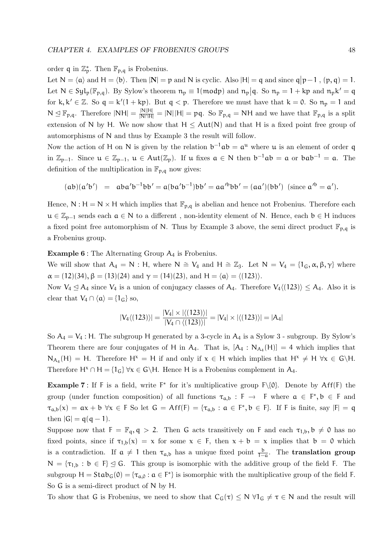### order q in  $\mathbb{Z}_p^*$ . Then  $\mathbb{F}_{p,q}$  is Frobenius.

Let  $N = \langle \mathfrak{a} \rangle$  and  $H = \langle \mathfrak{b} \rangle$ . Then  $|\mathbf{N}| = \mathfrak{p}$  and N is cyclic. Also  $|H| = \mathfrak{q}$  and since  $\mathfrak{q} | \mathfrak{p} - \mathfrak{1}$ ,  $(\mathfrak{p}, \mathfrak{q}) = \mathfrak{1}$ . Let  $N \in Syl_p(\mathbb{F}_{p,q})$ . By Sylow's theorem  $n_p \equiv 1 \pmod{p}$  and  $n_p \mid q$ . So  $n_p = 1 + kp$  and  $n_p k' = q$ for k,  $k' \in \mathbb{Z}$ . So  $q = k'(1 + kp)$ . But  $q < p$ . Therefore we must have that  $k = 0$ . So  $n_p = 1$  and  $N \leq \mathbb{F}_{p,q}$ . Therefore  $|NH| = \frac{|N||H|}{|N \cap H|} = |N| |H| = pq$ . So  $\mathbb{F}_{p,q} = NH$  and we have that  $\mathbb{F}_{p,q}$  is a split extension of N by H. We now show that  $H \leq Aut(N)$  and that H is a fixed point free group of automorphisms of N and thus by Example 3 the result will follow.

Now the action of H on N is given by the relation  $b^{-1}ab = a^{\mu}$  where  $\mu$  is an element of order q in  $\mathbb{Z}_{p-1}$ . Since  $u \in \mathbb{Z}_{p-1}$ ,  $u \in Aut(\mathbb{Z}_p)$ . If u fixes  $a \in N$  then  $b^{-1}ab = a$  or  $bab^{-1} = a$ . The definition of the multiplication in  $\mathbb{F}_{p,q}$  now gives:

$$
(ab)(a'b')\ =\ aba'b^{-1}bb' = a(ba'b^{-1})bb' = aa'^bbb' = (aa')(bb')\ \ (\mathrm{since}\ a'^b = a').
$$

Hence,  $N : H = N \times H$  which implies that  $\mathbb{F}_{p,q}$  is abelian and hence not Frobenius. Therefore each  $u \in \mathbb{Z}_{p-1}$  sends each  $a \in N$  to a different, non-identity element of N. Hence, each  $b \in H$  induces a fixed point free automorphism of N. Thus by Example 3 above, the semi direct product  $\mathbb{F}_{p,q}$  is a Frobenius group.

Example 6 : The Alternating Group A<sup>4</sup> is Frobenius.

We will show that  $A_4 = N : H$ , where  $N \cong V_4$  and  $H \cong \mathbb{Z}_3$ . Let  $N = V_4 = \{1_G, \alpha, \beta, \gamma\}$  where  $\alpha = (12)(34), \beta = (13)(24) \text{ and } \gamma = (14)(23), \text{ and } H = \langle \alpha \rangle = \langle (123) \rangle.$ 

Now  $V_4 \leq A_4$  since  $V_4$  is a union of conjugacy classes of  $A_4$ . Therefore  $V_4\langle (123) \rangle \leq A_4$ . Also it is clear that  $V_4 \cap \langle a \rangle = {1_G}$  so,

$$
|V_4\langle (123)\rangle| = \frac{|V_4| \times |\langle (123)\rangle|}{|V_4 \cap \langle (123)\rangle|} = |V_4| \times |\langle (123)\rangle| = |A_4|
$$

So  $A_4 = V_4$ : H. The subgroup H generated by a 3-cycle in  $A_4$  is a Sylow 3 - subgroup. By Sylow's Theorem there are four conjugates of H in  $A_4$ . That is,  $[A_4 : N_{A_4}(H)] = 4$  which implies that  $N_{A_4}(H) = H$ . Therefore  $H^x = H$  if and only if  $x \in H$  which implies that  $H^x \neq H$   $\forall x \in G\backslash H$ . Therefore H<sup>x</sup> ∩ H = {1<sub>G</sub>}  $\forall x \in G \backslash H$ . Hence H is a Frobenius complement in A<sub>4</sub>.

**Example 7**: If F is a field, write  $F^*$  for it's multiplicative group  $F\setminus\{0\}$ . Denote by Aff(F) the group (under function composition) of all functions  $\tau_{a,b} : F \to F$  where  $a \in F^*$ ,  $b \in F$  and  $\tau_{a,b}(x) = \alpha x + b \ \forall x \in F$  So let  $G = Aff(F) = {\tau_{a,b} : a \in F^* , b \in F}$ . If F is finite, say  $|F| = q$ then  $|G| = q(q - 1)$ .

Suppose now that  $F = \mathbb{F}_q$ ,  $q > 2$ . Then G acts transitively on F and each  $\tau_{1,b}$ ,  $b \neq 0$  has no fixed points, since if  $\tau_{1,b}(x) = x$  for some  $x \in F$ , then  $x + b = x$  implies that  $b = 0$  which is a contradiction. If  $\alpha \neq 1$  then  $\tau_{\alpha,b}$  has a unique fixed point  $\frac{b}{1-\alpha}$ . The **translation group**  $N = {\tau_{1,b} : b \in F} \le G$ . This group is isomorphic with the additive group of the field F. The subgroup  $H = Stab_G(0) = {\tau_{a,0} : a \in F^*}$  is isomorphic with the multiplicative group of the field F. So G is a semi-direct product of N by H.

To show that G is Frobenius, we need to show that  $C_G(\tau) \leq N \forall 1_G \neq \tau \in N$  and the result will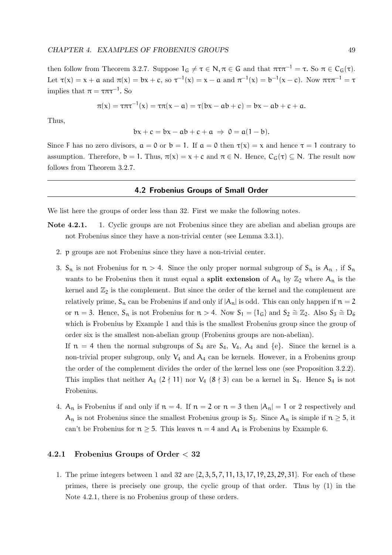then follow from Theorem 3.2.7. Suppose  $1_G \neq \tau \in \mathbb{N}, \pi \in \mathbb{G}$  and that  $\pi \tau \pi^{-1} = \tau$ . So  $\pi \in C_G(\tau)$ . Let  $\tau(x) = x + a$  and  $\pi(x) = bx + c$ , so  $\tau^{-1}(x) = x - a$  and  $\pi^{-1}(x) = b^{-1}(x - c)$ . Now  $\pi \tau \pi^{-1} = \tau$ implies that  $\pi = \tau \pi \tau^{-1}$ . So

$$
\pi(x) = \tau \pi \tau^{-1}(x) = \tau \pi(x - a) = \tau(bx - ab + c) = bx - ab + c + a.
$$

Thus,

$$
bx + c = bx - ab + c + a \Rightarrow 0 = a(1 - b).
$$

Since F has no zero divisors,  $a = 0$  or  $b = 1$ . If  $a = 0$  then  $\tau(x) = x$  and hence  $\tau = 1$  contrary to assumption. Therefore,  $b = 1$ . Thus,  $\pi(x) = x + c$  and  $\pi \in N$ . Hence,  $C_G(\tau) \subseteq N$ . The result now follows from Theorem 3.2.7.

#### 4.2 Frobenius Groups of Small Order

We list here the groups of order less than 32. First we make the following notes.

- Note 4.2.1. 1. Cyclic groups are not Frobenius since they are abelian and abelian groups are not Frobenius since they have a non-trivial center (see Lemma 3.3.1).
	- 2. p groups are not Frobenius since they have a non-trivial center.
	- 3.  $S_n$  is not Frobenius for  $n > 4$ . Since the only proper normal subgroup of  $S_n$  is  $A_n$ , if  $S_n$ wants to be Frobenius then it must equal a **split extension** of  $A_n$  by  $\mathbb{Z}_2$  where  $A_n$  is the kernel and  $\mathbb{Z}_2$  is the complement. But since the order of the kernel and the complement are relatively prime,  $S_n$  can be Frobenius if and only if  $|A_n|$  is odd. This can only happen if  $n = 2$ or  $n = 3$ . Hence,  $S_n$  is not Frobenius for  $n > 4$ . Now  $S_1 = \{1_G\}$  and  $S_2 \cong \mathbb{Z}_2$ . Also  $S_3 \cong \mathbb{D}_6$ which is Frobenius by Example 1 and this is the smallest Frobenius group since the group of order six is the smallest non-abelian group (Frobenius groups are non-abelian).

If  $n = 4$  then the normal subgroups of  $S_4$  are  $S_4$ ,  $V_4$ ,  $A_4$  and  $\{e\}$ . Since the kernel is a non-trivial proper subgroup, only  $V_4$  and  $A_4$  can be kernels. However, in a Frobenius group the order of the complement divides the order of the kernel less one (see Proposition 3.2.2). This implies that neither A<sub>4</sub>  $(2 \nmid 11)$  nor V<sub>4</sub>  $(8 \nmid 3)$  can be a kernel in S<sub>4</sub>. Hence S<sub>4</sub> is not Frobenius.

4.  $A_n$  is Frobenius if and only if  $n = 4$ . If  $n = 2$  or  $n = 3$  then  $|A_n| = 1$  or 2 respectively and  $A_n$  is not Frobenius since the smallest Frobenius group is  $S_3$ . Since  $A_n$  is simple if  $n \geq 5$ , it can't be Frobenius for  $n \geq 5$ . This leaves  $n = 4$  and  $A_4$  is Frobenius by Example 6.

#### 4.2.1 Frobenius Groups of Order < 32

1. The prime integers between 1 and 32 are {2, 3, 5, 7, 11, 13, 17, 19, 23, 29, 31}. For each of these primes, there is precisely one group, the cyclic group of that order. Thus by (1) in the Note 4.2.1, there is no Frobenius group of these orders.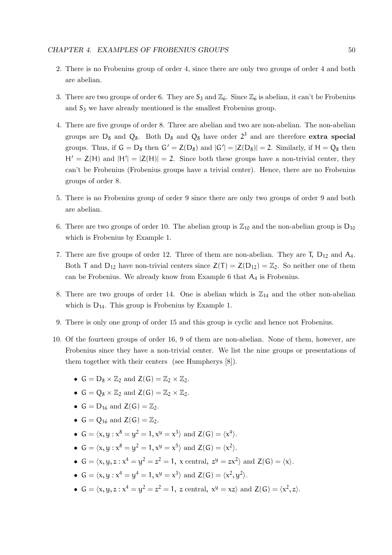- 2. There is no Frobenius group of order 4, since there are only two groups of order 4 and both are abelian.
- 3. There are two groups of order 6. They are  $S_3$  and  $\mathbb{Z}_6$ . Since  $\mathbb{Z}_6$  is abelian, it can't be Frobenius and  $S_3$  we have already mentioned is the smallest Frobenius group.
- 4. There are five groups of order 8. Three are abelian and two are non-abelian. The non-abelian groups are  $D_8$  and  $Q_8$ . Both  $D_8$  and  $Q_8$  have order  $2^3$  and are therefore **extra special** groups. Thus, if  $G = D_8$  then  $G' = Z(D_8)$  and  $|G'| = |Z(D_8)| = 2$ . Similarly, if  $H = Q_8$  then  $H' = Z(H)$  and  $|H'| = |Z(H)| = 2$ . Since both these groups have a non-trivial center, they can't be Frobenius (Frobenius groups have a trivial center). Hence, there are no Frobenius groups of order 8.
- 5. There is no Frobenius group of order 9 since there are only two groups of order 9 and both are abelian.
- 6. There are two groups of order 10. The abelian group is  $\mathbb{Z}_{10}$  and the non-abelian group is  $D_{10}$ which is Frobenius by Example 1.
- 7. There are five groups of order 12. Three of them are non-abelian. They are  $T$ ,  $D_{12}$  and  $A_4$ . Both T and  $D_{12}$  have non-trivial centers since  $Z(T) = Z(D_{12}) = \mathbb{Z}_2$ . So neither one of them can be Frobenius. We already know from Example 6 that  $A_4$  is Frobenius.
- 8. There are two groups of order 14. One is abelian which is  $\mathbb{Z}_{14}$  and the other non-abelian which is  $D_{14}$ . This group is Frobenius by Example 1.
- 9. There is only one group of order 15 and this group is cyclic and hence not Frobenius.
- 10. Of the fourteen groups of order 16, 9 of them are non-abelian. None of them, however, are Frobenius since they have a non-trivial center. We list the nine groups or presentations of them together with their centers (see Humpherys [8]).
	- $G = D_8 \times \mathbb{Z}_2$  and  $Z(G) = \mathbb{Z}_2 \times \mathbb{Z}_2$ .
	- $G = Q_8 \times \mathbb{Z}_2$  and  $Z(G) = \mathbb{Z}_2 \times \mathbb{Z}_2$ .
	- $G = D_{16}$  and  $Z(G) = \mathbb{Z}_2$ .
	- $G = Q_{16}$  and  $Z(G) = \mathbb{Z}_2$ .
	- $G = \langle x, y : x^8 = y^2 = 1, x^y = x^3 \rangle$  and  $Z(G) = \langle x^4 \rangle$ .
	- $G = \langle x, y : x^8 = y^2 = 1, x^y = x^5 \rangle$  and  $Z(G) = \langle x^2 \rangle$ .
	- $G = \langle x, y, z : x^4 = y^2 = z^2 = 1, x \text{ central}, z^y = zx^2 \rangle \text{ and } Z(G) = \langle x \rangle.$
	- $G = \langle x, y : x^4 = y^4 = 1, x^y = x^3 \rangle$  and  $Z(G) = \langle x^2, y^2 \rangle$ .
	- $G = \langle x, y, z : x^4 = y^2 = z^2 = 1, z \text{ central}, x^y = xz \rangle \text{ and } Z(G) = \langle x^2, z \rangle.$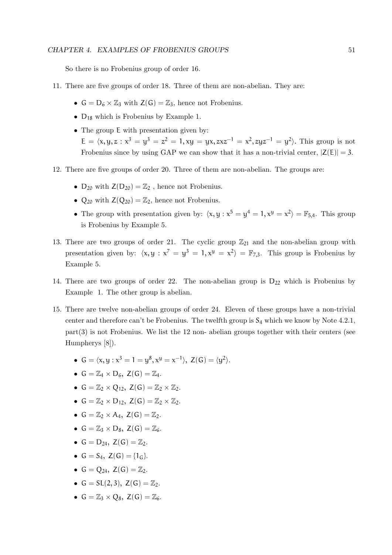So there is no Frobenius group of order 16.

- 11. There are five groups of order 18. Three of them are non-abelian. They are:
	- $G = D_6 \times \mathbb{Z}_3$  with  $Z(G) = \mathbb{Z}_3$ , hence not Frobenius.
	- D<sup>18</sup> which is Frobenius by Example 1.
	- The group  $E$  with presentation given by:  $E = \langle x, y, z : x^3 = y^3 = z^2 = 1, xy = yx, zxz^{-1} = x^2, zyz^{-1} = y^2 \rangle$ . This group is not Frobenius since by using GAP we can show that it has a non-trivial center,  $|Z(E)| = 3$ .
- 12. There are five groups of order 20. Three of them are non-abelian. The groups are:
	- $D_{20}$  with  $Z(D_{20}) = \mathbb{Z}_2$ , hence not Frobenius.
	- $Q_{20}$  with  $Z(Q_{20}) = \mathbb{Z}_2$ , hence not Frobenius.
	- The group with presentation given by:  $\langle x, y : x^5 = y^4 = 1, x^y = x^2 \rangle = \mathbb{F}_{5,4}$ . This group is Frobenius by Example 5.
- 13. There are two groups of order 21. The cyclic group  $\mathbb{Z}_{21}$  and the non-abelian group with presentation given by:  $\langle x, y : x^7 = y^3 = 1, x^y = x^2 \rangle = \mathbb{F}_{7,3}$ . This group is Frobenius by Example 5.
- 14. There are two groups of order 22. The non-abelian group is  $D_{22}$  which is Frobenius by Example 1. The other group is abelian.
- 15. There are twelve non-abelian groups of order 24. Eleven of these groups have a non-trivial center and therefore can't be Frobenius. The twelfth group is  $S_4$  which we know by Note 4.2.1,  $part(3)$  is not Frobenius. We list the 12 non- abelian groups together with their centers (see Humpherys [8]).
	- $G = \langle x, y : x^3 = 1 = y^8, x^y = x^{-1} \rangle$ ,  $Z(G) = \langle y^2 \rangle$ .
	- $G = \mathbb{Z}_4 \times D_6$ ,  $Z(G) = \mathbb{Z}_4$ .
	- $G = \mathbb{Z}_2 \times Q_{12}$ ,  $Z(G) = \mathbb{Z}_2 \times \mathbb{Z}_2$ .
	- $G = \mathbb{Z}_2 \times D_{12}$ ,  $Z(G) = \mathbb{Z}_2 \times \mathbb{Z}_2$ .
	- $G = \mathbb{Z}_2 \times A_4$ ,  $Z(G) = \mathbb{Z}_2$ .
	- $G = \mathbb{Z}_3 \times D_8$ ,  $Z(G) = \mathbb{Z}_6$ .
	- $G = D_{24}$ ,  $Z(G) = \mathbb{Z}_2$ .
	- $G = S_4$ ,  $Z(G) = \{1_G\}.$
	- $G = Q_{24}$ ,  $Z(G) = \mathbb{Z}_2$ .
	- $G = SL(2, 3), Z(G) = \mathbb{Z}_2.$
	- $G = \mathbb{Z}_3 \times Q_8$ ,  $Z(G) = \mathbb{Z}_6$ .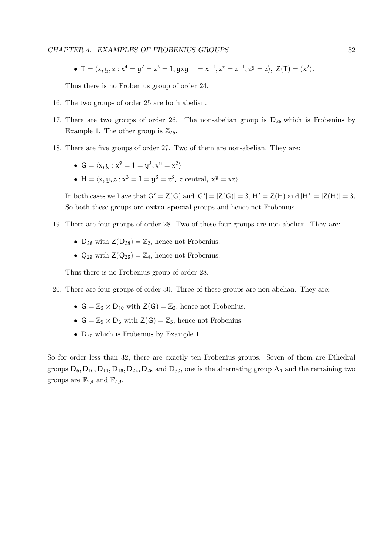CHAPTER 4. EXAMPLES OF FROBENIUS GROUPS 52

•  $T = \langle x, y, z : x^4 = y^2 = z^3 = 1, yxy^{-1} = x^{-1}, z^x = z^{-1}, z^y = z \rangle, Z(T) = \langle x^2 \rangle.$ 

Thus there is no Frobenius group of order 24.

- 16. The two groups of order 25 are both abelian.
- 17. There are two groups of order 26. The non-abelian group is  $D_{26}$  which is Frobenius by Example 1. The other group is  $\mathbb{Z}_{26}$ .
- 18. There are five groups of order 27. Two of them are non-abelian. They are:
	- $G = \langle x, y : x^9 = 1 = y^3, x^9 = x^2 \rangle$
	- H =  $\langle x, y, z : x^3 = 1 = y^3 = z^3, z \text{ central}, x^y = xz \rangle$

In both cases we have that  $G' = Z(G)$  and  $|G'| = |Z(G)| = 3$ ,  $H' = Z(H)$  and  $|H'| = |Z(H)| = 3$ . So both these groups are extra special groups and hence not Frobenius.

- 19. There are four groups of order 28. Two of these four groups are non-abelian. They are:
	- $D_{28}$  with  $Z(D_{28}) = \mathbb{Z}_2$ , hence not Frobenius.
	- $Q_{28}$  with  $Z(Q_{28}) = \mathbb{Z}_4$ , hence not Frobenius.

Thus there is no Frobenius group of order 28.

- 20. There are four groups of order 30. Three of these groups are non-abelian. They are:
	- $G = \mathbb{Z}_3 \times D_{10}$  with  $Z(G) = \mathbb{Z}_3$ , hence not Frobenius.
	- $G = \mathbb{Z}_5 \times D_6$  with  $Z(G) = \mathbb{Z}_5$ , hence not Frobenius.
	- D<sup>30</sup> which is Frobenius by Example 1.

So for order less than 32, there are exactly ten Frobenius groups. Seven of them are Dihedral groups  $D_6$ ,  $D_{10}$ ,  $D_{14}$ ,  $D_{18}$ ,  $D_{22}$ ,  $D_{26}$  and  $D_{30}$ , one is the alternating group  $A_4$  and the remaining two groups are  $\mathbb{F}_{5,4}$  and  $\mathbb{F}_{7,3}$ .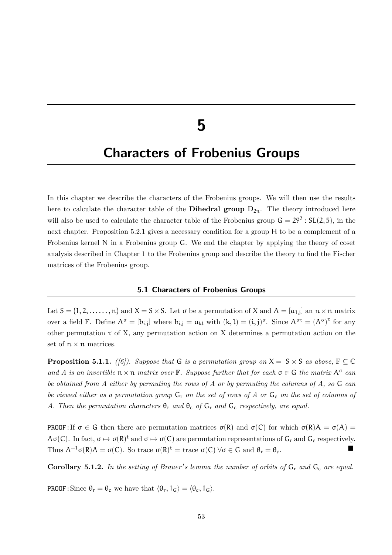## 5

### Characters of Frobenius Groups

In this chapter we describe the characters of the Frobenius groups. We will then use the results here to calculate the character table of the **Dihedral group**  $D_{2n}$ . The theory introduced here will also be used to calculate the character table of the Frobenius group  $G = 29^2 : SL(2, 5)$ , in the next chapter. Proposition 5.2.1 gives a necessary condition for a group H to be a complement of a Frobenius kernel N in a Frobenius group G. We end the chapter by applying the theory of coset analysis described in Chapter 1 to the Frobenius group and describe the theory to find the Fischer matrices of the Frobenius group.

#### 5.1 Characters of Frobenius Groups

Let  $S = \{1, 2, \ldots, n\}$  and  $X = S \times S$ . Let  $\sigma$  be a permutation of X and  $A = [\alpha_{1,j}]$  an  $n \times n$  matrix over a field  $\mathbb{F}$ . Define  $A^{\sigma} = [b_{i,j}]$  where  $b_{i,j} = a_{k1}$  with  $(k, l) = (i, j)^{\sigma}$ . Since  $A^{\sigma \tau} = (A^{\sigma})^{\tau}$  for any other permutation  $\tau$  of X, any permutation action on X determines a permutation action on the set of  $n \times n$  matrices.

**Proposition 5.1.1.** ([6]). Suppose that G is a permutation group on  $X = S \times S$  as above,  $\mathbb{F} \subseteq \mathbb{C}$ and A is an invertible  $n \times n$  matrix over  $\mathbb{F}$ . Suppose further that for each  $\sigma \in \mathbb{G}$  the matrix  $A^{\sigma}$  can be obtained from A either by permuting the rows of A or by permuting the columns of A, so G can be viewed either as a permutation group  $G_r$  on the set of rows of A or  $G_c$  on the set of columns of A. Then the permutation characters  $\theta_r$  and  $\theta_c$  of  $G_r$  and  $G_c$  respectively, are equal.

PROOF: If  $\sigma \in G$  then there are permutation matrices  $\sigma(R)$  and  $\sigma(C)$  for which  $\sigma(R)A = \sigma(A)$  $A\sigma(C)$ . In fact,  $\sigma \mapsto \sigma(R)^t$  and  $\sigma \mapsto \sigma(C)$  are permutation representations of  $G_r$  and  $G_c$  respectively. Thus  $A^{-1}\sigma(R)A = \sigma(C)$ . So trace  $\sigma(R)^t = \text{trace }\sigma(C)$   $\forall \sigma \in G$  and  $\theta_r = \theta_c$ .

Corollary 5.1.2. In the setting of Brauer's lemma the number of orbits of  $G_r$  and  $G_c$  are equal.

**PROOF:** Since  $\theta_r = \theta_c$  we have that  $\langle \theta_r, 1_G \rangle = \langle \theta_c, 1_G \rangle$ .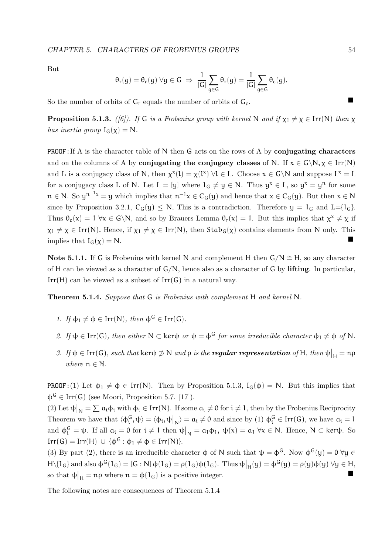But

$$
\theta_r(g) = \theta_c(g) \ \forall g \in G \ \Rightarrow \ \frac{1}{|G|} \sum_{g \in G} \theta_r(g) = \frac{1}{|G|} \sum_{g \in G} \theta_c(g).
$$

So the number of orbits of  $G_r$  equals the number of orbits of  $G_c$ .

**Proposition 5.1.3.** ([6]). If G is a Frobenius group with kernel N and if  $\chi_1 \neq \chi \in \text{Irr}(N)$  then  $\chi$ has inertia group  $I_G(\chi) = N$ .

**PROOF:** If A is the character table of N then G acts on the rows of A by conjugating characters and on the columns of A by **conjugating the conjugacy classes** of N. If  $x \in G\backslash N, \chi \in Irr(N)$ and L is a conjugacy class of N, then  $\chi^x(1) = \chi(1^x) \,\forall 1 \in L$ . Choose  $x \in G \backslash N$  and suppose  $L^x = L$ for a conjugacy class L of N. Let  $L = [y]$  where  $1_G \neq y \in N$ . Thus  $y^x \in L$ , so  $y^x = y^n$  for some  $n \in N$ . So  $y^{n^{-1}x} = y$  which implies that  $n^{-1}x \in C_G(y)$  and hence that  $x \in C_G(y)$ . But then  $x \in N$ since by Proposition 3.2.1,  $C_G(y) \leq N$ . This is a contradiction. Therefore  $y = 1_G$  and  $L = \{1_G\}$ . Thus  $\theta_c(x) = 1 \ \forall x \in G \backslash N$ , and so by Brauers Lemma  $\theta_r(x) = 1$ . But this implies that  $\chi^x \neq \chi$  if  $\chi_1 \neq \chi \in \text{Irr}(N)$ . Hence, if  $\chi_1 \neq \chi \in \text{Irr}(N)$ , then  $\text{Stab}_G(\chi)$  contains elements from N only. This implies that  $I_G(\chi) = N$ .

Note 5.1.1. If G is Frobenius with kernel N and complement H then  $G/N \cong H$ , so any character of H can be viewed as a character of  $G/N$ , hence also as a character of G by lifting. In particular,  $Irr(H)$  can be viewed as a subset of  $Irr(G)$  in a natural way.

**Theorem 5.1.4.** Suppose that  $G$  is Frobenius with complement  $H$  and kernel  $N$ .

- 1. If  $\phi_1 \neq \phi \in \text{Irr}(N)$ , then  $\phi^G \in \text{Irr}(G)$ .
- 2. If  $\psi \in \text{Irr}(G)$ , then either  $N \subset \text{ker}\psi$  or  $\psi = \phi^G$  for some irreducible character  $\phi_1 \neq \phi$  of N.
- 3. If  $ψ ∈ Irr(G)$ , such that ker $ψ ∉ ℕ$  and  $ρ$  is the **regular representation** of H, then  $ψ|_H = np$ where  $n \in \mathbb{N}$ .

**PROOF:**(1) Let  $\phi_1 \neq \phi \in \text{Irr}(N)$ . Then by Proposition 5.1.3, I<sub>G</sub>( $\phi$ ) = N. But this implies that  $\phi^{\mathsf{G}} \in \text{Irr}(\mathsf{G})$  (see Moori, Proposition 5.7. [17]).

(2) Let  $\psi|_N = \sum a_i \phi_i$  with  $\phi_i \in Irr(N)$ . If some  $a_i \neq 0$  for  $i \neq 1$ , then by the Frobenius Reciprocity Theorem we have that  $\langle \phi_i^G, \psi \rangle = \langle \phi_i, \psi \rangle \rangle = a_i \neq 0$  and since by (1)  $\phi_i^G \in \text{Irr}(G)$ , we have  $a_i = 1$ and  $\phi_i^G = \psi$ . If all  $a_i = 0$  for  $i \neq 1$  then  $\psi|_N = a_1 \phi_1$ ,  $\psi(x) = a_1 \forall x \in N$ . Hence,  $N \subset \text{ker}\psi$ . So  $Irr(G) = Irr(H) \cup {\phi^G : \phi_1 \neq \phi \in Irr(N)}.$ 

(3) By part (2), there is an irreducible character  $\phi$  of N such that  $\psi = \phi^G$ . Now  $\phi^G(\psi) = 0$   $\forall \psi \in$  $H \setminus \{1_G\}$  and also  $\phi^G(1_G) = [G : N] \phi(1_G) = \rho(1_G) \phi(1_G)$ . Thus  $\psi|_H(y) = \phi^G(y) = \rho(y) \phi(y)$   $\forall y \in H$ , so that  $\psi|_{\mathcal{H}} = n\rho$  where  $n = \phi(1_G)$  is a positive integer.

The following notes are consequences of Theorem 5.1.4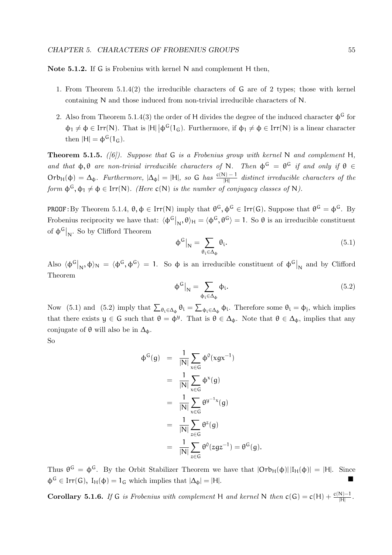Note 5.1.2. If G is Frobenius with kernel N and complement H then,

- 1. From Theorem 5.1.4(2) the irreducible characters of G are of 2 types; those with kernel containing N and those induced from non-trivial irreducible characters of N.
- 2. Also from Theorem 5.1.4(3) the order of H divides the degree of the induced character  $\phi^{\mathsf{G}}$  for  $\phi_1 \neq \phi \in \text{Irr}(N)$ . That is  $|H| |\phi^G(1_G)$ . Furthermore, if  $\phi_1 \neq \phi \in \text{Irr}(N)$  is a linear character then  $|H| = \phi^G(1_G)$ .

**Theorem 5.1.5.** ([6]). Suppose that G is a Frobenius group with kernel N and complement H, and that  $\phi, \theta$  are non-trivial irreducible characters of N. Then  $\phi^G = \theta^G$  if and only if  $\theta \in$  $Orb_H(\phi) = \Delta_{\phi}$ . Furthermore,  $|\Delta_{\phi}| = |H|$ , so G has  $\frac{c(N)-1}{|H|}$  distinct irreducible characters of the form  $\phi^G, \phi_1 \neq \phi \in \text{Irr}(N)$ . (Here  $c(N)$  is the number of conjugacy classes of N).

**PROOF**: By Theorem 5.1.4,  $\theta$ ,  $\phi \in \text{Irr}(N)$  imply that  $\theta^G$ ,  $\phi^G \in \text{Irr}(G)$ . Suppose that  $\theta^G = \phi^G$ . By Frobenius reciprocity we have that:  $\langle \phi^G |_{N}, \theta \rangle_H = \langle \phi^G, \theta^G \rangle = 1$ . So  $\theta$  is an irreducible constituent of  $\phi^G|_N$ . So by Clifford Theorem

$$
\phi^G\big|_N = \sum_{\theta_i \in \Delta_{\phi}} \theta_i. \tag{5.1}
$$

Also  $\langle \phi^G|_N, \phi \rangle_N = \langle \phi^G, \phi^G \rangle = 1$ . So  $\phi$  is an irreducible constituent of  $\phi^G|_N$  and by Clifford Theorem

$$
\phi^G\big|_N = \sum_{\phi_i \in \Delta_{\phi}} \phi_i. \tag{5.2}
$$

Now (5.1) and (5.2) imply that  $\sum_{\theta_i \in \Delta_{\phi}} \theta_i = \sum_{\phi_i \in \Delta_{\phi}} \phi_i$ . Therefore some  $\theta_i = \phi_j$ , which implies that there exists  $y \in G$  such that  $\theta = \phi^y$ . That is  $\theta \in \Delta_{\phi}$ . Note that  $\theta \in \Delta_{\phi}$ , implies that any conjugate of  $\theta$  will also be in  $\Delta_{\phi}$ .

So

$$
\begin{array}{rcl}\n\Phi^G(g) & = & \frac{1}{|N|} \sum_{x \in G} \Phi^0(xgx^{-1}) \\
& = & \frac{1}{|N|} \sum_{x \in G} \Phi^x(g) \\
& = & \frac{1}{|N|} \sum_{x \in G} \theta^{y^{-1}x}(g) \\
& = & \frac{1}{|N|} \sum_{z \in G} \theta^z(g) \\
& = & \frac{1}{|N|} \sum_{z \in G} \theta^0(zgz^{-1}) = \theta^G(g).\n\end{array}
$$

Thus  $\theta^G = \phi^G$ . By the Orbit Stabilizer Theorem we have that  $|Orb_H(\phi)||I_H(\phi)| = |H|$ . Since  $\Phi^G \in \text{Irr}(G)$ ,  $I_H(\Phi) = I_G$  which implies that  $|\Delta_{\Phi}| = |H|$ .

**Corollary 5.1.6.** If G is Frobenius with complement H and kernel N then  $c(G) = c(H) + \frac{c(N)-1}{|H|}$ .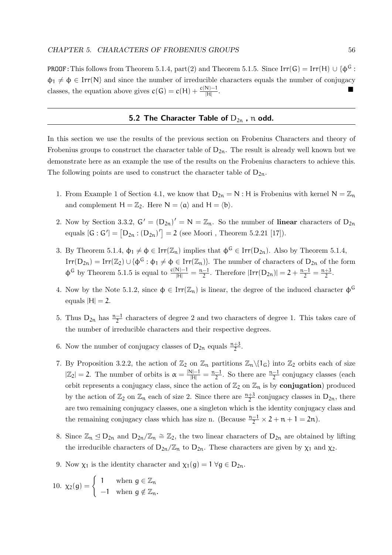**PROOF:** This follows from Theorem 5.1.4, part(2) and Theorem 5.1.5. Since  $\text{Irr}(\mathsf{G}) = \text{Irr}(\mathsf{H}) \cup {\phi^{\mathsf{G}}}$ :  $\phi_1 \neq \phi \in \text{Irr}(N)$  and since the number of irreducible characters equals the number of conjugacy classes, the equation above gives  $c(G) = c(H) + \frac{c(N)-1}{|H|}$ .

#### 5.2 The Character Table of  $D_{2n}$ , n odd.

In this section we use the results of the previous section on Frobenius Characters and theory of Frobenius groups to construct the character table of  $D_{2n}$ . The result is already well known but we demonstrate here as an example the use of the results on the Frobenius characters to achieve this. The following points are used to construct the character table of  $D_{2n}$ .

- 1. From Example 1 of Section 4.1, we know that  $D_{2n} = N : H$  is Frobenius with kernel  $N = \mathbb{Z}_n$ and complement  $H = \mathbb{Z}_2$ . Here  $N = \langle \mathfrak{a} \rangle$  and  $H = \langle \mathfrak{b} \rangle$ .
- 2. Now by Section 3.3.2,  $G' = (D_{2n})' = N = \mathbb{Z}_n$ . So the number of linear characters of  $D_{2n}$ equals  $[G: G'] = [D_{2n} : (D_{2n})'] = 2$  (see Moori, Theorem 5.2.21 [17]).
- 3. By Theorem 5.1.4,  $\phi_1 \neq \phi \in \text{Irr}(\mathbb{Z}_n)$  implies that  $\phi^G \in \text{Irr}(D_{2n})$ . Also by Theorem 5.1.4,  $Irr(D_{2n}) = Irr(\mathbb{Z}_2) \cup {\phi^G : \phi_1 \neq \phi \in Irr(\mathbb{Z}_n)}$ . The number of characters of  $D_{2n}$  of the form  $\Phi^{\mathsf{G}}$  by Theorem 5.1.5 is equal to  $\frac{c(N)-1}{|H|} = \frac{n-1}{2}$  $\frac{-1}{2}$ . Therefore  $|\text{Irr}(D_{2n})|=2+\frac{n-1}{2}=\frac{n+3}{2}$  $\frac{+3}{2}$ .
- 4. Now by the Note 5.1.2, since  $\phi \in \text{Irr}(\mathbb{Z}_n)$  is linear, the degree of the induced character  $\phi^{\mathsf{G}}$ equals  $|H| = 2$ .
- 5. Thus  $D_{2n}$  has  $\frac{n-1}{2}$  characters of degree 2 and two characters of degree 1. This takes care of the number of irreducible characters and their respective degrees.
- 6. Now the number of conjugacy classes of  $D_{2n}$  equals  $\frac{n+3}{2}$ .
- 7. By Proposition 3.2.2, the action of  $\mathbb{Z}_2$  on  $\mathbb{Z}_n$  partitions  $\mathbb{Z}_n\setminus\{1_G\}$  into  $\mathbb{Z}_2$  orbits each of size  $|\mathbb{Z}_2|=2$ . The number of orbits is  $\alpha=\frac{|\mathsf{N}|-1}{|\mathsf{H}|}=\frac{\mathsf{n}-1}{2}$  $\frac{-1}{2}$ . So there are  $\frac{n-1}{2}$  conjugacy classes (each orbit represents a conjugacy class, since the action of  $\mathbb{Z}_2$  on  $\mathbb{Z}_n$  is by **conjugation**) produced by the action of  $\mathbb{Z}_2$  on  $\mathbb{Z}_n$  each of size 2. Since there are  $\frac{n+3}{2}$  conjugacy classes in  $D_{2n}$ , there are two remaining conjugacy classes, one a singleton which is the identity conjugacy class and the remaining conjugacy class which has size n. (Because  $\frac{n-1}{2} \times 2 + n + 1 = 2n$ ).
- 8. Since  $\mathbb{Z}_n$  ⊴  $D_{2n}$  and  $D_{2n}/\mathbb{Z}_n \cong \mathbb{Z}_2$ , the two linear characters of  $D_{2n}$  are obtained by lifting the irreducible characters of  $D_{2n}/\mathbb{Z}_n$  to  $D_{2n}$ . These characters are given by  $\chi_1$  and  $\chi_2$ .
- 9. Now  $\chi_1$  is the identity character and  $\chi_1(g) = 1 \,\forall g \in D_{2n}$ .

$$
10. \ \chi_2(g) = \left\{ \begin{array}{ll} 1 & \hbox{when $g \in \mathbb{Z}_n$} \\ -1 & \hbox{when $g \notin \mathbb{Z}_n$}. \end{array} \right.
$$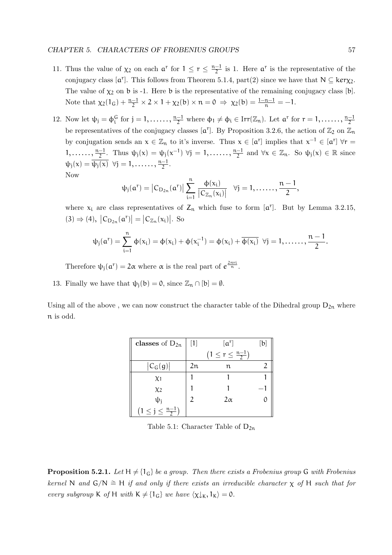- 11. Thus the value of  $\chi_2$  on each  $\mathfrak{a}^r$  for  $1 \leq r \leq \frac{n-1}{2}$  $\frac{-1}{2}$  is 1. Here  $\mathfrak{a}^r$  is the representative of the conjugacy class  $[\mathfrak{a}^r]$ . This follows from Theorem 5.1.4, part(2) since we have that  $N \subseteq \text{ker}\chi_2$ . The value of  $\chi_2$  on b is -1. Here b is the representative of the remaining conjugacy class [b]. Note that  $\chi_2(1_G) + \frac{n-1}{2} \times 2 \times 1 + \chi_2(b) \times n = 0 \Rightarrow \chi_2(b) = \frac{1-n-1}{n} = -1.$
- 12. Now let  $\psi_j = \phi_i^G$  for  $j = 1, \ldots, \frac{n-1}{2}$  where  $\phi_1 \neq \phi_i \in \text{Irr}(\mathbb{Z}_n)$ . Let  $\mathfrak{a}^r$  for  $r = 1, \ldots, \frac{n-1}{2}$ be representatives of the conjugacy classes  $[a^r]$ . By Proposition 3.2.6, the action of  $\mathbb{Z}_2$  on  $\mathbb{Z}_n$ by conjugation sends an  $x \in \mathbb{Z}_n$  to it's inverse. Thus  $x \in [\mathfrak{a}^r]$  implies that  $x^{-1} \in [\mathfrak{a}^r]$   $\forall r =$ 1, .....,  $\frac{n-1}{2}$ . Thus  $\psi_j(x) = \psi_j(x^{-1})$   $\forall j = 1, \dots, \frac{n-1}{2}$  and  $\forall x \in \mathbb{Z}_n$ . So  $\psi_j(x) \in \mathbb{R}$  since  $\psi_j(x) = \overline{\psi_j(x)} \quad \forall j = 1, \dots \dots, \frac{n-1}{2}.$ Now

$$
\psi_j(\boldsymbol{\mathfrak{a}}^r)=\left|C_{D_{2n}}(\boldsymbol{\mathfrak{a}}^r)\right|\sum_{i=1}^n\frac{\varphi(x_i)}{\left|C_{\mathbb{Z}_n}(x_i)\right|}\ \ \forall j=1,\ldots\ldots,\frac{n-1}{2},
$$

where  $x_i$  are class representatives of  $Z_n$  which fuse to form  $[\mathfrak{a}^r]$ . But by Lemma 3.2.15,  $(3) \Rightarrow (4)$ ,  $|C_{D_{2n}}(a^r)| = |C_{\mathbb{Z}_n}(x_i)|$ . So

$$
\psi_j(\alpha^r)=\sum_{i=1}^n\varphi(x_i)=\varphi(x_i)+\varphi(x_i^{-1})=\varphi(x_i)+\overline{\varphi(x_i)}\ \ \forall j=1,\ldots\ldots,\frac{n-1}{2}.
$$

Therefore  $\psi_j(\mathfrak{a}^r) = 2\alpha$  where  $\alpha$  is the real part of  $e^{\frac{2\pi ri}{n}}$ .

13. Finally we have that  $\psi_i(b) = 0$ , since  $\mathbb{Z}_n \cap [b] = \emptyset$ .

Using all of the above, we can now construct the character table of the Dihedral group  $D_{2n}$  where n is odd.

| classes of $D_{2n}$           | $[a^r]$<br>$[1]$ |                               | [b] |
|-------------------------------|------------------|-------------------------------|-----|
|                               |                  | $(1 \le r \le \frac{n-1}{2})$ |     |
| $ C_G(g) $                    | 2n               | n                             |     |
| $\chi_1$                      |                  |                               |     |
| $\chi_2$                      |                  |                               |     |
| $\psi_{\rm i}$                |                  | $2\alpha$                     |     |
| $(1 \le j \le \frac{n-1}{2})$ |                  |                               |     |

Table 5.1: Character Table of  $D_{2n}$ 

**Proposition 5.2.1.** Let  $H \neq \{1_G\}$  be a group. Then there exists a Frobenius group G with Frobenius kernel N and  $G/N \cong H$  if and only if there exists an irreducible character  $\chi$  of H such that for every subgroup K of H with  $K \neq \{1_G\}$  we have  $\langle \chi |_K, 1_K \rangle = 0$ .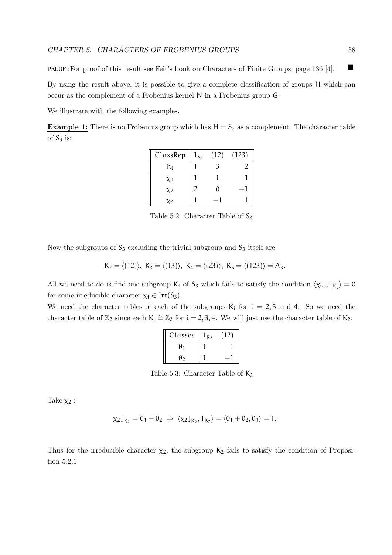PROOF:For proof of this result see Feit's book on Characters of Finite Groups, page 136 [4].

By using the result above, it is possible to give a complete classification of groups H which can occur as the complement of a Frobenius kernel N in a Frobenius group G.

We illustrate with the following examples.

**Example 1:** There is no Frobenius group which has  $H = S_3$  as a complement. The character table of  $S_3$  is:

| ClassRep | $1_{S_3}$ | (12) | (123) |
|----------|-----------|------|-------|
| h;       |           |      |       |
| $\chi_1$ |           |      |       |
| $\chi_2$ |           | 0    |       |
| $x^2$    |           |      |       |

Table 5.2: Character Table of  $S_3$ 

Now the subgroups of  $S_3$  excluding the trivial subgroup and  $S_3$  itself are:

$$
K_2=\langle (12)\rangle, K_3=\langle (13)\rangle, K_4=\langle (23)\rangle, K_5=\langle (123)\rangle=A_3.
$$

All we need to do is find one subgroup  $K_i$  of  $S_3$  which fails to satisfy the condition  $\langle \chi_i \downarrow, 1_{K_i} \rangle = 0$ for some irreducible character  $\chi_i \in \text{Irr}(S_3)$ .

We need the character tables of each of the subgroups  $K_i$  for  $i = 2, 3$  and 4. So we need the character table of  $\mathbb{Z}_2$  since each K<sub>i</sub>  $\cong \mathbb{Z}_2$  for  $i = 2, 3, 4$ . We will just use the character table of K<sub>2</sub>:

| Classes | $\mathsf{K}_{2}$ |  |
|---------|------------------|--|
| Δ       |                  |  |
| А٠      |                  |  |

Table 5.3: Character Table of  $K_2$ 

Take  $\chi_2$ :

$$
\chi_2\downarrow_{K_2}=\theta_1+\theta_2 \ \Rightarrow \ \langle \chi_2\downarrow_{K_2}, 1_{K_2} \rangle = \langle \theta_1+\theta_2, \theta_1 \rangle = 1.
$$

Thus for the irreducible character  $\chi_2$ , the subgroup  $K_2$  fails to satisfy the condition of Proposition 5.2.1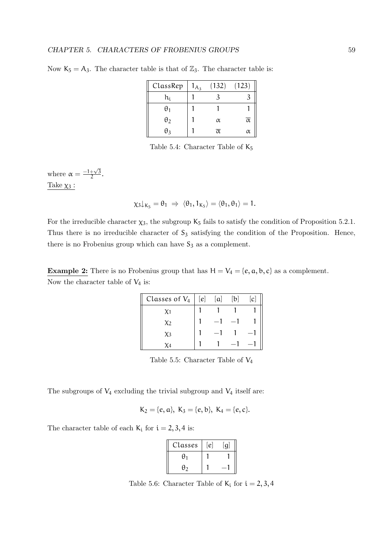| ClassRep   | $1_{A_3}$ | (132)               | (123)               |
|------------|-----------|---------------------|---------------------|
| h;         |           |                     |                     |
| θ1         |           |                     |                     |
| $\theta_2$ |           | α                   | $\overline{\alpha}$ |
| θ2         |           | $\overline{\alpha}$ | $\alpha$            |

Now  $K_5 = A_3$ . The character table is that of  $\mathbb{Z}_3$ . The character table is:

Table 5.4: Character Table of  $K_5$ 

where  $\alpha = \frac{-1 + \sqrt{3}}{2}$  $\frac{+\sqrt{3}}{2}$ . Take  $\chi_3$  :

 $\chi_3\downarrow_{K_5} = \theta_1 \Rightarrow \langle \theta_1, 1_{K_5} \rangle = \langle \theta_1, \theta_1 \rangle = 1.$ 

For the irreducible character  $\chi_3$ , the subgroup  $K_5$  fails to satisfy the condition of Proposition 5.2.1. Thus there is no irreducible character of  $S_3$  satisfying the condition of the Proposition. Hence, there is no Frobenius group which can have  $S_3$  as a complement.

**Example 2:** There is no Frobenius group that has  $H = V_4 = \{e, a, b, c\}$  as a complement. Now the character table of  $V_4$  is:

| Classes of $V_4$ | [e] | [a] | $[b]% \centering \includegraphics[width=0.9\columnwidth]{figures/fig_10.pdf} \caption{The graph $\mathcal{N}_1$ is a function of the corresponding graph $\mathcal{N}_2$ and $\mathcal{N}_3$ is a function of the corresponding graph $\mathcal{N}_1$ and $\mathcal{N}_2$ is a function of the corresponding graph $\mathcal{N}_1$ and $\mathcal{N}_2$ is a function of the corresponding graph $\mathcal{N}_1$ and $\mathcal{N}_3$ is a function of the corresponding graph $\mathcal{N}_2$ and $\mathcal{N}_4$ is a function of the corresponding graph $\mathcal{N}_1$ and $\mathcal{N}_5$ is a function of the corresponding graph $\mathcal{N}_1$ and $\mathcal{N}_6$ is a function of the corresponding graph $\mathcal{N}_$ | $\lbrack c \rbrack$ |
|------------------|-----|-----|------------------------------------------------------------------------------------------------------------------------------------------------------------------------------------------------------------------------------------------------------------------------------------------------------------------------------------------------------------------------------------------------------------------------------------------------------------------------------------------------------------------------------------------------------------------------------------------------------------------------------------------------------------------------------------------------------------------------------------|---------------------|
| X1               |     |     |                                                                                                                                                                                                                                                                                                                                                                                                                                                                                                                                                                                                                                                                                                                                    |                     |
| X2               |     |     |                                                                                                                                                                                                                                                                                                                                                                                                                                                                                                                                                                                                                                                                                                                                    |                     |
| X3               |     |     |                                                                                                                                                                                                                                                                                                                                                                                                                                                                                                                                                                                                                                                                                                                                    |                     |
|                  |     |     |                                                                                                                                                                                                                                                                                                                                                                                                                                                                                                                                                                                                                                                                                                                                    |                     |

Table 5.5: Character Table of  $V_4$ 

The subgroups of  $V_4$  excluding the trivial subgroup and  $V_4$  itself are:

$$
K_2 = \{e, a\}, K_3 = \{e, b\}, K_4 = \{e, c\}.
$$

The character table of each  $K_i$  for  $i = 2, 3, 4$  is:

| Classes  | e | $\Omega$ |
|----------|---|----------|
| $\theta$ |   |          |
| θ2       |   |          |

Table 5.6: Character Table of  $K_i$  for  $i = 2, 3, 4$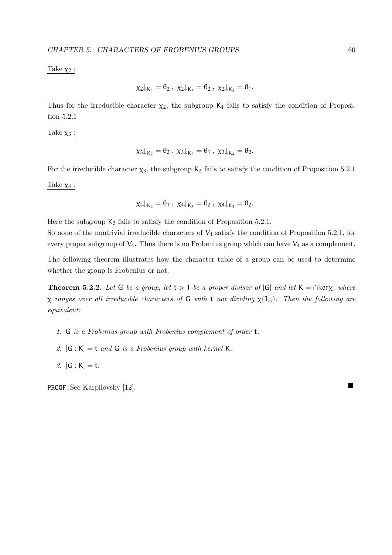#### Take  $\chi_2$ :

$$
\chi_2\downarrow_{K_2}=\theta_2\ ,\ \chi_2\downarrow_{K_3}=\theta_2\ ,\ \chi_2\downarrow_{K_4}=\theta_1.
$$

Thus for the irreducible character  $\chi_2$ , the subgroup  $K_4$  fails to satisfy the condition of Proposition 5.2.1

Take  $\chi_3$ :

$$
\chi_3\downarrow_{K_2}=\theta_2\ ,\ \chi_3\downarrow_{K_3}=\theta_1\ ,\ \chi_3\downarrow_{K_4}=\theta_2.
$$

For the irreducible character  $\chi_3$ , the subgroup  $K_3$  fails to satisfy the condition of Proposition 5.2.1

Take  $\chi_4$  :

$$
\chi_4\downarrow_{K_2}=\theta_1\ ,\ \chi_4\downarrow_{K_3}=\theta_2\ ,\ \chi_4\downarrow_{K_4}=\theta_2.
$$

Here the subgroup  $K_2$  fails to satisfy the condition of Proposition 5.2.1.

So none of the nontrivial irreducible characters of  $V_4$  satisfy the condition of Proposition 5.2.1, for every proper subgroup of  $V_4$ . Thus there is no Frobenius group which can have  $V_4$  as a complement.

The following theorem illustrates how the character table of a group can be used to determine whether the group is Frobenius or not.

**Theorem 5.2.2.** Let G be a group, let  $t > 1$  be a proper divisor of  $|G|$  and let  $K = \cap \text{ker } \chi$ , where  $\chi$  ranges over all irreducible characters of G with t not dividing  $\chi(1_G)$ . Then the following are equivalent:

- 1. G is a Frobenius group with Frobenius complement of order t.
- 2.  $[G:K] = t$  and G is a Frobenius group with kernel K.
- 3.  $[G : K] = t$ .

PROOF: See Karpilovsky [12].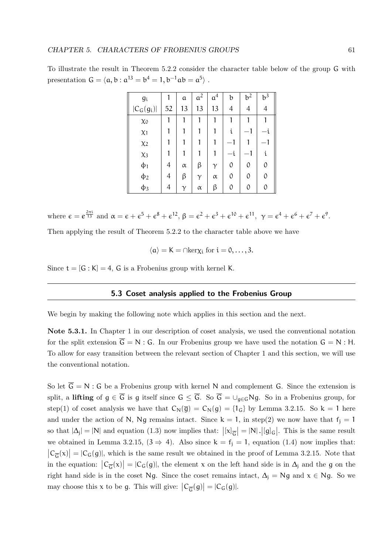To illustrate the result in Theorem 5.2.2 consider the character table below of the group G with presentation  $G = \langle a, b : a^{13} = b^4 = 1, b^{-1}ab = a^5 \rangle$ .

| <b>gi</b>    |    | a        | a <sup>2</sup> | a <sup>4</sup> | b  | $b^2$ | $b^3$    |
|--------------|----|----------|----------------|----------------|----|-------|----------|
| $ C_G(g_i) $ | 52 | 13       | 13             | 13             | 4  | 4     | 4        |
| $\chi_0$     |    |          |                |                |    |       |          |
| $\chi_1$     |    |          |                |                | Î. |       |          |
| $\chi_2$     |    |          |                |                |    |       |          |
| $\chi_3$     |    |          |                |                |    |       | i        |
| $\Phi_1$     | 4  | $\alpha$ | β              | γ              | 0  | 0     | 0        |
| $\phi_2$     | 4  | β        | $\gamma$       | $\alpha$       | 0  | 0     | $\Omega$ |
| $\phi_3$     | 4  |          | $\alpha$       | β              |    |       |          |

where  $\epsilon = e^{\frac{2\pi i}{13}}$  and  $\alpha = \epsilon + \epsilon^5 + \epsilon^8 + \epsilon^{12}$ ,  $\beta = \epsilon^2 + \epsilon^3 + \epsilon^{10} + \epsilon^{11}$ ,  $\gamma = \epsilon^4 + \epsilon^6 + \epsilon^7 + \epsilon^9$ . Then applying the result of Theorem 5.2.2 to the character table above we have

$$
\langle \alpha \rangle = K = \cap \text{ker} \chi_i \text{ for } i = 0, \ldots, 3.
$$

Since  $t = [G : K] = 4$ , G is a Frobenius group with kernel K.

#### 5.3 Coset analysis applied to the Frobenius Group

We begin by making the following note which applies in this section and the next.

Note 5.3.1. In Chapter 1 in our description of coset analysis, we used the conventional notation for the split extension  $\overline{G} = N : G$ . In our Frobenius group we have used the notation  $G = N : H$ . To allow for easy transition between the relevant section of Chapter 1 and this section, we will use the conventional notation.

So let  $\overline{G} = N$ : G be a Frobenius group with kernel N and complement G. Since the extension is split, a lifting of  $g \in \overline{G}$  is g itself since  $G \le \overline{G}$ . So  $\overline{G} = \cup_{g \in G} Ng$ . So in a Frobenius group, for step(1) of coset analysis we have that  $C_N(\overline{g}) = C_N(g) = \{1_G\}$  by Lemma 3.2.15. So  $k = 1$  here and under the action of N, Ng remains intact. Since  $k = 1$ , in step(2) we now have that  $f_i = 1$ so that  $|\Delta_j| = |N|$  and equation (1.3) now implies that:  $|[\mathbf{x}]_{\overline{G}}| = |N|$ . [ $[g]_G$ ]. This is the same result we obtained in Lemma 3.2.15,  $(3 \Rightarrow 4)$ . Also since  $k = f_i = 1$ , equation (1.4) now implies that:  $|C_{\overline{G}}(x)| = |C_G(g)|$ , which is the same result we obtained in the proof of Lemma 3.2.15. Note that in the equation:  $|C_{\overline{G}}(x)| = |C_G(g)|$ , the element x on the left hand side is in  $\Delta_j$  and the g on the right hand side is in the coset Ng. Since the coset remains intact,  $\Delta_j = Ng$  and  $x \in Ng$ . So we may choose this x to be g. This will give:  $|C_{\overline{G}}(g)| = |C_G(g)|$ .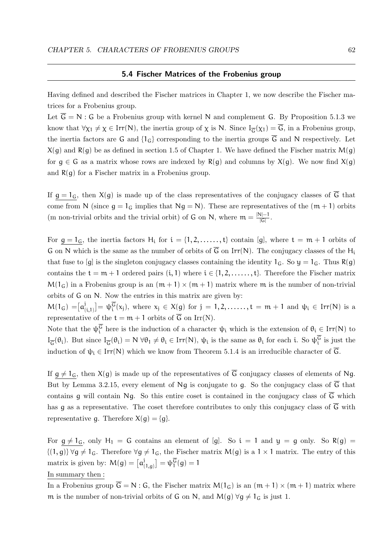#### 5.4 Fischer Matrices of the Frobenius group

Having defined and described the Fischer matrices in Chapter 1, we now describe the Fischer matrices for a Frobenius group.

Let  $\overline{G} = N$ : G be a Frobenius group with kernel N and complement G. By Proposition 5.1.3 we know that  $\forall \chi_1 \neq \chi \in \text{Irr}(N)$ , the inertia group of  $\chi$  is N. Since  $I_{\overline{G}}(\chi_1) = G$ , in a Frobenius group, the inertia factors are G and  $\{1_G\}$  corresponding to the inertia groups  $\overline{G}$  and N respectively. Let  $X(g)$  and  $R(g)$  be as defined in section 1.5 of Chapter 1. We have defined the Fischer matrix  $M(g)$ for  $g \in G$  as a matrix whose rows are indexed by  $R(g)$  and columns by  $X(g)$ . We now find  $X(g)$ and  $R(q)$  for a Fischer matrix in a Frobenius group.

If  $g = 1_G$ , then  $X(g)$  is made up of the class representatives of the conjugacy classes of  $\overline{G}$  that come from N (since  $q = 1_G$  implies that  $Nq = N$ ). These are representatives of the  $(m + 1)$  orbits (m non-trivial orbits and the trivial orbit) of G on N, where  $m = \frac{|N|-1}{|C|}$  $\frac{|S|-1}{|G|}$  .

For  $g = 1_G$ , the inertia factors  $H_i$  for  $i = \{1, 2, \ldots, t\}$  contain [g], where  $t = m + 1$  orbits of G on N which is the same as the number of orbits of  $\overline{G}$  on Irr(N). The conjugacy classes of the H<sub>i</sub> that fuse to [g] is the singleton conjugacy classes containing the identity  $1_G$ . So  $y = 1_G$ . Thus R(g) contains the  $t = m + 1$  ordered pairs  $(i, 1)$  where  $i \in \{1, 2, \ldots, t\}$ . Therefore the Fischer matrix  $M(1_G)$  in a Frobenius group is an  $(m + 1) \times (m + 1)$  matrix where m is the number of non-trivial orbits of G on N. Now the entries in this matrix are given by:

 $M(1_G) = [a]$  $[\hat{p}_{(i,1)}] = \psi_i^G(x_j)$ , where  $x_j \in X(g)$  for  $j = 1, 2, \ldots, t = m + 1$  and  $\psi_i \in \text{Irr}(N)$  is a representative of the  $t = m + 1$  orbits of  $\overline{G}$  on Irr(N).

Note that the  $\psi_i^G$  here is the induction of a character  $\psi_i$  which is the extension of  $\theta_i \in \text{Irr}(N)$  to  $I_{\overline{G}}(\theta_i)$ . But since  $I_{\overline{G}}(\theta_i) = N \ \forall \theta_1 \neq \theta_i \in Irr(N)$ ,  $\psi_i$  is the same as  $\theta_i$  for each i. So  $\psi_i^G$  is just the induction of  $\psi_i \in \text{Irr}(N)$  which we know from Theorem 5.1.4 is an irreducible character of  $\overline{G}$ .

If  $g \neq 1_G$ , then  $X(g)$  is made up of the representatives of  $\overline{G}$  conjugacy classes of elements of Ng. But by Lemma 3.2.15, every element of Ng is conjugate to g. So the conjugacy class of  $\overline{G}$  that contains g will contain Ng. So this entire coset is contained in the conjugacy class of  $\overline{G}$  which has g as a representative. The coset therefore contributes to only this conjugacy class of  $\overline{G}$  with representative q. Therefore  $X(q) = \{q\}.$ 

For  $g \neq 1_G$ , only  $H_1 = G$  contains an element of [g]. So  $i = 1$  and  $y = g$  only. So R(g) =  ${(1, g)} \forall g \neq 1_G$ . Therefore  $\forall g \neq 1_G$ , the Fischer matrix M(g) is a 1 × 1 matrix. The entry of this matrix is given by:  $M(g) = [a]$  $[\mathfrak{y}_{(1,g)}] = \psi_1^{\mathsf{G}}(g) = 1$ 

In summary then :

In a Frobenius group  $\overline{G} = N : G$ , the Fischer matrix  $M(1_G)$  is an  $(m + 1) \times (m + 1)$  matrix where m is the number of non-trivial orbits of G on N, and  $M(g) \forall g \neq 1_G$  is just 1.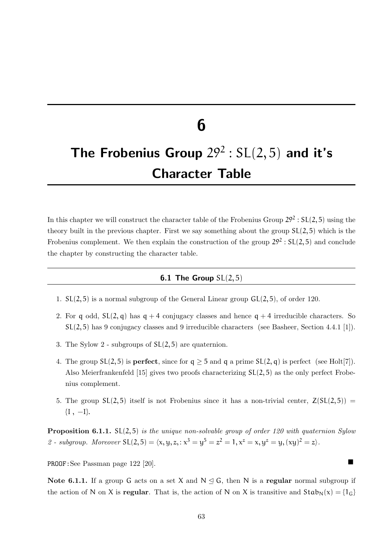# 6

# The Frobenius Group  $29^2: SL(2, 5)$  and it's Character Table

In this chapter we will construct the character table of the Frobenius Group  $29^2 : SL(2,5)$  using the theory built in the previous chapter. First we say something about the group SL(2, 5) which is the Frobenius complement. We then explain the construction of the group  $29^2 : SL(2,5)$  and conclude the chapter by constructing the character table.

#### **6.1 The Group**  $SL(2,5)$

- 1. SL(2, 5) is a normal subgroup of the General Linear group GL(2, 5), of order 120.
- 2. For q odd,  $SL(2, q)$  has  $q + 4$  conjugacy classes and hence  $q + 4$  irreducible characters. So SL(2, 5) has 9 conjugacy classes and 9 irreducible characters (see Basheer, Section 4.4.1 [1]).
- 3. The Sylow 2 subgroups of SL(2, 5) are quaternion.
- 4. The group  $SL(2, 5)$  is **perfect**, since for  $q \geq 5$  and q a prime  $SL(2, q)$  is perfect (see Holt[7]). Also Meierfrankenfeld [15] gives two proofs characterizing  $SL(2,5)$  as the only perfect Frobenius complement.
- 5. The group  $SL(2, 5)$  itself is not Frobenius since it has a non-trivial center,  $Z(SL(2, 5)) =$  ${I, -I}.$

**Proposition 6.1.1.** SL(2,5) is the unique non-solvable group of order 120 with quaternion Sylow 2 - subgroup. Moreover  $SL(2,5) = \langle x, y, z, : x^3 = y^5 = z^2 = 1, x^z = x, y^z = y, (xy)^2 = z \rangle$ .

PROOF:See Passman page 122 [20].

Note 6.1.1. If a group G acts on a set X and  $N \leq G$ , then N is a regular normal subgroup if the action of N on X is **regular**. That is, the action of N on X is transitive and  $Stab_N(x) = \{1_G\}$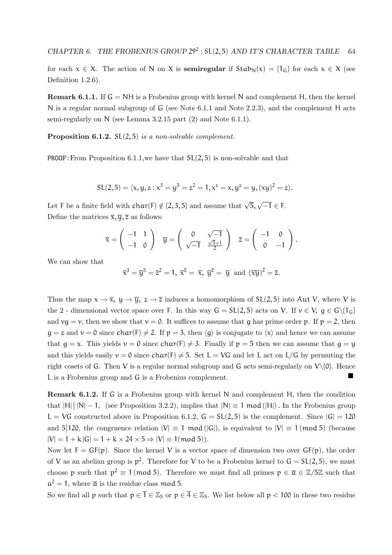for each  $x \in X$ . The action of N on X is **semiregular** if  $Stab_N(x) = \{1_G\}$  for each  $x \in X$  (see Definition 1.2.6).

**Remark 6.1.1.** If  $G = NH$  is a Frobenius group with kernel N and complement H, then the kernel N is a regular normal subgroup of G (see Note 6.1.1 and Note 2.2.3), and the complement H acts semi-regularly on N (see Lemma 3.2.15 part (2) and Note 6.1.1).

**Proposition 6.1.2.**  $SL(2,5)$  is a non-solvable complement.

**PROOF:** From Proposition 6.1.1, we have that  $SL(2, 5)$  is non-solvable and that

$$
SL(2,5) = \langle x,y,z : x^3 = y^5 = z^2 = 1, x^z = x, y^z = y, (xy)^2 = z \rangle.
$$

Let F be a finite field with char(F)  $\notin$  {2, 3, 5} and assume that  $\sqrt{5}$ ,  $\sqrt{-1} \in$  F. Define the matrices  $\bar{x}, \bar{y}, \bar{z}$  as follows:

$$
\overline{x} = \begin{pmatrix} -1 & 1 \\ -1 & 0 \end{pmatrix} \quad \overline{y} = \begin{pmatrix} 0 & \sqrt{-1} \\ \sqrt{-1} & \frac{\sqrt{5}+1}{2} \end{pmatrix} \quad \overline{z} = \begin{pmatrix} -1 & 0 \\ 0 & -1 \end{pmatrix}.
$$

We can show that

 $\overline{x}^3 = \overline{y}^5 = \overline{z}^2 = 1$ ,  $\overline{x}^{\overline{z}} = \overline{x}$ ,  $\overline{y}^{\overline{z}} = \overline{y}$  and  $(\overline{xy})^2 = \overline{z}$ .

Thus the map  $x \to \overline{x}$ ,  $y \to \overline{y}$ ,  $z \to \overline{z}$  induces a homomorphism of SL(2,5) into Aut V, where V is the 2 - dimensional vector space over F. In this way  $G = SL(2, 5)$  acts on V. If  $v \in V$ ,  $g \in G\{1_G\}$ and  $\nu q = \nu$ , then we show that  $\nu = 0$ . It suffices to assume that q has prime order p. If  $p = 2$ , then  $g = z$  and  $v = 0$  since char(F)  $\neq 2$ . If  $p = 3$ , then  $\langle q \rangle$  is conjugate to  $\langle x \rangle$  and hence we can assume that  $g = x$ . This yields  $v = 0$  since char(F)  $\neq 3$ . Finally if  $p = 5$  then we can assume that  $g = y$ and this yields easily  $v = 0$  since  $char(F) \neq 5$ . Set  $L = VG$  and let L act on L/G by permuting the right cosets of G. Then V is a regular normal subgroup and G acts semi-regularly on  $V\{\emptyset\}$ . Hence <sup>L</sup> is a Frobenius group and <sup>G</sup> is a Frobenius complement.

Remark 6.1.2. If G is a Frobenius group with kernel N and complement H, then the condition that  $|H| \, |N| - 1$ , (see Proposition 3.2.2), implies that  $|N| \equiv 1 \mod (|H|)$ . In the Frobenius group L = VG constructed above in Proposition 6.1.2,  $G = SL(2, 5)$  is the complement. Since  $|G| = 120$ and  $5|120$ , the congruence relation  $|V| \equiv 1 \mod (|G|)$ , is equivalent to  $|V| \equiv 1 \mod 5$  (because  $|V| = 1 + k |G| = 1 + k \times 24 \times 5 \Rightarrow |V| \equiv 1 \pmod{5}$ .

Now let  $F = GF(p)$ . Since the kernel V is a vector space of dimension two over  $GF(p)$ , the order of V as an abelian group is  $p^2$ . Therefore for V to be a Frobenius kernel to  $G = SL(2, 5)$ , we must choose p such that  $p^2 \equiv 1 \pmod{5}$ . Therefore we must find all primes  $p \in \overline{\alpha} \in \mathbb{Z}/5\mathbb{Z}$  such that  $a^2 = 1$ , where  $\bar{a}$  is the residue class mod 5.

So we find all p such that  $p \in \overline{1} \in \mathbb{Z}_5$  or  $p \in \overline{4} \in \mathbb{Z}_5$ . We list below all  $p < 100$  in these two residue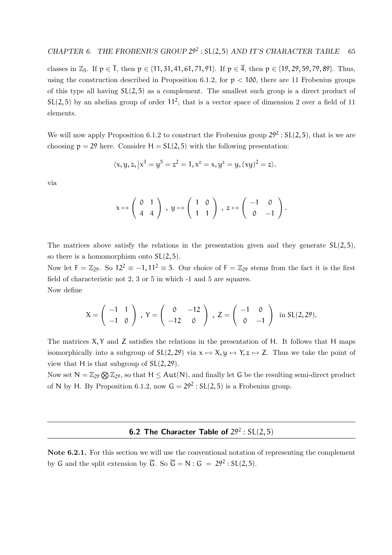classes in  $\mathbb{Z}_5$ . If  $p \in \overline{1}$ , then  $p \in \{11, 31, 41, 61, 71, 91\}$ . If  $p \in \overline{4}$ , then  $p \in \{19, 29, 59, 79, 89\}$ . Thus, using the construction described in Proposition 6.1.2, for  $p < 100$ , there are 11 Frobenius groups of this type all having  $SL(2, 5)$  as a complement. The smallest such group is a direct product of  $SL(2,5)$  by an abelian group of order  $11<sup>2</sup>$ , that is a vector space of dimension 2 over a field of 11 elements.

We will now apply Proposition 6.1.2 to construct the Frobenius group  $29^2 : SL(2,5)$ , that is we are choosing  $p = 29$  here. Consider  $H = SL(2, 5)$  with the following presentation:

$$
\langle x, y, z, | x^3 = y^5 = z^2 = 1, x^z = x, y^z = y, (xy)^2 = z \rangle.
$$

via

$$
x \mapsto \left(\begin{array}{cc} 0 & 1 \\ 4 & 4 \end{array}\right) , y \mapsto \left(\begin{array}{cc} 1 & 0 \\ 1 & 1 \end{array}\right) , z \mapsto \left(\begin{array}{cc} -1 & 0 \\ 0 & -1 \end{array}\right).
$$

The matrices above satisfy the relations in the presentation given and they generate  $SL(2, 5)$ , so there is a homomorphism onto  $SL(2, 5)$ .

Now let  $F = \mathbb{Z}_{29}$ . So  $12^2 \equiv -1, 11^2 \equiv 5$ . Our choice of  $F = \mathbb{Z}_{29}$  stems from the fact it is the first field of characteristic not 2, 3 or 5 in which -1 and 5 are squares. Now define

$$
X = \begin{pmatrix} -1 & 1 \\ -1 & 0 \end{pmatrix}, Y = \begin{pmatrix} 0 & -12 \\ -12 & 0 \end{pmatrix}, Z = \begin{pmatrix} -1 & 0 \\ 0 & -1 \end{pmatrix} \text{ in } SL(2, 29).
$$

The matrices  $X, Y$  and  $Z$  satisfies the relations in the presentation of H. It follows that H maps isomorphically into a subgroup of  $SL(2, 29)$  via  $x \mapsto X, y \mapsto Y, z \mapsto Z$ . Thus we take the point of view that H is that subgroup of  $SL(2, 29)$ .

Now set  $N = \mathbb{Z}_{29} \bigotimes \mathbb{Z}_{29}$ , so that  $H \leq Aut(N)$ , and finally let G be the resulting semi-direct product of N by H. By Proposition 6.1.2, now  $G = 29^2 : SL(2, 5)$  is a Frobenius group.

#### **6.2 The Character Table of**  $29^2$ :  $SL(2,5)$

Note 6.2.1. For this section we will use the conventional notation of representing the complement by G and the split extension by  $\overline{G}$ . So  $\overline{G} = N : G = 29^2 : SL(2, 5)$ .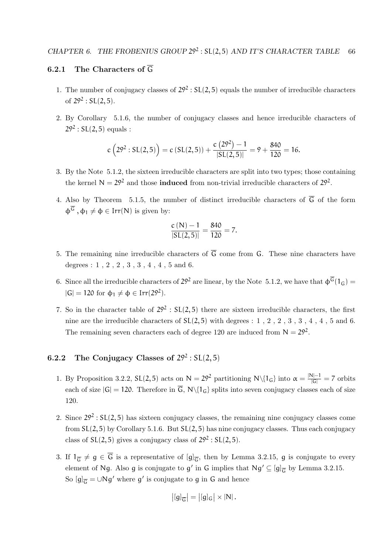#### 6.2.1 The Characters of  $\overline{G}$

- 1. The number of conjugacy classes of  $29^2 : SL(2,5)$  equals the number of irreducible characters of  $29^2$ : SL $(2, 5)$ .
- 2. By Corollary 5.1.6, the number of conjugacy classes and hence irreducible characters of  $29^2 : SL(2, 5)$  equals :

$$
c(292 : SL(2,5)) = c(SL(2,5)) + \frac{c(292) - 1}{|SL(2,5)|} = 9 + \frac{840}{120} = 16.
$$

- 3. By the Note 5.1.2, the sixteen irreducible characters are split into two types; those containing the kernel  $N = 29^2$  and those **induced** from non-trivial irreducible characters of  $29^2$ .
- 4. Also by Theorem 5.1.5, the number of distinct irreducible characters of  $\overline{G}$  of the form  $\Phi^{\overline{G}}$ ,  $\Phi_1 \neq \Phi \in \text{Irr}(N)$  is given by:

$$
\frac{c\left(N\right)-1}{\left|SL(2,5)\right|}=\frac{840}{120}=7.
$$

- 5. The remaining nine irreducible characters of  $\overline{G}$  come from G. These nine characters have degrees :  $1$  ,  $2$  ,  $2$  ,  $3$  ,  $3$  ,  $4$  ,  $4$  ,  $5$  and  $6.$
- 6. Since all the irreducible characters of  $29^2$  are linear, by the Note 5.1.2, we have that  $\Phi^{\overline{G}}(1_G)$  =  $|G| = 120$  for  $\phi_1 \neq \phi \in Irr(29^2)$ .
- 7. So in the character table of  $29^2$ :  $SL(2,5)$  there are sixteen irreducible characters, the first nine are the irreducible characters of  $SL(2,5)$  with degrees : 1, 2, 2, 3, 3, 4, 4, 5 and 6. The remaining seven characters each of degree 120 are induced from  $N = 29^2$ .

#### 6.2.2 The Conjugacy Classes of  $29^2 : SL(2,5)$

- 1. By Proposition 3.2.2, SL(2,5) acts on  $N = 29^2$  partitioning  $N \setminus \{1_G\}$  into  $\alpha = \frac{|N|-1}{|G|} = 7$  orbits each of size  $|G| = 120$ . Therefore in  $\overline{G}$ ,  $N\{1_G\}$  splits into seven conjugacy classes each of size 120.
- 2. Since  $29^2 : SL(2, 5)$  has sixteen conjugacy classes, the remaining nine conjugacy classes come from  $SL(2, 5)$  by Corollary 5.1.6. But  $SL(2, 5)$  has nine conjugacy classes. Thus each conjugacy class of  $SL(2,5)$  gives a conjugacy class of  $29^2 : SL(2,5)$ .
- 3. If  $1_{\overline{G}} \neq g \in G$  is a representative of  $[g]_{\overline{G}}$ , then by Lemma 3.2.15, g is conjugate to every element of Ng. Also g is conjugate to  $g'$  in G implies that  $Ng' \subseteq [g]_{\overline{G}}$  by Lemma 3.2.15. So  $[g]_{{\overline{\mathsf{G}}}} = \cup Ng'$  where  $g'$  is conjugate to g in G and hence

$$
\left|[g]_{\overline{G}}\right| = \left|[g]_{G}\right| \times |N|.
$$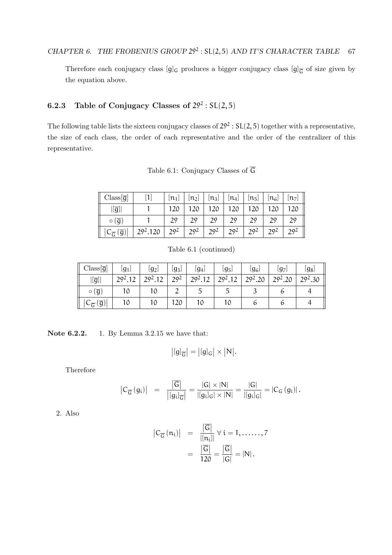Therefore each conjugacy class  $[g]_G$  produces a bigger conjugacy class  $[g]_{\overline{G}}$  of size given by the equation above.

#### 6.2.3 Table of Conjugacy Classes of  $29^2 : SL(2,5)$

The following table lists the sixteen conjugacy classes of  $29^2 : SL(2, 5)$  together with a representative, the size of each class, the order of each representative and the order of the centralizer of this representative.

|  | Table 6.1: Conjugacy Classes of G |  |  |  |
|--|-----------------------------------|--|--|--|
|--|-----------------------------------|--|--|--|

| $Class[\overline{g}]$ |                                         | $[n_1]$         | $[n_2]$         | $[n_3]$         | $\lfloor n_4 \rfloor$ | $[n_5]$         | $\lfloor n_6 \rfloor$ | $[n_7]$         |
|-----------------------|-----------------------------------------|-----------------|-----------------|-----------------|-----------------------|-----------------|-----------------------|-----------------|
| $\overline{g}$        |                                         |                 |                 |                 |                       |                 |                       |                 |
| (g)<br>$\circ$        |                                         | 29              | 29              | 29              | 29                    | 29              | 29                    | 29              |
| $\overline{g}$        | 20 <sup>2</sup><br>29 <sup>2</sup> .120 | 20 <sup>2</sup> | 20 <sup>2</sup> | 20 <sup>2</sup> | $20^{2}$              | 20 <sup>2</sup> | 20 <sup>2</sup>       | 20 <sup>2</sup> |

Table 6.1 (continued)

| $Class[\overline{g}]$                              | $\lfloor g_1 \rfloor$ | $\left\lfloor g_2 \right\rfloor$ | $\lfloor g_3 \rfloor$ | [g4]                | $\lfloor g_5 \rfloor$ | $\left\lfloor  g_6 \right\rfloor$ | lg7.                | [g <sub>8</sub> ]   |
|----------------------------------------------------|-----------------------|----------------------------------|-----------------------|---------------------|-----------------------|-----------------------------------|---------------------|---------------------|
| $\overline{[g]}$                                   | 29 <sup>2</sup> .12   | 20212                            | 20 <sup>2</sup>       | 29 <sup>2</sup> .12 | $20^{2}12$            | 29 <sup>2</sup> .20               | 29 <sup>2</sup> .20 | 29 <sup>2</sup> .30 |
| $\circ$ $(\overline{g})$                           | 10                    | 10                               |                       | ◡                   | . .                   |                                   | O                   |                     |
| $\left[ \overline{g}\right]$<br>$C_{\overline{G}}$ | 10                    | 10                               | 20                    |                     |                       |                                   |                     |                     |

Note **6.2.2.** 1. By Lemma 3.2.15 we have that:

$$
\big|[g]_{\overline{G}}\big|=\big|[g]_G\big|\times\big|N\big|.
$$

Therefore

$$
\left| C_{\overline{G}} \left( g_i \right) \right| \;\; = \;\; \frac{\left| \overline{G} \right|}{\left| \left[ g_i \right]_{\overline{G}} \right|} = \frac{\left| G \right| \times \left| N \right|}{\left| \left[ g_i \right]_{G} \right| \times \left| N \right|} = \frac{\left| G \right|}{\left| \left[ g_i \right]_{G} \right|} = \left| C_{G} \left( g_i \right) \right|.
$$

2. Also

$$
\begin{array}{rcl} \left| C_{\overline{G}}(n_i) \right| & = & \frac{\left| \overline{G} \right|}{\left| [n_i] \right|} \; \forall \; i = 1, \dots, 7 \\ & = & \frac{\left| \overline{G} \right|}{120} = \frac{\left| \overline{G} \right|}{\left| G \right|} = \left| N \right| .\end{array}
$$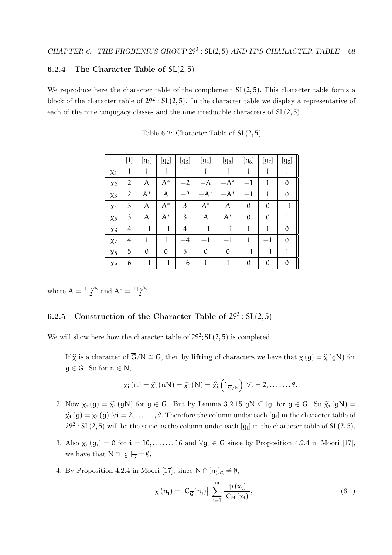#### 6.2.4 The Character Table of  $SL(2,5)$

We reproduce here the character table of the complement  $SL(2, 5)$ . This character table forms a block of the character table of  $29^2$ :  $SL(2,5)$ . In the character table we display a representative of each of the nine conjugacy classes and the nine irreducible characters of SL(2, 5).

|                | $[1]$          | $[g_1]$ | $[g_2]$       | $[g_3]$ | $[g_4]$       | $[g_5]$ | $[g_6]$       | $[g_7]$ | $[g_8]$           |
|----------------|----------------|---------|---------------|---------|---------------|---------|---------------|---------|-------------------|
| X <sub>1</sub> | 1              |         |               |         |               |         |               |         |                   |
| $\chi_2$       | $\overline{2}$ | A       | $A^*$         | $-2$    | $-A$          | $-A^*$  | $-1$          |         | 0                 |
| $\chi_3$       | $\overline{2}$ | $A^*$   | A             | $-2$    | $-A^*$        | $-A^*$  | $-1$          |         | $\mathcal{O}$     |
| X <sub>4</sub> | 3              | A       | $A^*$         | 3       | $A^*$         | A       | $\mathcal O$  | 0       | $\qquad \qquad -$ |
| $\chi_{5}$     | 3              | A       | $A^*$         | 3       | A             | $A^*$   | $\mathcal{O}$ | 0       |                   |
| X6             | 4              |         |               | 4       | $-1$          | $-1$    | 1             |         | 0                 |
| X <sub>7</sub> | $\overline{4}$ | 1       |               | $-4$    | $-1$          | $-1$    | 1             |         | 0                 |
| $X_{8}$        | 5              | 0       | $\mathcal{O}$ | 5       | $\mathcal{O}$ | 0       | $-1$          |         |                   |
| X <sup>9</sup> | 6              |         |               | -6      |               |         | 0             | 0       | 0                 |

Table 6.2: Character Table of SL(2, 5)

where  $A = \frac{1-\sqrt{5}}{2}$  $\frac{1+\sqrt{5}}{2}$  and  $A^* = \frac{1+\sqrt{5}}{2}$  $\frac{\sqrt{5}}{2}$ .

#### 6.2.5 Construction of the Character Table of  $29^2 : SL(2,5)$

We will show here how the character table of  $29^2$ ;  $SL(2,5)$  is completed.

1. If  $\hat{\chi}$  is a character of  $\overline{G}/N \cong G$ , then by lifting of characters we have that  $\chi(q) = \hat{\chi}(qN)$  for  $q \in G$ . So for  $n \in N$ ,

$$
\chi_{i}\left(n\right)=\widehat{\chi_{i}}\left(nN\right)=\widehat{\chi_{i}}\left(N\right)=\widehat{\chi_{i}}\left(1_{\overline{G}/N}\right)\ \forall i=2,\ldots\ldots,9.
$$

- 2. Now  $\chi_i(g) = \hat{\chi}_i(gN)$  for  $g \in G$ . But by Lemma 3.2.15 gN  $\subseteq [g]$  for  $g \in G$ . So  $\hat{\chi}_i(gN)$  =  $\hat{\chi}_i(g) = \chi_i(g) \quad \forall i = 2, \ldots, 9$ . Therefore the column under each  $[g_i]$  in the character table of  $29^2 : SL(2, 5)$  will be the same as the column under each  $[g_i]$  in the character table of  $SL(2, 5)$ .
- 3. Also  $\chi_i(g_i) = 0$  for  $i = 10, \ldots, 16$  and  $\forall g_i \in G$  since by Proposition 4.2.4 in Moori [17], we have that  $N \cap [g_i]_{\overline{G}} = \emptyset$ .
- 4. By Proposition 4.2.4 in Moori [17], since  $\mathsf{N} \cap [\mathsf{n}_j]_{\overline{\mathsf{G}}} \neq \emptyset$ ,

$$
\chi(\mathfrak{n}_j) = \left| C_{\overline{G}}(\mathfrak{n}_j) \right| \sum_{i=1}^{m} \frac{\Phi(x_i)}{\left| C_N(x_i) \right|},\tag{6.1}
$$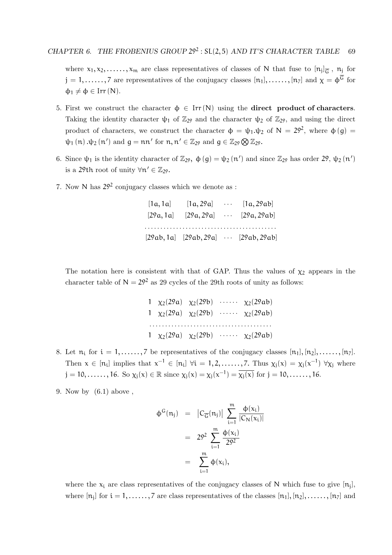where  $x_1, x_2, \ldots, x_m$  are class representatives of classes of N that fuse to  $[n_j]_{\overline{G}}$ ,  $n_j$  for  $j = 1, \ldots, 7$  are representatives of the conjugacy classes  $[n_1], \ldots, [n_7]$  and  $\chi = \phi^{\overline{G}}$  for  $\Phi_1 \neq \Phi \in \text{Irr} (N)$ .

- 5. First we construct the character  $\phi \in \text{Irr}(\mathbb{N})$  using the **direct product of characters**. Taking the identity character  $\psi_1$  of  $\mathbb{Z}_{29}$  and the character  $\psi_2$  of  $\mathbb{Z}_{29}$ , and using the direct product of characters, we construct the character  $\phi = \psi_1 \psi_2$  of  $N = 29^2$ , where  $\phi(g)$  $\psi_1(n)$ . $\psi_2(n')$  and  $g = nn'$  for  $n, n' \in \mathbb{Z}_{29}$  and  $g \in \mathbb{Z}_{29} \bigotimes \mathbb{Z}_{29}$ .
- 6. Since  $\psi_1$  is the identity character of  $\mathbb{Z}_{29}$ ,  $\phi(g) = \psi_2(n')$  and since  $\mathbb{Z}_{29}$  has order 29,  $\psi_2(n')$ is a 29<sup>th</sup> root of unity  $\forall n' \in \mathbb{Z}_{29}$ .
- 7. Now N has 29<sup>2</sup> conjugacy classes which we denote as :

| [1a, 1a]  | [1a, 29a] | $\cdots$ [1a, 29ab]                                |
|-----------|-----------|----------------------------------------------------|
| [29a, 1a] |           | $[29a, 29a]$ $[29a, 29ab]$                         |
|           |           |                                                    |
|           |           | $[29ab, 1a]$ $[29ab, 29a]$ $\cdots$ $[29ab, 29ab]$ |

The notation here is consistent with that of GAP. Thus the values of  $\chi_2$  appears in the character table of  $N = 29^2$  as 29 cycles of the 29th roots of unity as follows:

|  |  | 1 $\chi_2(29a)$ $\chi_2(29b)$ $\chi_2(29ab)$                      |
|--|--|-------------------------------------------------------------------|
|  |  | 1 $\chi_2(29a)$ $\chi_2(29b)$ $\chi_2(29ab)$                      |
|  |  |                                                                   |
|  |  | 1 $\chi_2(29a) \quad \chi_2(29b) \quad \cdots \quad \chi_2(29ab)$ |

- 8. Let  $n_i$  for  $i = 1, \ldots, 7$  be representatives of the conjugacy classes  $[n_1], [n_2], \ldots, [n_7]$ . Then  $x \in [n_i]$  implies that  $x^{-1} \in [n_i]$   $\forall i = 1, 2, \ldots, 7$ . Thus  $\chi_j(x) = \chi_j(x^{-1})$   $\forall \chi_j$  where  $j = 10, \ldots, 16$ . So  $\chi_j(x) \in \mathbb{R}$  since  $\chi_j(x) = \chi_j(x^{-1}) = \overline{\chi_j(x)}$  for  $j = 10, \ldots, 16$ .
- 9. Now by (6.1) above ,

$$
\begin{array}{lcl} \varphi^G(n_j) & = & \left| C_{\overline{G}}(n_j) \right| \, \sum\limits_{i=1}^m \frac{\varphi(x_i)}{|C_N(x_i)|} \\ \\ & = & 29^2 \, \sum\limits_{i=1}^m \frac{\varphi(x_i)}{29^2} \\ \\ & = & \sum\limits_{i=1}^m \varphi(x_i), \end{array}
$$

where the  $x_i$  are class representatives of the conjugacy classes of N which fuse to give  $[n_j]$ , where  $[n_j]$  for  $i = 1, \ldots, 7$  are class representatives of the classes  $[n_1], [n_2], \ldots, [n_7]$  and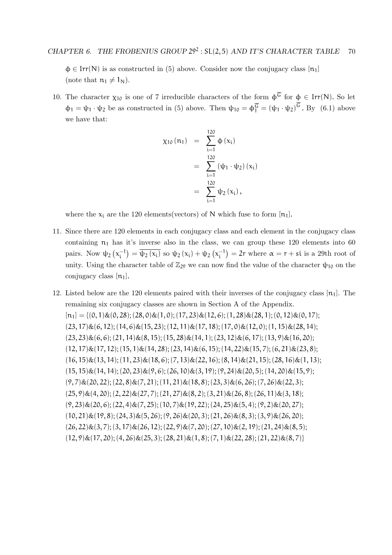$\phi \in \text{Irr}(N)$  is as constructed in (5) above. Consider now the conjugacy class  $[n_1]$ (note that  $n_1 \neq 1_N$ ).

10. The character  $\chi_{10}$  is one of 7 irreducible characters of the form  $\phi^{\overline{G}}$  for  $\phi \in \text{Irr}(N)$ . So let  $\phi_1 = \psi_1 \cdot \psi_2$  be as constructed in (5) above. Then  $\psi_{10} = \phi_1^{\overline{G}} = (\psi_1 \cdot \psi_2)^G$ . By (6.1) above we have that:

$$
\chi_{10} (n_1) = \sum_{i=1}^{120} \Phi (x_i)
$$
  
= 
$$
\sum_{i=1}^{120} (\psi_1 \cdot \psi_2) (x_i)
$$
  
= 
$$
\sum_{i=1}^{120} \psi_2 (x_i),
$$

where the  $x_i$  are the 120 elements(vectors) of N which fuse to form [n<sub>1</sub>].

- 11. Since there are 120 elements in each conjugacy class and each element in the conjugacy class containing  $n_1$  has it's inverse also in the class, we can group these 120 elements into 60 pairs. Now  $\psi_2(x_i^{-1}) = \overline{\psi_2(x_i)}$  so  $\psi_2(x_i) + \psi_2(x_i^{-1}) = 2r$  where  $\alpha = r + s_i$  is a 29th root of unity. Using the character table of  $\mathbb{Z}_{29}$  we can now find the value of the character  $\psi_{10}$  on the conjugacy class  $[n_1]$ .
- 12. Listed below are the 120 elements paired with their inverses of the conjugacy class  $[n_1]$ . The remaining six conjugacy classes are shown in Section A of the Appendix.  $[n_1] = \{(0, 1) \& (0, 28); (28, 0) \& (1, 0); (17, 23) \& (12, 6); (1, 28) \& (28, 1); (0, 12) \& (0, 17);$  $(23, 17)$ & $(6, 12)$ ;  $(14, 6)$ & $(15, 23)$ ;  $(12, 11)$ & $(17, 18)$ ;  $(17, 0)$ & $(12, 0)$ ;  $(1, 15)$ & $(28, 14)$ ;  $(23, 23) \& (6, 6); (21, 14) \& (8, 15); (15, 28) \& (14, 1); (23, 12) \& (6, 17); (13, 9) \& (16, 20);$  $(12, 17) \& (17, 12); (15, 1) \& (14, 28); (23, 14) \& (6, 15); (14, 22) \& (15, 7); (6, 21) \& (23, 8);$  $(16, 15)\&(13, 14); (11, 23)\&(18, 6); (7, 13)\&(22, 16); (8, 14)\&(21, 15); (28, 16)\&(1, 13);$  $(15, 15)\&(14, 14); (20, 23)\&(9, 6); (26, 10)\&(3, 19); (9, 24)\&(20, 5); (14, 20)\&(15, 9);$  $(9, 7)$ & $(20, 22)$ ;  $(22, 8)$ & $(7, 21)$ ;  $(11, 21)$ & $(18, 8)$ ;  $(23, 3)$ & $(6, 26)$ ;  $(7, 26)$ & $(22, 3)$ ;  $(25, 9) \& (4, 20); (2, 22) \& (27, 7); (21, 27) \& (8, 2); (3, 21) \& (26, 8); (26, 11) \& (3, 18);$  $(9, 23)$ & $(20, 6)$ ;  $(22, 4)$ & $(7, 25)$ ;  $(10, 7)$ & $(19, 22)$ ;  $(24, 25)$ & $(5, 4)$ ;  $(9, 2)$ & $(20, 27)$ ;  $(10, 21) \& (19, 8); (24, 3) \& (5, 26); (9, 26) \& (20, 3); (21, 26) \& (8, 3); (3, 9) \& (26, 20);$  $(26, 22)\&(3, 7); (3, 17)\&(26, 12); (22, 9)\&(7, 20); (27, 10)\&(2, 19); (21, 24)\&(8, 5);$  $(12, 9) \& (17, 20); (4, 26) \& (25, 3); (28, 21) \& (1, 8); (7, 1) \& (22, 28); (21, 22) \& (8, 7)$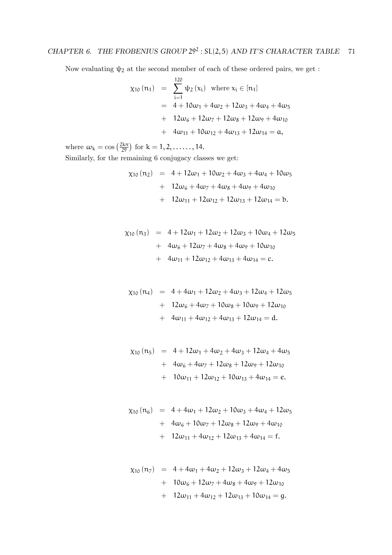Now evaluating  $\psi_2$  at the second member of each of these ordered pairs, we get :

$$
\chi_{10} (n_1) = \sum_{i=1}^{120} \psi_2 (x_i) \text{ where } x_i \in [n_1]
$$
  
= 4 + 10\omega\_1 + 4\omega\_2 + 12\omega\_3 + 4\omega\_4 + 4\omega\_5  
+ 12\omega\_6 + 12\omega\_7 + 12\omega\_8 + 12\omega\_9 + 4\omega\_{10}  
+ 4\omega\_{11} + 10\omega\_{12} + 4\omega\_{13} + 12\omega\_{14} = a,

where  $\omega_k = \cos\left(\frac{2k\pi}{2^9}\right)$  for  $k = 1, 2, \dots, 14$ .

Similarly, for the remaining 6 conjugacy classes we get:

$$
\chi_{10} (n_2) = 4 + 12\omega_1 + 10\omega_2 + 4\omega_3 + 4\omega_4 + 10\omega_5
$$
  
+ 12\omega\_6 + 4\omega\_7 + 4\omega\_8 + 4\omega\_9 + 4\omega\_{10}  
+ 12\omega\_{11} + 12\omega\_{12} + 12\omega\_{13} + 12\omega\_{14} = b.

$$
\chi_{10} (n_3) = 4 + 12\omega_1 + 12\omega_2 + 12\omega_3 + 10\omega_4 + 12\omega_5
$$
  
+ 4\omega\_6 + 12\omega\_7 + 4\omega\_8 + 4\omega\_9 + 10\omega\_{10}  
+ 4\omega\_{11} + 12\omega\_{12} + 4\omega\_{13} + 4\omega\_{14} = c.

$$
\chi_{10} (n_4) = 4 + 4\omega_1 + 12\omega_2 + 4\omega_3 + 12\omega_4 + 12\omega_5
$$
  
+ 12\omega\_6 + 4\omega\_7 + 10\omega\_8 + 10\omega\_9 + 12\omega\_{10}  
+ 4\omega\_{11} + 4\omega\_{12} + 4\omega\_{13} + 12\omega\_{14} = d.

$$
\chi_{10} (n_5) = 4 + 12\omega_1 + 4\omega_2 + 4\omega_3 + 12\omega_4 + 4\omega_5 + 4\omega_6 + 4\omega_7 + 12\omega_8 + 12\omega_9 + 12\omega_{10} + 10\omega_{11} + 12\omega_{12} + 10\omega_{13} + 4\omega_{14} = e.
$$

$$
\chi_{10} (n_6) = 4 + 4\omega_1 + 12\omega_2 + 10\omega_3 + 4\omega_4 + 12\omega_5
$$
  
+ 4\omega\_6 + 10\omega\_7 + 12\omega\_8 + 12\omega\_9 + 4\omega\_{10}  
+ 12\omega\_{11} + 4\omega\_{12} + 12\omega\_{13} + 4\omega\_{14} = f.

$$
\chi_{10} (n_7) = 4 + 4\omega_1 + 4\omega_2 + 12\omega_3 + 12\omega_4 + 4\omega_5
$$
  
+ 10\omega\_6 + 12\omega\_7 + 4\omega\_8 + 4\omega\_9 + 12\omega\_{10}  
+ 12\omega\_{11} + 4\omega\_{12} + 12\omega\_{13} + 10\omega\_{14} = g.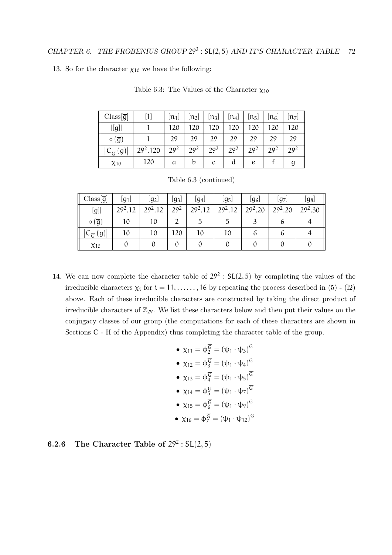13. So for the character  $\chi_{10}$  we have the following:

| $Class[\overline{g}]$                              | Ш                    | $[n_1]$         | $\left[\mathfrak{n}_2\right]$ | $[n_3]$         | $\lfloor n_4 \rfloor$ | $\lfloor\mathfrak{n}_5\rfloor$ | $\left\lfloor \mathfrak{n}_{6}\right\rfloor$ | $[n_7]$         |
|----------------------------------------------------|----------------------|-----------------|-------------------------------|-----------------|-----------------------|--------------------------------|----------------------------------------------|-----------------|
| $[[\overline{g}]$                                  |                      | 120             | 20                            | 20              | 20                    | 120                            | 120                                          | 120             |
| $\circ$ $(\overline{g})$                           |                      | 29              | 29                            | 29              | 29                    | 29                             | 20                                           | 29              |
| $(\overline{g})$<br>$\cup_{\overline{\mathsf{G}}}$ | 29 <sup>2</sup> .120 | 20 <sup>2</sup> | 29 <sup>2</sup>               | 20 <sup>2</sup> | 20 <sup>2</sup>       | 20 <sup>2</sup>                | 20 <sup>2</sup>                              | 29 <sup>2</sup> |
| X10                                                | 120                  | a               | b                             | с               | d                     | e                              |                                              |                 |

Table 6.3: The Values of the Character  $\chi_{10}$ 

| Table 6.3 (continued) |
|-----------------------|
|                       |

| $Class[\overline{g}]$                                    | $\lfloor g_1 \rfloor$ | $ g_2 $    | $\lfloor g_3 \rfloor$ | $\lfloor g_4 \rfloor$ | [g5]      | $\lfloor g_6 \rfloor$ | [g7]      | [gg]      |
|----------------------------------------------------------|-----------------------|------------|-----------------------|-----------------------|-----------|-----------------------|-----------|-----------|
| $ [\overline{g}] $                                       | $29^2.12$             | $20^{2}12$ | $29^{2}$              | $29^2.12$             | $29^2.12$ | $29^2.20$             | $29^2.20$ | $29^2.30$ |
| $\circ$ $(\overline{g})$                                 | 10                    | 10         |                       |                       |           |                       | O         |           |
| $(\overline{g})$<br>$\textsf{C}_{\overline{\mathsf{G}}}$ | 10                    | 10         | 120                   |                       | 10        |                       |           |           |
| X10                                                      |                       |            |                       |                       |           |                       |           |           |

14. We can now complete the character table of  $29^2$  :  $SL(2,5)$  by completing the values of the irreducible characters  $\chi_i$  for  $i = 11, \ldots, 16$  by repeating the process described in (5) - (12) above. Each of these irreducible characters are constructed by taking the direct product of irreducible characters of  $\mathbb{Z}_{29}$ . We list these characters below and then put their values on the conjugacy classes of our group (the computations for each of these characters are shown in Sections C - H of the Appendix) thus completing the character table of the group.

\n- $$
\chi_{11} = \phi_2^{\overline{G}} = (\psi_1 \cdot \psi_3)^{\overline{G}}
$$
\n- $\chi_{12} = \phi_3^{\overline{G}} = (\psi_1 \cdot \psi_4)^{\overline{G}}$
\n- $\chi_{13} = \phi_4^{\overline{G}} = (\psi_1 \cdot \psi_5)^{\overline{G}}$
\n- $\chi_{14} = \phi_5^{\overline{G}} = (\psi_1 \cdot \psi_7)^{\overline{G}}$
\n- $\chi_{15} = \phi_6^{\overline{G}} = (\psi_1 \cdot \psi_9)^{\overline{G}}$
\n- $\chi_{16} = \phi_7^{\overline{G}} = (\psi_1 \cdot \psi_{12})^{\overline{G}}$
\n

#### 6.2.6 The Character Table of  $29^2 : SL(2,5)$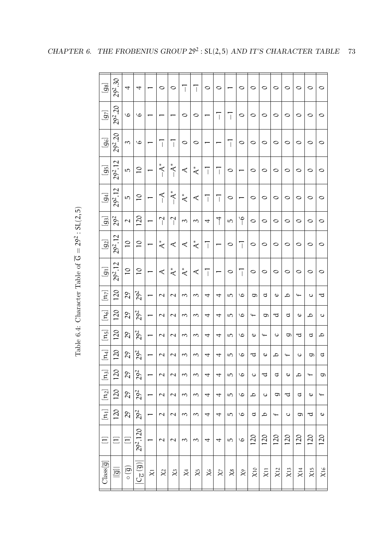| $[g_8]$                      | 30<br>292.                | 4                                 | 4                                                                 |                     | $\circ$                  | $\circ$                  | $\overline{1}$        | T                     | $\circ$                               | 0                        |                | $\circ$          | $\circ$                  | $\circ$                  | ○       | ○                        | ○                        | O       | O         |
|------------------------------|---------------------------|-----------------------------------|-------------------------------------------------------------------|---------------------|--------------------------|--------------------------|-----------------------|-----------------------|---------------------------------------|--------------------------|----------------|------------------|--------------------------|--------------------------|---------|--------------------------|--------------------------|---------|-----------|
| $[g_7]$                      | 292.20                    | G                                 | 9                                                                 |                     |                          |                          | $\circ$               | $\circ$               |                                       | $\overline{\phantom{a}}$ | $\overline{1}$ | $\circ$          | $\circ$                  | $\circ$                  | $\circ$ | 0                        | $\circ$                  | $\circ$ | $\circ$   |
| $[g_6]$                      | S.<br>292.                | 3                                 | G                                                                 |                     | $\overline{\phantom{a}}$ | $\overline{\phantom{a}}$ | $\circ$               | $\circ$               |                                       |                          | T              | $\circ$          | $\circ$                  | $\circ$                  | $\circ$ | 0                        | $\circ$                  | $\circ$ | $\circ$   |
| $[g_5]$                      | 29 <sup>2</sup> .12       | 5                                 | $\overline{C}$                                                    |                     | $-$ A <sup>*</sup>       | $+^*$                    | $\prec$               | $\stackrel{*}{\prec}$ | $\begin{array}{c} \hline \end{array}$ | T                        | $\circ$        |                  | $\circ$                  | $\circ$                  | O       | 0                        | $\circ$                  | $\circ$ | $\circ$   |
| $\left[ 94\right]$           | 29 <sup>2</sup> .12       | 5                                 | $\overline{C}$                                                    |                     | $\preceq$                | $-A^*$                   | $\stackrel{*}{\prec}$ | $\prec$               | T                                     | T                        | $\circ$        |                  | $\circ$                  | $\circ$                  | O       | $\circ$                  | $\circ$                  | $\circ$ | $\circ$   |
| ු                            | 292                       | $\overline{\mathcal{L}}$          | $\overline{20}$                                                   |                     | $\Gamma$                 | $\overline{C}$           | 3                     | 3                     | 4                                     | $\uparrow$               | 5              | $\partial$       | $\circ$                  | $\circ$                  | 0       | ○                        | 0                        | ○       | $\circ$   |
| $[g_2]$                      | 29 <sup>2</sup> .12       | $\overline{C}$                    | $\overline{C}$                                                    |                     | $\stackrel{*}{\prec}$    | $\prec$                  | $\prec$               | $\stackrel{*}{\prec}$ | $\overline{1}$                        |                          | 0              | $\overline{1}$   | $\circ$                  | $\circ$                  | $\circ$ | ○                        | ○                        | $\circ$ | $\circ$   |
| $\overline{g}$               | 29 <sup>2</sup> .12       | $\overline{0}$                    | $\overline{C}$                                                    |                     | $\prec$                  | $\stackrel{*}{\prec}$    | $\stackrel{*}{\prec}$ | $\prec$               | T                                     |                          | $\circ$        | T                | $\circ$                  | $\circ$                  | $\circ$ | 0                        | $\circ$                  | $\circ$ | $\circ$   |
| $[\mu_{\tau}]$               | $\overline{120}$          | 29                                | 292                                                               |                     | $\overline{\mathcal{L}}$ | $\sim$                   | 3                     | 3                     | 4                                     | 4                        | 5              | $\mathcal{Q}$    | G                        | þ                        | Ο       | ٩                        | $\overline{\phantom{0}}$ | $\circ$ | ರ         |
| $[\eta_{\rm s}]$             | 120                       | 29                                | $29^{2}$                                                          |                     | $\overline{\mathcal{L}}$ | $\mathbf{\mathcal{L}}$   | $\mathcal{C}$         | 3                     | 4                                     | 4                        | 5              | $\mathcal{O}$    | $\overline{\phantom{0}}$ | G                        | ರ       | þ                        | ο                        | ٩       | $\circ$   |
| $[\vec{r}]$                  | 120                       | $\overline{5}$                    | $29^{2}$                                                          |                     | $\overline{\mathcal{L}}$ | $\overline{\mathcal{L}}$ | 3                     | 3                     | 4                                     | 4                        | ഗ              | $\mathcal{Q}$    | Ο                        | $\overline{\phantom{0}}$ | ပ       | G                        | ರ                        | ರ       | ٩         |
| [<br>न                       | 120                       | 29                                | 292                                                               |                     | $\mathcal{L}$            | $\overline{\mathcal{L}}$ | 3                     | 3                     | 4                                     | 4                        | ഗ              | $\mathcal{O}$    | ರ                        | ο                        | ٩       | $\overline{\phantom{0}}$ | C                        | ರಾ      | ರ         |
| $\Xi$                        | 120                       | $\mathcal{L}^{9}$                 | $29^{2}$                                                          |                     |                          |                          | ∽                     | ς                     |                                       | 4                        | 5              | $\mathbf \omega$ | ပ                        | ರ                        | ರ       | Ο                        | ٥                        |         | G         |
| $[n_2]$                      | 120                       | 29                                | 292                                                               |                     | $\overline{\mathcal{L}}$ | $\overline{\mathcal{L}}$ | 3                     | 3                     | 4                                     | 4                        | 5              | $\mathcal{Q}$    | ٩                        | $\circ$                  | G       | ರ                        | þ                        | 6       | $\ddot{}$ |
| $\boxed{\text{m}}$           | 120                       | $\mathcal{L}^{\mathcal{S}}$       | 292                                                               |                     | $\overline{\mathcal{L}}$ | $\overline{\mathcal{L}}$ | 3                     | 3                     | 4                                     | 4                        | 5              | $\mathcal{Q}$    | d                        | q                        | $\div$  | $\circ$                  | g                        | ರ       | $\sigma$  |
| $\Xi$                        | $\Xi$                     | $\Xi$                             | 29 <sup>2</sup> .120                                              |                     | $\overline{\mathcal{L}}$ | $\overline{\mathcal{L}}$ | 3                     | 3                     | 4                                     | 4                        | 5              | $\mathbf \omega$ | 120                      | 120                      | 120     | 120                      | 120                      | 120     | 120       |
| $\text{Class}[\overline{g}]$ | $\overline{\overline{5}}$ | $\left(\overline{6}\right) \circ$ | $\left\vert \left( \frac{\left( 0\right) }{6}\right) \right\vert$ | $\overline{\times}$ | $\chi$                   | $\chi_3$                 | $\chi_4$              | $\chi$                | $\chi_{6}$                            | $\chi$                   | $\chi_8$       | $\approx$        | X10                      | X11                      | X12     | X13                      | $X$ 14                   | X15     | X16       |

Table 6.4: Character Table of  $\circ$  $= 29<sup>2</sup>$ : SL(2, <u>ດ</u>

CHAPTER 6. THE FROBENIUS GROUP  $29^2$ : SL(2,5) AND IT'S CHARACTER TABLE 73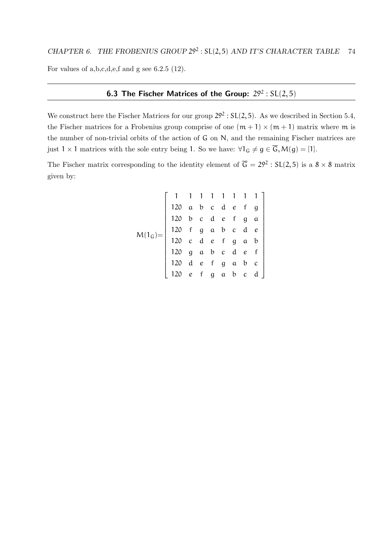For values of a,b,c,d,e,f and g see 6.2.5 (12).

#### **6.3 The Fischer Matrices of the Group:**  $29^2 : SL(2,5)$

We construct here the Fischer Matrices for our group  $29^2 : SL(2,5)$ . As we described in Section 5.4, the Fischer matrices for a Frobenius group comprise of one  $(m + 1) \times (m + 1)$  matrix where m is the number of non-trivial orbits of the action of G on N, and the remaining Fischer matrices are just  $1 \times 1$  matrices with the sole entry being 1. So we have:  $\forall 1_G \neq g \in \overline{G}, M(g) = [1]$ .

The Fischer matrix corresponding to the identity element of  $\overline{G} = 29^2 : SL(2, 5)$  is a  $8 \times 8$  matrix given by:

$$
M(1_G) = \left[\begin{array}{rrrrrr} 1 & 1 & 1 & 1 & 1 & 1 & 1 \\ 120 & a & b & c & d & e & f & g \\ 120 & b & c & d & e & f & g & a \\ 120 & f & g & a & b & c & d & e \\ 120 & c & d & e & f & g & a & b \\ 120 & g & a & b & c & d & e & f \\ 120 & d & e & f & g & a & b & c \\ 120 & e & f & g & a & b & c & d \end{array}\right]
$$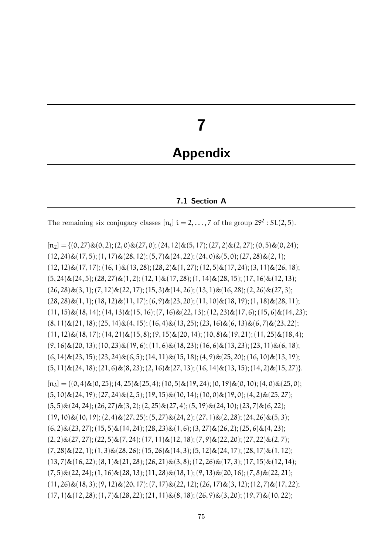# 7

## Appendix

#### 7.1 Section A

The remaining six conjugacy classes  $[n_i]$   $i = 2, ..., 7$  of the group  $29^2 : SL(2, 5)$ .

 $[n_2] = \{(0, 27) \& (0, 2); (2, 0) \& (27, 0); (24, 12) \& (5, 17); (27, 2) \& (2, 27); (0, 5) \& (0, 24);$  $(12, 24) \& (17, 5); (1, 17) \& (28, 12); (5, 7) \& (24, 22); (24, 0) \& (5, 0); (27, 28) \& (2, 1);$  $(12, 12)\&(17, 17); (16, 1)\&(13, 28); (28, 2)\&(1, 27); (12, 5)\&(17, 24); (3, 11)\&(26, 18);$  $(5, 24) \& (24, 5); (28, 27) \& (1, 2); (12, 1) \& (17, 28); (1, 14) \& (28, 15); (17, 16) \& (12, 13);$  $(26, 28) \& (3, 1); (7, 12) \& (22, 17); (15, 3) \& (14, 26); (13, 1) \& (16, 28); (2, 26) \& (27, 3);$  $(28, 28) \& (1, 1); (18, 12) \& (11, 17); (6, 9) \& (23, 20); (11, 10) \& (18, 19); (1, 18) \& (28, 11);$  $(11, 15)$ & $(18, 14)$ ;  $(14, 13)$ & $(15, 16)$ ;  $(7, 16)$ & $(22, 13)$ ;  $(12, 23)$ & $(17, 6)$ ;  $(15, 6)$ & $(14, 23)$ ;  $(8, 11) \& (21, 18); (25, 14) \& (4, 15); (16, 4) \& (13, 25); (23, 16) \& (6, 13) \& (6, 7) \& (23, 22);$  $(11, 12)\&(18, 17); (14, 21)\&(15, 8); (9, 15)\&(20, 14); (10, 8)\&(19, 21); (11, 25)\&(18, 4);$  $(9, 16) \& (20, 13); (10, 23) \& (19, 6); (11, 6) \& (18, 23); (16, 6) \& (13, 23); (23, 11) \& (6, 18);$  $(6, 14) \& (23, 15); (23, 24) \& (6, 5); (14, 11) \& (15, 18); (4, 9) \& (25, 20); (16, 10) \& (13, 19);$  $(5, 11) \& (24, 18)$ ;  $(21, 6) \& (8, 23)$ ;  $(2, 16) \& (27, 13)$ ;  $(16, 14) \& (13, 15)$ ;  $(14, 2) \& (15, 27)$ .  $[n_3] = \{(0,4) \& (0,25); (4,25) \& (25,4); (10,5) \& (19,24); (0,19) \& (0,10); (4,0) \& (25,0);$  $(5, 10)\&(24, 19); (27, 24)\&(2, 5); (19, 15)\&(10, 14); (10, 0)\&(19, 0); (4, 2)\&(25, 27);$  $(5, 5)$ & $(24, 24)$ ;  $(26, 27)$ & $(3, 2)$ ;  $(2, 25)$ & $(27, 4)$ ;  $(5, 19)$ & $(24, 10)$ ;  $(23, 7)$ & $(6, 22)$ ;  $(19, 10)\&(10, 19); (2, 4)\&(27, 25); (5, 27)\&(24, 2); (27, 1)\&(2, 28); (24, 26)\&(5, 3);$  $(6, 2)$ & $(23, 27)$ ;  $(15, 5)$ & $(14, 24)$ ;  $(28, 23)$ & $(1, 6)$ ;  $(3, 27)$ & $(26, 2)$ ;  $(25, 6)$ & $(4, 23)$ ;  $(2, 2)$ & $(27, 27)$ ;  $(22, 5)$ & $(7, 24)$ ;  $(17, 11)$ & $(12, 18)$ ;  $(7, 9)$ & $(22, 20)$ ;  $(27, 22)$ & $(2, 7)$ ;  $(7, 28) \& (22, 1); (1, 3) \& (28, 26); (15, 26) \& (14, 3); (5, 12) \& (24, 17); (28, 17) \& (1, 12);$  $(13, 7)$ & $(16, 22)$ ;  $(8, 1)$ & $(21, 28)$ ;  $(26, 21)$ & $(3, 8)$ ;  $(12, 26)$ & $(17, 3)$ ;  $(17, 15)$ & $(12, 14)$ ;  $(7, 5) \& (22, 24); (1, 16) \& (28, 13); (11, 28) \& (18, 1); (9, 13) \& (20, 16); (7, 8) \& (22, 21);$  $(11, 26) \& (18, 3); (9, 12) \& (20, 17); (7, 17) \& (22, 12); (26, 17) \& (3, 12); (12, 7) \& (17, 22);$  $(17, 1)$ & $(12, 28)$ ;  $(1, 7)$ & $(28, 22)$ ;  $(21, 11)$ & $(8, 18)$ ;  $(26, 9)$ & $(3, 20)$ ;  $(19, 7)$ & $(10, 22)$ ;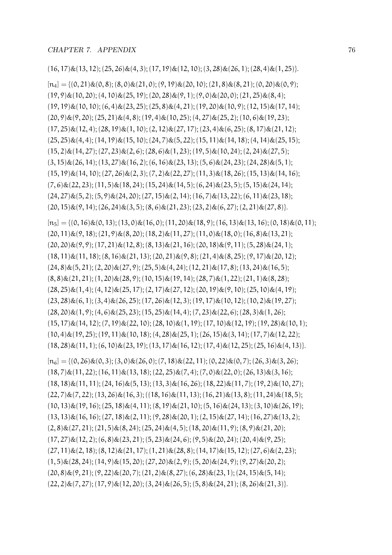$(16, 17)\&(13, 12); (25, 26)\&(4, 3); (17, 19)\&(12, 10); (3, 28)\&(26, 1); (28, 4)\&(1, 25).$ 

 $[n_4] = \{(0, 21)\&(0, 8); (8, 0)\&(21, 0); (9, 19)\&(20, 10); (21, 8)\&(8, 21); (0, 20)\&(0, 9);$  $(19, 9) \& (10, 20); (4, 10) \& (25, 19); (20, 28) \& (9, 1); (9, 0) \& (20, 0); (21, 25) \& (8, 4);$  $(19, 19) \& (10, 10); (6, 4) \& (23, 25); (25, 8) \& (4, 21); (19, 20) \& (10, 9); (12, 15) \& (17, 14);$  $(20, 9) \& (9, 20); (25, 21) \& (4, 8); (19, 4) \& (10, 25); (4, 27) \& (25, 2); (10, 6) \& (19, 23);$  $(17, 25)$ & $(12, 4)$ ;  $(28, 19)$ & $(1, 10)$ ;  $(2, 12)$ & $(27, 17)$ ;  $(23, 4)$ & $(6, 25)$ ;  $(8, 17)$ & $(21, 12)$ ;  $(25, 25) \& (4, 4); (14, 19) \& (15, 10); (24, 7) \& (5, 22); (15, 11) \& (14, 18); (4, 14) \& (25, 15);$  $(15, 2)$  &  $(14, 27)$ ;  $(27, 23)$  &  $(2, 6)$ ;  $(28, 6)$  &  $(1, 23)$ ;  $(19, 5)$  &  $(10, 24)$ ;  $(2, 24)$  &  $(27, 5)$ ;  $(3, 15) \& (26, 14); (13, 27) \& (16, 2); (6, 16) \& (23, 13); (5, 6) \& (24, 23); (24, 28) \& (5, 1);$  $(15, 19)$ & $(14, 10)$ ;  $(27, 26)$ & $(2, 3)$ ;  $(7, 2)$ & $(22, 27)$ ;  $(11, 3)$ & $(18, 26)$ ;  $(15, 13)$ & $(14, 16)$ ;  $(7, 6) \& (22, 23); (11, 5) \& (18, 24); (15, 24) \& (14, 5); (6, 24) \& (23, 5); (5, 15) \& (24, 14);$  $(24, 27) \& (5, 2); (5, 9) \& (24, 20); (27, 15) \& (2, 14); (16, 7) \& (13, 22); (6, 11) \& (23, 18);$  $(20, 15) \& (9, 14); (26, 24) \& (3, 5); (8, 6) \& (21, 23); (23, 2) \& (6, 27); (2, 21) \& (27, 8)$ 

 $[n_5] = \{(0, 16) \& (0, 13); (13, 0) \& (16, 0); (11, 20) \& (18, 9); (16, 13) \& (13, 16); (0, 18) \& (0, 11);$  $(20, 11) \& (9, 18); (21, 9) \& (8, 20); (18, 2) \& (11, 27); (11, 0) \& (18, 0); (16, 8) \& (13, 21);$  $(20, 20) \& (9, 9); (17, 21) \& (12, 8); (8, 13) \& (21, 16); (20, 18) \& (9, 11); (5, 28) \& (24, 1);$  $(18, 11)\&(11, 18); (8, 16)\&(21, 13); (20, 21)\&(9, 8); (21, 4)\&(8, 25); (9, 17)\&(20, 12);$  $(24, 8) \& (5, 21); (2, 20) \& (27, 9); (25, 5) \& (4, 24); (12, 21) \& (17, 8); (13, 24) \& (16, 5);$  $(8, 8) \& (21, 21); (1, 20) \& (28, 9); (10, 15) \& (19, 14); (28, 7) \& (1, 22); (21, 1) \& (8, 28);$  $(28, 25) \& (1, 4); (4, 12) \& (25, 17); (2, 17) \& (27, 12); (20, 19) \& (9, 10); (25, 10) \& (4, 19);$  $(23, 28) \& (6, 1); (3, 4) \& (26, 25); (17, 26) \& (12, 3); (19, 17) \& (10, 12); (10, 2) \& (19, 27);$  $(28, 20)\&(1, 9); (4, 6)\&(25, 23); (15, 25)\&(14, 4); (7, 23)\&(22, 6); (28, 3)\&(1, 26);$  $(15, 17) \& (14, 12); (7, 19) \& (22, 10); (28, 10) \& (1, 19); (17, 10) \& (12, 19); (19, 28) \& (10, 1);$  $(10, 4)$ & $(19, 25)$ ;  $(19, 11)$ & $(10, 18)$ ;  $(4, 28)$ & $(25, 1)$ ;  $(26, 15)$ & $(3, 14)$ ;  $(17, 7)$ & $(12, 22)$ ;  $(18, 28)\&(11, 1); (6, 10)\&(23, 19); (13, 17)\&(16, 12); (17, 4)\&(12, 25); (25, 16)\&(4, 13)\}.$ 

 $[n_6] = \{(0, 26) \& (0, 3); (3, 0) \& (26, 0); (7, 18) \& (22, 11); (0, 22) \& (0, 7); (26, 3) \& (3, 26);$  $(18, 7)$ & $(11, 22)$ ;  $(16, 11)$ & $(13, 18)$ ;  $(22, 25)$ & $(7, 4)$ ;  $(7, 0)$ & $(22, 0)$ ;  $(26, 13)$ & $(3, 16)$ ;  $(18, 18)\&(11, 11); (24, 16)\&(5, 13); (13, 3)\&(16, 26); (18, 22)\&(11, 7); (19, 2)\&(10, 27);$  $(22, 7)$ & $(7, 22)$ ;  $(13, 26)$ & $(16, 3)$ ;  $((18, 16)$ & $(11, 13)$ ;  $(16, 21)$ & $(13, 8)$ ;  $(11, 24)$ & $(18, 5)$ ;  $(10, 13) \& (19, 16); (25, 18) \& (4, 11); (8, 19) \& (21, 10); (5, 16) \& (24, 13); (3, 10) \& (26, 19);$  $(13, 13)\&(16, 16); (27, 18)\&(2, 11); (9, 28)\&(20, 1); (2, 15)\&(27, 14); (16, 27)\&(13, 2);$  $(2, 8) \& (27, 21); (21, 5) \& (8, 24); (25, 24) \& (4, 5); (18, 20) \& (11, 9); (8, 9) \& (21, 20);$  $(17, 27)$ & $(12, 2)$ ;  $(6, 8)$ & $(23, 21)$ ;  $(5, 23)$ & $(24, 6)$ ;  $(9, 5)$ & $(20, 24)$ ;  $(20, 4)$ & $(9, 25)$ ;  $(27, 11) \& (2, 18); (8, 12) \& (21, 17); (1, 21) \& (28, 8); (14, 17) \& (15, 12); (27, 6) \& (2, 23);$  $(1, 5) \& (28, 24); (14, 9) \& (15, 20); (27, 20) \& (2, 9); (5, 20) \& (24, 9); (9, 27) \& (20, 2);$  $(20, 8) \& (9, 21); (9, 22) \& (20, 7); (21, 2) \& (8, 27); (6, 28) \& (23, 1); (24, 15) \& (5, 14);$  $(22, 2) \& (7, 27); (17, 9) \& (12, 20); (3, 24) \& (26, 5); (5, 8) \& (24, 21); (8, 26) \& (21, 3)$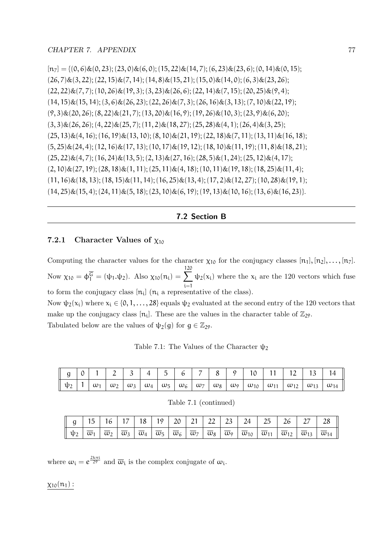$[n_7] = \{(0, 6) \& (0, 23); (23, 0) \& (6, 0); (15, 22) \& (14, 7); (6, 23) \& (23, 6); (0, 14) \& (0, 15);$  $(26, 7)$ & $(3, 22)$ ;  $(22, 15)$ & $(7, 14)$ ;  $(14, 8)$ & $(15, 21)$ ;  $(15, 0)$ & $(14, 0)$ ;  $(6, 3)$ & $(23, 26)$ ;  $(22, 22)\&(7, 7); (10, 26)\&(19, 3); (3, 23)\&(26, 6); (22, 14)\&(7, 15); (20, 25)\&(9, 4);$  $(14, 15)\&(15, 14); (3, 6)\&(26, 23); (22, 26)\&(7, 3); (26, 16)\&(3, 13); (7, 10)\&(22, 19);$  $(9, 3)$ & $(20, 26)$ ;  $(8, 22)$ & $(21, 7)$ ;  $(13, 20)$ & $(16, 9)$ ;  $(19, 26)$ & $(10, 3)$ ;  $(23, 9)$ & $(6, 20)$ ;  $(3, 3)$ & $(26, 26)$ ;  $(4, 22)$ & $(25, 7)$ ;  $(11, 2)$ & $(18, 27)$ ;  $(25, 28)$ & $(4, 1)$ ;  $(26, 4)$ & $(3, 25)$ ;  $(25, 13)\&(4, 16); (16, 19)\&(13, 10); (8, 10)\&(21, 19); (22, 18)\&(7, 11); (13, 11)\&(16, 18);$  $(5, 25)$ & $(24, 4)$ ;  $(12, 16)$ & $(17, 13)$ ;  $(10, 17)$ & $(19, 12)$ ;  $(18, 10)$ & $(11, 19)$ ;  $(11, 8)$ & $(18, 21)$ ;  $(25, 22)\&(4, 7); (16, 24)\&(13, 5); (2, 13)\&(27, 16); (28, 5)\&(1, 24); (25, 12)\&(4, 17);$  $(2, 10) \& (27, 19); (28, 18) \& (1, 11); (25, 11) \& (4, 18); (10, 11) \& (19, 18); (18, 25) \& (11, 4);$  $(11, 16) \& (18, 13); (18, 15) \& (11, 14); (16, 25) \& (13, 4); (17, 2) \& (12, 27); (10, 28) \& (19, 1);$  $(14, 25) \& (15, 4); (24, 11) \& (5, 18); (23, 10) \& (6, 19); (19, 13) \& (10, 16); (13, 6) \& (16, 23)].$ 

7.2 Section B

#### 7.2.1 Character Values of  $\chi_{10}$

Computing the character values for the character  $\chi_{10}$  for the conjugacy classes  $[n_1], [n_2], \ldots, [n_7]$ . Now  $\chi_{10} = \phi_1^{\overline{G}} = (\psi_1 \cdot \psi_2)$ . Also  $\chi_{10}(n_i) = \sum_{i=1}^{120}$ to form the conjugacy class  $[n_i]$  ( $n_i$  a representative of the class).  $\psi_2(x_i)$  where the  $x_i$  are the 120 vectors which fuse Now  $\psi_2(x_i)$  where  $x_i \in \{0, 1, \ldots, 28\}$  equals  $\psi_2$  evaluated at the second entry of the 120 vectors that make up the conjugacy class  $[n_i]$ . These are the values in the character table of  $\mathbb{Z}_{29}$ .

Tabulated below are the values of  $\psi_2(g)$  for  $g \in \mathbb{Z}_{29}$ .

Table 7.1: The Values of the Character  $\psi$ 

|  |  |  |  |  |  |  | $\parallel$ g   0   1   2   3   4   5   6   7   8   9   10   11   12   13   14 |                                                                                                                                                                                                                                                                                                                                  |
|--|--|--|--|--|--|--|--------------------------------------------------------------------------------|----------------------------------------------------------------------------------------------------------------------------------------------------------------------------------------------------------------------------------------------------------------------------------------------------------------------------------|
|  |  |  |  |  |  |  |                                                                                | $\parallel \psi _2\parallel 1\parallel \omega _1\parallel \omega _2\parallel \omega _3\parallel \omega _4\parallel \omega _5\parallel \omega _6\parallel \omega _7\parallel \omega _8\parallel \omega _9\parallel \omega _{10}\parallel \omega _{11}\parallel \omega _{12}\parallel \omega _{13}\parallel \omega _{14}\parallel$ |

|  |  |  |  |  |  |  | g   15   16   17   18   19   20   21   22   23   24   25   26   27   28                                                                                                                                                                                                                                                                                                                                |
|--|--|--|--|--|--|--|--------------------------------------------------------------------------------------------------------------------------------------------------------------------------------------------------------------------------------------------------------------------------------------------------------------------------------------------------------------------------------------------------------|
|  |  |  |  |  |  |  | $\left[\begin{array}{c c c c c c} \Vline \psi_1 & \overline{\omega}_1 & \overline{\omega}_2 & \overline{\omega}_3 & \overline{\omega}_4 & \overline{\omega}_5 & \overline{\omega}_6 & \overline{\omega}_7 & \overline{\omega}_8 & \overline{\omega}_9 & \overline{\omega}_{10} & \overline{\omega}_{11} & \overline{\omega}_{12} & \overline{\omega}_{13} & \overline{\omega}_{14} \end{array}\right]$ |

Table 7.1 (continued)

where  $\omega_i = e^{\frac{2k\pi i}{29}}$  and  $\overline{\omega}_i$  is the complex conjugate of  $\omega_i$ .

 $\chi_{10}(n_1)$ :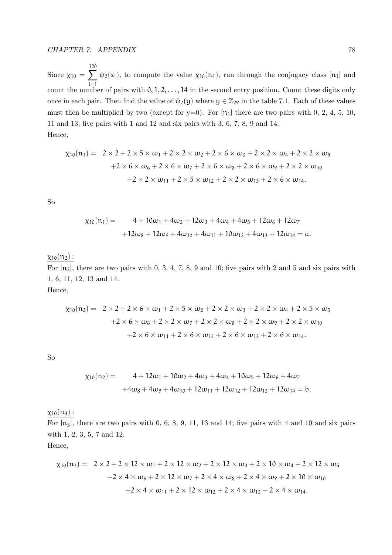Since  $\chi_{10} = \sum_{ }^{120}$ i=1  $\psi_2(x_i)$ , to compute the value  $\chi_{10}(n_1)$ , run through the conjugacy class [n<sub>1</sub>] and count the number of pairs with  $0, 1, 2, \ldots, 14$  in the second entry position. Count these digits only once in each pair. Then find the value of  $\psi_2(y)$  where  $y \in \mathbb{Z}_{29}$  in the table 7.1. Each of these values must then be multiplied by two (except for  $y=0$ ). For  $[n_1]$  there are two pairs with 0, 2, 4, 5, 10, 11 and 13; five pairs with 1 and 12 and six pairs with 3, 6, 7, 8, 9 and 14. Hence,

$$
\chi_{10}(n_1) = 2 \times 2 + 2 \times 5 \times \omega_1 + 2 \times 2 \times \omega_2 + 2 \times 6 \times \omega_3 + 2 \times 2 \times \omega_4 + 2 \times 2 \times \omega_5
$$
  
+2 \times 6 \times \omega\_6 + 2 \times 6 \times \omega\_7 + 2 \times 6 \times \omega\_8 + 2 \times 6 \times \omega\_9 + 2 \times 2 \times \omega\_{10}  
+2 \times 2 \times \omega\_{11} + 2 \times 5 \times \omega\_{12} + 2 \times 2 \times \omega\_{13} + 2 \times 6 \times \omega\_{14}.

So

$$
\chi_{10}(n_1) = 4 + 10\omega_1 + 4\omega_2 + 12\omega_3 + 4\omega_4 + 4\omega_5 + 12\omega_6 + 12\omega_7
$$

$$
+12\omega_8 + 12\omega_9 + 4\omega_{10} + 4\omega_{11} + 10\omega_{12} + 4\omega_{13} + 12\omega_{14} = a.
$$

 $\chi_{10}(n_2)$  :

For  $[n_2]$ , there are two pairs with 0, 3, 4, 7, 8, 9 and 10; five pairs with 2 and 5 and six pairs with 1, 6, 11, 12, 13 and 14.

Hence,

$$
\chi_{10}(n_2) = 2 \times 2 + 2 \times 6 \times \omega_1 + 2 \times 5 \times \omega_2 + 2 \times 2 \times \omega_3 + 2 \times 2 \times \omega_4 + 2 \times 5 \times \omega_5
$$
  
+2 \times 6 \times \omega\_6 + 2 \times 2 \times \omega\_7 + 2 \times 2 \times \omega\_8 + 2 \times 2 \times \omega\_9 + 2 \times 2 \times \omega\_{10}  
+2 \times 6 \times \omega\_{11} + 2 \times 6 \times \omega\_{12} + 2 \times 6 \times \omega\_{13} + 2 \times 6 \times \omega\_{14}.

So

$$
\begin{aligned} \chi_{10}(n_2) &= 4 + 12\omega_1 + 10\omega_2 + 4\omega_3 + 4\omega_4 + 10\omega_5 + 12\omega_6 + 4\omega_7 \\ &+ 4\omega_8 + 4\omega_9 + 4\omega_{10} + 12\omega_{11} + 12\omega_{12} + 12\omega_{13} + 12\omega_{14} = b. \end{aligned}
$$

 $\chi_{10}(n_3)$ :

For  $[n_3]$ , there are two pairs with 0, 6, 8, 9, 11, 13 and 14; five pairs with 4 and 10 and six pairs with 1, 2, 3, 5, 7 and 12.

Hence,

$$
\chi_{10}(n_3) = 2 \times 2 + 2 \times 12 \times \omega_1 + 2 \times 12 \times \omega_2 + 2 \times 12 \times \omega_3 + 2 \times 10 \times \omega_4 + 2 \times 12 \times \omega_5
$$
  
+2 \times 4 \times \omega\_6 + 2 \times 12 \times \omega\_7 + 2 \times 4 \times \omega\_8 + 2 \times 4 \times \omega\_9 + 2 \times 10 \times \omega\_{10}  
+2 \times 4 \times \omega\_{11} + 2 \times 12 \times \omega\_{12} + 2 \times 4 \times \omega\_{13} + 2 \times 4 \times \omega\_{14}.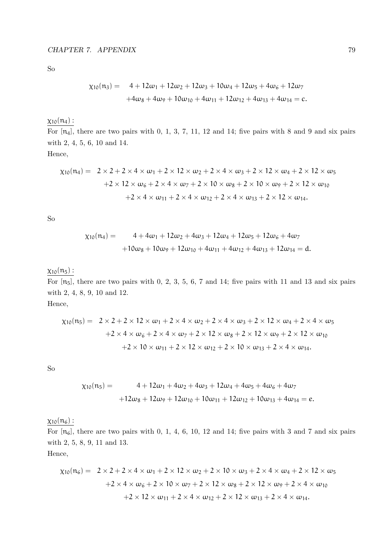So

$$
\begin{aligned} \chi_{10}(n_3) &= 4 + 12\omega_1 + 12\omega_2 + 12\omega_3 + 10\omega_4 + 12\omega_5 + 4\omega_6 + 12\omega_7 \\ &+ 4\omega_8 + 4\omega_9 + 10\omega_{10} + 4\omega_{11} + 12\omega_{12} + 4\omega_{13} + 4\omega_{14} = c. \end{aligned}
$$

 $\chi_{10}(n_4)$  :

For  $[n_4]$ , there are two pairs with 0, 1, 3, 7, 11, 12 and 14; five pairs with 8 and 9 and six pairs with 2, 4, 5, 6, 10 and 14.

Hence,

$$
\chi_{10}(n_4) = 2 \times 2 + 2 \times 4 \times \omega_1 + 2 \times 12 \times \omega_2 + 2 \times 4 \times \omega_3 + 2 \times 12 \times \omega_4 + 2 \times 12 \times \omega_5
$$
  
+2 × 12 ×  $\omega_6 + 2 \times 4 \times \omega_7 + 2 \times 10 \times \omega_8 + 2 \times 10 \times \omega_9 + 2 \times 12 \times \omega_{10}$   
+2 × 4 ×  $\omega_{11} + 2 \times 4 \times \omega_{12} + 2 \times 4 \times \omega_{13} + 2 \times 12 \times \omega_{14}$ .

So

$$
\begin{aligned} \chi_{10}(n_4) &= 4 + 4\omega_1 + 12\omega_2 + 4\omega_3 + 12\omega_4 + 12\omega_5 + 12\omega_6 + 4\omega_7 \\ &+ 10\omega_8 + 10\omega_9 + 12\omega_{10} + 4\omega_{11} + 4\omega_{12} + 4\omega_{13} + 12\omega_{14} = d. \end{aligned}
$$

## $\chi_{10}(\mathfrak{n}_5)$  :

For  $[n_5]$ , there are two pairs with 0, 2, 3, 5, 6, 7 and 14; five pairs with 11 and 13 and six pairs with 2, 4, 8, 9, 10 and 12.

Hence,

$$
\chi_{10}(n_5) = 2 \times 2 + 2 \times 12 \times \omega_1 + 2 \times 4 \times \omega_2 + 2 \times 4 \times \omega_3 + 2 \times 12 \times \omega_4 + 2 \times 4 \times \omega_5
$$
  
+2 \times 4 \times \omega\_6 + 2 \times 4 \times \omega\_7 + 2 \times 12 \times \omega\_8 + 2 \times 12 \times \omega\_9 + 2 \times 12 \times \omega\_{10}  
+2 \times 10 \times \omega\_{11} + 2 \times 12 \times \omega\_{12} + 2 \times 10 \times \omega\_{13} + 2 \times 4 \times \omega\_{14}.

So

$$
\chi_{10}(n_5) = 4 + 12\omega_1 + 4\omega_2 + 4\omega_3 + 12\omega_4 + 4\omega_5 + 4\omega_6 + 4\omega_7
$$

$$
+12\omega_8 + 12\omega_9 + 12\omega_{10} + 10\omega_{11} + 12\omega_{12} + 10\omega_{13} + 4\omega_{14} = e.
$$

 $\chi_{10}(n_6)$ :

For  $[n_6]$ , there are two pairs with 0, 1, 4, 6, 10, 12 and 14; five pairs with 3 and 7 and six pairs with 2, 5, 8, 9, 11 and 13.

Hence,

$$
\chi_{10}(n_6) = 2 \times 2 + 2 \times 4 \times \omega_1 + 2 \times 12 \times \omega_2 + 2 \times 10 \times \omega_3 + 2 \times 4 \times \omega_4 + 2 \times 12 \times \omega_5
$$
  
+2 \times 4 \times \omega\_6 + 2 \times 10 \times \omega\_7 + 2 \times 12 \times \omega\_8 + 2 \times 12 \times \omega\_9 + 2 \times 4 \times \omega\_{10}  
+2 \times 12 \times \omega\_{11} + 2 \times 4 \times \omega\_{12} + 2 \times 12 \times \omega\_{13} + 2 \times 4 \times \omega\_{14}.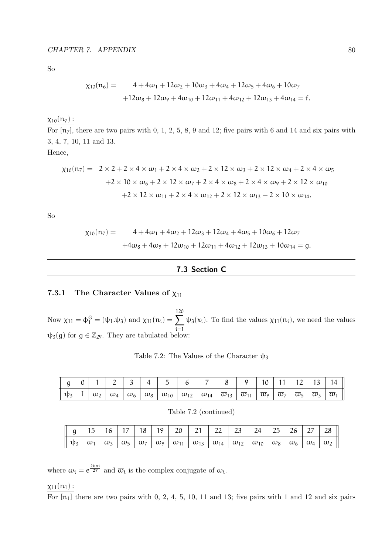So

$$
\chi_{10}(n_6) = 4 + 4\omega_1 + 12\omega_2 + 10\omega_3 + 4\omega_4 + 12\omega_5 + 4\omega_6 + 10\omega_7
$$
  
+12\omega\_8 + 12\omega\_9 + 4\omega\_{10} + 12\omega\_{11} + 4\omega\_{12} + 12\omega\_{13} + 4\omega\_{14} = f.

 $\chi_{10}(n_7)$ :

For  $[n_7]$ , there are two pairs with 0, 1, 2, 5, 8, 9 and 12; five pairs with 6 and 14 and six pairs with 3, 4, 7, 10, 11 and 13.

Hence,

$$
\chi_{10}(n_7) = 2 \times 2 + 2 \times 4 \times \omega_1 + 2 \times 4 \times \omega_2 + 2 \times 12 \times \omega_3 + 2 \times 12 \times \omega_4 + 2 \times 4 \times \omega_5
$$
  
+2 \times 10 \times \omega\_6 + 2 \times 12 \times \omega\_7 + 2 \times 4 \times \omega\_8 + 2 \times 4 \times \omega\_9 + 2 \times 12 \times \omega\_{10}  
+2 \times 12 \times \omega\_{11} + 2 \times 4 \times \omega\_{12} + 2 \times 12 \times \omega\_{13} + 2 \times 10 \times \omega\_{14}.

So

$$
\begin{aligned}\n\chi_{10}(n_7) &= 4 + 4\omega_1 + 4\omega_2 + 12\omega_3 + 12\omega_4 + 4\omega_5 + 10\omega_6 + 12\omega_7 \\
&\quad + 4\omega_8 + 4\omega_9 + 12\omega_{10} + 12\omega_{11} + 4\omega_{12} + 12\omega_{13} + 10\omega_{14} = g.\n\end{aligned}
$$

#### 7.3 Section C

#### 7.3.1 The Character Values of  $\chi_{11}$

Now  $\chi_{11} = \phi_1^{\overline{G}} = (\psi_1 \cdot \psi_3)$  and  $\chi_{11}(n_i) = \sum_{i=1}^{120}$ i=1  $\psi_3(x_i)$ . To find the values  $\chi_{11}(n_i)$ , we need the values  $\psi_3(g)$  for  $g \in \mathbb{Z}_{29}$ . They are tabulated below:

Table 7.2: The Values of the Character  $\psi_3$ 

| $\parallel$ g $\mid$ 0 |  |  | 12   3   4   5   6                                                                                                                                                                                                                                                                                    |  | 8 9 10 11 12 13 14 |  |  |  |
|------------------------|--|--|-------------------------------------------------------------------------------------------------------------------------------------------------------------------------------------------------------------------------------------------------------------------------------------------------------|--|--------------------|--|--|--|
|                        |  |  | $\parallel \psi_3 \parallel 1 \mid \omega_2 \mid \omega_4 \mid \omega_6 \mid \omega_8 \mid \omega_{10} \mid \omega_{12} \mid \omega_{14} \mid \overline{\omega}_{13} \mid \overline{\omega}_{11} \mid \overline{\omega}_7 \mid \overline{\omega}_5 \mid \overline{\omega}_3 \mid \overline{\omega}_1$ |  |                    |  |  |  |

Table 7.2 (continued)

|  |  |  |  | $\parallel$ 9   15   16   17   18   19   20   21   22   23   24   25   26   27   28 |  |  |  |  |
|--|--|--|--|-------------------------------------------------------------------------------------|--|--|--|--|
|  |  |  |  |                                                                                     |  |  |  |  |

where  $\omega_i = e^{\frac{2k\pi i}{29}}$  and  $\overline{\omega}_i$  is the complex conjugate of  $\omega_i$ .

#### $\chi_{11}(n_1)$  :

For  $[n_1]$  there are two pairs with 0, 2, 4, 5, 10, 11 and 13; five pairs with 1 and 12 and six pairs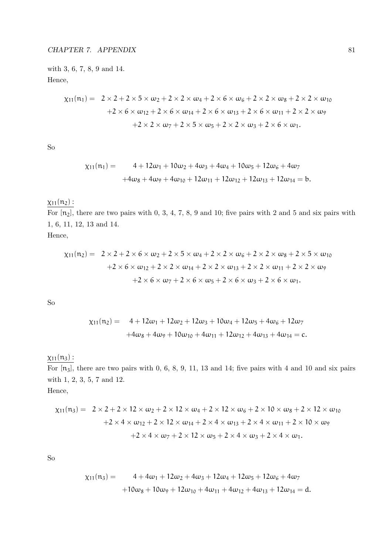with 3, 6, 7, 8, 9 and 14. Hence,

$$
\chi_{11}(n_1) = 2 \times 2 + 2 \times 5 \times \omega_2 + 2 \times 2 \times \omega_4 + 2 \times 6 \times \omega_6 + 2 \times 2 \times \omega_8 + 2 \times 2 \times \omega_{10} \n+ 2 \times 6 \times \omega_{12} + 2 \times 6 \times \omega_{14} + 2 \times 6 \times \omega_{13} + 2 \times 6 \times \omega_{11} + 2 \times 2 \times \omega_9 \n+ 2 \times 2 \times \omega_7 + 2 \times 5 \times \omega_5 + 2 \times 2 \times \omega_3 + 2 \times 6 \times \omega_1.
$$

So

$$
\begin{aligned} \chi_{11}(n_1) &= 4 + 12\omega_1 + 10\omega_2 + 4\omega_3 + 4\omega_4 + 10\omega_5 + 12\omega_6 + 4\omega_7 \\ &+ 4\omega_8 + 4\omega_9 + 4\omega_{10} + 12\omega_{11} + 12\omega_{12} + 12\omega_{13} + 12\omega_{14} = b. \end{aligned}
$$

## $\chi_{11}(n_2)$  :

For  $[n_2]$ , there are two pairs with 0, 3, 4, 7, 8, 9 and 10; five pairs with 2 and 5 and six pairs with 1, 6, 11, 12, 13 and 14.

Hence,

$$
\chi_{11}(\mathfrak{n}_2) = 2 \times 2 + 2 \times 6 \times \omega_2 + 2 \times 5 \times \omega_4 + 2 \times 2 \times \omega_6 + 2 \times 2 \times \omega_8 + 2 \times 5 \times \omega_{10}
$$
  
+2 \times 6 \times \omega\_{12} + 2 \times 2 \times \omega\_{14} + 2 \times 2 \times \omega\_{13} + 2 \times 2 \times \omega\_{11} + 2 \times 2 \times \omega\_9  
+2 \times 6 \times \omega\_7 + 2 \times 6 \times \omega\_5 + 2 \times 6 \times \omega\_3 + 2 \times 6 \times \omega\_1.

So

$$
\chi_{11}(n_2) = 4 + 12\omega_1 + 12\omega_2 + 12\omega_3 + 10\omega_4 + 12\omega_5 + 4\omega_6 + 12\omega_7
$$
  
+4\omega\_8 + 4\omega\_9 + 10\omega\_{10} + 4\omega\_{11} + 12\omega\_{12} + 4\omega\_{13} + 4\omega\_{14} = c.

## $\chi_{11}(n_3)$  :

For  $[n_3]$ , there are two pairs with 0, 6, 8, 9, 11, 13 and 14; five pairs with 4 and 10 and six pairs with 1, 2, 3, 5, 7 and 12. Hence,

$$
\chi_{11}(n_3) = 2 \times 2 + 2 \times 12 \times \omega_2 + 2 \times 12 \times \omega_4 + 2 \times 12 \times \omega_6 + 2 \times 10 \times \omega_8 + 2 \times 12 \times \omega_{10} \n+ 2 \times 4 \times \omega_{12} + 2 \times 12 \times \omega_{14} + 2 \times 4 \times \omega_{13} + 2 \times 4 \times \omega_{11} + 2 \times 10 \times \omega_9 \n+ 2 \times 4 \times \omega_7 + 2 \times 12 \times \omega_5 + 2 \times 4 \times \omega_3 + 2 \times 4 \times \omega_1.
$$

So

$$
\begin{aligned} \chi_{11}(n_3) &= 4 + 4\omega_1 + 12\omega_2 + 4\omega_3 + 12\omega_4 + 12\omega_5 + 12\omega_6 + 4\omega_7 \\ &+ 10\omega_8 + 10\omega_9 + 12\omega_{10} + 4\omega_{11} + 4\omega_{12} + 4\omega_{13} + 12\omega_{14} = d. \end{aligned}
$$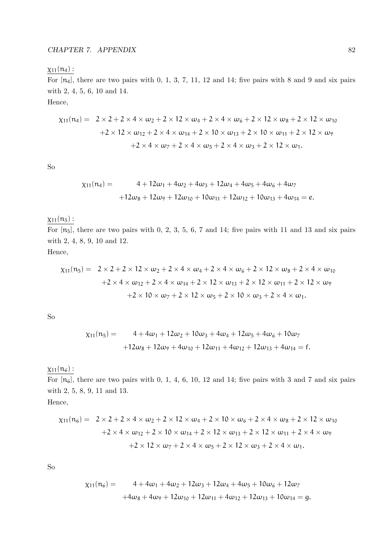## $\chi_{11}(n_4)$  :

For  $[n_4]$ , there are two pairs with 0, 1, 3, 7, 11, 12 and 14; five pairs with 8 and 9 and six pairs with 2, 4, 5, 6, 10 and 14.

Hence,

$$
\chi_{11}(n_4) = 2 \times 2 + 2 \times 4 \times \omega_2 + 2 \times 12 \times \omega_4 + 2 \times 4 \times \omega_6 + 2 \times 12 \times \omega_8 + 2 \times 12 \times \omega_{10} \n+ 2 \times 12 \times \omega_{12} + 2 \times 4 \times \omega_{14} + 2 \times 10 \times \omega_{13} + 2 \times 10 \times \omega_{11} + 2 \times 12 \times \omega_9 \n+ 2 \times 4 \times \omega_7 + 2 \times 4 \times \omega_5 + 2 \times 4 \times \omega_3 + 2 \times 12 \times \omega_1.
$$

So

$$
\chi_{11}(n_4) = 4 + 12\omega_1 + 4\omega_2 + 4\omega_3 + 12\omega_4 + 4\omega_5 + 4\omega_6 + 4\omega_7
$$

$$
+12\omega_8 + 12\omega_9 + 12\omega_{10} + 10\omega_{11} + 12\omega_{12} + 10\omega_{13} + 4\omega_{14} = e.
$$

## $\chi_{11}(n_5)$  :

For  $[n_5]$ , there are two pairs with 0, 2, 3, 5, 6, 7 and 14; five pairs with 11 and 13 and six pairs with 2, 4, 8, 9, 10 and 12.

Hence,

$$
\chi_{11}(n_5) = 2 \times 2 + 2 \times 12 \times \omega_2 + 2 \times 4 \times \omega_4 + 2 \times 4 \times \omega_6 + 2 \times 12 \times \omega_8 + 2 \times 4 \times \omega_{10} \n+ 2 \times 4 \times \omega_{12} + 2 \times 4 \times \omega_{14} + 2 \times 12 \times \omega_{13} + 2 \times 12 \times \omega_{11} + 2 \times 12 \times \omega_9 \n+ 2 \times 10 \times \omega_7 + 2 \times 12 \times \omega_5 + 2 \times 10 \times \omega_3 + 2 \times 4 \times \omega_1.
$$

So

$$
\chi_{11}(n_5) = 4 + 4\omega_1 + 12\omega_2 + 10\omega_3 + 4\omega_4 + 12\omega_5 + 4\omega_6 + 10\omega_7
$$

$$
+12\omega_8 + 12\omega_9 + 4\omega_{10} + 12\omega_{11} + 4\omega_{12} + 12\omega_{13} + 4\omega_{14} = f.
$$

 $\chi_{11}(n_6)$ :

For  $[n_6]$ , there are two pairs with 0, 1, 4, 6, 10, 12 and 14; five pairs with 3 and 7 and six pairs with 2, 5, 8, 9, 11 and 13.

Hence,

$$
\chi_{11}(n_6) = 2 \times 2 + 2 \times 4 \times \omega_2 + 2 \times 12 \times \omega_4 + 2 \times 10 \times \omega_6 + 2 \times 4 \times \omega_8 + 2 \times 12 \times \omega_{10} \n+ 2 \times 4 \times \omega_{12} + 2 \times 10 \times \omega_{14} + 2 \times 12 \times \omega_{13} + 2 \times 12 \times \omega_{11} + 2 \times 4 \times \omega_9 \n+ 2 \times 12 \times \omega_7 + 2 \times 4 \times \omega_5 + 2 \times 12 \times \omega_3 + 2 \times 4 \times \omega_1.
$$

So

$$
\begin{aligned} \chi_{11}(n_6) &= 4 + 4\omega_1 + 4\omega_2 + 12\omega_3 + 12\omega_4 + 4\omega_5 + 10\omega_6 + 12\omega_7 \\ &+ 4\omega_8 + 4\omega_9 + 12\omega_{10} + 12\omega_{11} + 4\omega_{12} + 12\omega_{13} + 10\omega_{14} = g. \end{aligned}
$$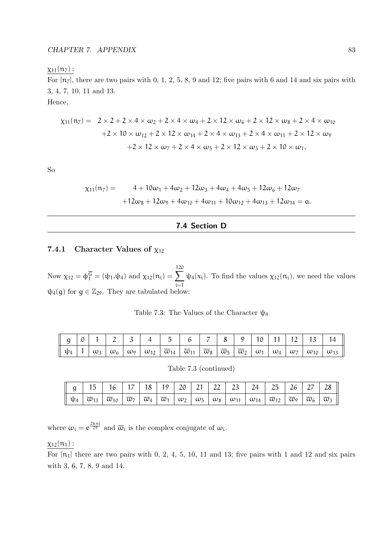#### $\chi_{11}(n_7)$  :

For  $[n_7]$ , there are two pairs with 0, 1, 2, 5, 8, 9 and 12; five pairs with 6 and 14 and six pairs with 3, 4, 7, 10, 11 and 13.

Hence,

$$
\chi_{11}(n_7) = 2 \times 2 + 2 \times 4 \times \omega_2 + 2 \times 4 \times \omega_4 + 2 \times 12 \times \omega_6 + 2 \times 12 \times \omega_8 + 2 \times 4 \times \omega_{10} \n+ 2 \times 10 \times \omega_{12} + 2 \times 12 \times \omega_{14} + 2 \times 4 \times \omega_{13} + 2 \times 4 \times \omega_{11} + 2 \times 12 \times \omega_9 \n+ 2 \times 12 \times \omega_7 + 2 \times 4 \times \omega_5 + 2 \times 12 \times \omega_3 + 2 \times 10 \times \omega_1.
$$

So

$$
\begin{aligned} \chi_{11}(n_7) &= 4 + 10\omega_1 + 4\omega_2 + 12\omega_3 + 4\omega_4 + 4\omega_5 + 12\omega_6 + 12\omega_7 \\ &+ 12\omega_8 + 12\omega_9 + 4\omega_{10} + 4\omega_{11} + 10\omega_{12} + 4\omega_{13} + 12\omega_{14} = \alpha. \end{aligned}
$$

#### 7.4 Section D

#### 7.4.1 Character Values of  $\chi_{12}$

Now  $\chi_{12} = \phi_1^{\overline{G}} = (\psi_1 \cdot \psi_4)$  and  $\chi_{12}(n_i) = \sum_{i=1}^{120}$ i=1  $\psi_4(x_i)$ . To find the values  $\chi_{12}(n_i)$ , we need the values  $\psi_4(g)$  for  $g \in \mathbb{Z}_{29}$ . They are tabulated below:

|  |  |  | $g   0   1   2   3   4   5   6   7   8   9   10   11   12   13   14$                                                                                                                                                                                                                                                                                                                                                                                       |  |  |  |  |  |
|--|--|--|------------------------------------------------------------------------------------------------------------------------------------------------------------------------------------------------------------------------------------------------------------------------------------------------------------------------------------------------------------------------------------------------------------------------------------------------------------|--|--|--|--|--|
|  |  |  | $\mathfrak{p}_4 \left[ \left. \begin{array}{c c} 1 & \varpi_3 & \varpi_6 \end{array} \right \vert \; \mathfrak{w}_6 \; \right] \; \mathfrak{w}_9 \; \left[ \; \mathfrak{w}_{12} \; \right] \; \overline{\mathfrak{w}}_{14} \; \left[ \; \overline{\mathfrak{w}}_{11} \; \right] \; \overline{\mathfrak{w}}_8 \; \right] \; \overline{\mathfrak{w}}_5 \; \left[ \; \overline{\mathfrak{w}}_2 \; \right] \; \mathfrak{w}_1 \; \left[ \; \mathfrak{w}_4 \; \$ |  |  |  |  |  |

| Table 7.3: The Values of the Character $\psi_4$ |
|-------------------------------------------------|
|-------------------------------------------------|

| $\parallel$ g   15   16   17   18   19   20   21   22   23   24   25   26   27   28                                                                                                                                                                                                              |  |  |  |  |  |  |  |
|--------------------------------------------------------------------------------------------------------------------------------------------------------------------------------------------------------------------------------------------------------------------------------------------------|--|--|--|--|--|--|--|
| $\boxed{\ \psi_4\  \overline{\omega}_{13}\  \overline{\omega}_{10}\  \overline{\omega}_7\  \overline{\omega}_4\  \overline{\omega}_1\  \omega_2\  \omega_5\  \omega_8\  \omega_{11}\  \omega_{14}\  \overline{\omega}_{12}\  \overline{\omega}_9\  \overline{\omega}_6\  \overline{\omega}_3\ }$ |  |  |  |  |  |  |  |

where  $\omega_i = e^{\frac{2k\pi i}{29}}$  and  $\overline{\omega}_i$  is the complex conjugate of  $\omega_i$ .

#### $\chi_{12}(n_1)$ :

For  $[n_1]$  there are two pairs with 0, 2, 4, 5, 10, 11 and 13; five pairs with 1 and 12 and six pairs with 3, 6, 7, 8, 9 and 14.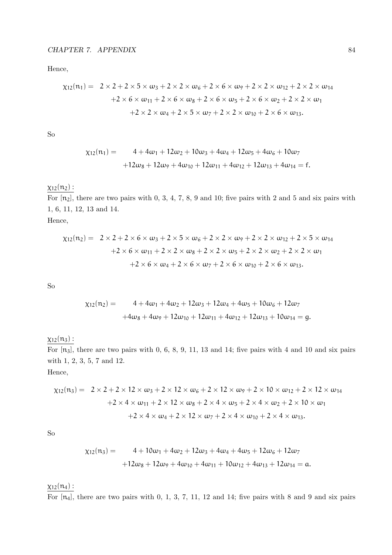Hence,

$$
\begin{aligned}\n\chi_{12}(\mathfrak{n}_1) &= 2 \times 2 + 2 \times 5 \times \omega_3 + 2 \times 2 \times \omega_6 + 2 \times 6 \times \omega_9 + 2 \times 2 \times \omega_{12} + 2 \times 2 \times \omega_{14} \\
&\quad + 2 \times 6 \times \omega_{11} + 2 \times 6 \times \omega_8 + 2 \times 6 \times \omega_5 + 2 \times 6 \times \omega_2 + 2 \times 2 \times \omega_1 \\
&\quad + 2 \times 2 \times \omega_4 + 2 \times 5 \times \omega_7 + 2 \times 2 \times \omega_{10} + 2 \times 6 \times \omega_{13}.\n\end{aligned}
$$

So

$$
\chi_{12}(n_1) = 4 + 4\omega_1 + 12\omega_2 + 10\omega_3 + 4\omega_4 + 12\omega_5 + 4\omega_6 + 10\omega_7
$$

$$
+12\omega_8 + 12\omega_9 + 4\omega_{10} + 12\omega_{11} + 4\omega_{12} + 12\omega_{13} + 4\omega_{14} = f.
$$

#### $\chi_{12}(n_2)$  :

For  $[n_2]$ , there are two pairs with 0, 3, 4, 7, 8, 9 and 10; five pairs with 2 and 5 and six pairs with 1, 6, 11, 12, 13 and 14. Hence,

 $\chi_{12}(n_2) = 2 \times 2 + 2 \times 6 \times \omega_3 + 2 \times 5 \times \omega_6 + 2 \times 2 \times \omega_9 + 2 \times 2 \times \omega_{12} + 2 \times 5 \times \omega_{14}$  $+2 \times 6 \times \omega_{11} + 2 \times 2 \times \omega_8 + 2 \times 2 \times \omega_5 + 2 \times 2 \times \omega_2 + 2 \times 2 \times \omega_1$  $+2 \times 6 \times \omega_4 + 2 \times 6 \times \omega_7 + 2 \times 6 \times \omega_{10} + 2 \times 6 \times \omega_{13}$ .

So

$$
\begin{aligned} \chi_{12}(\mathfrak{n}_2) &= 4 + 4\omega_1 + 4\omega_2 + 12\omega_3 + 12\omega_4 + 4\omega_5 + 10\omega_6 + 12\omega_7 \\ &+ 4\omega_8 + 4\omega_9 + 12\omega_{10} + 12\omega_{11} + 4\omega_{12} + 12\omega_{13} + 10\omega_{14} = g. \end{aligned}
$$

 $\chi_{12}(n_3)$ :

For  $[n_3]$ , there are two pairs with 0, 6, 8, 9, 11, 13 and 14; five pairs with 4 and 10 and six pairs with 1, 2, 3, 5, 7 and 12.

Hence,

$$
\begin{aligned}\n\chi_{12}(n_3) &= 2 \times 2 + 2 \times 12 \times \omega_3 + 2 \times 12 \times \omega_6 + 2 \times 12 \times \omega_9 + 2 \times 10 \times \omega_{12} + 2 \times 12 \times \omega_{14} \\
&\quad + 2 \times 4 \times \omega_{11} + 2 \times 12 \times \omega_8 + 2 \times 4 \times \omega_5 + 2 \times 4 \times \omega_2 + 2 \times 10 \times \omega_1 \\
&\quad + 2 \times 4 \times \omega_4 + 2 \times 12 \times \omega_7 + 2 \times 4 \times \omega_{10} + 2 \times 4 \times \omega_{13}.\n\end{aligned}
$$

So

$$
\begin{aligned} \chi_{12}(n_3) &= 4 + 10\omega_1 + 4\omega_2 + 12\omega_3 + 4\omega_4 + 4\omega_5 + 12\omega_6 + 12\omega_7 \\ &+ 12\omega_8 + 12\omega_9 + 4\omega_{10} + 4\omega_{11} + 10\omega_{12} + 4\omega_{13} + 12\omega_{14} = \mathfrak{a}. \end{aligned}
$$

 $\chi_{12}(n_4)$  :

For  $[n_4]$ , there are two pairs with 0, 1, 3, 7, 11, 12 and 14; five pairs with 8 and 9 and six pairs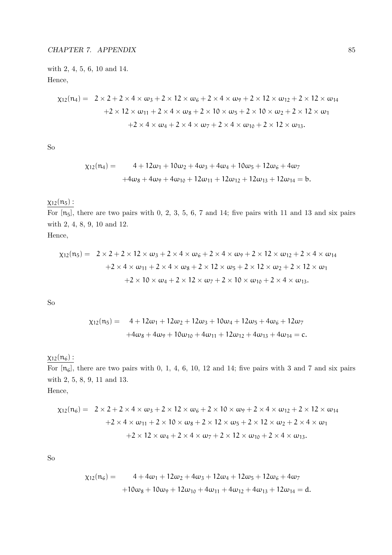with 2, 4, 5, 6, 10 and 14. Hence,

$$
\chi_{12}(\mathfrak{n}_4) = 2 \times 2 + 2 \times 4 \times \omega_3 + 2 \times 12 \times \omega_6 + 2 \times 4 \times \omega_9 + 2 \times 12 \times \omega_{12} + 2 \times 12 \times \omega_{14}
$$
  
+2 × 12 ×  $\omega_{11} + 2 \times 4 \times \omega_8 + 2 \times 10 \times \omega_5 + 2 \times 10 \times \omega_2 + 2 \times 12 \times \omega_1$   
+2 × 4 ×  $\omega_4 + 2 \times 4 \times \omega_7 + 2 \times 4 \times \omega_{10} + 2 \times 12 \times \omega_{13}$ .

So

$$
\begin{aligned} \chi_{12}(n_4) &= 4 + 12\omega_1 + 10\omega_2 + 4\omega_3 + 4\omega_4 + 10\omega_5 + 12\omega_6 + 4\omega_7 \\ &+ 4\omega_8 + 4\omega_9 + 4\omega_{10} + 12\omega_{11} + 12\omega_{12} + 12\omega_{13} + 12\omega_{14} = b. \end{aligned}
$$

## $\chi_{12}(n_5)$ :

For  $[n_5]$ , there are two pairs with 0, 2, 3, 5, 6, 7 and 14; five pairs with 11 and 13 and six pairs with 2, 4, 8, 9, 10 and 12.

Hence,

$$
\chi_{12}(n_5) = 2 \times 2 + 2 \times 12 \times \omega_3 + 2 \times 4 \times \omega_6 + 2 \times 4 \times \omega_9 + 2 \times 12 \times \omega_{12} + 2 \times 4 \times \omega_{14}
$$
  
+2 \times 4 \times \omega\_{11} + 2 \times 4 \times \omega\_8 + 2 \times 12 \times \omega\_5 + 2 \times 12 \times \omega\_2 + 2 \times 12 \times \omega\_1  
+2 \times 10 \times \omega\_4 + 2 \times 12 \times \omega\_7 + 2 \times 10 \times \omega\_{10} + 2 \times 4 \times \omega\_{13}.

So

$$
\begin{aligned} \chi_{12}(n_5) &= 4 + 12\omega_1 + 12\omega_2 + 12\omega_3 + 10\omega_4 + 12\omega_5 + 4\omega_6 + 12\omega_7 \\ &+ 4\omega_8 + 4\omega_9 + 10\omega_{10} + 4\omega_{11} + 12\omega_{12} + 4\omega_{13} + 4\omega_{14} = c. \end{aligned}
$$

## $\chi_{12}(n_6)$ :

For  $[n_6]$ , there are two pairs with 0, 1, 4, 6, 10, 12 and 14; five pairs with 3 and 7 and six pairs with 2, 5, 8, 9, 11 and 13. Hence,

$$
\chi_{12}(n_6) = 2 \times 2 + 2 \times 4 \times \omega_3 + 2 \times 12 \times \omega_6 + 2 \times 10 \times \omega_9 + 2 \times 4 \times \omega_{12} + 2 \times 12 \times \omega_{14}
$$
  
+2 \times 4 \times \omega\_{11} + 2 \times 10 \times \omega\_8 + 2 \times 12 \times \omega\_5 + 2 \times 12 \times \omega\_2 + 2 \times 4 \times \omega\_1  
+2 \times 12 \times \omega\_4 + 2 \times 4 \times \omega\_7 + 2 \times 12 \times \omega\_{10} + 2 \times 4 \times \omega\_{13}.

So

$$
\begin{aligned} \chi_{12}(n_6) &= 4 + 4\omega_1 + 12\omega_2 + 4\omega_3 + 12\omega_4 + 12\omega_5 + 12\omega_6 + 4\omega_7 \\ &+ 10\omega_8 + 10\omega_9 + 12\omega_{10} + 4\omega_{11} + 4\omega_{12} + 4\omega_{13} + 12\omega_{14} = d. \end{aligned}
$$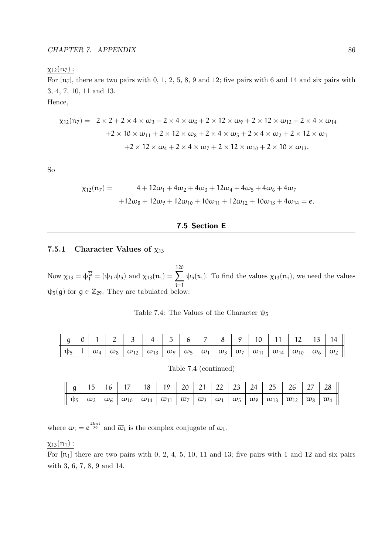#### $\chi_{12}(n_7)$  :

For  $[n_7]$ , there are two pairs with 0, 1, 2, 5, 8, 9 and 12; five pairs with 6 and 14 and six pairs with 3, 4, 7, 10, 11 and 13.

Hence,

$$
\chi_{12}(n_7) = 2 \times 2 + 2 \times 4 \times \omega_3 + 2 \times 4 \times \omega_6 + 2 \times 12 \times \omega_9 + 2 \times 12 \times \omega_{12} + 2 \times 4 \times \omega_{14}
$$
  
+2 × 10 ×  $\omega_{11} + 2 \times 12 \times \omega_8 + 2 \times 4 \times \omega_5 + 2 \times 4 \times \omega_2 + 2 \times 12 \times \omega_1$   
+2 × 12 ×  $\omega_4 + 2 \times 4 \times \omega_7 + 2 \times 12 \times \omega_{10} + 2 \times 10 \times \omega_{13}$ .

So

$$
\chi_{12}(n_7) = 4 + 12\omega_1 + 4\omega_2 + 4\omega_3 + 12\omega_4 + 4\omega_5 + 4\omega_6 + 4\omega_7
$$
  
+12\omega\_8 + 12\omega\_9 + 12\omega\_{10} + 10\omega\_{11} + 12\omega\_{12} + 10\omega\_{13} + 4\omega\_{14} = e.

#### 7.5 Section E

#### 7.5.1 Character Values of  $\chi_{13}$

Now  $\chi_{13} = \phi_1^{\overline{G}} = (\psi_1 \cdot \psi_5)$  and  $\chi_{13}(n_i) = \sum_{i=1}^{120}$ i=1  $\psi_5(x_i)$ . To find the values  $\chi_{13}(n_i)$ , we need the values  $\psi_5(g)$  for  $g \in \mathbb{Z}_{29}$ . They are tabulated below:

| Table 7.4: The Values of the Character $\psi_5$ |  |
|-------------------------------------------------|--|
|-------------------------------------------------|--|

| $\parallel$ g |  |  |                                                                                                                                                                                                                                                                                                                                           |  |  |  | $4 \mid 5 \mid 6 \mid 7 \mid 8 \mid 9 \mid 10 \mid 11 \mid 12 \mid 13 \mid 14 \mid$ |  |
|---------------|--|--|-------------------------------------------------------------------------------------------------------------------------------------------------------------------------------------------------------------------------------------------------------------------------------------------------------------------------------------------|--|--|--|-------------------------------------------------------------------------------------|--|
|               |  |  | $\parallel \psi_5 \parallel 1 \mid \omega_4 \mid \omega_8 \mid \omega_{12} \mid \overline{\omega}_{13} \mid \overline{\omega}_9 \mid \overline{\omega}_5 \mid \overline{\omega}_1 \mid \omega_3 \mid \omega_7 \mid \omega_{11} \mid \overline{\omega}_{14} \mid \overline{\omega}_{10} \mid \overline{\omega}_6 \mid \overline{\omega}_2$ |  |  |  |                                                                                     |  |

Table 7.4 (continued)

|  |  |  |  |  |  | $\parallel$ g   15   16   17   18   19   20   21   22   23   24   25   26   27   28 |  |
|--|--|--|--|--|--|-------------------------------------------------------------------------------------|--|
|  |  |  |  |  |  |                                                                                     |  |

where  $\omega_i = e^{\frac{2k\pi i}{29}}$  and  $\overline{\omega}_i$  is the complex conjugate of  $\omega_i$ .

#### $\chi_{13}(n_1)$ :

For  $[n_1]$  there are two pairs with 0, 2, 4, 5, 10, 11 and 13; five pairs with 1 and 12 and six pairs with 3, 6, 7, 8, 9 and 14.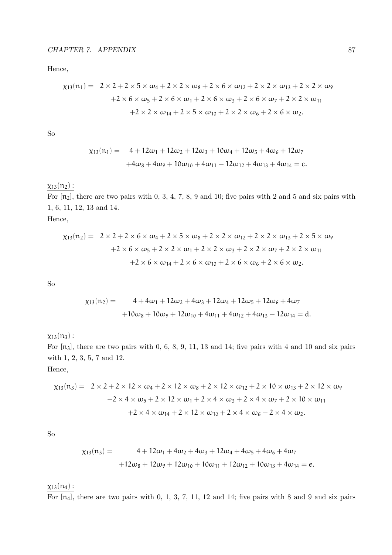Hence,

$$
\begin{aligned}\n\chi_{13}(\mathfrak{n}_1) &= 2 \times 2 + 2 \times 5 \times \omega_4 + 2 \times 2 \times \omega_8 + 2 \times 6 \times \omega_{12} + 2 \times 2 \times \omega_{13} + 2 \times 2 \times \omega_9 \\
&\quad + 2 \times 6 \times \omega_5 + 2 \times 6 \times \omega_1 + 2 \times 6 \times \omega_3 + 2 \times 6 \times \omega_7 + 2 \times 2 \times \omega_{11} \\
&\quad + 2 \times 2 \times \omega_{14} + 2 \times 5 \times \omega_{10} + 2 \times 2 \times \omega_6 + 2 \times 6 \times \omega_2.\n\end{aligned}
$$

So

$$
\begin{aligned}\n\chi_{13}(n_1) &= 4 + 12\omega_1 + 12\omega_2 + 12\omega_3 + 10\omega_4 + 12\omega_5 + 4\omega_6 + 12\omega_7 \\
&\quad + 4\omega_8 + 4\omega_9 + 10\omega_{10} + 4\omega_{11} + 12\omega_{12} + 4\omega_{13} + 4\omega_{14} = c.\n\end{aligned}
$$

## $\chi_{13}(n_2)$  :

For  $[n_2]$ , there are two pairs with 0, 3, 4, 7, 8, 9 and 10; five pairs with 2 and 5 and six pairs with 1, 6, 11, 12, 13 and 14.

Hence,

$$
\chi_{13}(n_2) = 2 \times 2 + 2 \times 6 \times \omega_4 + 2 \times 5 \times \omega_8 + 2 \times 2 \times \omega_{12} + 2 \times 2 \times \omega_{13} + 2 \times 5 \times \omega_9
$$
  
+2 \times 6 \times \omega\_5 + 2 \times 2 \times \omega\_1 + 2 \times 2 \times \omega\_3 + 2 \times 2 \times \omega\_7 + 2 \times 2 \times \omega\_{11}  
+2 \times 6 \times \omega\_{14} + 2 \times 6 \times \omega\_{10} + 2 \times 6 \times \omega\_6 + 2 \times 6 \times \omega\_2.

So

$$
\begin{aligned} \chi_{13}(n_2) &= 4 + 4\omega_1 + 12\omega_2 + 4\omega_3 + 12\omega_4 + 12\omega_5 + 12\omega_6 + 4\omega_7 \\ &+ 10\omega_8 + 10\omega_9 + 12\omega_{10} + 4\omega_{11} + 4\omega_{12} + 4\omega_{13} + 12\omega_{14} = d. \end{aligned}
$$

 $\chi_{13}(n_3)$  :

For  $[n_3]$ , there are two pairs with 0, 6, 8, 9, 11, 13 and 14; five pairs with 4 and 10 and six pairs with 1, 2, 3, 5, 7 and 12.

Hence,

$$
\chi_{13}(n_3) = 2 \times 2 + 2 \times 12 \times \omega_4 + 2 \times 12 \times \omega_8 + 2 \times 12 \times \omega_{12} + 2 \times 10 \times \omega_{13} + 2 \times 12 \times \omega_9
$$
  
+2 \times 4 \times \omega\_5 + 2 \times 12 \times \omega\_1 + 2 \times 4 \times \omega\_3 + 2 \times 4 \times \omega\_7 + 2 \times 10 \times \omega\_{11}  
+2 \times 4 \times \omega\_{14} + 2 \times 12 \times \omega\_{10} + 2 \times 4 \times \omega\_6 + 2 \times 4 \times \omega\_2.

So

$$
\chi_{13}(n_3) = 4 + 12\omega_1 + 4\omega_2 + 4\omega_3 + 12\omega_4 + 4\omega_5 + 4\omega_6 + 4\omega_7
$$

$$
+12\omega_8 + 12\omega_9 + 12\omega_{10} + 10\omega_{11} + 12\omega_{12} + 10\omega_{13} + 4\omega_{14} = e.
$$

 $\chi_{13}(n_4)$  :

For  $[n_4]$ , there are two pairs with 0, 1, 3, 7, 11, 12 and 14; five pairs with 8 and 9 and six pairs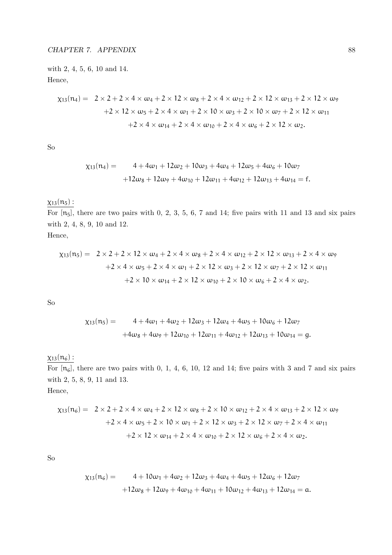with 2, 4, 5, 6, 10 and 14. Hence,

$$
\chi_{13}(\mathfrak{n}_4) = 2 \times 2 + 2 \times 4 \times \omega_4 + 2 \times 12 \times \omega_8 + 2 \times 4 \times \omega_{12} + 2 \times 12 \times \omega_{13} + 2 \times 12 \times \omega_9
$$
  
+2 \times 12 \times \omega\_5 + 2 \times 4 \times \omega\_1 + 2 \times 10 \times \omega\_3 + 2 \times 10 \times \omega\_7 + 2 \times 12 \times \omega\_{11}  
+2 \times 4 \times \omega\_{14} + 2 \times 4 \times \omega\_{10} + 2 \times 4 \times \omega\_6 + 2 \times 12 \times \omega\_2.

So

$$
\chi_{13}(n_4) = 4 + 4\omega_1 + 12\omega_2 + 10\omega_3 + 4\omega_4 + 12\omega_5 + 4\omega_6 + 10\omega_7
$$

$$
+12\omega_8 + 12\omega_9 + 4\omega_{10} + 12\omega_{11} + 4\omega_{12} + 12\omega_{13} + 4\omega_{14} = f.
$$

## $\chi_{13}(n_5)$ :

For  $[n_5]$ , there are two pairs with 0, 2, 3, 5, 6, 7 and 14; five pairs with 11 and 13 and six pairs with 2, 4, 8, 9, 10 and 12.

Hence,

$$
\chi_{13}(n_5) = 2 \times 2 + 2 \times 12 \times \omega_4 + 2 \times 4 \times \omega_8 + 2 \times 4 \times \omega_{12} + 2 \times 12 \times \omega_{13} + 2 \times 4 \times \omega_9
$$
  
+2 \times 4 \times \omega\_5 + 2 \times 4 \times \omega\_1 + 2 \times 12 \times \omega\_3 + 2 \times 12 \times \omega\_7 + 2 \times 12 \times \omega\_{11}  
+2 \times 10 \times \omega\_{14} + 2 \times 12 \times \omega\_{10} + 2 \times 10 \times \omega\_6 + 2 \times 4 \times \omega\_2.

So

$$
\begin{aligned} \chi_{13}(n_5) &= 4 + 4\omega_1 + 4\omega_2 + 12\omega_3 + 12\omega_4 + 4\omega_5 + 10\omega_6 + 12\omega_7 \\ &+ 4\omega_8 + 4\omega_9 + 12\omega_{10} + 12\omega_{11} + 4\omega_{12} + 12\omega_{13} + 10\omega_{14} = g. \end{aligned}
$$

## $χ<sub>13</sub>(n<sub>6</sub>)$ :

For  $[n_6]$ , there are two pairs with 0, 1, 4, 6, 10, 12 and 14; five pairs with 3 and 7 and six pairs with 2, 5, 8, 9, 11 and 13. Hence,

$$
\chi_{13}(\mathfrak{n}_6) = 2 \times 2 + 2 \times 4 \times \omega_4 + 2 \times 12 \times \omega_8 + 2 \times 10 \times \omega_{12} + 2 \times 4 \times \omega_{13} + 2 \times 12 \times \omega_9
$$
  
+2 \times 4 \times \omega\_5 + 2 \times 10 \times \omega\_1 + 2 \times 12 \times \omega\_3 + 2 \times 12 \times \omega\_7 + 2 \times 4 \times \omega\_{11}  
+2 \times 12 \times \omega\_{14} + 2 \times 4 \times \omega\_{10} + 2 \times 12 \times \omega\_6 + 2 \times 4 \times \omega\_2.

So

$$
\begin{aligned} \chi_{13}(n_6) &= 4 + 10\omega_1 + 4\omega_2 + 12\omega_3 + 4\omega_4 + 4\omega_5 + 12\omega_6 + 12\omega_7 \\ &+ 12\omega_8 + 12\omega_9 + 4\omega_{10} + 4\omega_{11} + 10\omega_{12} + 4\omega_{13} + 12\omega_{14} = \mathfrak{a}. \end{aligned}
$$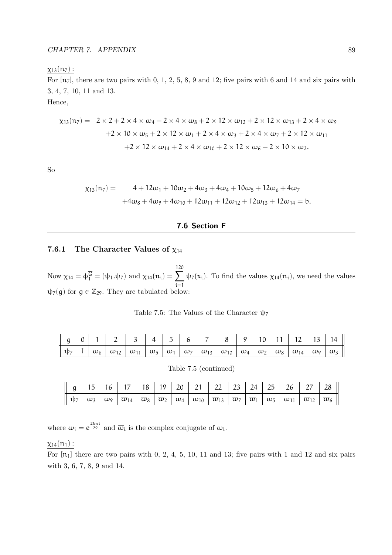#### $\chi_{13}(n_7)$  :

For  $[n_7]$ , there are two pairs with 0, 1, 2, 5, 8, 9 and 12; five pairs with 6 and 14 and six pairs with 3, 4, 7, 10, 11 and 13.

Hence,

$$
\chi_{13}(n_7) = 2 \times 2 + 2 \times 4 \times \omega_4 + 2 \times 4 \times \omega_8 + 2 \times 12 \times \omega_{12} + 2 \times 12 \times \omega_{13} + 2 \times 4 \times \omega_9
$$
  
+2 \times 10 \times \omega\_5 + 2 \times 12 \times \omega\_1 + 2 \times 4 \times \omega\_3 + 2 \times 4 \times \omega\_7 + 2 \times 12 \times \omega\_{11}  
+2 \times 12 \times \omega\_{14} + 2 \times 4 \times \omega\_{10} + 2 \times 12 \times \omega\_6 + 2 \times 10 \times \omega\_2.

So

$$
\begin{aligned} \chi_{13}(n_7) &= 4 + 12\omega_1 + 10\omega_2 + 4\omega_3 + 4\omega_4 + 10\omega_5 + 12\omega_6 + 4\omega_7 \\ &+ 4\omega_8 + 4\omega_9 + 4\omega_{10} + 12\omega_{11} + 12\omega_{12} + 12\omega_{13} + 12\omega_{14} = b. \end{aligned}
$$

#### 7.6 Section F

#### 7.6.1 The Character Values of  $\chi_{14}$

Now  $\chi_{14} = \phi_1^{\overline{G}} = (\psi_1 \cdot \psi_7)$  and  $\chi_{14}(n_i) = \sum_{i=1}^{120}$ i=1  $\psi_7(x_i)$ . To find the values  $\chi_{14}(n_i)$ , we need the values  $\psi_7(g)$  for  $g \in \mathbb{Z}_{29}$ . They are tabulated below:

|  |  |  |  |  |  | $g   0   1   2   3   4   5   6   7   8   9   10   11   12   13   14$                                                                                                                                                                                                                        |  |
|--|--|--|--|--|--|---------------------------------------------------------------------------------------------------------------------------------------------------------------------------------------------------------------------------------------------------------------------------------------------|--|
|  |  |  |  |  |  | $\mathfrak{p}_7$   1   $\omega_6$   $\omega_{12}$   $\overline{\omega}_{11}$   $\overline{\omega}_5$   $\omega_1$   $\omega_7$   $\omega_{13}$   $\overline{\omega}_{10}$   $\overline{\omega}_4$   $\omega_2$   $\omega_8$   $\omega_{14}$   $\overline{\omega}_9$   $\overline{\omega}_3$ |  |

Table 7.5: The Values of the Character  $\psi$ <sub>7</sub>

| Table 7.5 (continued) |
|-----------------------|
|                       |

|  |  | g    15    16    17    18    19    20    21    22    23    24    25    26    27    28 |  |  |  |  |  |  |
|--|--|---------------------------------------------------------------------------------------|--|--|--|--|--|--|
|  |  |                                                                                       |  |  |  |  |  |  |

where  $\omega_i = e^{\frac{2k\pi i}{29}}$  and  $\overline{\omega}_i$  is the complex conjugate of  $\omega_i$ .

#### $\chi_{14}(n_1)$ :

For  $[n_1]$  there are two pairs with 0, 2, 4, 5, 10, 11 and 13; five pairs with 1 and 12 and six pairs with 3, 6, 7, 8, 9 and 14.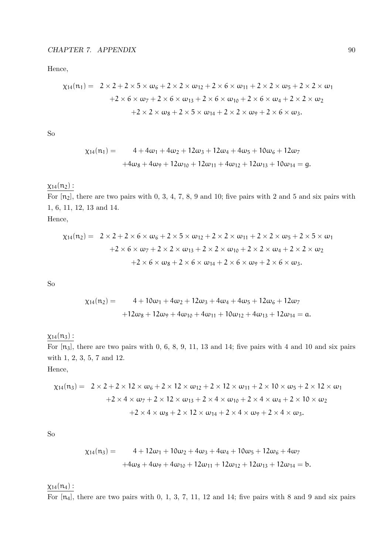Hence,

$$
\chi_{14}(\mathfrak{n}_1) = 2 \times 2 + 2 \times 5 \times \omega_6 + 2 \times 2 \times \omega_{12} + 2 \times 6 \times \omega_{11} + 2 \times 2 \times \omega_5 + 2 \times 2 \times \omega_1
$$
  
+2 \times 6 \times \omega\_7 + 2 \times 6 \times \omega\_{13} + 2 \times 6 \times \omega\_{10} + 2 \times 6 \times \omega\_4 + 2 \times 2 \times \omega\_2  
+2 \times 2 \times \omega\_8 + 2 \times 5 \times \omega\_{14} + 2 \times 2 \times \omega\_9 + 2 \times 6 \times \omega\_3.

So

$$
\begin{aligned}\n\chi_{14}(n_1) &= 4 + 4\omega_1 + 4\omega_2 + 12\omega_3 + 12\omega_4 + 4\omega_5 + 10\omega_6 + 12\omega_7 \\
&\quad + 4\omega_8 + 4\omega_9 + 12\omega_{10} + 12\omega_{11} + 4\omega_{12} + 12\omega_{13} + 10\omega_{14} = g.\n\end{aligned}
$$

## $\chi_{14}(n_2)$  :

For  $[n_2]$ , there are two pairs with 0, 3, 4, 7, 8, 9 and 10; five pairs with 2 and 5 and six pairs with 1, 6, 11, 12, 13 and 14.

Hence,

$$
\chi_{14}(\mathfrak{n}_2) = 2 \times 2 + 2 \times 6 \times \omega_6 + 2 \times 5 \times \omega_{12} + 2 \times 2 \times \omega_{11} + 2 \times 2 \times \omega_5 + 2 \times 5 \times \omega_1
$$
  
+2 \times 6 \times \omega\_7 + 2 \times 2 \times \omega\_{13} + 2 \times 2 \times \omega\_{10} + 2 \times 2 \times \omega\_4 + 2 \times 2 \times \omega\_2  
+2 \times 6 \times \omega\_8 + 2 \times 6 \times \omega\_{14} + 2 \times 6 \times \omega\_9 + 2 \times 6 \times \omega\_3.

So

$$
\chi_{14}(n_2) = 4 + 10\omega_1 + 4\omega_2 + 12\omega_3 + 4\omega_4 + 4\omega_5 + 12\omega_6 + 12\omega_7
$$

$$
+12\omega_8 + 12\omega_9 + 4\omega_{10} + 4\omega_{11} + 10\omega_{12} + 4\omega_{13} + 12\omega_{14} = a.
$$

 $x_{14}(n_3)$ :

For  $[n_3]$ , there are two pairs with 0, 6, 8, 9, 11, 13 and 14; five pairs with 4 and 10 and six pairs with 1, 2, 3, 5, 7 and 12.

Hence,

$$
\chi_{14}(n_3) = 2 \times 2 + 2 \times 12 \times \omega_6 + 2 \times 12 \times \omega_{12} + 2 \times 12 \times \omega_{11} + 2 \times 10 \times \omega_5 + 2 \times 12 \times \omega_1
$$
  
+2 \times 4 \times \omega\_7 + 2 \times 12 \times \omega\_{13} + 2 \times 4 \times \omega\_{10} + 2 \times 4 \times \omega\_4 + 2 \times 10 \times \omega\_2  
+2 \times 4 \times \omega\_8 + 2 \times 12 \times \omega\_{14} + 2 \times 4 \times \omega\_9 + 2 \times 4 \times \omega\_3.

So

$$
\chi_{14}(n_3) = 4 + 12\omega_1 + 10\omega_2 + 4\omega_3 + 4\omega_4 + 10\omega_5 + 12\omega_6 + 4\omega_7
$$
  
+4 $\omega_8$  + 4 $\omega_9$  + 4 $\omega_{10}$  + 12 $\omega_{11}$  + 12 $\omega_{12}$  + 12 $\omega_{13}$  + 12 $\omega_{14}$  = b.

 $\chi_{14}(n_4)$  :

For  $[n_4]$ , there are two pairs with 0, 1, 3, 7, 11, 12 and 14; five pairs with 8 and 9 and six pairs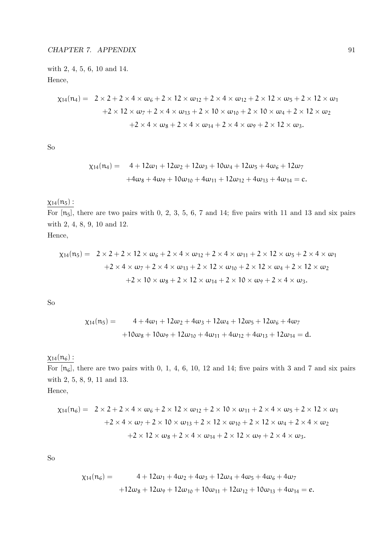with 2, 4, 5, 6, 10 and 14. Hence,

$$
\chi_{14}(n_4) = 2 \times 2 + 2 \times 4 \times \omega_6 + 2 \times 12 \times \omega_{12} + 2 \times 4 \times \omega_{12} + 2 \times 12 \times \omega_5 + 2 \times 12 \times \omega_1
$$
  
+2 × 12 ×  $\omega_7 + 2 \times 4 \times \omega_{13} + 2 \times 10 \times \omega_{10} + 2 \times 10 \times \omega_4 + 2 \times 12 \times \omega_2$   
+2 × 4 ×  $\omega_8 + 2 \times 4 \times \omega_{14} + 2 \times 4 \times \omega_9 + 2 \times 12 \times \omega_3$ .

So

$$
\begin{aligned}\n\chi_{14}(n_4) &= 4 + 12\omega_1 + 12\omega_2 + 12\omega_3 + 10\omega_4 + 12\omega_5 + 4\omega_6 + 12\omega_7 \\
&\quad + 4\omega_8 + 4\omega_9 + 10\omega_{10} + 4\omega_{11} + 12\omega_{12} + 4\omega_{13} + 4\omega_{14} = c.\n\end{aligned}
$$

## $\chi_{14}(n_5)$ :

For  $[n_5]$ , there are two pairs with 0, 2, 3, 5, 6, 7 and 14; five pairs with 11 and 13 and six pairs with 2, 4, 8, 9, 10 and 12.

Hence,

$$
\chi_{14}(n_5) = 2 \times 2 + 2 \times 12 \times \omega_6 + 2 \times 4 \times \omega_{12} + 2 \times 4 \times \omega_{11} + 2 \times 12 \times \omega_5 + 2 \times 4 \times \omega_1
$$
  
+2 \times 4 \times \omega\_7 + 2 \times 4 \times \omega\_{13} + 2 \times 12 \times \omega\_{10} + 2 \times 12 \times \omega\_4 + 2 \times 12 \times \omega\_2  
+2 \times 10 \times \omega\_8 + 2 \times 12 \times \omega\_{14} + 2 \times 10 \times \omega\_9 + 2 \times 4 \times \omega\_3.

So

$$
\begin{aligned} \chi_{14}(n_5) &= 4 + 4\omega_1 + 12\omega_2 + 4\omega_3 + 12\omega_4 + 12\omega_5 + 12\omega_6 + 4\omega_7 \\ &+ 10\omega_8 + 10\omega_9 + 12\omega_{10} + 4\omega_{11} + 4\omega_{12} + 4\omega_{13} + 12\omega_{14} = d. \end{aligned}
$$

## $\chi_{14}(n_6)$  :

For  $[n_6]$ , there are two pairs with 0, 1, 4, 6, 10, 12 and 14; five pairs with 3 and 7 and six pairs with 2, 5, 8, 9, 11 and 13. Hence,

$$
\chi_{14}(n_6) = 2 \times 2 + 2 \times 4 \times \omega_6 + 2 \times 12 \times \omega_{12} + 2 \times 10 \times \omega_{11} + 2 \times 4 \times \omega_5 + 2 \times 12 \times \omega_1
$$
  
+2 \times 4 \times \omega\_7 + 2 \times 10 \times \omega\_{13} + 2 \times 12 \times \omega\_{10} + 2 \times 12 \times \omega\_4 + 2 \times 4 \times \omega\_2  
+2 \times 12 \times \omega\_8 + 2 \times 4 \times \omega\_{14} + 2 \times 12 \times \omega\_9 + 2 \times 4 \times \omega\_3.

So

$$
\chi_{14}(n_6) = 4 + 12\omega_1 + 4\omega_2 + 4\omega_3 + 12\omega_4 + 4\omega_5 + 4\omega_6 + 4\omega_7
$$
  
+12\omega\_8 + 12\omega\_9 + 12\omega\_{10} + 10\omega\_{11} + 12\omega\_{12} + 10\omega\_{13} + 4\omega\_{14} = e.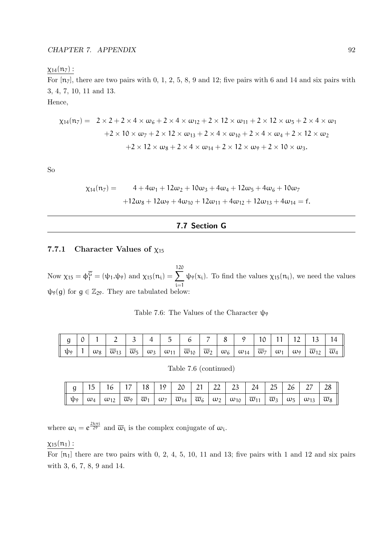#### $\chi_{14}(n_7)$  :

For  $[n_7]$ , there are two pairs with 0, 1, 2, 5, 8, 9 and 12; five pairs with 6 and 14 and six pairs with 3, 4, 7, 10, 11 and 13.

Hence,

$$
\chi_{14}(n_7) = 2 \times 2 + 2 \times 4 \times \omega_6 + 2 \times 4 \times \omega_{12} + 2 \times 12 \times \omega_{11} + 2 \times 12 \times \omega_5 + 2 \times 4 \times \omega_1
$$
  
+2 × 10 ×  $\omega_7 + 2 \times 12 \times \omega_{13} + 2 \times 4 \times \omega_{10} + 2 \times 4 \times \omega_4 + 2 \times 12 \times \omega_2$   
+2 × 12 ×  $\omega_8 + 2 \times 4 \times \omega_{14} + 2 \times 12 \times \omega_9 + 2 \times 10 \times \omega_3$ .

So

$$
\chi_{14}(n_7) = 4 + 4\omega_1 + 12\omega_2 + 10\omega_3 + 4\omega_4 + 12\omega_5 + 4\omega_6 + 10\omega_7
$$

$$
+12\omega_8 + 12\omega_9 + 4\omega_{10} + 12\omega_{11} + 4\omega_{12} + 12\omega_{13} + 4\omega_{14} = f.
$$

#### 7.7 Section G

#### 7.7.1 Character Values of  $\chi_{15}$

Now  $\chi_{15} = \phi_1^{\overline{G}} = (\psi_1.\psi_9)$  and  $\chi_{15}(n_i) = \sum_{i=1}^{120}$ i=1  $\psi_9(x_i)$ . To find the values  $\chi_{15}(n_i)$ , we need the values  $\psi_9(g)$  for  $g \in \mathbb{Z}_{29}$ . They are tabulated below:

|  | $g   0   1   2   3   4   5   6   7   8   9   10   11   12   13   14$                                                                                                                                                                                                                                                       |  |  |  |  |  |  |
|--|----------------------------------------------------------------------------------------------------------------------------------------------------------------------------------------------------------------------------------------------------------------------------------------------------------------------------|--|--|--|--|--|--|
|  | $\mathfrak{p}_{9}$   1   $\omega_{8}$   $\overline{\omega}_{13}$   $\overline{\omega}_{5}$   $\omega_{3}$   $\omega_{11}$   $\overline{\omega}_{10}$   $\overline{\omega}_{2}$   $\omega_{6}$   $\omega_{14}$   $\overline{\omega}_{7}$   $\omega_{1}$   $\omega_{9}$   $\overline{\omega}_{12}$   $\overline{\omega}_{4}$ |  |  |  |  |  |  |

Table 7.6: The Values of the Character  $\psi$ <sub>9</sub>

Table 7.6 (continued)

|  |  |  |  |  | <b>g</b> 15 16 17 18 19 20 21 22 23 24 25 26 27 28 |  |  |  |
|--|--|--|--|--|----------------------------------------------------|--|--|--|
|  |  |  |  |  |                                                    |  |  |  |

where  $\omega_i = e^{\frac{2k\pi i}{29}}$  and  $\overline{\omega}_i$  is the complex conjugate of  $\omega_i$ .

#### $\chi_{15}(n_1)$ :

For  $[n_1]$  there are two pairs with 0, 2, 4, 5, 10, 11 and 13; five pairs with 1 and 12 and six pairs with 3, 6, 7, 8, 9 and 14.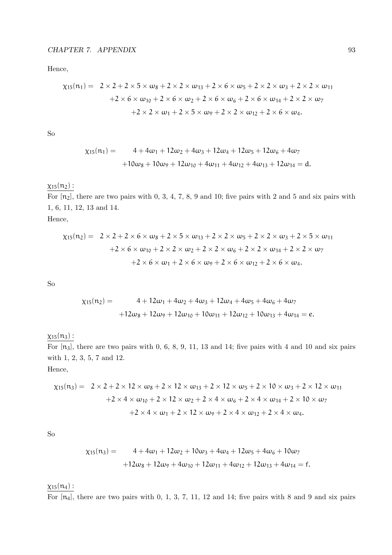Hence,

$$
\chi_{15}(n_1) = 2 \times 2 + 2 \times 5 \times \omega_8 + 2 \times 2 \times \omega_{13} + 2 \times 6 \times \omega_5 + 2 \times 2 \times \omega_3 + 2 \times 2 \times \omega_{11} \n+ 2 \times 6 \times \omega_{10} + 2 \times 6 \times \omega_2 + 2 \times 6 \times \omega_6 + 2 \times 6 \times \omega_{14} + 2 \times 2 \times \omega_7 \n+ 2 \times 2 \times \omega_1 + 2 \times 5 \times \omega_9 + 2 \times 2 \times \omega_{12} + 2 \times 6 \times \omega_4.
$$

So

$$
\begin{aligned} \chi_{15}(n_1) &= 4 + 4\omega_1 + 12\omega_2 + 4\omega_3 + 12\omega_4 + 12\omega_5 + 12\omega_6 + 4\omega_7 \\ &+ 10\omega_8 + 10\omega_9 + 12\omega_{10} + 4\omega_{11} + 4\omega_{12} + 4\omega_{13} + 12\omega_{14} = d. \end{aligned}
$$

## $\chi_{15}(n_2)$  :

For  $[n_2]$ , there are two pairs with 0, 3, 4, 7, 8, 9 and 10; five pairs with 2 and 5 and six pairs with 1, 6, 11, 12, 13 and 14.

Hence,

$$
\chi_{15}(n_2) = 2 \times 2 + 2 \times 6 \times \omega_8 + 2 \times 5 \times \omega_{13} + 2 \times 2 \times \omega_5 + 2 \times 2 \times \omega_3 + 2 \times 5 \times \omega_{11} \n+ 2 \times 6 \times \omega_{10} + 2 \times 2 \times \omega_2 + 2 \times 2 \times \omega_6 + 2 \times 2 \times \omega_{14} + 2 \times 2 \times \omega_7 \n+ 2 \times 6 \times \omega_1 + 2 \times 6 \times \omega_9 + 2 \times 6 \times \omega_{12} + 2 \times 6 \times \omega_4.
$$

So

$$
\chi_{15}(n_2) = 4 + 12\omega_1 + 4\omega_2 + 4\omega_3 + 12\omega_4 + 4\omega_5 + 4\omega_6 + 4\omega_7
$$
  
+12\omega\_8 + 12\omega\_9 + 12\omega\_{10} + 10\omega\_{11} + 12\omega\_{12} + 10\omega\_{13} + 4\omega\_{14} = e.

 $x_{15}(n_3)$ :

For  $[n_3]$ , there are two pairs with 0, 6, 8, 9, 11, 13 and 14; five pairs with 4 and 10 and six pairs with 1, 2, 3, 5, 7 and 12.

Hence,

$$
\chi_{15}(n_3) = 2 \times 2 + 2 \times 12 \times \omega_8 + 2 \times 12 \times \omega_{13} + 2 \times 12 \times \omega_5 + 2 \times 10 \times \omega_3 + 2 \times 12 \times \omega_{11} \n+ 2 \times 4 \times \omega_{10} + 2 \times 12 \times \omega_2 + 2 \times 4 \times \omega_6 + 2 \times 4 \times \omega_{14} + 2 \times 10 \times \omega_7 \n+ 2 \times 4 \times \omega_1 + 2 \times 12 \times \omega_9 + 2 \times 4 \times \omega_{12} + 2 \times 4 \times \omega_4.
$$

So

$$
\chi_{15}(n_3) = 4 + 4\omega_1 + 12\omega_2 + 10\omega_3 + 4\omega_4 + 12\omega_5 + 4\omega_6 + 10\omega_7
$$

$$
+12\omega_8 + 12\omega_9 + 4\omega_{10} + 12\omega_{11} + 4\omega_{12} + 12\omega_{13} + 4\omega_{14} = f.
$$

 $\chi_{15}(n_4)$  :

For  $[n_4]$ , there are two pairs with 0, 1, 3, 7, 11, 12 and 14; five pairs with 8 and 9 and six pairs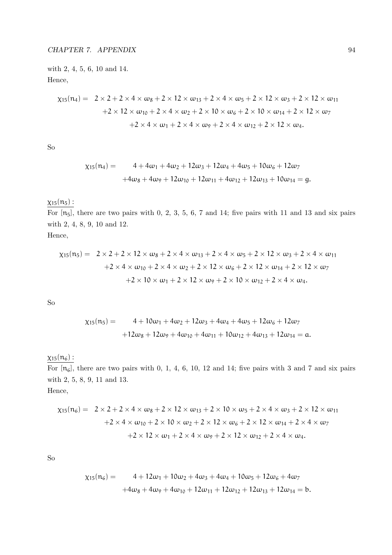with 2, 4, 5, 6, 10 and 14. Hence,

$$
\chi_{15}(\mathfrak{n}_4) = 2 \times 2 + 2 \times 4 \times \omega_8 + 2 \times 12 \times \omega_{13} + 2 \times 4 \times \omega_5 + 2 \times 12 \times \omega_3 + 2 \times 12 \times \omega_{11}
$$
  
+2 × 12 ×  $\omega_{10} + 2 \times 4 \times \omega_2 + 2 \times 10 \times \omega_6 + 2 \times 10 \times \omega_{14} + 2 \times 12 \times \omega_7$   
+2 × 4 ×  $\omega_1 + 2 \times 4 \times \omega_9 + 2 \times 4 \times \omega_{12} + 2 \times 12 \times \omega_4$ .

So

$$
\begin{aligned} \chi_{15}(n_4) &= 4 + 4\omega_1 + 4\omega_2 + 12\omega_3 + 12\omega_4 + 4\omega_5 + 10\omega_6 + 12\omega_7 \\ &+ 4\omega_8 + 4\omega_9 + 12\omega_{10} + 12\omega_{11} + 4\omega_{12} + 12\omega_{13} + 10\omega_{14} = g. \end{aligned}
$$

## $\chi_{15}(n_5)$  :

For  $[n_5]$ , there are two pairs with 0, 2, 3, 5, 6, 7 and 14; five pairs with 11 and 13 and six pairs with 2, 4, 8, 9, 10 and 12.

Hence,

$$
\chi_{15}(n_5) = 2 \times 2 + 2 \times 12 \times \omega_8 + 2 \times 4 \times \omega_{13} + 2 \times 4 \times \omega_5 + 2 \times 12 \times \omega_3 + 2 \times 4 \times \omega_{11} \n+ 2 \times 4 \times \omega_{10} + 2 \times 4 \times \omega_2 + 2 \times 12 \times \omega_6 + 2 \times 12 \times \omega_{14} + 2 \times 12 \times \omega_7 \n+ 2 \times 10 \times \omega_1 + 2 \times 12 \times \omega_9 + 2 \times 10 \times \omega_{12} + 2 \times 4 \times \omega_4.
$$

So

$$
\begin{aligned} \chi_{15}(n_5) &= 4 + 10\omega_1 + 4\omega_2 + 12\omega_3 + 4\omega_4 + 4\omega_5 + 12\omega_6 + 12\omega_7 \\ &+ 12\omega_8 + 12\omega_9 + 4\omega_{10} + 4\omega_{11} + 10\omega_{12} + 4\omega_{13} + 12\omega_{14} = \alpha. \end{aligned}
$$

## $\chi_{15}(\mathfrak{n}_6)$  :

For  $[n_6]$ , there are two pairs with 0, 1, 4, 6, 10, 12 and 14; five pairs with 3 and 7 and six pairs with 2, 5, 8, 9, 11 and 13. Hence,

$$
\chi_{15}(n_6) = 2 \times 2 + 2 \times 4 \times \omega_8 + 2 \times 12 \times \omega_{13} + 2 \times 10 \times \omega_5 + 2 \times 4 \times \omega_3 + 2 \times 12 \times \omega_{11} \n+ 2 \times 4 \times \omega_{10} + 2 \times 10 \times \omega_2 + 2 \times 12 \times \omega_6 + 2 \times 12 \times \omega_{14} + 2 \times 4 \times \omega_7 \n+ 2 \times 12 \times \omega_1 + 2 \times 4 \times \omega_9 + 2 \times 12 \times \omega_{12} + 2 \times 4 \times \omega_4.
$$

So

$$
\begin{aligned} \chi_{15}(n_6) &= 4 + 12\omega_1 + 10\omega_2 + 4\omega_3 + 4\omega_4 + 10\omega_5 + 12\omega_6 + 4\omega_7 \\ &+ 4\omega_8 + 4\omega_9 + 4\omega_{10} + 12\omega_{11} + 12\omega_{12} + 12\omega_{13} + 12\omega_{14} = b. \end{aligned}
$$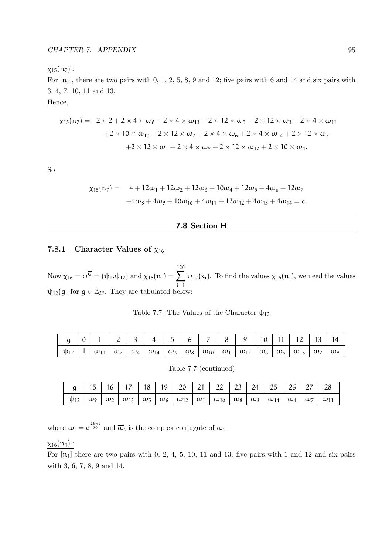#### $\chi_{15}(n_7)$  :

For  $[n_7]$ , there are two pairs with 0, 1, 2, 5, 8, 9 and 12; five pairs with 6 and 14 and six pairs with 3, 4, 7, 10, 11 and 13.

Hence,

$$
\chi_{15}(n_7) = 2 \times 2 + 2 \times 4 \times \omega_8 + 2 \times 4 \times \omega_{13} + 2 \times 12 \times \omega_5 + 2 \times 12 \times \omega_3 + 2 \times 4 \times \omega_{11} \n+ 2 \times 10 \times \omega_{10} + 2 \times 12 \times \omega_2 + 2 \times 4 \times \omega_6 + 2 \times 4 \times \omega_{14} + 2 \times 12 \times \omega_7 \n+ 2 \times 12 \times \omega_1 + 2 \times 4 \times \omega_9 + 2 \times 12 \times \omega_{12} + 2 \times 10 \times \omega_4.
$$

So

$$
\begin{aligned}\n\chi_{15}(n_7) &= 4 + 12\omega_1 + 12\omega_2 + 12\omega_3 + 10\omega_4 + 12\omega_5 + 4\omega_6 + 12\omega_7 \\
&\quad + 4\omega_8 + 4\omega_9 + 10\omega_{10} + 4\omega_{11} + 12\omega_{12} + 4\omega_{13} + 4\omega_{14} = c.\n\end{aligned}
$$

#### 7.8 Section H

#### 7.8.1 Character Values of  $\chi_{16}$

Now  $\chi_{16} = \phi_1^{\overline{G}} = (\psi_1 \cdot \psi_{12})$  and  $\chi_{16}(n_i) = \sum_{i=1}^{120}$ i=1  $\psi_{12}(x_i)$ . To find the values  $\chi_{16}(n_i)$ , we need the values  $\psi_{12}(g)$  for  $g \in \mathbb{Z}_{29}$ . They are tabulated below:

|  |  |  |  |  | $g$   0   1   2   3   4   5   6   7   8   9   10   11   12   13   14                                                                                                                                                                                                                                                                                                                                                                                                                                                                           |  |  |  |
|--|--|--|--|--|------------------------------------------------------------------------------------------------------------------------------------------------------------------------------------------------------------------------------------------------------------------------------------------------------------------------------------------------------------------------------------------------------------------------------------------------------------------------------------------------------------------------------------------------|--|--|--|
|  |  |  |  |  | $\mathfrak{p}_{12} \left[ \left. 1 \left  \right. \omega_{11} \left. \right  \left. \overline{\omega}_{7} \left. \right  \left. \omega_{4} \right. \right  \overline{\omega}_{14} \left. \right  \overline{\omega}_{3} \left. \right  \left. \omega_{8} \left. \right  \overline{\omega}_{10} \left. \right  \left. \omega_{1} \right  \left. \omega_{12} \left. \right  \overline{\omega}_{6} \left. \right  \left. \omega_{5} \left. \right  \overline{\omega}_{13} \right. \right  \overline{\omega}_{2} \left. \right  \omega_{9} \right]$ |  |  |  |

Table 7.7: The Values of the Character  $\psi_{12}$ 

| Table 7.7 (continued) |  |
|-----------------------|--|
|-----------------------|--|

| $\parallel$ g   15   16   17   18   19   20   21   22   23   24   25   26   27   28                                                                                                                                                                                                                                                                                                                      |  |  |  |  |  |  |  |
|----------------------------------------------------------------------------------------------------------------------------------------------------------------------------------------------------------------------------------------------------------------------------------------------------------------------------------------------------------------------------------------------------------|--|--|--|--|--|--|--|
| $\parallel \psi_{12}\parallel \overline{\omega}_{9}\parallel \omega_{2}\parallel \omega_{13}\parallel \overline{\omega}_{5}\parallel \omega_{6}\parallel \overline{\omega}_{12}\parallel \overline{\omega}_{1}\parallel \omega_{10}\parallel \overline{\omega}_{8}\parallel \omega_{3}\parallel \omega_{14}\parallel \overline{\omega}_{4}\parallel \omega_{7}\parallel \overline{\omega}_{11}\parallel$ |  |  |  |  |  |  |  |

where  $\omega_i = e^{\frac{2k\pi i}{29}}$  and  $\overline{\omega}_i$  is the complex conjugate of  $\omega_i$ .

#### $\chi_{16}(n_1)$ :

For  $[n_1]$  there are two pairs with 0, 2, 4, 5, 10, 11 and 13; five pairs with 1 and 12 and six pairs with 3, 6, 7, 8, 9 and 14.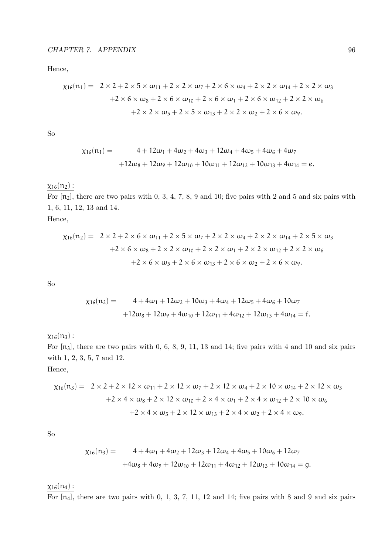Hence,

$$
\chi_{16}(n_1) = 2 \times 2 + 2 \times 5 \times \omega_{11} + 2 \times 2 \times \omega_7 + 2 \times 6 \times \omega_4 + 2 \times 2 \times \omega_{14} + 2 \times 2 \times \omega_3
$$
  
+2 \times 6 \times \omega\_8 + 2 \times 6 \times \omega\_{10} + 2 \times 6 \times \omega\_1 + 2 \times 6 \times \omega\_{12} + 2 \times 2 \times \omega\_6  
+2 \times 2 \times \omega\_5 + 2 \times 5 \times \omega\_{13} + 2 \times 2 \times \omega\_2 + 2 \times 6 \times \omega\_9.

So

$$
\chi_{16}(n_1) = 4 + 12\omega_1 + 4\omega_2 + 4\omega_3 + 12\omega_4 + 4\omega_5 + 4\omega_6 + 4\omega_7
$$
  
+12\omega\_8 + 12\omega\_9 + 12\omega\_{10} + 10\omega\_{11} + 12\omega\_{12} + 10\omega\_{13} + 4\omega\_{14} = e.

## $\chi_{16}(n_2)$  :

For  $[n_2]$ , there are two pairs with 0, 3, 4, 7, 8, 9 and 10; five pairs with 2 and 5 and six pairs with 1, 6, 11, 12, 13 and 14.

Hence,

$$
\chi_{16}(n_2) = 2 \times 2 + 2 \times 6 \times \omega_{11} + 2 \times 5 \times \omega_7 + 2 \times 2 \times \omega_4 + 2 \times 2 \times \omega_{14} + 2 \times 5 \times \omega_3
$$
  
+2 \times 6 \times \omega\_8 + 2 \times 2 \times \omega\_{10} + 2 \times 2 \times \omega\_1 + 2 \times 2 \times \omega\_{12} + 2 \times 2 \times \omega\_6  
+2 \times 6 \times \omega\_5 + 2 \times 6 \times \omega\_{13} + 2 \times 6 \times \omega\_2 + 2 \times 6 \times \omega\_9.

So

$$
\chi_{16}(n_2) = 4 + 4\omega_1 + 12\omega_2 + 10\omega_3 + 4\omega_4 + 12\omega_5 + 4\omega_6 + 10\omega_7
$$

$$
+12\omega_8 + 12\omega_9 + 4\omega_{10} + 12\omega_{11} + 4\omega_{12} + 12\omega_{13} + 4\omega_{14} = f.
$$

 $x_{16}(n_3)$ :

For  $[n_3]$ , there are two pairs with 0, 6, 8, 9, 11, 13 and 14; five pairs with 4 and 10 and six pairs with 1, 2, 3, 5, 7 and 12.

Hence,

$$
\chi_{16}(n_3) = 2 \times 2 + 2 \times 12 \times \omega_{11} + 2 \times 12 \times \omega_7 + 2 \times 12 \times \omega_4 + 2 \times 10 \times \omega_{14} + 2 \times 12 \times \omega_3
$$
  
+2 \times 4 \times \omega\_8 + 2 \times 12 \times \omega\_{10} + 2 \times 4 \times \omega\_1 + 2 \times 4 \times \omega\_{12} + 2 \times 10 \times \omega\_6  
+2 \times 4 \times \omega\_5 + 2 \times 12 \times \omega\_{13} + 2 \times 4 \times \omega\_2 + 2 \times 4 \times \omega\_9.

So

$$
\chi_{16}(n_3) = 4 + 4\omega_1 + 4\omega_2 + 12\omega_3 + 12\omega_4 + 4\omega_5 + 10\omega_6 + 12\omega_7
$$
  
+4\omega\_8 + 4\omega\_9 + 12\omega\_{10} + 12\omega\_{11} + 4\omega\_{12} + 12\omega\_{13} + 10\omega\_{14} = g.

 $\chi_{16}(n_4)$  :

For  $[n_4]$ , there are two pairs with 0, 1, 3, 7, 11, 12 and 14; five pairs with 8 and 9 and six pairs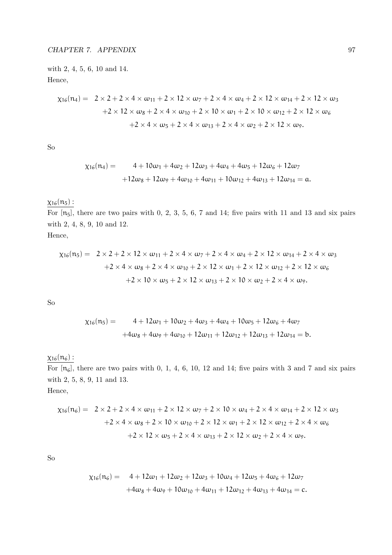with 2, 4, 5, 6, 10 and 14. Hence,

$$
\chi_{16}(n_4) = 2 \times 2 + 2 \times 4 \times \omega_{11} + 2 \times 12 \times \omega_7 + 2 \times 4 \times \omega_4 + 2 \times 12 \times \omega_{14} + 2 \times 12 \times \omega_3
$$
  
+2 \times 12 \times \omega\_8 + 2 \times 4 \times \omega\_{10} + 2 \times 10 \times \omega\_1 + 2 \times 10 \times \omega\_{12} + 2 \times 12 \times \omega\_6  
+2 \times 4 \times \omega\_5 + 2 \times 4 \times \omega\_{13} + 2 \times 4 \times \omega\_2 + 2 \times 12 \times \omega\_9.

So

$$
\begin{aligned} \chi_{16}(n_4) &= 4 + 10\omega_1 + 4\omega_2 + 12\omega_3 + 4\omega_4 + 4\omega_5 + 12\omega_6 + 12\omega_7 \\ &+ 12\omega_8 + 12\omega_9 + 4\omega_{10} + 4\omega_{11} + 10\omega_{12} + 4\omega_{13} + 12\omega_{14} = \mathfrak{a}. \end{aligned}
$$

## $\chi_{16}(n_5)$ :

For  $[n_5]$ , there are two pairs with 0, 2, 3, 5, 6, 7 and 14; five pairs with 11 and 13 and six pairs with 2, 4, 8, 9, 10 and 12.

Hence,

$$
\chi_{16}(n_5) = 2 \times 2 + 2 \times 12 \times \omega_{11} + 2 \times 4 \times \omega_7 + 2 \times 4 \times \omega_4 + 2 \times 12 \times \omega_{14} + 2 \times 4 \times \omega_3
$$
  
+2 \times 4 \times \omega\_8 + 2 \times 4 \times \omega\_{10} + 2 \times 12 \times \omega\_1 + 2 \times 12 \times \omega\_{12} + 2 \times 12 \times \omega\_6  
+2 \times 10 \times \omega\_5 + 2 \times 12 \times \omega\_{13} + 2 \times 10 \times \omega\_2 + 2 \times 4 \times \omega\_9.

So

$$
\chi_{16}(n_5) = 4 + 12\omega_1 + 10\omega_2 + 4\omega_3 + 4\omega_4 + 10\omega_5 + 12\omega_6 + 4\omega_7
$$
  
+4 $\omega_8 + 4\omega_9 + 4\omega_{10} + 12\omega_{11} + 12\omega_{12} + 12\omega_{13} + 12\omega_{14} = b.$ 

## $\chi_{16}(\mathfrak{n}_6)$  :

For  $[n_6]$ , there are two pairs with 0, 1, 4, 6, 10, 12 and 14; five pairs with 3 and 7 and six pairs with 2, 5, 8, 9, 11 and 13. Hence,

$$
\chi_{16}(n_6) = 2 \times 2 + 2 \times 4 \times \omega_{11} + 2 \times 12 \times \omega_7 + 2 \times 10 \times \omega_4 + 2 \times 4 \times \omega_{14} + 2 \times 12 \times \omega_3
$$
  
+2 \times 4 \times \omega\_8 + 2 \times 10 \times \omega\_{10} + 2 \times 12 \times \omega\_1 + 2 \times 12 \times \omega\_{12} + 2 \times 4 \times \omega\_6  
+2 \times 12 \times \omega\_5 + 2 \times 4 \times \omega\_{13} + 2 \times 12 \times \omega\_2 + 2 \times 4 \times \omega\_9.

So

$$
\chi_{16}(n_6) = 4 + 12\omega_1 + 12\omega_2 + 12\omega_3 + 10\omega_4 + 12\omega_5 + 4\omega_6 + 12\omega_7
$$
  
+4\omega\_8 + 4\omega\_9 + 10\omega\_{10} + 4\omega\_{11} + 12\omega\_{12} + 4\omega\_{13} + 4\omega\_{14} = c.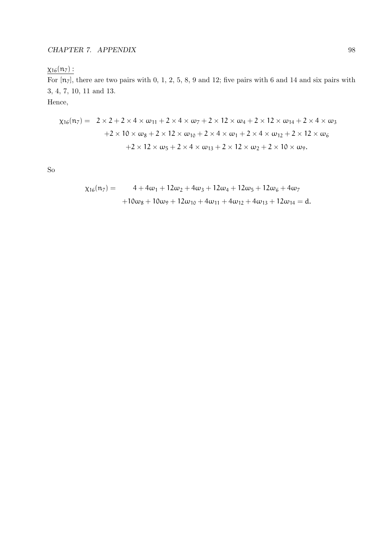## $\chi_{16}(n_7)$  :

For  $[n_7]$ , there are two pairs with 0, 1, 2, 5, 8, 9 and 12; five pairs with 6 and 14 and six pairs with 3, 4, 7, 10, 11 and 13.

Hence,

$$
\chi_{16}(n_7) = 2 \times 2 + 2 \times 4 \times \omega_{11} + 2 \times 4 \times \omega_7 + 2 \times 12 \times \omega_4 + 2 \times 12 \times \omega_{14} + 2 \times 4 \times \omega_3
$$
  
+2 \times 10 \times \omega\_8 + 2 \times 12 \times \omega\_{10} + 2 \times 4 \times \omega\_1 + 2 \times 4 \times \omega\_{12} + 2 \times 12 \times \omega\_6  
+2 \times 12 \times \omega\_5 + 2 \times 4 \times \omega\_{13} + 2 \times 12 \times \omega\_2 + 2 \times 10 \times \omega\_9.

So

$$
\begin{aligned} \chi_{16}(n_7) &= 4 + 4\omega_1 + 12\omega_2 + 4\omega_3 + 12\omega_4 + 12\omega_5 + 12\omega_6 + 4\omega_7 \\ &+ 10\omega_8 + 10\omega_9 + 12\omega_{10} + 4\omega_{11} + 4\omega_{12} + 4\omega_{13} + 12\omega_{14} = d. \end{aligned}
$$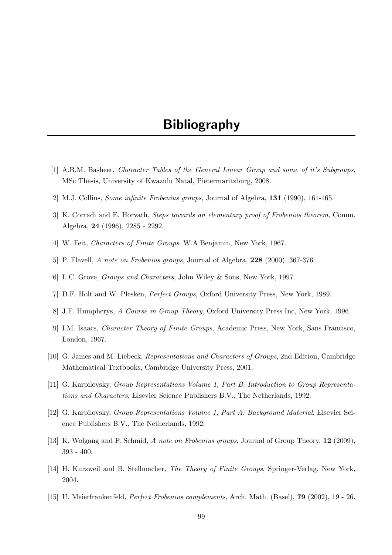## Bibliography

- [1] A.B.M. Basheer, Character Tables of the General Linear Group and some of it's Subgroups, MSc Thesis, University of Kwazulu Natal, Pietermaritzburg, 2008.
- [2] M.J. Collins, Some infinite Frobenius groups, Journal of Algebra, 131 (1990), 161-165.
- [3] K. Corradi and E. Horvath, Steps towards an elementary proof of Frobenius theorem, Comm. Algebra, 24 (1996), 2285 - 2292.
- [4] W. Feit, Characters of Finite Groups, W.A.Benjamin, New York, 1967.
- [5] P. Flavell, A note on Frobenius groups, Journal of Algebra, 228 (2000), 367-376.
- [6] L.C. Grove, Groups and Characters, John Wiley & Sons, New York, 1997.
- [7] D.F. Holt and W. Plesken, Perfect Groups, Oxford University Press, New York, 1989.
- [8] J.F. Humpherys, A Course in Group Theory, Oxford University Press Inc, New York, 1996.
- [9] I.M. Isaacs, Character Theory of Finite Groups, Academic Press, New York, Sans Francisco, London, 1967.
- [10] G. James and M. Liebeck, Representations and Characters of Groups, 2nd Edition, Cambridge Mathematical Textbooks, Cambridge University Press, 2001.
- [11] G. Karpilovsky, Group Representations Volume 1, Part B: Introduction to Group Representations and Characters, Elsevier Science Publishers B.V., The Netherlands, 1992.
- [12] G. Karpilovsky, Group Representations Volume 1, Part A: Background Material, Elsevier Science Publishers B.V., The Netherlands, 1992.
- [13] K. Wolgang and P. Schmid, A note on Frobenius groups, Journal of Group Theory, 12 (2009), 393 - 400.
- [14] H. Kurzweil and B. Stellmacher, The Theory of Finite Groups, Springer-Verlag, New York, 2004.
- [15] U. Meierfrankenfeld, Perfect Frobenius complements, Arch. Math. (Basel), 79 (2002), 19 26.